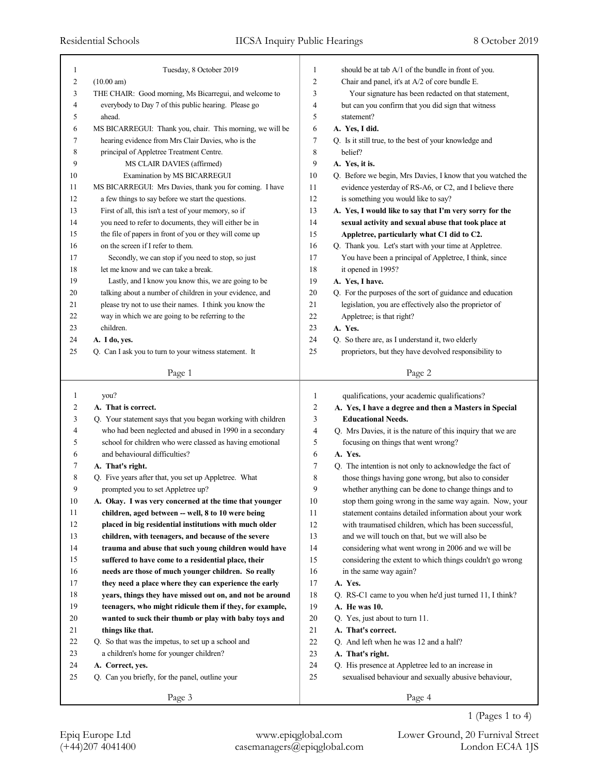| 1              | Tuesday, 8 October 2019                                                                   | 1                              | should be at tab A/1 of the bundle in front of you.                                |
|----------------|-------------------------------------------------------------------------------------------|--------------------------------|------------------------------------------------------------------------------------|
| 2              | (10.00 am)                                                                                | 2                              | Chair and panel, it's at A/2 of core bundle E.                                     |
| 3              | THE CHAIR: Good morning, Ms Bicarregui, and welcome to                                    | 3                              | Your signature has been redacted on that statement,                                |
| $\overline{4}$ | everybody to Day 7 of this public hearing. Please go                                      | 4                              | but can you confirm that you did sign that witness                                 |
| 5              | ahead.                                                                                    | 5                              | statement?                                                                         |
| 6              | MS BICARREGUI: Thank you, chair. This morning, we will be                                 | 6                              | A. Yes, I did.                                                                     |
| 7              | hearing evidence from Mrs Clair Davies, who is the                                        | 7                              | Q. Is it still true, to the best of your knowledge and                             |
| 8              | principal of Appletree Treatment Centre.                                                  | 8                              | belief?                                                                            |
| 9              | MS CLAIR DAVIES (affirmed)                                                                | 9                              | A. Yes, it is.                                                                     |
| 10             | Examination by MS BICARREGUI                                                              | 10                             | Q. Before we begin, Mrs Davies, I know that you watched the                        |
| 11             | MS BICARREGUI: Mrs Davies, thank you for coming. I have                                   | 11                             | evidence yesterday of RS-A6, or C2, and I believe there                            |
| 12             | a few things to say before we start the questions.                                        | 12                             | is something you would like to say?                                                |
| 13             | First of all, this isn't a test of your memory, so if                                     | 13                             | A. Yes, I would like to say that I'm very sorry for the                            |
| 14             | you need to refer to documents, they will either be in                                    | 14                             | sexual activity and sexual abuse that took place at                                |
| 15             | the file of papers in front of you or they will come up                                   | 15                             | Appletree, particularly what C1 did to C2.                                         |
| 16             | on the screen if I refer to them.                                                         | 16                             | Q. Thank you. Let's start with your time at Appletree.                             |
| 17             | Secondly, we can stop if you need to stop, so just                                        | 17                             | You have been a principal of Appletree, I think, since                             |
| 18             | let me know and we can take a break.                                                      | 18                             | it opened in 1995?                                                                 |
| 19             | Lastly, and I know you know this, we are going to be                                      | 19                             | A. Yes, I have.                                                                    |
| 20             | talking about a number of children in your evidence, and                                  | 20                             | Q. For the purposes of the sort of guidance and education                          |
| 21             | please try not to use their names. I think you know the                                   | 21                             | legislation, you are effectively also the proprietor of                            |
| 22             | way in which we are going to be referring to the                                          | 22                             | Appletree; is that right?                                                          |
| 23             | children.                                                                                 | 23                             | A. Yes.                                                                            |
| 24             | A. I do, yes.                                                                             | 24                             | Q. So there are, as I understand it, two elderly                                   |
| 25             | Q. Can I ask you to turn to your witness statement. It                                    | 25                             | proprietors, but they have devolved responsibility to                              |
|                | Page 1                                                                                    |                                | Page 2                                                                             |
|                |                                                                                           |                                |                                                                                    |
|                |                                                                                           |                                |                                                                                    |
| 1              |                                                                                           |                                |                                                                                    |
| 2              | you?<br>A. That is correct.                                                               | $\mathbf{1}$<br>$\overline{c}$ | qualifications, your academic qualifications?                                      |
| 3              |                                                                                           | 3                              | A. Yes, I have a degree and then a Masters in Special<br><b>Educational Needs.</b> |
| 4              | Q. Your statement says that you began working with children                               | 4                              |                                                                                    |
| 5              | who had been neglected and abused in 1990 in a secondary                                  | 5                              | Q. Mrs Davies, it is the nature of this inquiry that we are                        |
| 6              | school for children who were classed as having emotional<br>and behavioural difficulties? | 6                              | focusing on things that went wrong?<br>A. Yes.                                     |
| 7              |                                                                                           | 7                              |                                                                                    |
| 8              | A. That's right.                                                                          |                                | Q. The intention is not only to acknowledge the fact of                            |
| 9              | Q. Five years after that, you set up Appletree. What                                      | 8<br>9                         | those things having gone wrong, but also to consider                               |
|                | prompted you to set Appletree up?                                                         |                                | whether anything can be done to change things and to                               |
| 10<br>11       | A. Okay. I was very concerned at the time that younger                                    | 10                             | stop them going wrong in the same way again. Now, your                             |
|                | children, aged between -- well, 8 to 10 were being                                        | 11                             | statement contains detailed information about your work                            |
| 12             | placed in big residential institutions with much older                                    | 12                             | with traumatised children, which has been successful,                              |
| 13             | children, with teenagers, and because of the severe                                       | 13                             | and we will touch on that, but we will also be                                     |
| 14             | trauma and abuse that such young children would have                                      | 14                             | considering what went wrong in 2006 and we will be                                 |
| 15             | suffered to have come to a residential place, their                                       | 15                             | considering the extent to which things couldn't go wrong                           |
| 16             | needs are those of much younger children. So really                                       | 16                             | in the same way again?                                                             |
| 17             | they need a place where they can experience the early                                     | 17                             | A. Yes.                                                                            |
| 18             | years, things they have missed out on, and not be around                                  | 18                             | Q. RS-C1 came to you when he'd just turned 11, I think?                            |
| 19             | teenagers, who might ridicule them if they, for example,                                  | 19                             | A. He was 10.                                                                      |
| 20             | wanted to suck their thumb or play with baby toys and                                     | 20                             | Q. Yes, just about to turn 11.                                                     |
| 21             | things like that.                                                                         | 21                             | A. That's correct.                                                                 |
| 22             | Q. So that was the impetus, to set up a school and                                        | 22                             | Q. And left when he was 12 and a half?                                             |
| 23             | a children's home for younger children?                                                   | $23\,$                         | A. That's right.                                                                   |
| 24<br>25       | A. Correct, yes.                                                                          | 24                             | Q. His presence at Appletree led to an increase in                                 |
|                | Q. Can you briefly, for the panel, outline your                                           | 25                             | sexualised behaviour and sexually abusive behaviour,                               |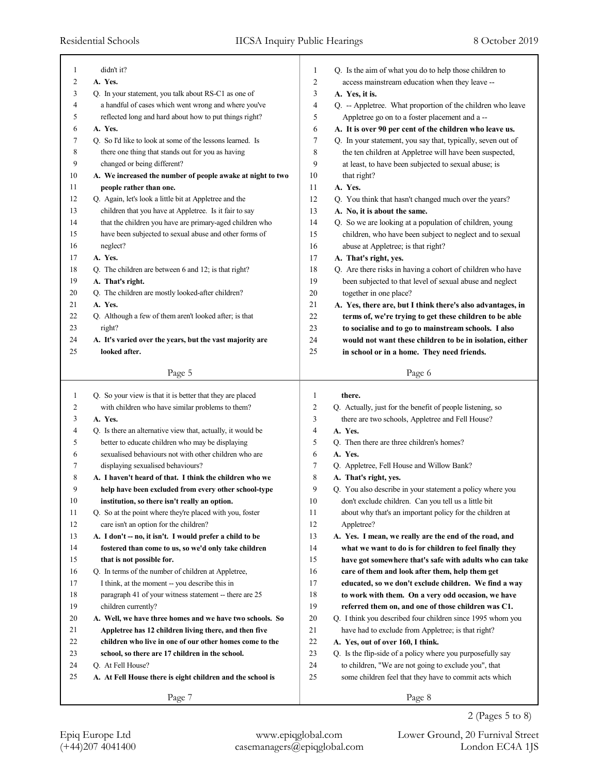| 1              | didn't it?                                                  | 1              | Q. Is the aim of what you do to help those children to      |
|----------------|-------------------------------------------------------------|----------------|-------------------------------------------------------------|
| $\overline{c}$ | A. Yes.                                                     | $\overline{c}$ | access mainstream education when they leave --              |
| 3              | Q. In your statement, you talk about RS-C1 as one of        | 3              | A. Yes, it is.                                              |
| 4              | a handful of cases which went wrong and where you've        | $\overline{4}$ | Q. -- Appletree. What proportion of the children who leave  |
| 5              | reflected long and hard about how to put things right?      | 5              | Appletree go on to a foster placement and a --              |
| 6              | A. Yes.                                                     | 6              | A. It is over 90 per cent of the children who leave us.     |
| 7              | Q. So I'd like to look at some of the lessons learned. Is   | 7              | Q. In your statement, you say that, typically, seven out of |
| 8              | there one thing that stands out for you as having           | 8              | the ten children at Appletree will have been suspected,     |
| 9              | changed or being different?                                 | 9              | at least, to have been subjected to sexual abuse; is        |
| 10             | A. We increased the number of people awake at night to two  | 10             | that right?                                                 |
| 11             | people rather than one.                                     | 11             | A. Yes.                                                     |
| 12             | Q. Again, let's look a little bit at Appletree and the      | 12             | Q. You think that hasn't changed much over the years?       |
| 13             | children that you have at Appletree. Is it fair to say      | 13             | A. No, it is about the same.                                |
| 14             | that the children you have are primary-aged children who    | 14             | Q. So we are looking at a population of children, young     |
| 15             | have been subjected to sexual abuse and other forms of      | 15             | children, who have been subject to neglect and to sexual    |
| 16             | neglect?                                                    | 16             | abuse at Appletree; is that right?                          |
| 17             | A. Yes.                                                     | 17             | A. That's right, yes.                                       |
| 18             | Q. The children are between 6 and 12; is that right?        | 18             | Q. Are there risks in having a cohort of children who have  |
| 19             | A. That's right.                                            | 19             | been subjected to that level of sexual abuse and neglect    |
| 20             | Q. The children are mostly looked-after children?           | $20\,$         | together in one place?                                      |
| 21             | A. Yes.                                                     | 21             | A. Yes, there are, but I think there's also advantages, in  |
| 22             | Q. Although a few of them aren't looked after; is that      | 22             | terms of, we're trying to get these children to be able     |
| 23             | right?                                                      | 23             | to socialise and to go to mainstream schools. I also        |
| 24             | A. It's varied over the years, but the vast majority are    | 24             | would not want these children to be in isolation, either    |
| 25             | looked after.                                               | 25             | in school or in a home. They need friends.                  |
|                |                                                             |                |                                                             |
|                | Page 5                                                      |                | Page 6                                                      |
|                |                                                             |                |                                                             |
|                |                                                             |                |                                                             |
| 1              | Q. So your view is that it is better that they are placed   | 1              | there.                                                      |
| 2              | with children who have similar problems to them?            | 2              | Q. Actually, just for the benefit of people listening, so   |
| 3              | A. Yes.                                                     | 3              | there are two schools, Appletree and Fell House?            |
| 4              | Q. Is there an alternative view that, actually, it would be | 4              | A. Yes.                                                     |
| 5              | better to educate children who may be displaying            | 5              | Q. Then there are three children's homes?                   |
| 6              | sexualised behaviours not with other children who are       | 6              | A. Yes.                                                     |
| 7              | displaying sexualised behaviours?                           | 7              | Q. Appletree, Fell House and Willow Bank?                   |
| 8              | A. I haven't heard of that. I think the children who we     | 8              | A. That's right, yes.                                       |
| 9              | help have been excluded from every other school-type        | 9              | Q. You also describe in your statement a policy where you   |
| $10\,$         | institution, so there isn't really an option.               | $10\,$         | don't exclude children. Can you tell us a little bit        |
| 11             | Q. So at the point where they're placed with you, foster    | 11             | about why that's an important policy for the children at    |
| 12             | care isn't an option for the children?                      | 12             | Appletree?                                                  |
| 13             | A. I don't -- no, it isn't. I would prefer a child to be    | 13             | A. Yes. I mean, we really are the end of the road, and      |
| 14             | fostered than come to us, so we'd only take children        | 14             | what we want to do is for children to feel finally they     |
| 15             | that is not possible for.                                   | 15             | have got somewhere that's safe with adults who can take     |
| 16             | Q. In terms of the number of children at Appletree,         | 16             | care of them and look after them, help them get             |
| 17             | I think, at the moment -- you describe this in              | 17             | educated, so we don't exclude children. We find a way       |
| 18             | paragraph 41 of your witness statement -- there are 25      | 18             | to work with them. On a very odd occasion, we have          |
| 19             | children currently?                                         | 19             | referred them on, and one of those children was C1.         |
| 20             | A. Well, we have three homes and we have two schools. So    | 20             | Q. I think you described four children since 1995 whom you  |
| 21             | Appletree has 12 children living there, and then five       | 21             | have had to exclude from Appletree; is that right?          |
| 22             | children who live in one of our other homes come to the     | 22             | A. Yes, out of over 160, I think.                           |
| 23             | school, so there are 17 children in the school.             | 23             | Q. Is the flip-side of a policy where you purposefully say  |
| 24             | Q. At Fell House?                                           | 24             | to children, "We are not going to exclude you", that        |
| 25             | A. At Fell House there is eight children and the school is  | 25             | some children feel that they have to commit acts which      |
|                | Page 7                                                      |                | Page 8                                                      |

2 (Pages 5 to 8)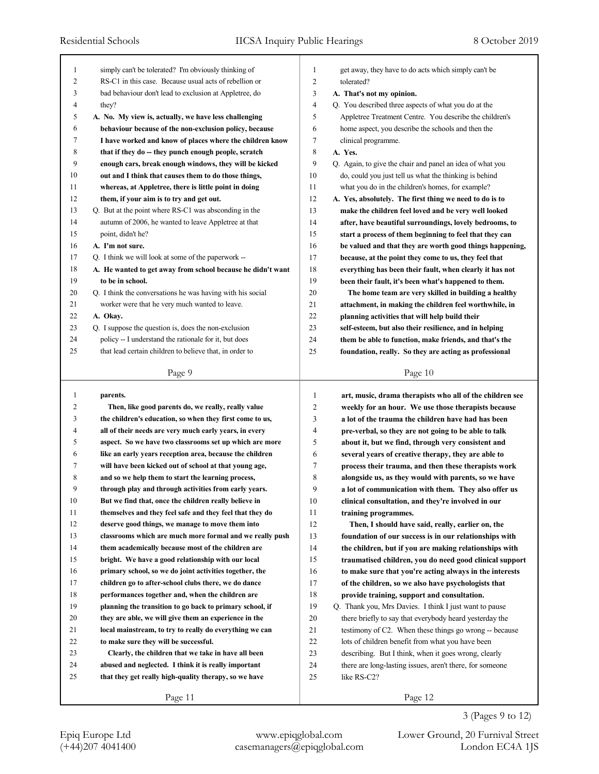| 1  | simply can't be tolerated? I'm obviously thinking of        | 1              | get away, they have to do acts which simply can't be                    |
|----|-------------------------------------------------------------|----------------|-------------------------------------------------------------------------|
| 2  | RS-C1 in this case. Because usual acts of rebellion or      | $\overline{2}$ | tolerated?                                                              |
| 3  | bad behaviour don't lead to exclusion at Appletree, do      | 3              | A. That's not my opinion.                                               |
| 4  | they?                                                       | $\overline{4}$ | Q. You described three aspects of what you do at the                    |
| 5  | A. No. My view is, actually, we have less challenging       | 5              | Appletree Treatment Centre. You describe the children's                 |
| 6  | behaviour because of the non-exclusion policy, because      | 6              | home aspect, you describe the schools and then the                      |
| 7  | I have worked and know of places where the children know    | 7              | clinical programme.                                                     |
| 8  | that if they do -- they punch enough people, scratch        | 8              | A. Yes.                                                                 |
| 9  | enough cars, break enough windows, they will be kicked      | 9              | Q. Again, to give the chair and panel an idea of what you               |
| 10 | out and I think that causes them to do those things,        | 10             | do, could you just tell us what the thinking is behind                  |
| 11 | whereas, at Appletree, there is little point in doing       | 11             | what you do in the children's homes, for example?                       |
| 12 | them, if your aim is to try and get out.                    | 12             | A. Yes, absolutely. The first thing we need to do is to                 |
| 13 | Q. But at the point where RS-C1 was absconding in the       | 13             | make the children feel loved and be very well looked                    |
| 14 | autumn of 2006, he wanted to leave Appletree at that        | 14             | after, have beautiful surroundings, lovely bedrooms, to                 |
| 15 | point, didn't he?                                           | 15             | start a process of them beginning to feel that they can                 |
| 16 | A. I'm not sure.                                            | 16             | be valued and that they are worth good things happening,                |
| 17 | Q. I think we will look at some of the paperwork --         | 17             | because, at the point they come to us, they feel that                   |
| 18 | A. He wanted to get away from school because he didn't want | 18             | everything has been their fault, when clearly it has not                |
| 19 | to be in school.                                            | 19             | been their fault, it's been what's happened to them.                    |
| 20 | Q. I think the conversations he was having with his social  | 20             | The home team are very skilled in building a healthy                    |
| 21 | worker were that he very much wanted to leave.              | 21             | attachment, in making the children feel worthwhile, in                  |
| 22 | A. Okay.                                                    | 22             | planning activities that will help build their                          |
| 23 | Q. I suppose the question is, does the non-exclusion        | 23             | self-esteem, but also their resilience, and in helping                  |
| 24 | policy -- I understand the rationale for it, but does       | 24             | them be able to function, make friends, and that's the                  |
| 25 | that lead certain children to believe that, in order to     | 25             | foundation, really. So they are acting as professional                  |
|    |                                                             |                |                                                                         |
|    | Page 9                                                      |                | Page 10                                                                 |
|    |                                                             |                |                                                                         |
|    |                                                             |                |                                                                         |
| 1  | parents.                                                    | 1              | art, music, drama therapists who all of the children see                |
| 2  | Then, like good parents do, we really, really value         | 2              | weekly for an hour. We use those therapists because                     |
| 3  | the children's education, so when they first come to us,    | 3              | a lot of the trauma the children have had has been                      |
| 4  | all of their needs are very much early years, in every      | 4              | pre-verbal, so they are not going to be able to talk                    |
| 5  | aspect. So we have two classrooms set up which are more     | 5              | about it, but we find, through very consistent and                      |
| 6  | like an early years reception area, because the children    | 6              | several years of creative therapy, they are able to                     |
| 7  | will have been kicked out of school at that young age,      | 7              | process their trauma, and then these therapists work                    |
| 8  | and so we help them to start the learning process,          | 8              | alongside us, as they would with parents, so we have                    |
| 9  | through play and through activities from early years.       | 9              | a lot of communication with them. They also offer us                    |
| 10 | But we find that, once the children really believe in       | 10             | clinical consultation, and they're involved in our                      |
| 11 | themselves and they feel safe and they feel that they do    | 11             | training programmes.                                                    |
| 12 | deserve good things, we manage to move them into            | 12             | Then, I should have said, really, earlier on, the                       |
| 13 | classrooms which are much more formal and we really push    | 13             | foundation of our success is in our relationships with                  |
| 14 | them academically because most of the children are          | 14             | the children, but if you are making relationships with                  |
| 15 | bright. We have a good relationship with our local          | 15             | traumatised children, you do need good clinical support                 |
| 16 | primary school, so we do joint activities together, the     | 16             | to make sure that you're acting always in the interests                 |
| 17 | children go to after-school clubs there, we do dance        | 17             | of the children, so we also have psychologists that                     |
| 18 | performances together and, when the children are            | 18             | provide training, support and consultation.                             |
| 19 | planning the transition to go back to primary school, if    | 19             | Q. Thank you, Mrs Davies. I think I just want to pause                  |
| 20 | they are able, we will give them an experience in the       | 20             | there briefly to say that everybody heard yesterday the                 |
| 21 | local mainstream, to try to really do everything we can     | 21             | testimony of C2. When these things go wrong -- because                  |
| 22 | to make sure they will be successful.                       | 22             | lots of children benefit from what you have been                        |
| 23 | Clearly, the children that we take in have all been         | 23             | describing. But I think, when it goes wrong, clearly                    |
| 24 | abused and neglected. I think it is really important        | 24             |                                                                         |
| 25 | that they get really high-quality therapy, so we have       | 25             | there are long-lasting issues, aren't there, for someone<br>like RS-C2? |
|    |                                                             |                |                                                                         |

3 (Pages 9 to 12)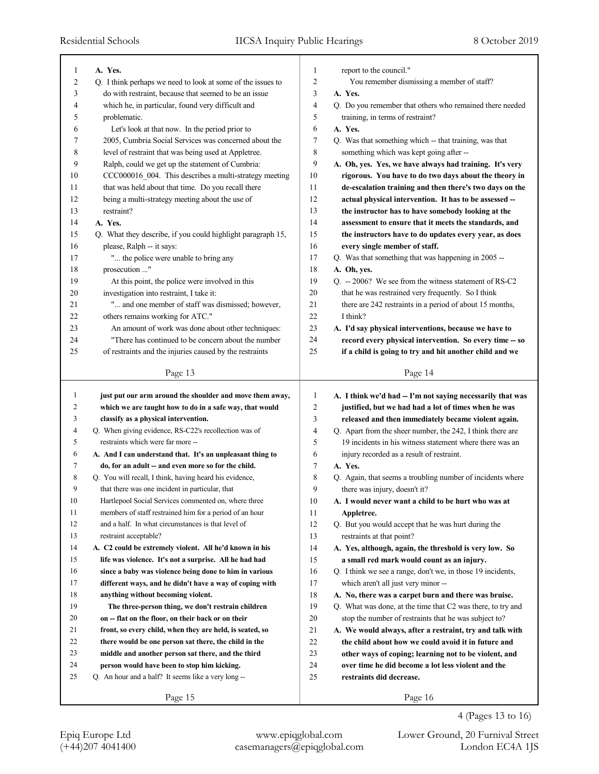| 1                 | A. Yes.                                                                                    | 1  | report to the council."                                     |
|-------------------|--------------------------------------------------------------------------------------------|----|-------------------------------------------------------------|
| 2                 | Q. I think perhaps we need to look at some of the issues to                                | 2  | You remember dismissing a member of staff?                  |
| 3                 | do with restraint, because that seemed to be an issue                                      | 3  | A. Yes.                                                     |
| 4                 |                                                                                            | 4  |                                                             |
|                   | which he, in particular, found very difficult and                                          | 5  | Q. Do you remember that others who remained there needed    |
| 5                 | problematic.                                                                               |    | training, in terms of restraint?                            |
| 6                 | Let's look at that now. In the period prior to                                             | 6  | A. Yes.                                                     |
| 7                 | 2005, Cumbria Social Services was concerned about the                                      | 7  | Q. Was that something which -- that training, was that      |
| 8                 | level of restraint that was being used at Appletree.                                       | 8  | something which was kept going after --                     |
| 9                 | Ralph, could we get up the statement of Cumbria:                                           | 9  | A. Oh, yes. Yes, we have always had training. It's very     |
| 10                | CCC000016_004. This describes a multi-strategy meeting                                     | 10 | rigorous. You have to do two days about the theory in       |
| 11                | that was held about that time. Do you recall there                                         | 11 | de-escalation training and then there's two days on the     |
| 12                | being a multi-strategy meeting about the use of                                            | 12 | actual physical intervention. It has to be assessed --      |
| 13                | restraint?                                                                                 | 13 | the instructor has to have somebody looking at the          |
| 14                | A. Yes.                                                                                    | 14 | assessment to ensure that it meets the standards, and       |
| 15                | Q. What they describe, if you could highlight paragraph 15,                                | 15 | the instructors have to do updates every year, as does      |
| 16                | please, Ralph -- it says:                                                                  | 16 | every single member of staff.                               |
| 17                | " the police were unable to bring any                                                      | 17 | Q. Was that something that was happening in 2005 --         |
| 18                | prosecution "                                                                              | 18 | A. Oh, yes.                                                 |
| 19                | At this point, the police were involved in this                                            | 19 | Q. -- 2006? We see from the witness statement of RS-C2      |
| 20                | investigation into restraint, I take it:                                                   | 20 | that he was restrained very frequently. So I think          |
| 21                | " and one member of staff was dismissed; however,                                          | 21 | there are 242 restraints in a period of about 15 months,    |
| 22                | others remains working for ATC."                                                           | 22 | I think?                                                    |
| 23                | An amount of work was done about other techniques:                                         | 23 | A. I'd say physical interventions, because we have to       |
| 24                | "There has continued to be concern about the number                                        | 24 | record every physical intervention. So every time -- so     |
| 25                | of restraints and the injuries caused by the restraints                                    | 25 | if a child is going to try and hit another child and we     |
|                   |                                                                                            |    |                                                             |
|                   | Page 13                                                                                    |    | Page 14                                                     |
|                   |                                                                                            |    |                                                             |
|                   |                                                                                            |    |                                                             |
| $\mathbf{1}$<br>2 | just put our arm around the shoulder and move them away,                                   | 1  | A. I think we'd had -- I'm not saying necessarily that was  |
|                   | which we are taught how to do in a safe way, that would                                    | 2  | justified, but we had had a lot of times when he was        |
| 3<br>4            | classify as a physical intervention.                                                       | 3  | released and then immediately became violent again.         |
|                   | Q. When giving evidence, RS-C22's recollection was of<br>restraints which were far more -- | 4  | Q. Apart from the sheer number, the 242, I think there are  |
| 5                 |                                                                                            | 5  | 19 incidents in his witness statement where there was an    |
| 6                 | A. And I can understand that. It's an unpleasant thing to                                  | 6  | injury recorded as a result of restraint.                   |
| 7                 | do, for an adult -- and even more so for the child.                                        | 7  | A. Yes.                                                     |
| 8                 | Q. You will recall, I think, having heard his evidence,                                    | 8  | Q. Again, that seems a troubling number of incidents where  |
| 9                 | that there was one incident in particular, that                                            | 9  | there was injury, doesn't it?                               |
| 10                | Hartlepool Social Services commented on, where three                                       | 10 | A. I would never want a child to be hurt who was at         |
| 11                | members of staff restrained him for a period of an hour                                    | 11 | Appletree.                                                  |
| 12                | and a half. In what circumstances is that level of                                         | 12 | Q. But you would accept that he was hurt during the         |
| 13                | restraint acceptable?                                                                      | 13 | restraints at that point?                                   |
| 14                | A. C2 could be extremely violent. All he'd known in his                                    | 14 | A. Yes, although, again, the threshold is very low. So      |
| 15                | life was violence. It's not a surprise. All he had had                                     | 15 | a small red mark would count as an injury.                  |
| 16                | since a baby was violence being done to him in various                                     | 16 | Q. I think we see a range, don't we, in those 19 incidents, |
| 17                | different ways, and he didn't have a way of coping with                                    | 17 | which aren't all just very minor --                         |
| 18                | anything without becoming violent.                                                         | 18 | A. No, there was a carpet burn and there was bruise.        |
| 19                | The three-person thing, we don't restrain children                                         | 19 | Q. What was done, at the time that C2 was there, to try and |
| 20                | on -- flat on the floor, on their back or on their                                         | 20 | stop the number of restraints that he was subject to?       |
| 21                | front, so every child, when they are held, is seated, so                                   | 21 | A. We would always, after a restraint, try and talk with    |
| 22                | there would be one person sat there, the child in the                                      | 22 | the child about how we could avoid it in future and         |
| 23                | middle and another person sat there, and the third                                         | 23 | other ways of coping; learning not to be violent, and       |
| 24                | person would have been to stop him kicking.                                                | 24 | over time he did become a lot less violent and the          |
| 25                | Q. An hour and a half? It seems like a very long --                                        | 25 | restraints did decrease.                                    |
|                   | Page 15                                                                                    |    | Page 16                                                     |

4 (Pages 13 to 16)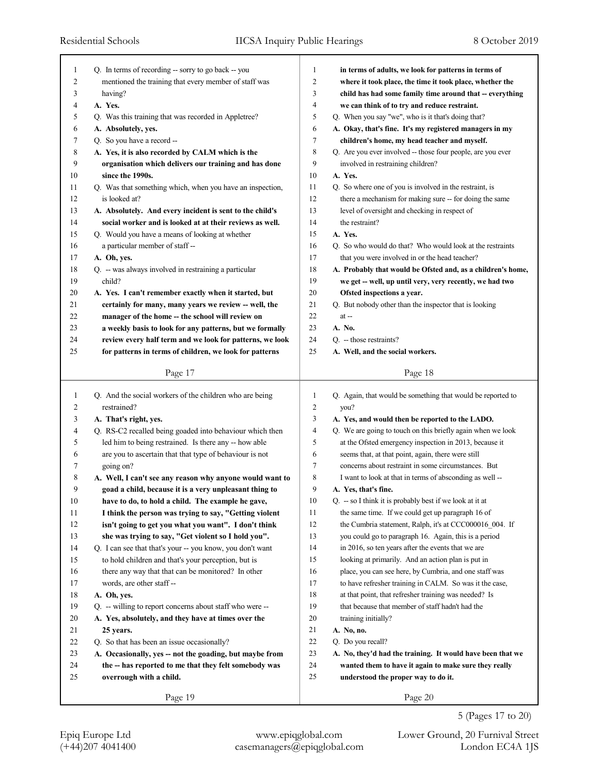| 1  | Q. In terms of recording -- sorry to go back -- you       | 1              | in terms of adults, we look for patterns in terms of                 |
|----|-----------------------------------------------------------|----------------|----------------------------------------------------------------------|
| 2  | mentioned the training that every member of staff was     | $\overline{c}$ | where it took place, the time it took place, whether the             |
| 3  | having?                                                   | 3              | child has had some family time around that -- everything             |
| 4  | A. Yes.                                                   | 4              | we can think of to try and reduce restraint.                         |
| 5  | Q. Was this training that was recorded in Appletree?      | 5              | Q. When you say "we", who is it that's doing that?                   |
| 6  | A. Absolutely, yes.                                       | 6              | A. Okay, that's fine. It's my registered managers in my              |
| 7  | Q. So you have a record --                                | 7              | children's home, my head teacher and myself.                         |
| 8  | A. Yes, it is also recorded by CALM which is the          | $\,$ 8 $\,$    | Q. Are you ever involved -- those four people, are you ever          |
| 9  | organisation which delivers our training and has done     | 9              | involved in restraining children?                                    |
| 10 | since the 1990s.                                          | 10             | A. Yes.                                                              |
| 11 | Q. Was that something which, when you have an inspection, | 11             | Q. So where one of you is involved in the restraint, is              |
| 12 | is looked at?                                             | 12             | there a mechanism for making sure -- for doing the same              |
| 13 | A. Absolutely. And every incident is sent to the child's  | 13             | level of oversight and checking in respect of                        |
| 14 | social worker and is looked at at their reviews as well.  | 14             | the restraint?                                                       |
| 15 | Q. Would you have a means of looking at whether           | 15             | A. Yes.                                                              |
| 16 | a particular member of staff --                           | 16             | Q. So who would do that? Who would look at the restraints            |
| 17 | A. Oh, yes.                                               | 17             | that you were involved in or the head teacher?                       |
| 18 | Q. -- was always involved in restraining a particular     | 18             | A. Probably that would be Ofsted and, as a children's home,          |
| 19 | child?                                                    | 19             | we get -- well, up until very, very recently, we had two             |
| 20 | A. Yes. I can't remember exactly when it started, but     | 20             | Ofsted inspections a year.                                           |
| 21 | certainly for many, many years we review -- well, the     | 21             | Q. But nobody other than the inspector that is looking               |
| 22 | manager of the home -- the school will review on          | 22             | $at -$                                                               |
| 23 | a weekly basis to look for any patterns, but we formally  | 23             | A. No.                                                               |
| 24 | review every half term and we look for patterns, we look  | 24             | Q. -- those restraints?                                              |
| 25 | for patterns in terms of children, we look for patterns   | 25             | A. Well, and the social workers.                                     |
|    |                                                           |                |                                                                      |
|    | Page 17                                                   |                | Page 18                                                              |
| -1 | Q. And the social workers of the children who are being   | 1              | Q. Again, that would be something that would be reported to          |
| 2  | restrained?                                               | 2              | you?                                                                 |
| 3  | A. That's right, yes.                                     | 3              | A. Yes, and would then be reported to the LADO.                      |
| 4  | Q. RS-C2 recalled being goaded into behaviour which then  | 4              | Q. We are going to touch on this briefly again when we look          |
| 5  | led him to being restrained. Is there any -- how able     | 5              | at the Ofsted emergency inspection in 2013, because it               |
| 6  | are you to ascertain that that type of behaviour is not   | 6              | seems that, at that point, again, there were still                   |
| 7  | going on?                                                 | 7              | concerns about restraint in some circumstances. But                  |
| 8  | A. Well, I can't see any reason why anyone would want to  | 8              | I want to look at that in terms of absconding as well --             |
| 9  | goad a child, because it is a very unpleasant thing to    | 9              | A. Yes, that's fine.                                                 |
| 10 | have to do, to hold a child. The example he gave,         | 10             | $Q_{\text{l}}$ -- so I think it is probably best if we look at it at |
| 11 | I think the person was trying to say, "Getting violent    | 11             | the same time. If we could get up paragraph 16 of                    |
| 12 | isn't going to get you what you want". I don't think      | 12             | the Cumbria statement, Ralph, it's at CCC000016 004. If              |
| 13 | she was trying to say, "Get violent so I hold you".       | 13             | you could go to paragraph 16. Again, this is a period                |
| 14 | Q. I can see that that's your -- you know, you don't want | 14             | in 2016, so ten years after the events that we are                   |
| 15 | to hold children and that's your perception, but is       | 15             | looking at primarily. And an action plan is put in                   |
| 16 | there any way that that can be monitored? In other        | 16             | place, you can see here, by Cumbria, and one staff was               |
| 17 | words, are other staff--                                  | 17             | to have refresher training in CALM. So was it the case,              |
| 18 | A. Oh, yes.                                               | 18             | at that point, that refresher training was needed? Is                |
| 19 | Q. -- willing to report concerns about staff who were --  | 19             | that because that member of staff hadn't had the                     |
| 20 | A. Yes, absolutely, and they have at times over the       | 20             | training initially?                                                  |
| 21 |                                                           | 21             | A. No, no.                                                           |
|    | 25 years.                                                 | 22             |                                                                      |
| 22 | Q. So that has been an issue occasionally?                |                | Q. Do you recall?                                                    |
| 23 | A. Occasionally, yes -- not the goading, but maybe from   | 23             | A. No, they'd had the training. It would have been that we           |
| 24 | the -- has reported to me that they felt somebody was     | 24<br>25       | wanted them to have it again to make sure they really                |
| 25 | overrough with a child.                                   |                | understood the proper way to do it.                                  |
|    | Page 19                                                   |                | Page 20                                                              |
|    |                                                           |                |                                                                      |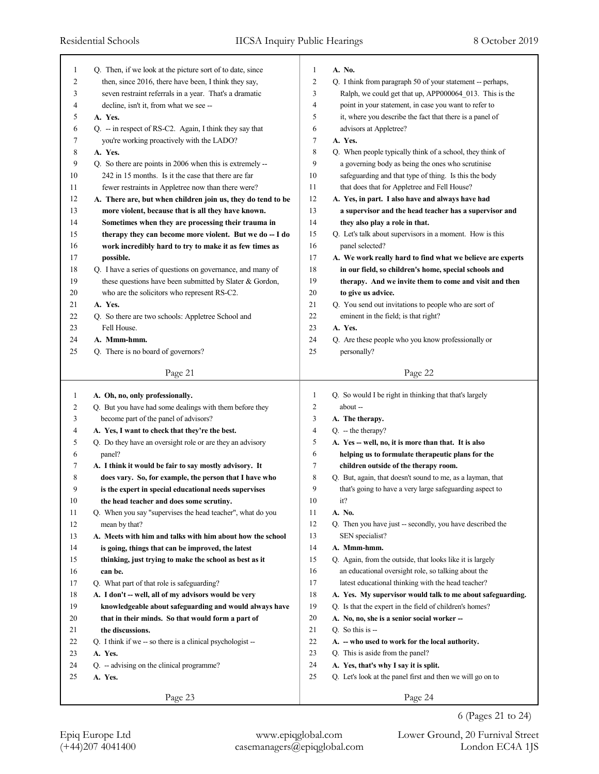| 1  | Q. Then, if we look at the picture sort of to date, since   | 1              | A. No.                                                     |
|----|-------------------------------------------------------------|----------------|------------------------------------------------------------|
| 2  | then, since 2016, there have been, I think they say,        | $\overline{2}$ | Q. I think from paragraph 50 of your statement -- perhaps, |
| 3  | seven restraint referrals in a year. That's a dramatic      | 3              | Ralph, we could get that up, APP000064_013. This is the    |
| 4  | decline, isn't it, from what we see --                      | $\overline{4}$ | point in your statement, in case you want to refer to      |
| 5  | A. Yes.                                                     | 5              | it, where you describe the fact that there is a panel of   |
| 6  | Q. -- in respect of RS-C2. Again, I think they say that     | 6              | advisors at Appletree?                                     |
| 7  | you're working proactively with the LADO?                   | 7              | A. Yes.                                                    |
| 8  | A. Yes.                                                     | $\,$ 8 $\,$    | Q. When people typically think of a school, they think of  |
| 9  | Q. So there are points in 2006 when this is extremely --    | 9              | a governing body as being the ones who scrutinise          |
| 10 | 242 in 15 months. Is it the case that there are far         | 10             | safeguarding and that type of thing. Is this the body      |
| 11 | fewer restraints in Appletree now than there were?          | 11             | that does that for Appletree and Fell House?               |
| 12 | A. There are, but when children join us, they do tend to be | 12             | A. Yes, in part. I also have and always have had           |
| 13 | more violent, because that is all they have known.          | 13             | a supervisor and the head teacher has a supervisor and     |
| 14 | Sometimes when they are processing their trauma in          | 14             | they also play a role in that.                             |
| 15 | therapy they can become more violent. But we do -- I do     | 15             | Q. Let's talk about supervisors in a moment. How is this   |
| 16 | work incredibly hard to try to make it as few times as      | 16             | panel selected?                                            |
| 17 | possible.                                                   | 17             | A. We work really hard to find what we believe are experts |
| 18 | Q. I have a series of questions on governance, and many of  | 18             | in our field, so children's home, special schools and      |
| 19 | these questions have been submitted by Slater & Gordon,     | 19             | therapy. And we invite them to come and visit and then     |
| 20 | who are the solicitors who represent RS-C2.                 | 20             | to give us advice.                                         |
| 21 | A. Yes.                                                     | 21             | Q. You send out invitations to people who are sort of      |
| 22 | Q. So there are two schools: Appletree School and           | 22             | eminent in the field; is that right?                       |
| 23 | Fell House.                                                 | 23             | A. Yes.                                                    |
| 24 |                                                             | 24             |                                                            |
|    | A. Mmm-hmm.                                                 |                | Q. Are these people who you know professionally or         |
| 25 | Q. There is no board of governors?                          | 25             | personally?                                                |
|    | Page 21                                                     |                | Page 22                                                    |
|    |                                                             |                |                                                            |
|    |                                                             |                |                                                            |
| 1  | A. Oh, no, only professionally.                             | $\mathbf{1}$   | Q. So would I be right in thinking that that's largely     |
| 2  | Q. But you have had some dealings with them before they     | 2              | about --                                                   |
| 3  | become part of the panel of advisors?                       | 3              | A. The therapy.                                            |
| 4  | A. Yes, I want to check that they're the best.              | 4              | $Q. -$ the therapy?                                        |
| 5  | Q. Do they have an oversight role or are they an advisory   | 5              | A. Yes -- well, no, it is more than that. It is also       |
| 6  | panel?                                                      | 6              | helping us to formulate therapeutic plans for the          |
| 7  | A. I think it would be fair to say mostly advisory. It      | 7              | children outside of the therapy room.                      |
| 8  | does vary. So, for example, the person that I have who      | 8              | Q. But, again, that doesn't sound to me, as a layman, that |
| 9  | is the expert in special educational needs supervises       | 9              | that's going to have a very large safeguarding aspect to   |
| 10 | the head teacher and does some scrutiny.                    | $10\,$         | it?                                                        |
| 11 | Q. When you say "supervises the head teacher", what do you  | 11             | A. No.                                                     |
| 12 | mean by that?                                               | 12             | Q. Then you have just -- secondly, you have described the  |
| 13 | A. Meets with him and talks with him about how the school   | 13             | SEN specialist?                                            |
| 14 | is going, things that can be improved, the latest           | 14             | A. Mmm-hmm.                                                |
| 15 | thinking, just trying to make the school as best as it      | 15             | Q. Again, from the outside, that looks like it is largely  |
| 16 | can be.                                                     | 16             | an educational oversight role, so talking about the        |
| 17 | Q. What part of that role is safeguarding?                  | 17             | latest educational thinking with the head teacher?         |
| 18 | A. I don't -- well, all of my advisors would be very        | 18             | A. Yes. My supervisor would talk to me about safeguarding. |
| 19 | knowledgeable about safeguarding and would always have      | 19             | Q. Is that the expert in the field of children's homes?    |
| 20 | that in their minds. So that would form a part of           | 20             | A. No, no, she is a senior social worker --                |
| 21 | the discussions.                                            | 21             | Q. So this is $-$                                          |
| 22 | Q. I think if we -- so there is a clinical psychologist --  | 22             | A. -- who used to work for the local authority.            |
| 23 | A. Yes.                                                     | 23             | Q. This is aside from the panel?                           |
| 24 | Q. - advising on the clinical programme?                    | 24             | A. Yes, that's why I say it is split.                      |
| 25 | A. Yes.                                                     | 25             | Q. Let's look at the panel first and then we will go on to |
|    | Page 23                                                     |                | Page 24                                                    |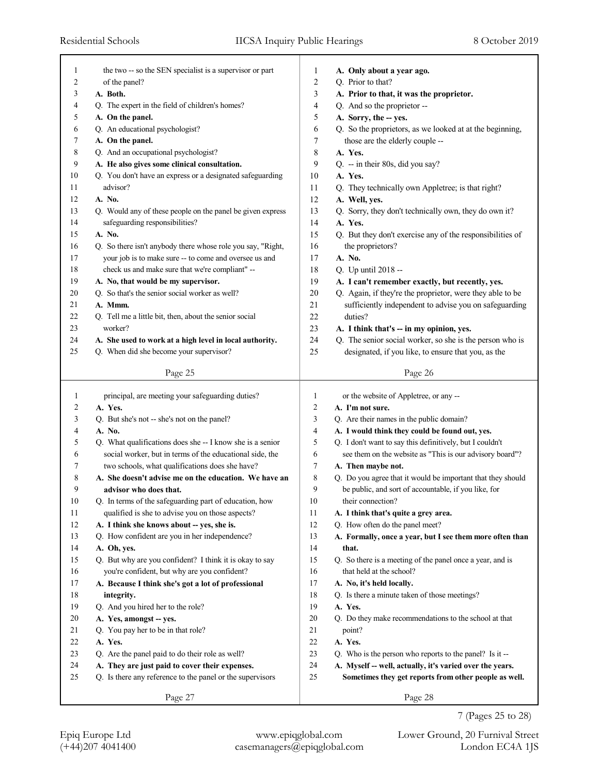٦

| 1      | the two -- so the SEN specialist is a supervisor or part             | 1            | A. Only about a year ago.                                        |
|--------|----------------------------------------------------------------------|--------------|------------------------------------------------------------------|
| 2      | of the panel?                                                        | 2            | Q. Prior to that?                                                |
| 3      | A. Both.                                                             | 3            | A. Prior to that, it was the proprietor.                         |
| 4      | Q. The expert in the field of children's homes?                      | 4            | Q. And so the proprietor --                                      |
| 5      | A. On the panel.                                                     | 5            | A. Sorry, the -- yes.                                            |
| 6      | Q. An educational psychologist?                                      | 6            | Q. So the proprietors, as we looked at at the beginning,         |
| 7      | A. On the panel.                                                     | 7            | those are the elderly couple --                                  |
| 8      | Q. And an occupational psychologist?                                 | 8            | A. Yes.                                                          |
| 9      | A. He also gives some clinical consultation.                         | 9            | Q. -- in their 80s, did you say?                                 |
| 10     | Q. You don't have an express or a designated safeguarding            | 10           | A. Yes.                                                          |
| 11     | advisor?                                                             | 11           | Q. They technically own Appletree; is that right?                |
| 12     | A. No.                                                               | 12           | A. Well, yes.                                                    |
| 13     | Q. Would any of these people on the panel be given express           | 13           | Q. Sorry, they don't technically own, they do own it?            |
| 14     | safeguarding responsibilities?                                       | 14           | A. Yes.                                                          |
| 15     | A. No.                                                               | 15           | Q. But they don't exercise any of the responsibilities of        |
| 16     | Q. So there isn't anybody there whose role you say, "Right,          | 16           | the proprietors?                                                 |
| 17     | your job is to make sure -- to come and oversee us and               | 17           | A. No.                                                           |
| 18     | check us and make sure that we're compliant" --                      | 18           | Q. Up until 2018 --                                              |
| 19     | A. No, that would be my supervisor.                                  | 19           | A. I can't remember exactly, but recently, yes.                  |
| 20     | Q. So that's the senior social worker as well?                       | 20           | Q. Again, if they're the proprietor, were they able to be        |
| 21     | A. Mmm.                                                              | 21           | sufficiently independent to advise you on safeguarding           |
| 22     | Q. Tell me a little bit, then, about the senior social               | 22           | duties?                                                          |
| 23     | worker?                                                              | 23           | A. I think that's -- in my opinion, yes.                         |
| 24     | A. She used to work at a high level in local authority.              | 24           | Q. The senior social worker, so she is the person who is         |
| 25     | Q. When did she become your supervisor?                              | 25           | designated, if you like, to ensure that you, as the              |
|        | Page 25                                                              |              | Page 26                                                          |
| 1      | principal, are meeting your safeguarding duties?                     | $\mathbf{1}$ | or the website of Appletree, or any --                           |
| 2      | A. Yes.                                                              | 2            | A. I'm not sure.                                                 |
| 3      | Q. But she's not -- she's not on the panel?                          | 3            | Q. Are their names in the public domain?                         |
| 4      | A. No.                                                               | 4            | A. I would think they could be found out, yes.                   |
| 5      | Q. What qualifications does she -- I know she is a senior            | 5            | Q. I don't want to say this definitively, but I couldn't         |
| 6      | social worker, but in terms of the educational side, the             | 6            | see them on the website as "This is our advisory board"?         |
| 7      | two schools, what qualifications does she have?                      | 7            | A. Then maybe not.                                               |
| 8      | A. She doesn't advise me on the education. We have an                | 8            | Q. Do you agree that it would be important that they should      |
| 9      | advisor who does that.                                               | 9            | be public, and sort of accountable, if you like, for             |
| 10     | Q. In terms of the safeguarding part of education, how               | 10           | their connection?                                                |
| 11     | qualified is she to advise you on those aspects?                     | 11           | A. I think that's quite a grey area.                             |
| 12     | A. I think she knows about -- yes, she is.                           | 12           | Q. How often do the panel meet?                                  |
| 13     | Q. How confident are you in her independence?                        | 13           | A. Formally, once a year, but I see them more often than         |
| 14     | A. Oh, yes.                                                          | 14           | that.                                                            |
| 15     | Q. But why are you confident? I think it is okay to say              | 15           | Q. So there is a meeting of the panel once a year, and is        |
| 16     | you're confident, but why are you confident?                         | 16           | that held at the school?                                         |
| 17     | A. Because I think she's got a lot of professional                   | 17           | A. No, it's held locally.                                        |
| 18     | integrity.                                                           | 18           | Q. Is there a minute taken of those meetings?                    |
| 19     | Q. And you hired her to the role?                                    | 19           | A. Yes.                                                          |
| $20\,$ | A. Yes, amongst -- yes.                                              | 20           | Q. Do they make recommendations to the school at that            |
| 21     | Q. You pay her to be in that role?                                   | 21<br>$22\,$ | point?                                                           |
| $22\,$ |                                                                      |              | A. Yes.                                                          |
|        | A. Yes.                                                              |              |                                                                  |
| 23     | Q. Are the panel paid to do their role as well?                      | 23           | Q. Who is the person who reports to the panel? Is it --          |
| 24     | A. They are just paid to cover their expenses.                       | 24           | A. Myself -- well, actually, it's varied over the years.         |
| 25     | Q. Is there any reference to the panel or the supervisors<br>Page 27 | 25           | Sometimes they get reports from other people as well.<br>Page 28 |

7 (Pages 25 to 28)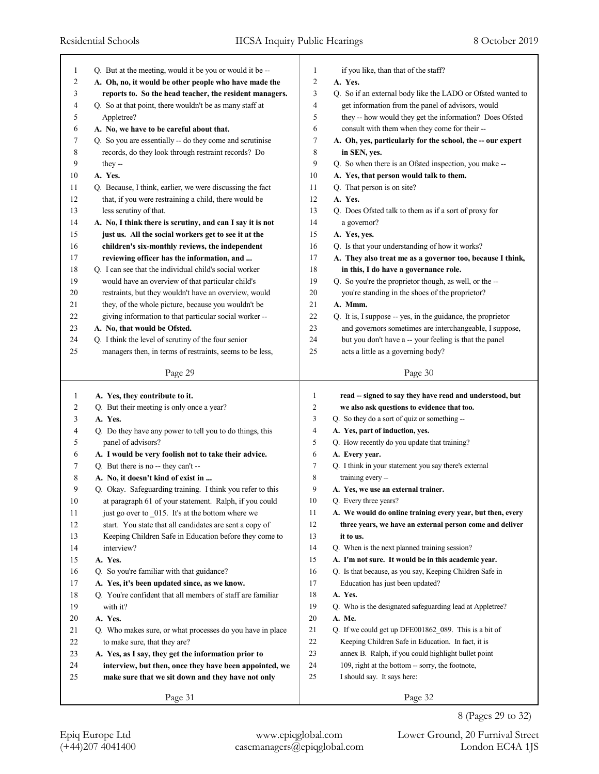| 1                       | Q. But at the meeting, would it be you or would it be --                                      | 1              | if you like, than that of the staff?                                  |
|-------------------------|-----------------------------------------------------------------------------------------------|----------------|-----------------------------------------------------------------------|
| $\overline{\mathbf{c}}$ | A. Oh, no, it would be other people who have made the                                         | 2              | A. Yes.                                                               |
| 3                       | reports to. So the head teacher, the resident managers.                                       | 3              | Q. So if an external body like the LADO or Ofsted wanted to           |
| 4                       | Q. So at that point, there wouldn't be as many staff at                                       | 4              | get information from the panel of advisors, would                     |
| 5                       | Appletree?                                                                                    | 5              | they -- how would they get the information? Does Ofsted               |
| 6<br>7                  | A. No, we have to be careful about that.                                                      | 6              | consult with them when they come for their --                         |
|                         | Q. So you are essentially -- do they come and scrutinise                                      | 7              | A. Oh, yes, particularly for the school, the -- our expert            |
| 8<br>9                  | records, do they look through restraint records? Do                                           | 8<br>9         | in SEN, yes.                                                          |
| 10                      | they --<br>A. Yes.                                                                            |                | Q. So when there is an Ofsted inspection, you make --                 |
|                         | Q. Because, I think, earlier, we were discussing the fact                                     | 10<br>11       | A. Yes, that person would talk to them.<br>Q. That person is on site? |
| 11<br>12                |                                                                                               | 12             | A. Yes.                                                               |
| 13                      | that, if you were restraining a child, there would be                                         | 13             |                                                                       |
| 14                      | less scrutiny of that.                                                                        | 14             | Q. Does Ofsted talk to them as if a sort of proxy for                 |
| 15                      | A. No, I think there is scrutiny, and can I say it is not                                     | 15             | a governor?                                                           |
|                         | just us. All the social workers get to see it at the                                          | 16             | A. Yes, yes.                                                          |
| 16<br>17                | children's six-monthly reviews, the independent<br>reviewing officer has the information, and | 17             | Q. Is that your understanding of how it works?                        |
| 18                      |                                                                                               | 18             | A. They also treat me as a governor too, because I think,             |
|                         | Q. I can see that the individual child's social worker                                        |                | in this, I do have a governance role.                                 |
| 19                      | would have an overview of that particular child's                                             | 19             | Q. So you're the proprietor though, as well, or the --                |
| 20                      | restraints, but they wouldn't have an overview, would                                         | 20             | you're standing in the shoes of the proprietor?                       |
| 21                      | they, of the whole picture, because you wouldn't be                                           | 21             | A. Mmm.                                                               |
| 22                      | giving information to that particular social worker --                                        | 22             | Q. It is, I suppose -- yes, in the guidance, the proprietor           |
| 23                      | A. No, that would be Ofsted.                                                                  | 23             | and governors sometimes are interchangeable, I suppose,               |
| 24<br>25                | Q. I think the level of scrutiny of the four senior                                           | 24<br>25       | but you don't have a -- your feeling is that the panel                |
|                         | managers then, in terms of restraints, seems to be less,                                      |                | acts a little as a governing body?                                    |
|                         | Page 29                                                                                       |                | Page 30                                                               |
| 1                       | A. Yes, they contribute to it.                                                                | 1              | read -- signed to say they have read and understood, but              |
| $\overline{\mathbf{c}}$ | Q. But their meeting is only once a year?                                                     | $\overline{c}$ | we also ask questions to evidence that too.                           |
| 3                       | A. Yes.                                                                                       | 3              | Q. So they do a sort of quiz or something --                          |
| 4                       | Q. Do they have any power to tell you to do things, this                                      | 4              | A. Yes, part of induction, yes.                                       |
|                         |                                                                                               |                |                                                                       |
|                         |                                                                                               |                |                                                                       |
| 5                       | panel of advisors?                                                                            | 5              | Q. How recently do you update that training?                          |
| 6                       | A. I would be very foolish not to take their advice.                                          | 6              | A. Every year.                                                        |
| 7                       | Q. But there is no -- they can't --                                                           | 7              | Q. I think in your statement you say there's external                 |
| 8                       | A. No, it doesn't kind of exist in                                                            | 8              | training every --                                                     |
| 9                       | Q. Okay. Safeguarding training. I think you refer to this                                     | 9              | A. Yes, we use an external trainer.                                   |
| $10\,$                  | at paragraph 61 of your statement. Ralph, if you could                                        | 10             | Q. Every three years?                                                 |
| 11                      | just go over to _015. It's at the bottom where we                                             | 11             | A. We would do online training every year, but then, every            |
| 12                      | start. You state that all candidates are sent a copy of                                       | 12             | three years, we have an external person come and deliver              |
| 13                      | Keeping Children Safe in Education before they come to                                        | 13             | it to us.                                                             |
| 14                      | interview?                                                                                    | $14$           | Q. When is the next planned training session?                         |
| 15                      | A. Yes.                                                                                       | $15\,$         | A. I'm not sure. It would be in this academic year.                   |
| 16                      | Q. So you're familiar with that guidance?                                                     | 16             | Q. Is that because, as you say, Keeping Children Safe in              |
| $17\,$                  | A. Yes, it's been updated since, as we know.                                                  | 17             | Education has just been updated?                                      |
| $18\,$                  | Q. You're confident that all members of staff are familiar                                    | $18\,$         | A. Yes.                                                               |
| 19                      | with it?                                                                                      | 19             | Q. Who is the designated safeguarding lead at Appletree?              |
| 20                      | A. Yes.                                                                                       | $20\,$         | A. Me.                                                                |
| 21                      | Q. Who makes sure, or what processes do you have in place                                     | 21             | Q. If we could get up DFE001862_089. This is a bit of                 |
| $22\,$                  | to make sure, that they are?                                                                  | $22\,$         | Keeping Children Safe in Education. In fact, it is                    |
| 23                      | A. Yes, as I say, they get the information prior to                                           | 23             | annex B. Ralph, if you could highlight bullet point                   |
| 24                      | interview, but then, once they have been appointed, we                                        | 24             | 109, right at the bottom -- sorry, the footnote,                      |
| 25                      | make sure that we sit down and they have not only                                             | 25             | I should say. It says here:                                           |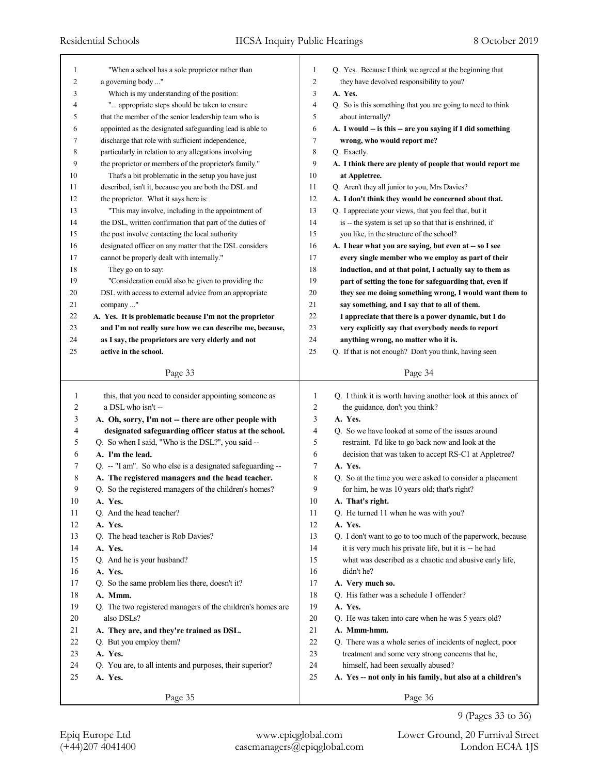| 1      | "When a school has a sole proprietor rather than           | 1              | Q. Yes. Because I think we agreed at the beginning that     |
|--------|------------------------------------------------------------|----------------|-------------------------------------------------------------|
| 2      | a governing body "                                         | $\overline{c}$ | they have devolved responsibility to you?                   |
| 3      | Which is my understanding of the position:                 | 3              | A. Yes.                                                     |
| 4      | " appropriate steps should be taken to ensure              | 4              | Q. So is this something that you are going to need to think |
| 5      | that the member of the senior leadership team who is       | 5              | about internally?                                           |
| 6      | appointed as the designated safeguarding lead is able to   | 6              | A. I would -- is this -- are you saying if I did something  |
| 7      | discharge that role with sufficient independence,          | 7              | wrong, who would report me?                                 |
| 8      | particularly in relation to any allegations involving      | 8              | Q. Exactly.                                                 |
| 9      | the proprietor or members of the proprietor's family."     | 9              | A. I think there are plenty of people that would report me  |
| 10     | That's a bit problematic in the setup you have just        | 10             | at Appletree.                                               |
| 11     | described, isn't it, because you are both the DSL and      | 11             | Q. Aren't they all junior to you, Mrs Davies?               |
| 12     | the proprietor. What it says here is:                      | 12             | A. I don't think they would be concerned about that.        |
| 13     | "This may involve, including in the appointment of         | 13             | Q. I appreciate your views, that you feel that, but it      |
| 14     | the DSL, written confirmation that part of the duties of   | 14             | is -- the system is set up so that that is enshrined, if    |
| 15     | the post involve contacting the local authority            | 15             | you like, in the structure of the school?                   |
| 16     | designated officer on any matter that the DSL considers    | 16             | A. I hear what you are saying, but even at -- so I see      |
| 17     | cannot be properly dealt with internally."                 | 17             | every single member who we employ as part of their          |
| 18     | They go on to say:                                         | 18             | induction, and at that point, I actually say to them as     |
| 19     | "Consideration could also be given to providing the        | 19             | part of setting the tone for safeguarding that, even if     |
| 20     | DSL with access to external advice from an appropriate     | 20             | they see me doing something wrong, I would want them to     |
| 21     | company "                                                  | 21             | say something, and I say that to all of them.               |
| 22     | A. Yes. It is problematic because I'm not the proprietor   | 22             | I appreciate that there is a power dynamic, but I do        |
| 23     | and I'm not really sure how we can describe me, because,   | 23             | very explicitly say that everybody needs to report          |
| 24     | as I say, the proprietors are very elderly and not         | 24             | anything wrong, no matter who it is.                        |
| 25     | active in the school.                                      | 25             | Q. If that is not enough? Don't you think, having seen      |
|        |                                                            |                |                                                             |
|        | Page 33                                                    |                | Page 34                                                     |
| 1      | this, that you need to consider appointing someone as      |                |                                                             |
|        |                                                            |                |                                                             |
|        |                                                            | 1              | Q. I think it is worth having another look at this annex of |
| 2      | a DSL who isn't --                                         | $\overline{c}$ | the guidance, don't you think?                              |
| 3      | A. Oh, sorry, I'm not -- there are other people with       | 3              | A. Yes.                                                     |
| 4      | designated safeguarding officer status at the school.      | $\overline{4}$ | Q. So we have looked at some of the issues around           |
| 5      | Q. So when I said, "Who is the DSL?", you said --          | 5              | restraint. I'd like to go back now and look at the          |
| 6      | A. I'm the lead.                                           | 6              | decision that was taken to accept RS-C1 at Appletree?       |
| 7      | Q. -- "I am". So who else is a designated safeguarding --  | 7              | A. Yes.                                                     |
| 8      | A. The registered managers and the head teacher.           | 8              | Q. So at the time you were asked to consider a placement    |
| 9      | Q. So the registered managers of the children's homes?     | 9              | for him, he was 10 years old; that's right?                 |
| 10     | A. Yes.                                                    | 10             | A. That's right.                                            |
| 11     | Q. And the head teacher?                                   | 11             | Q. He turned 11 when he was with you?                       |
| 12     | A. Yes.                                                    | 12             | A. Yes.                                                     |
| 13     | Q. The head teacher is Rob Davies?                         | 13             | Q. I don't want to go to too much of the paperwork, because |
| 14     | A. Yes.                                                    | 14             | it is very much his private life, but it is -- he had       |
| 15     | Q. And he is your husband?                                 | 15             | what was described as a chaotic and abusive early life,     |
| 16     | A. Yes.                                                    | 16             | didn't he?                                                  |
| 17     | Q. So the same problem lies there, doesn't it?             | 17             | A. Very much so.                                            |
| 18     | A. Mmm.                                                    | 18             | Q. His father was a schedule 1 offender?                    |
| 19     | Q. The two registered managers of the children's homes are | 19             | A. Yes.                                                     |
| 20     | also DSLs?                                                 | 20             | Q. He was taken into care when he was 5 years old?          |
| 21     | A. They are, and they're trained as DSL.                   | 21             | A. Mmm-hmm.                                                 |
| 22     | Q. But you employ them?                                    | 22             | Q. There was a whole series of incidents of neglect, poor   |
| 23     | A. Yes.                                                    | 23             | treatment and some very strong concerns that he,            |
| 24     | Q. You are, to all intents and purposes, their superior?   | 24             | himself, had been sexually abused?                          |
| $25\,$ | A. Yes.                                                    | 25             | A. Yes -- not only in his family, but also at a children's  |
|        | Page 35                                                    |                | Page 36                                                     |

<sup>9 (</sup>Pages 33 to 36)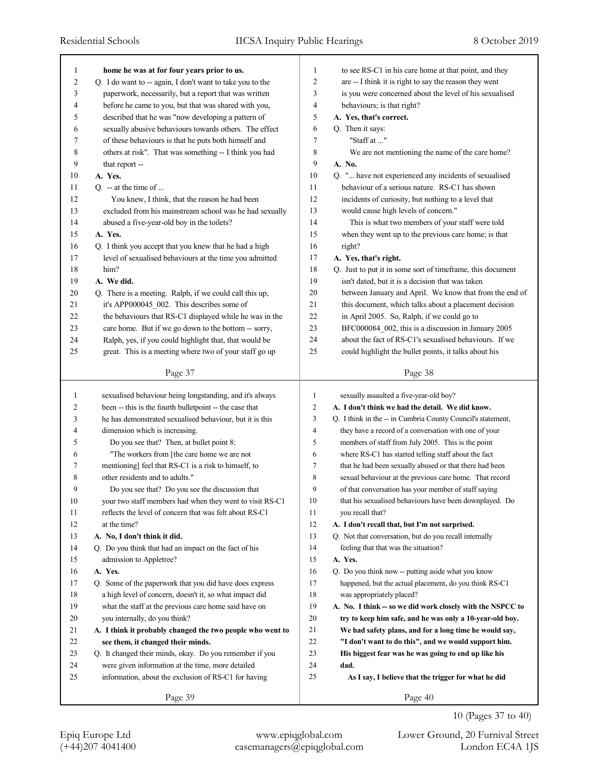| 1      | home he was at for four years prior to us.                | 1              | to see RS-C1 in his care home at that point, and they       |
|--------|-----------------------------------------------------------|----------------|-------------------------------------------------------------|
| 2      | Q. I do want to -- again, I don't want to take you to the | 2              | are -- I think it is right to say the reason they went      |
| 3      | paperwork, necessarily, but a report that was written     | 3              | is you were concerned about the level of his sexualised     |
| 4      | before he came to you, but that was shared with you,      | 4              | behaviours; is that right?                                  |
| 5      | described that he was "now developing a pattern of        | 5              | A. Yes, that's correct.                                     |
| 6      | sexually abusive behaviours towards others. The effect    | 6              | Q. Then it says:                                            |
| 7      | of these behaviours is that he puts both himself and      | 7              | "Staff at "                                                 |
| 8      | others at risk". That was something -- I think you had    | 8              | We are not mentioning the name of the care home?            |
| 9      | that report --                                            | 9              | A. No.                                                      |
| 10     | A. Yes.                                                   | 10             | Q. " have not experienced any incidents of sexualised       |
| 11     | $Q_{\cdot}$ -- at the time of                             | 11             | behaviour of a serious nature. RS-C1 has shown              |
| 12     | You knew, I think, that the reason he had been            | 12             | incidents of curiosity, but nothing to a level that         |
| 13     | excluded from his mainstream school was he had sexually   | 13             | would cause high levels of concern."                        |
| 14     | abused a five-year-old boy in the toilets?                | 14             | This is what two members of your staff were told            |
| 15     | A. Yes.                                                   | 15             | when they went up to the previous care home; is that        |
| 16     | Q. I think you accept that you knew that he had a high    | 16             | right?                                                      |
| 17     | level of sexualised behaviours at the time you admitted   | 17             | A. Yes, that's right.                                       |
| 18     | him?                                                      | 18             | Q. Just to put it in some sort of timeframe, this document  |
| 19     | A. We did.                                                | 19             | isn't dated, but it is a decision that was taken            |
| $20\,$ | Q. There is a meeting. Ralph, if we could call this up,   | 20             | between January and April. We know that from the end of     |
| 21     | it's APP000045 002. This describes some of                | 21             | this document, which talks about a placement decision       |
| 22     | the behaviours that RS-C1 displayed while he was in the   | 22             | in April 2005. So, Ralph, if we could go to                 |
| 23     | care home. But if we go down to the bottom -- sorry,      | 23             | BFC000084 002, this is a discussion in January 2005         |
| 24     | Ralph, yes, if you could highlight that, that would be    | 24             | about the fact of RS-C1's sexualised behaviours. If we      |
| 25     | great. This is a meeting where two of your staff go up    | 25             | could highlight the bullet points, it talks about his       |
|        |                                                           |                |                                                             |
|        | Page 37                                                   |                | Page 38                                                     |
|        |                                                           |                |                                                             |
|        |                                                           |                |                                                             |
| 1      | sexualised behaviour being longstanding, and it's always  | 1              | sexually assaulted a five-year-old boy?                     |
| 2      | been -- this is the fourth bulletpoint -- the case that   | $\overline{2}$ | A. I don't think we had the detail. We did know.            |
| 3      | he has demonstrated sexualised behaviour, but it is this  | 3              | Q. I think in the -- in Cumbria County Council's statement, |
| 4      | dimension which is increasing.                            | 4              | they have a record of a conversation with one of your       |
| 5      | Do you see that? Then, at bullet point 8:                 | 5              | members of staff from July 2005. This is the point          |
| 6      | "The workers from [the care home we are not               | 6              | where RS-C1 has started telling staff about the fact        |
| 7      | mentioning] feel that RS-C1 is a risk to himself, to      | 7              | that he had been sexually abused or that there had been     |
| 8      | other residents and to adults."                           | 8              | sexual behaviour at the previous care home. That record     |
| 9      | Do you see that? Do you see the discussion that           | 9              | of that conversation has your member of staff saying        |
| 10     | your two staff members had when they went to visit RS-C1  | 10             | that his sexualised behaviours have been downplayed. Do     |
| 11     | reflects the level of concern that was felt about RS-C1   | 11             | you recall that?                                            |
| 12     | at the time?                                              | 12             | A. I don't recall that, but I'm not surprised.              |
| 13     | A. No, I don't think it did.                              | 13             | Q. Not that conversation, but do you recall internally      |
| 14     | Q. Do you think that had an impact on the fact of his     | 14             | feeling that that was the situation?                        |
| 15     | admission to Appletree?                                   | 15             | A. Yes.                                                     |
| 16     | A. Yes.                                                   | 16             | Q. Do you think now -- putting aside what you know          |
| 17     | Q. Some of the paperwork that you did have does express   | 17             | happened, but the actual placement, do you think RS-C1      |
| 18     | a high level of concern, doesn't it, so what impact did   | 18             | was appropriately placed?                                   |
| 19     | what the staff at the previous care home said have on     | 19             | A. No. I think -- so we did work closely with the NSPCC to  |
| 20     | you internally, do you think?                             | 20             | try to keep him safe, and he was only a 10-year-old boy.    |
| 21     | A. I think it probably changed the two people who went to | 21             | We had safety plans, and for a long time he would say,      |
| 22     | see them, it changed their minds.                         | 22             | "I don't want to do this", and we would support him.        |
| 23     | Q. It changed their minds, okay. Do you remember if you   | 23             | His biggest fear was he was going to end up like his        |
| 24     | were given information at the time, more detailed         | 24             | dad.                                                        |
| 25     | information, about the exclusion of RS-C1 for having      | 25             | As I say, I believe that the trigger for what he did        |
|        | Page 39                                                   |                | Page 40                                                     |

10 (Pages 37 to 40)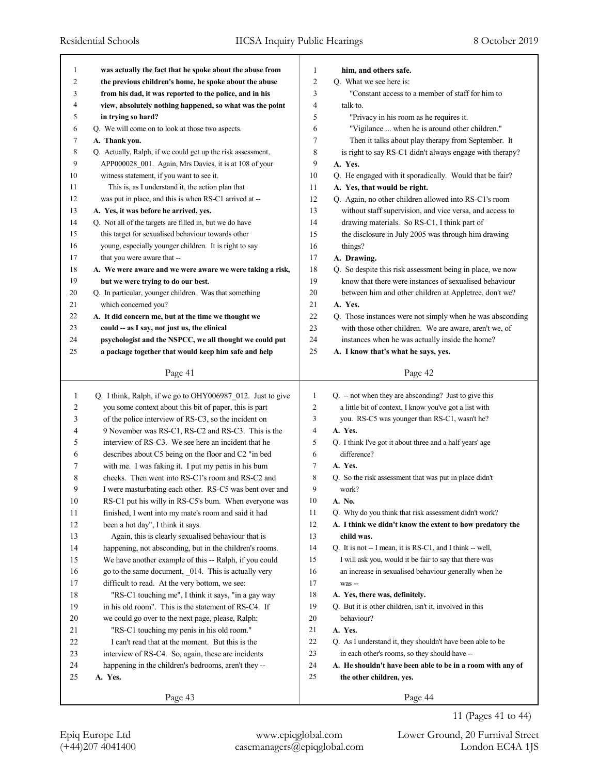| 1            | was actually the fact that he spoke about the abuse from    | 1              | him, and others safe.                                            |
|--------------|-------------------------------------------------------------|----------------|------------------------------------------------------------------|
| 2            | the previous children's home, he spoke about the abuse      | $\overline{c}$ | Q. What we see here is:                                          |
| 3            | from his dad, it was reported to the police, and in his     | 3              | "Constant access to a member of staff for him to                 |
| 4            | view, absolutely nothing happened, so what was the point    | $\overline{4}$ | talk to.                                                         |
| 5            | in trying so hard?                                          | 5              | "Privacy in his room as he requires it.                          |
| 6            | Q. We will come on to look at those two aspects.            | 6              | "Vigilance  when he is around other children."                   |
| 7            | A. Thank you.                                               | 7              | Then it talks about play therapy from September. It              |
| 8            | Q. Actually, Ralph, if we could get up the risk assessment, | 8              | is right to say RS-C1 didn't always engage with therapy?         |
| 9            | APP000028_001. Again, Mrs Davies, it is at 108 of your      | 9              | A. Yes.                                                          |
| 10           | witness statement, if you want to see it.                   | 10             | Q. He engaged with it sporadically. Would that be fair?          |
| 11           | This is, as I understand it, the action plan that           | 11             | A. Yes, that would be right.                                     |
| 12           | was put in place, and this is when RS-C1 arrived at --      | 12             | Q. Again, no other children allowed into RS-C1's room            |
| 13           | A. Yes, it was before he arrived, yes.                      | 13             | without staff supervision, and vice versa, and access to         |
| 14           | Q. Not all of the targets are filled in, but we do have     | 14             | drawing materials. So RS-C1, I think part of                     |
| 15           | this target for sexualised behaviour towards other          | 15             | the disclosure in July 2005 was through him drawing              |
| 16           | young, especially younger children. It is right to say      | 16             | things?                                                          |
| 17           | that you were aware that --                                 | 17             | A. Drawing.                                                      |
| 18           | A. We were aware and we were aware we were taking a risk,   | 18             | Q. So despite this risk assessment being in place, we now        |
| 19           | but we were trying to do our best.                          | 19             | know that there were instances of sexualised behaviour           |
| 20           | Q. In particular, younger children. Was that something      | 20             | between him and other children at Appletree, don't we?           |
| 21           | which concerned you?                                        | 21             | A. Yes.                                                          |
| 22           | A. It did concern me, but at the time we thought we         | 22             | Q. Those instances were not simply when he was absconding        |
| 23           | could -- as I say, not just us, the clinical                | 23             | with those other children. We are aware, aren't we, of           |
| 24           | psychologist and the NSPCC, we all thought we could put     | 24             | instances when he was actually inside the home?                  |
| 25           | a package together that would keep him safe and help        | 25             | A. I know that's what he says, yes.                              |
|              |                                                             |                |                                                                  |
|              | Page 41                                                     |                | Page 42                                                          |
| $\mathbf{1}$ | Q. I think, Ralph, if we go to OHY006987_012. Just to give  | 1              | $Q_{\text{r}}$ - not when they are absconding? Just to give this |
| 2            | you some context about this bit of paper, this is part      | 2              | a little bit of context, I know you've got a list with           |
| 3            | of the police interview of RS-C3, so the incident on        | 3              | you. RS-C5 was younger than RS-C1, wasn't he?                    |
| 4            | 9 November was RS-C1, RS-C2 and RS-C3. This is the          | 4              | A. Yes.                                                          |
|              |                                                             |                |                                                                  |
| 5            | interview of RS-C3. We see here an incident that he         | 5              | Q. I think I've got it about three and a half years' age         |
| 6            | describes about C5 being on the floor and C2 "in bed        | 6              | difference?                                                      |
| 7            | with me. I was faking it. I put my penis in his bum         | 7              | A. Yes.                                                          |
| 8            | cheeks. Then went into RS-C1's room and RS-C2 and           | 8              | Q. So the risk assessment that was put in place didn't           |
| 9            | I were masturbating each other. RS-C5 was bent over and     | 9              | work?                                                            |
| 10           | RS-C1 put his willy in RS-C5's bum. When everyone was       | 10             | A. No.                                                           |
| 11           | finished, I went into my mate's room and said it had        | 11             | Q. Why do you think that risk assessment didn't work?            |
| 12           | been a hot day", I think it says.                           | 12             | A. I think we didn't know the extent to how predatory the        |
| 13           | Again, this is clearly sexualised behaviour that is         | 13             | child was.                                                       |
| 14           | happening, not absconding, but in the children's rooms.     | 14             | Q. It is not -- I mean, it is RS-C1, and I think -- well,        |
| 15           | We have another example of this -- Ralph, if you could      | 15             | I will ask you, would it be fair to say that there was           |
| 16           | go to the same document, _014. This is actually very        | 16             | an increase in sexualised behaviour generally when he            |
| 17           | difficult to read. At the very bottom, we see:              | 17             | was --                                                           |
| $18\,$       | "RS-C1 touching me", I think it says, "in a gay way         | 18             | A. Yes, there was, definitely.                                   |
| 19           | in his old room". This is the statement of RS-C4. If        | 19             | Q. But it is other children, isn't it, involved in this          |
| 20           | we could go over to the next page, please, Ralph:           | 20             | behaviour?                                                       |
| 21           | "RS-C1 touching my penis in his old room."                  | 21             | A. Yes.                                                          |
| 22           | I can't read that at the moment. But this is the            | 22             | Q. As I understand it, they shouldn't have been able to be       |
| 23           | interview of RS-C4. So, again, these are incidents          | 23             | in each other's rooms, so they should have --                    |
| 24           | happening in the children's bedrooms, aren't they --        | 24             | A. He shouldn't have been able to be in a room with any of       |
| 25           | A. Yes.                                                     | 25             | the other children, yes.                                         |

11 (Pages 41 to 44)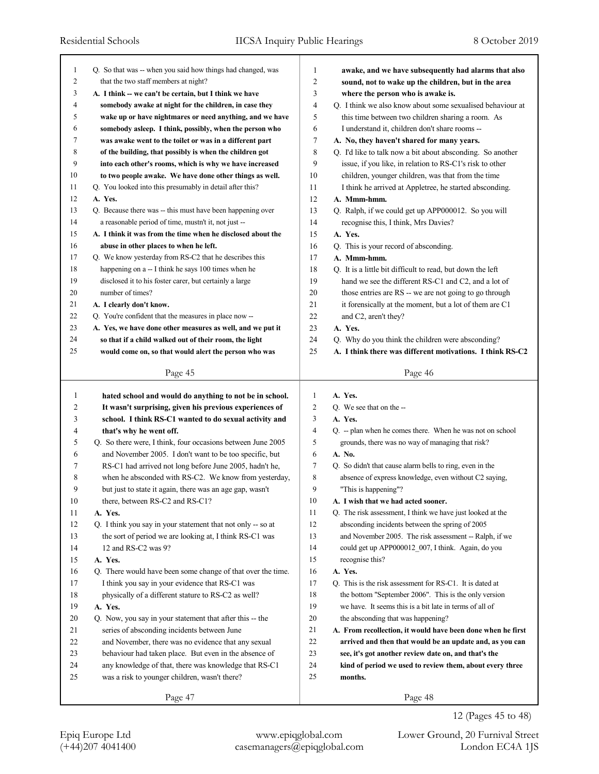| 1            | Q. So that was -- when you said how things had changed, was | 1              | awake, and we have subsequently had alarms that also        |
|--------------|-------------------------------------------------------------|----------------|-------------------------------------------------------------|
| 2            | that the two staff members at night?                        | 2              | sound, not to wake up the children, but in the area         |
| 3            | A. I think -- we can't be certain, but I think we have      | 3              | where the person who is awake is.                           |
| 4            | somebody awake at night for the children, in case they      | 4              | Q. I think we also know about some sexualised behaviour at  |
| 5            | wake up or have nightmares or need anything, and we have    | 5              | this time between two children sharing a room. As           |
| 6            | somebody asleep. I think, possibly, when the person who     | 6              | I understand it, children don't share rooms --              |
| 7            | was awake went to the toilet or was in a different part     | 7              | A. No, they haven't shared for many years.                  |
| 8            | of the building, that possibly is when the children got     | 8              | Q. I'd like to talk now a bit about absconding. So another  |
| 9            | into each other's rooms, which is why we have increased     | 9              | issue, if you like, in relation to RS-C1's risk to other    |
| 10           | to two people awake. We have done other things as well.     | 10             | children, younger children, was that from the time          |
| 11           | Q. You looked into this presumably in detail after this?    | 11             | I think he arrived at Appletree, he started absconding.     |
| 12           | A. Yes.                                                     | 12             | A. Mmm-hmm.                                                 |
| 13           | Q. Because there was -- this must have been happening over  | 13             | Q. Ralph, if we could get up APP000012. So you will         |
| 14           | a reasonable period of time, mustn't it, not just --        | 14             | recognise this, I think, Mrs Davies?                        |
| 15           | A. I think it was from the time when he disclosed about the | 15             | A. Yes.                                                     |
| 16           | abuse in other places to when he left.                      | 16             | Q. This is your record of absconding.                       |
| 17           | Q. We know yesterday from RS-C2 that he describes this      | 17             | A. Mmm-hmm.                                                 |
| 18           | happening on a -- I think he says 100 times when he         | 18             | Q. It is a little bit difficult to read, but down the left  |
| 19           | disclosed it to his foster carer, but certainly a large     | 19             | hand we see the different RS-C1 and C2, and a lot of        |
| 20           | number of times?                                            | 20             | those entries are RS -- we are not going to go through      |
| 21           | A. I clearly don't know.                                    | 21             | it forensically at the moment, but a lot of them are C1     |
| 22           | Q. You're confident that the measures in place now --       | 22             | and C2, aren't they?                                        |
| 23           | A. Yes, we have done other measures as well, and we put it  | 23             | A. Yes.                                                     |
| 24           |                                                             | 24             |                                                             |
|              | so that if a child walked out of their room, the light      |                | Q. Why do you think the children were absconding?           |
| 25           | would come on, so that would alert the person who was       | 25             | A. I think there was different motivations. I think RS-C2   |
|              | Page 45                                                     |                | Page 46                                                     |
|              |                                                             |                |                                                             |
|              |                                                             |                |                                                             |
| $\mathbf{1}$ | hated school and would do anything to not be in school.     | 1              | A. Yes.                                                     |
| 2            | It wasn't surprising, given his previous experiences of     | $\overline{c}$ | Q. We see that on the --                                    |
| 3            | school. I think RS-C1 wanted to do sexual activity and      | 3              | A. Yes.                                                     |
| 4            | that's why he went off.                                     | $\overline{4}$ | Q. -- plan when he comes there. When he was not on school   |
| 5            | Q. So there were, I think, four occasions between June 2005 | 5              | grounds, there was no way of managing that risk?            |
| 6            | and November 2005. I don't want to be too specific, but     | 6              | A. No.                                                      |
| 7            | RS-C1 had arrived not long before June 2005, hadn't he,     | 7              | Q. So didn't that cause alarm bells to ring, even in the    |
| 8            | when he absconded with RS-C2. We know from yesterday,       | 8              | absence of express knowledge, even without C2 saying,       |
| 9            | but just to state it again, there was an age gap, wasn't    | 9              | "This is happening"?                                        |
| 10           | there, between RS-C2 and RS-C1?                             | 10             | A. I wish that we had acted sooner.                         |
| 11           | A. Yes.                                                     | 11             | Q. The risk assessment, I think we have just looked at the  |
| 12           | Q. I think you say in your statement that not only -- so at | 12             | absconding incidents between the spring of 2005             |
|              | the sort of period we are looking at, I think RS-C1 was     | 13             | and November 2005. The risk assessment -- Ralph, if we      |
| 13           |                                                             |                |                                                             |
| 14           | 12 and RS-C2 was 9?                                         | 14<br>15       | could get up APP000012 007, I think. Again, do you          |
| 15           | A. Yes.                                                     |                | recognise this?                                             |
| 16           | Q. There would have been some change of that over the time. | 16             | A. Yes.                                                     |
| 17           | I think you say in your evidence that RS-C1 was             | 17             | Q. This is the risk assessment for RS-C1. It is dated at    |
| 18           | physically of a different stature to RS-C2 as well?         | 18             | the bottom "September 2006". This is the only version       |
| 19           | A. Yes.                                                     | 19             | we have. It seems this is a bit late in terms of all of     |
| 20           | Q. Now, you say in your statement that after this -- the    | 20             | the absconding that was happening?                          |
| 21           | series of absconding incidents between June                 | 21             | A. From recollection, it would have been done when he first |
| 22           | and November, there was no evidence that any sexual         | 22             | arrived and then that would be an update and, as you can    |
| 23           | behaviour had taken place. But even in the absence of       | 23             | see, it's got another review date on, and that's the        |
| 24           | any knowledge of that, there was knowledge that RS-C1       | 24             | kind of period we used to review them, about every three    |
| 25           | was a risk to younger children, wasn't there?               | 25             | months.                                                     |
|              | Page 47                                                     |                | Page 48                                                     |

Epiq Europe Ltd www.epiqglobal.com Lower Ground, 20 Furnival Street

12 (Pages 45 to 48)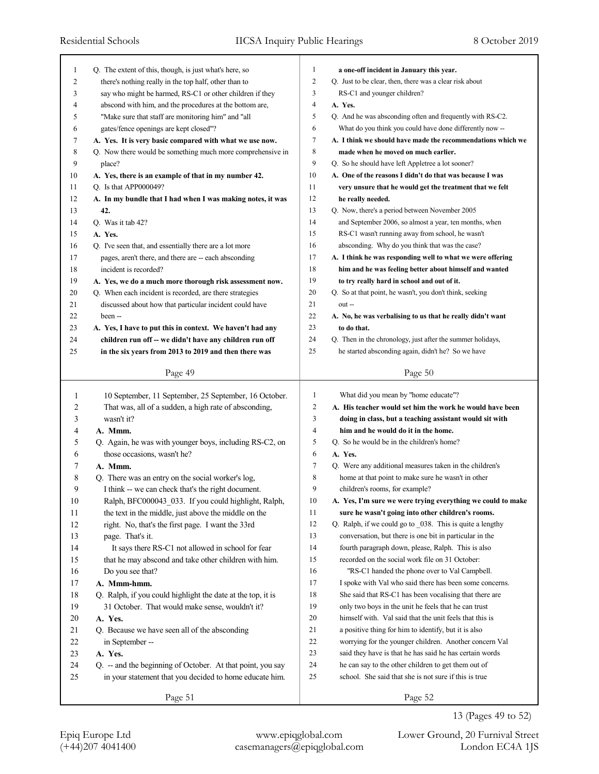| 1              | Q. The extent of this, though, is just what's here, so                                                         | $\mathbf{1}$        | a one-off incident in January this year.                                                                             |
|----------------|----------------------------------------------------------------------------------------------------------------|---------------------|----------------------------------------------------------------------------------------------------------------------|
| $\overline{c}$ | there's nothing really in the top half, other than to                                                          | $\overline{c}$      | Q. Just to be clear, then, there was a clear risk about                                                              |
| 3              | say who might be harmed, RS-C1 or other children if they                                                       | 3                   | RS-C1 and younger children?                                                                                          |
| 4              | abscond with him, and the procedures at the bottom are,                                                        | 4                   | A. Yes.                                                                                                              |
| 5              | "Make sure that staff are monitoring him" and "all                                                             | 5                   | Q. And he was absconding often and frequently with RS-C2.                                                            |
| 6              | gates/fence openings are kept closed"?                                                                         | 6                   | What do you think you could have done differently now --                                                             |
| 7              | A. Yes. It is very basic compared with what we use now.                                                        | $\tau$              | A. I think we should have made the recommendations which we                                                          |
| 8              | Q. Now there would be something much more comprehensive in                                                     | 8                   | made when he moved on much earlier.                                                                                  |
| 9              | place?                                                                                                         | 9                   | Q. So he should have left Appletree a lot sooner?                                                                    |
| 10             | A. Yes, there is an example of that in my number 42.                                                           | 10                  | A. One of the reasons I didn't do that was because I was                                                             |
| 11             | Q. Is that APP000049?                                                                                          | 11                  | very unsure that he would get the treatment that we felt                                                             |
| 12             | A. In my bundle that I had when I was making notes, it was                                                     | 12                  | he really needed.                                                                                                    |
| 13             | 42.                                                                                                            | 13                  | Q. Now, there's a period between November 2005                                                                       |
| 14             | Q. Was it tab 42?                                                                                              | 14                  | and September 2006, so almost a year, ten months, when                                                               |
| 15             | A. Yes.                                                                                                        | 15                  | RS-C1 wasn't running away from school, he wasn't                                                                     |
| 16             | Q. I've seen that, and essentially there are a lot more                                                        | 16                  | absconding. Why do you think that was the case?                                                                      |
| 17             | pages, aren't there, and there are -- each absconding                                                          | 17                  | A. I think he was responding well to what we were offering                                                           |
| 18             | incident is recorded?                                                                                          | 18                  | him and he was feeling better about himself and wanted                                                               |
| 19             | A. Yes, we do a much more thorough risk assessment now.                                                        | 19                  | to try really hard in school and out of it.                                                                          |
| 20             | Q. When each incident is recorded, are there strategies                                                        | 20                  | Q. So at that point, he wasn't, you don't think, seeking                                                             |
| 21             | discussed about how that particular incident could have                                                        | 21                  | out-                                                                                                                 |
| 22             |                                                                                                                | 22                  | A. No, he was verbalising to us that he really didn't want                                                           |
| 23             | been --                                                                                                        | 23                  | to do that.                                                                                                          |
|                | A. Yes, I have to put this in context. We haven't had any                                                      | 24                  | Q. Then in the chronology, just after the summer holidays,                                                           |
| 24<br>25       | children run off -- we didn't have any children run off                                                        | 25                  | he started absconding again, didn't he? So we have                                                                   |
|                | in the six years from 2013 to 2019 and then there was                                                          |                     |                                                                                                                      |
|                | Page 49                                                                                                        |                     | Page 50                                                                                                              |
|                |                                                                                                                |                     |                                                                                                                      |
|                |                                                                                                                |                     |                                                                                                                      |
| 1              | 10 September, 11 September, 25 September, 16 October.                                                          | $\mathbf{1}$        | What did you mean by "home educate"?                                                                                 |
| 2              | That was, all of a sudden, a high rate of absconding,                                                          | $\overline{c}$<br>3 | A. His teacher would set him the work he would have been                                                             |
| 3<br>4         | wasn't it?<br>A. Mmm.                                                                                          | 4                   | doing in class, but a teaching assistant would sit with<br>him and he would do it in the home.                       |
|                |                                                                                                                | 5                   |                                                                                                                      |
| 5              | Q. Again, he was with younger boys, including RS-C2, on                                                        | 6                   | Q. So he would be in the children's home?                                                                            |
| 6              | those occasions, wasn't he?                                                                                    | 7                   | A. Yes.                                                                                                              |
| 7              | A. Mmm.                                                                                                        | 8                   | Q. Were any additional measures taken in the children's<br>home at that point to make sure he wasn't in other        |
| 8<br>9         | Q. There was an entry on the social worker's log,                                                              | 9                   |                                                                                                                      |
|                | I think -- we can check that's the right document.                                                             |                     | children's rooms, for example?                                                                                       |
| $10\,$         | Ralph, BFC000043 033. If you could highlight, Ralph,                                                           | $10\,$<br>11        | A. Yes, I'm sure we were trying everything we could to make<br>sure he wasn't going into other children's rooms.     |
| 11             | the text in the middle, just above the middle on the                                                           |                     |                                                                                                                      |
| 12             | right. No, that's the first page. I want the 33rd                                                              | 12<br>13            | Q. Ralph, if we could go to _038. This is quite a lengthy<br>conversation, but there is one bit in particular in the |
| 13             | page. That's it.                                                                                               | 14                  | fourth paragraph down, please, Ralph. This is also                                                                   |
| 14             | It says there RS-C1 not allowed in school for fear                                                             | 15                  | recorded on the social work file on 31 October:                                                                      |
| 15             | that he may abscond and take other children with him.                                                          | 16                  |                                                                                                                      |
| 16             | Do you see that?<br>A. Mmm-hmm.                                                                                | 17                  | "RS-C1 handed the phone over to Val Campbell.<br>I spoke with Val who said there has been some concerns.             |
| 17             |                                                                                                                | $18\,$              | She said that RS-C1 has been vocalising that there are                                                               |
| $18\,$<br>19   | Q. Ralph, if you could highlight the date at the top, it is<br>31 October. That would make sense, wouldn't it? | 19                  | only two boys in the unit he feels that he can trust                                                                 |
| $20\,$         | A. Yes.                                                                                                        | $20\,$              | himself with. Val said that the unit feels that this is                                                              |
| 21             | Q. Because we have seen all of the absconding                                                                  | 21                  | a positive thing for him to identify, but it is also                                                                 |
| 22             | in September --                                                                                                | 22                  | worrying for the younger children. Another concern Val                                                               |
| 23             | A. Yes.                                                                                                        | 23                  | said they have is that he has said he has certain words                                                              |
| 24             | Q. -- and the beginning of October. At that point, you say                                                     | 24                  | he can say to the other children to get them out of                                                                  |
| 25             | in your statement that you decided to home educate him.                                                        | 25                  | school. She said that she is not sure if this is true                                                                |
|                | Page 51                                                                                                        |                     | Page 52                                                                                                              |

13 (Pages 49 to 52)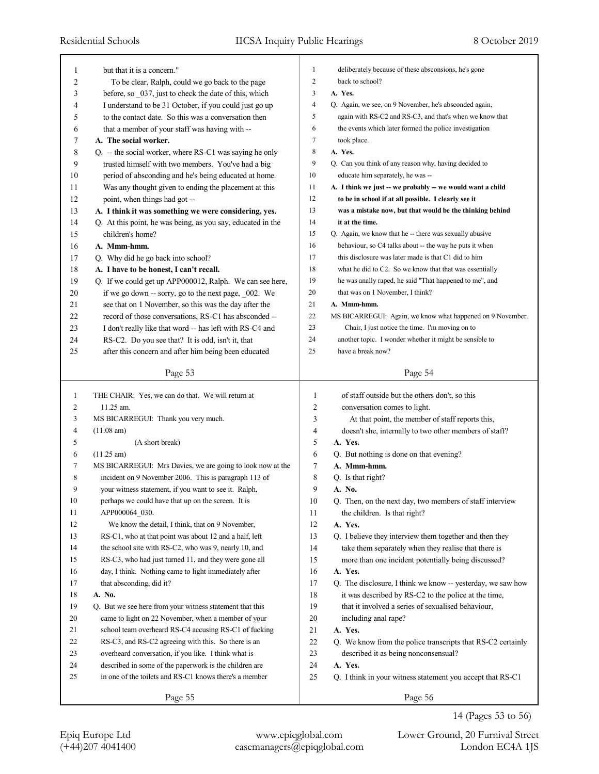|        |                                                                |                  | deliberately because of these absconsions, he's gone              |
|--------|----------------------------------------------------------------|------------------|-------------------------------------------------------------------|
| 1      | but that it is a concern."                                     | 1                |                                                                   |
| 2      | To be clear, Ralph, could we go back to the page               | $\boldsymbol{2}$ | back to school?                                                   |
| 3      | before, so _037, just to check the date of this, which         | 3                | A. Yes.                                                           |
| 4      | I understand to be 31 October, if you could just go up         | 4                | Q. Again, we see, on 9 November, he's absconded again,            |
| 5      | to the contact date. So this was a conversation then           | 5                | again with RS-C2 and RS-C3, and that's when we know that          |
| 6      | that a member of your staff was having with --                 | 6                | the events which later formed the police investigation            |
| 7      | A. The social worker.                                          | 7                | took place.                                                       |
| 8      | Q. -- the social worker, where RS-C1 was saying he only        | 8                | A. Yes.                                                           |
| 9      | trusted himself with two members. You've had a big             | 9                | Q. Can you think of any reason why, having decided to             |
| 10     | period of absconding and he's being educated at home.          | 10               | educate him separately, he was --                                 |
| 11     | Was any thought given to ending the placement at this          | 11               | A. I think we just -- we probably -- we would want a child        |
| 12     | point, when things had got --                                  | 12               | to be in school if at all possible. I clearly see it              |
| 13     | A. I think it was something we were considering, yes.          | 13               | was a mistake now, but that would be the thinking behind          |
| 14     | Q. At this point, he was being, as you say, educated in the    | 14               | it at the time.                                                   |
| 15     | children's home?                                               | 15               | Q. Again, we know that he -- there was sexually abusive           |
| 16     | A. Mmm-hmm.                                                    | 16               | behaviour, so C4 talks about -- the way he puts it when           |
| 17     | Q. Why did he go back into school?                             | 17               | this disclosure was later made is that C1 did to him              |
| 18     | A. I have to be honest, I can't recall.                        | 18               | what he did to C2. So we know that that was essentially           |
| 19     | Q. If we could get up APP000012, Ralph. We can see here,       | 19               | he was anally raped, he said "That happened to me", and           |
| 20     | if we go down -- sorry, go to the next page, 002. We           | 20               | that was on 1 November, I think?                                  |
| 21     | see that on 1 November, so this was the day after the          | 21               | A. Mmm-hmm.                                                       |
| 22     | record of those conversations, RS-C1 has absconded --          | 22               | MS BICARREGUI: Again, we know what happened on 9 November.        |
| 23     | I don't really like that word -- has left with RS-C4 and       | 23               | Chair, I just notice the time. I'm moving on to                   |
| 24     | RS-C2. Do you see that? It is odd, isn't it, that              | 24               | another topic. I wonder whether it might be sensible to           |
| 25     | after this concern and after him being been educated           | 25               | have a break now?                                                 |
|        |                                                                |                  |                                                                   |
|        | Page 53                                                        |                  | Page 54                                                           |
|        |                                                                |                  |                                                                   |
| 1      |                                                                | 1                |                                                                   |
| 2      | THE CHAIR: Yes, we can do that. We will return at<br>11.25 am. | 2                | of staff outside but the others don't, so this                    |
| 3      | MS BICARREGUI: Thank you very much.                            | 3                | conversation comes to light.                                      |
| 4      | (11.08 am)                                                     | 4                | At that point, the member of staff reports this,                  |
| 5      |                                                                | 5                | doesn't she, internally to two other members of staff?<br>A. Yes. |
| 6      | (A short break)                                                | 6                |                                                                   |
| 7      | $(11.25 \text{ am})$                                           |                  | Q. But nothing is done on that evening?                           |
|        | MS BICARREGUI: Mrs Davies, we are going to look now at the     | 7                | A. Mmm-hmm.                                                       |
| 8<br>9 | incident on 9 November 2006. This is paragraph 113 of          | 8<br>9           | Q. Is that right?                                                 |
|        | your witness statement, if you want to see it. Ralph,          |                  | A. No.                                                            |
| 10     | perhaps we could have that up on the screen. It is             | 10               | Q. Then, on the next day, two members of staff interview          |
| 11     | APP000064 030.                                                 | 11               | the children. Is that right?                                      |
| 12     | We know the detail, I think, that on 9 November,               | 12               | A. Yes.                                                           |
| 13     | RS-C1, who at that point was about 12 and a half, left         | 13               | Q. I believe they interview them together and then they           |
| 14     | the school site with RS-C2, who was 9, nearly 10, and          | 14               | take them separately when they realise that there is              |
| 15     | RS-C3, who had just turned 11, and they were gone all          | 15               | more than one incident potentially being discussed?               |
| 16     | day, I think. Nothing came to light immediately after          | 16               | A. Yes.                                                           |
| 17     | that absconding, did it?                                       | 17               | Q. The disclosure, I think we know -- yesterday, we saw how       |
| 18     | A. No.                                                         | 18               | it was described by RS-C2 to the police at the time,              |
| 19     | Q. But we see here from your witness statement that this       | 19               | that it involved a series of sexualised behaviour,                |
| 20     | came to light on 22 November, when a member of your            | 20               | including anal rape?                                              |
| 21     | school team overheard RS-C4 accusing RS-C1 of fucking          | 21               | A. Yes.                                                           |
| 22     | RS-C3, and RS-C2 agreeing with this. So there is an            | 22               | Q. We know from the police transcripts that RS-C2 certainly       |
| 23     | overheard conversation, if you like. I think what is           | 23               | described it as being nonconsensual?                              |
| 24     | described in some of the paperwork is the children are         | 24               | A. Yes.                                                           |
| 25     | in one of the toilets and RS-C1 knows there's a member         | 25               | Q. I think in your witness statement you accept that RS-C1        |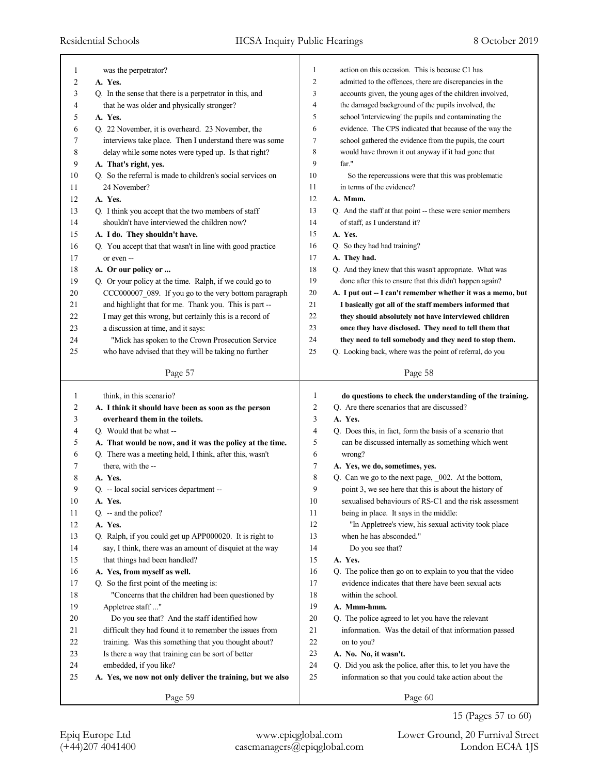| 1              | was the perpetrator?                                        | 1              | action on this occasion. This is because C1 has             |
|----------------|-------------------------------------------------------------|----------------|-------------------------------------------------------------|
| $\overline{2}$ | A. Yes.                                                     | $\overline{c}$ | admitted to the offences, there are discrepancies in the    |
| 3              | Q. In the sense that there is a perpetrator in this, and    | 3              | accounts given, the young ages of the children involved,    |
| 4              | that he was older and physically stronger?                  | 4              | the damaged background of the pupils involved, the          |
| 5              | A. Yes.                                                     | 5              | school 'interviewing' the pupils and contaminating the      |
| 6              | Q. 22 November, it is overheard. 23 November, the           | 6              | evidence. The CPS indicated that because of the way the     |
| 7              | interviews take place. Then I understand there was some     | 7              | school gathered the evidence from the pupils, the court     |
| 8              | delay while some notes were typed up. Is that right?        | 8              | would have thrown it out anyway if it had gone that         |
| 9              | A. That's right, yes.                                       | 9              | far."                                                       |
| 10             | Q. So the referral is made to children's social services on | 10             | So the repercussions were that this was problematic         |
| 11             | 24 November?                                                | 11             | in terms of the evidence?                                   |
| 12             | A. Yes.                                                     | 12             | A. Mmm.                                                     |
| 13             | Q. I think you accept that the two members of staff         | 13             | Q. And the staff at that point -- these were senior members |
| 14             | shouldn't have interviewed the children now?                | 14             | of staff, as I understand it?                               |
| 15             | A. I do. They shouldn't have.                               | 15             | A. Yes.                                                     |
| 16             | Q. You accept that that wasn't in line with good practice   | 16             | Q. So they had had training?                                |
| 17             | or even --                                                  | 17             | A. They had.                                                |
| 18             | A. Or our policy or                                         | 18             | Q. And they knew that this wasn't appropriate. What was     |
| 19             | Q. Or your policy at the time. Ralph, if we could go to     | 19             | done after this to ensure that this didn't happen again?    |
| 20             | CCC000007_089. If you go to the very bottom paragraph       | 20             | A. I put out -- I can't remember whether it was a memo, but |
| 21             | and highlight that for me. Thank you. This is part --       | 21             | I basically got all of the staff members informed that      |
| 22             | I may get this wrong, but certainly this is a record of     | 22             | they should absolutely not have interviewed children        |
| 23             | a discussion at time, and it says:                          | 23             | once they have disclosed. They need to tell them that       |
| 24             | "Mick has spoken to the Crown Prosecution Service           | 24             | they need to tell somebody and they need to stop them.      |
| 25             | who have advised that they will be taking no further        | 25             | Q. Looking back, where was the point of referral, do you    |
|                |                                                             |                |                                                             |
|                | Page 57                                                     |                | Page 58                                                     |
|                |                                                             |                |                                                             |
|                |                                                             |                |                                                             |
| 1              | think, in this scenario?                                    | 1              | do questions to check the understanding of the training.    |
| 2              | A. I think it should have been as soon as the person        | 2              | Q. Are there scenarios that are discussed?                  |
| 3              | overheard them in the toilets.                              | 3              | A. Yes.                                                     |
| 4              | Q. Would that be what --                                    | $\overline{4}$ | Q. Does this, in fact, form the basis of a scenario that    |
| 5              | A. That would be now, and it was the policy at the time.    | 5              | can be discussed internally as something which went         |
| 6              | Q. There was a meeting held, I think, after this, wasn't    | 6              | wrong?                                                      |
| 7              | there, with the --                                          | 7              | A. Yes, we do, sometimes, yes.                              |
| 8              | A. Yes.                                                     | 8              | Q. Can we go to the next page, _002. At the bottom,         |
| 9              | Q. -- local social services department --                   | 9              | point 3, we see here that this is about the history of      |
| 10             | A. Yes.                                                     | 10             | sexualised behaviours of RS-C1 and the risk assessment      |
| 11             | $Q_{\cdot}$ -- and the police?                              | 11             | being in place. It says in the middle:                      |
| 12             | A. Yes.                                                     | 12             | "In Appletree's view, his sexual activity took place        |
| 13             | Q. Ralph, if you could get up APP000020. It is right to     | 13             | when he has absconded."                                     |
| 14             | say, I think, there was an amount of disquiet at the way    | 14             | Do you see that?                                            |
| 15             | that things had been handled?                               | 15             | A. Yes.                                                     |
| 16             | A. Yes, from myself as well.                                | 16             | Q. The police then go on to explain to you that the video   |
| 17             | Q. So the first point of the meeting is:                    | 17             | evidence indicates that there have been sexual acts         |
| 18             | "Concerns that the children had been questioned by          | 18             | within the school.                                          |
| 19             | Appletree staff"                                            | 19             | A. Mmm-hmm.                                                 |
| 20             | Do you see that? And the staff identified how               | 20             | Q. The police agreed to let you have the relevant           |
| 21             | difficult they had found it to remember the issues from     | 21             | information. Was the detail of that information passed      |
| 22             | training. Was this something that you thought about?        | 22             | on to you?                                                  |
| 23             | Is there a way that training can be sort of better          | 23             | A. No. No, it wasn't.                                       |
| 24             | embedded, if you like?                                      | 24             | Q. Did you ask the police, after this, to let you have the  |
| 25             | A. Yes, we now not only deliver the training, but we also   | 25             | information so that you could take action about the         |
|                | Page 59                                                     |                | Page 60                                                     |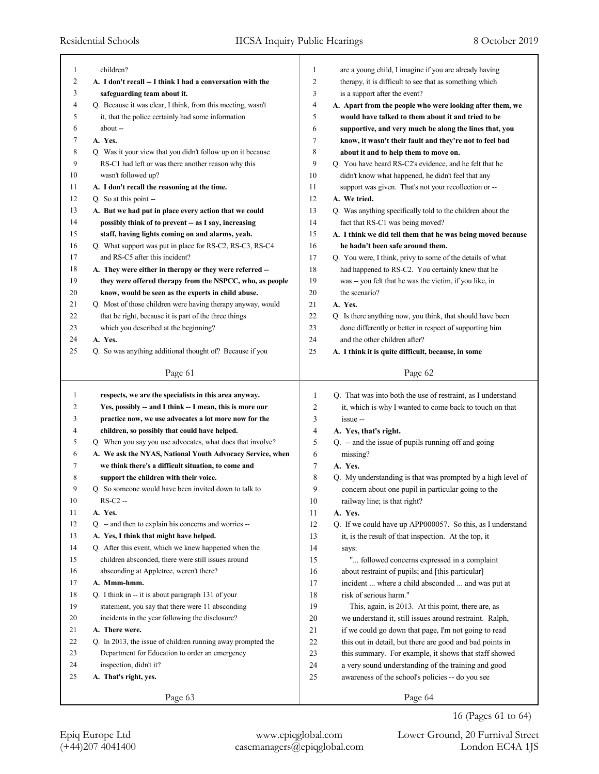| 1      | children?                                                                  | 1              | are a young child, I imagine if you are already having                                                       |
|--------|----------------------------------------------------------------------------|----------------|--------------------------------------------------------------------------------------------------------------|
| 2      | A. I don't recall -- I think I had a conversation with the                 | $\overline{c}$ | therapy, it is difficult to see that as something which                                                      |
| 3      | safeguarding team about it.                                                | 3              | is a support after the event?                                                                                |
| 4      | Q. Because it was clear, I think, from this meeting, wasn't                | 4              | A. Apart from the people who were looking after them, we                                                     |
| 5      | it, that the police certainly had some information                         | 5              | would have talked to them about it and tried to be                                                           |
| 6      | about --                                                                   | 6              | supportive, and very much be along the lines that, you                                                       |
| 7      | A. Yes.                                                                    | 7              |                                                                                                              |
| 8      | Q. Was it your view that you didn't follow up on it because                |                | know, it wasn't their fault and they're not to feel bad                                                      |
| 9      |                                                                            | 8<br>9         | about it and to help them to move on.                                                                        |
|        | RS-C1 had left or was there another reason why this<br>wasn't followed up? |                | Q. You have heard RS-C2's evidence, and he felt that he                                                      |
| 10     |                                                                            | 10             | didn't know what happened, he didn't feel that any                                                           |
| 11     | A. I don't recall the reasoning at the time.                               | 11             | support was given. That's not your recollection or --                                                        |
| 12     | Q. So at this point --                                                     | 12             | A. We tried.                                                                                                 |
| 13     | A. But we had put in place every action that we could                      | 13             | Q. Was anything specifically told to the children about the                                                  |
| 14     | possibly think of to prevent -- as I say, increasing                       | 14             | fact that RS-C1 was being moved?                                                                             |
| 15     | staff, having lights coming on and alarms, yeah.                           | 15             | A. I think we did tell them that he was being moved because                                                  |
| 16     | Q. What support was put in place for RS-C2, RS-C3, RS-C4                   | 16             | he hadn't been safe around them.                                                                             |
| 17     | and RS-C5 after this incident?                                             | 17             | Q. You were, I think, privy to some of the details of what                                                   |
| 18     | A. They were either in therapy or they were referred --                    | 18             | had happened to RS-C2. You certainly knew that he                                                            |
| 19     | they were offered therapy from the NSPCC, who, as people                   | 19             | was -- you felt that he was the victim, if you like, in                                                      |
| 20     | know, would be seen as the experts in child abuse.                         | 20             | the scenario?                                                                                                |
| 21     | Q. Most of those children were having therapy anyway, would                | 21             | A. Yes.                                                                                                      |
| 22     | that be right, because it is part of the three things                      | 22             | Q. Is there anything now, you think, that should have been                                                   |
| 23     | which you described at the beginning?                                      | 23             | done differently or better in respect of supporting him                                                      |
| 24     | A. Yes.                                                                    | 24             | and the other children after?                                                                                |
| 25     | Q. So was anything additional thought of? Because if you                   | 25             | A. I think it is quite difficult, because, in some                                                           |
|        | Page 61                                                                    |                | Page 62                                                                                                      |
|        |                                                                            |                |                                                                                                              |
|        |                                                                            |                |                                                                                                              |
| 1      | respects, we are the specialists in this area anyway.                      | 1              | Q. That was into both the use of restraint, as I understand                                                  |
| 2      | Yes, possibly -- and I think -- I mean, this is more our                   | 2              | it, which is why I wanted to come back to touch on that                                                      |
| 3      | practice now, we use advocates a lot more now for the                      | 3              | issue --                                                                                                     |
| 4      | children, so possibly that could have helped.                              | 4              | A. Yes, that's right.                                                                                        |
| 5      | Q. When you say you use advocates, what does that involve?                 | 5              | Q. -- and the issue of pupils running off and going                                                          |
| 6      | A. We ask the NYAS, National Youth Advocacy Service, when                  | 6              | missing?                                                                                                     |
| 7      | we think there's a difficult situation, to come and                        | 7              | A. Yes.                                                                                                      |
| 8      | support the children with their voice.                                     | 8              | Q. My understanding is that was prompted by a high level of                                                  |
| 9      | Q. So someone would have been invited down to talk to                      | 9              | concern about one pupil in particular going to the                                                           |
| $10\,$ | $RS-C2 -$                                                                  | 10             | railway line; is that right?                                                                                 |
| 11     | A. Yes.                                                                    | 11             | A. Yes.                                                                                                      |
| 12     | Q. -- and then to explain his concerns and worries --                      | 12             | Q. If we could have up APP000057. So this, as I understand                                                   |
| 13     | A. Yes, I think that might have helped.                                    | 13             | it, is the result of that inspection. At the top, it                                                         |
| 14     | Q. After this event, which we knew happened when the                       | 14             | says:                                                                                                        |
| 15     | children absconded, there were still issues around                         | 15             | " followed concerns expressed in a complaint                                                                 |
| 16     | absconding at Appletree, weren't there?                                    | 16             | about restraint of pupils; and [this particular]                                                             |
| 17     | A. Mmm-hmm.                                                                | 17             | incident  where a child absconded  and was put at                                                            |
| 18     | Q. I think in -- it is about paragraph 131 of your                         | 18             | risk of serious harm."                                                                                       |
| 19     | statement, you say that there were 11 absconding                           | 19             | This, again, is 2013. At this point, there are, as                                                           |
| 20     | incidents in the year following the disclosure?                            | 20             | we understand it, still issues around restraint. Ralph,                                                      |
| 21     | A. There were.                                                             | 21             | if we could go down that page, I'm not going to read                                                         |
| 22     | Q. In 2013, the issue of children running away prompted the                | 22             | this out in detail, but there are good and bad points in                                                     |
| 23     | Department for Education to order an emergency                             | 23             |                                                                                                              |
| 24     | inspection, didn't it?                                                     | 24             | this summary. For example, it shows that staff showed<br>a very sound understanding of the training and good |
| 25     | A. That's right, yes.                                                      | 25             | awareness of the school's policies -- do you see                                                             |
|        | Page 63                                                                    |                | Page 64                                                                                                      |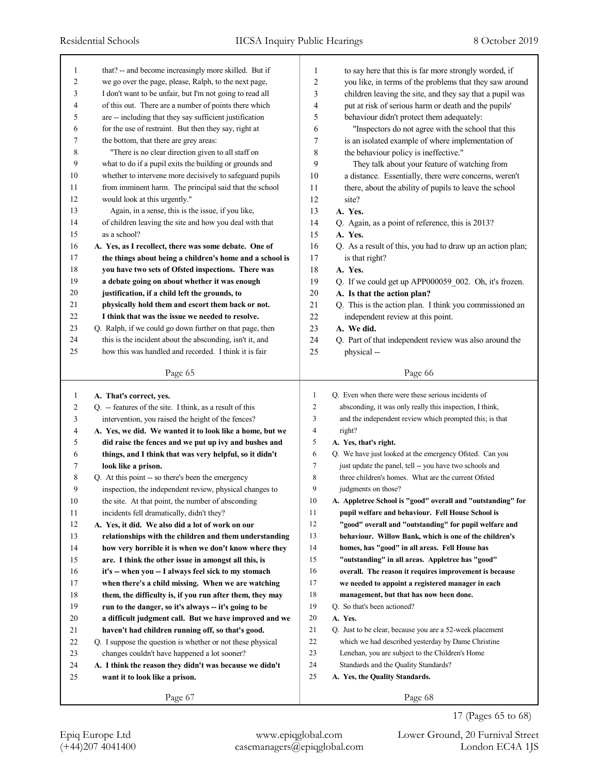| 1                | that? -- and become increasingly more skilled. But if                                          | 1              | to say here that this is far more strongly worded, if       |
|------------------|------------------------------------------------------------------------------------------------|----------------|-------------------------------------------------------------|
| 2                | we go over the page, please, Ralph, to the next page,                                          | 2              | you like, in terms of the problems that they saw around     |
| 3                | I don't want to be unfair, but I'm not going to read all                                       | 3              | children leaving the site, and they say that a pupil was    |
| 4                | of this out. There are a number of points there which                                          | 4              | put at risk of serious harm or death and the pupils'        |
| 5                | are -- including that they say sufficient justification                                        | 5              | behaviour didn't protect them adequately:                   |
| 6                | for the use of restraint. But then they say, right at                                          | 6              | "Inspectors do not agree with the school that this          |
| 7                | the bottom, that there are grey areas:                                                         | 7              | is an isolated example of where implementation of           |
| 8                | "There is no clear direction given to all staff on                                             | 8              | the behaviour policy is ineffective."                       |
| 9                | what to do if a pupil exits the building or grounds and                                        | 9              | They talk about your feature of watching from               |
| 10               | whether to intervene more decisively to safeguard pupils                                       | 10             | a distance. Essentially, there were concerns, weren't       |
| 11               | from imminent harm. The principal said that the school                                         | 11             | there, about the ability of pupils to leave the school      |
| 12               | would look at this urgently."                                                                  | 12             | site?                                                       |
| 13               | Again, in a sense, this is the issue, if you like,                                             | 13             | A. Yes.                                                     |
| 14               | of children leaving the site and how you deal with that                                        | 14             | Q. Again, as a point of reference, this is 2013?            |
| 15               | as a school?                                                                                   | 15             | A. Yes.                                                     |
| 16               | A. Yes, as I recollect, there was some debate. One of                                          | 16             | Q. As a result of this, you had to draw up an action plan;  |
| 17               | the things about being a children's home and a school is                                       | 17             | is that right?                                              |
| 18               | you have two sets of Ofsted inspections. There was                                             | 18             | A. Yes.                                                     |
| 19               | a debate going on about whether it was enough                                                  | 19             | Q. If we could get up APP000059 002. Oh, it's frozen.       |
| 20               | justification, if a child left the grounds, to                                                 | 20             | A. Is that the action plan?                                 |
| 21               | physically hold them and escort them back or not.                                              | 21             | Q. This is the action plan. I think you commissioned an     |
| 22               | I think that was the issue we needed to resolve.                                               | 22             | independent review at this point.                           |
| 23               | Q. Ralph, if we could go down further on that page, then                                       | 23             | A. We did.                                                  |
| 24               | this is the incident about the absconding, isn't it, and                                       | 24             | Q. Part of that independent review was also around the      |
| 25               | how this was handled and recorded. I think it is fair                                          | 25             | physical --                                                 |
|                  | Page 65                                                                                        |                | Page 66                                                     |
|                  |                                                                                                |                |                                                             |
| 1                | A. That's correct, yes.                                                                        | $\mathbf{1}$   | Q. Even when there were these serious incidents of          |
| $\boldsymbol{2}$ | Q. -- features of the site. I think, as a result of this                                       | $\overline{2}$ | absconding, it was only really this inspection, I think,    |
| 3                | intervention, you raised the height of the fences?                                             | 3              | and the independent review which prompted this; is that     |
| 4                | A. Yes, we did. We wanted it to look like a home, but we                                       | $\overline{4}$ | right?                                                      |
| 5                | did raise the fences and we put up ivy and bushes and                                          | 5              | A. Yes, that's right.                                       |
| 6                |                                                                                                | 6              | Q. We have just looked at the emergency Ofsted. Can you     |
| 7                | things, and I think that was very helpful, so it didn't<br>look like a prison.                 | $\tau$         | just update the panel, tell -- you have two schools and     |
| 8                | Q. At this point -- so there's been the emergency                                              | 8              | three children's homes. What are the current Ofsted         |
| 9                | inspection, the independent review, physical changes to                                        | 9              | judgments on those?                                         |
| 10               |                                                                                                | 10             | A. Appletree School is "good" overall and "outstanding" for |
| 11               | the site. At that point, the number of absconding<br>incidents fell dramatically, didn't they? | 11             | pupil welfare and behaviour. Fell House School is           |
| 12               | A. Yes, it did. We also did a lot of work on our                                               | 12             | "good" overall and "outstanding" for pupil welfare and      |
| 13               | relationships with the children and them understanding                                         | 13             | behaviour. Willow Bank, which is one of the children's      |
| 14               | how very horrible it is when we don't know where they                                          | 14             | homes, has "good" in all areas. Fell House has              |
| 15               | are. I think the other issue in amongst all this, is                                           | 15             | "outstanding" in all areas. Appletree has "good"            |
| 16               | it's -- when you -- I always feel sick to my stomach                                           | 16             | overall. The reason it requires improvement is because      |
| 17               | when there's a child missing. When we are watching                                             | 17             | we needed to appoint a registered manager in each           |
| 18               | them, the difficulty is, if you run after them, they may                                       | 18             | management, but that has now been done.                     |
| 19               | run to the danger, so it's always -- it's going to be                                          | 19             | Q. So that's been actioned?                                 |
| 20               | a difficult judgment call. But we have improved and we                                         | 20             | A. Yes.                                                     |
| 21               | haven't had children running off, so that's good.                                              | 21             | Q. Just to be clear, because you are a 52-week placement    |
| 22               | Q. I suppose the question is whether or not these physical                                     | 22             | which we had described yesterday by Dame Christine          |
| 23               | changes couldn't have happened a lot sooner?                                                   | 23             | Lenehan, you are subject to the Children's Home             |
| 24               | A. I think the reason they didn't was because we didn't                                        | 24             | Standards and the Quality Standards?                        |
| 25               | want it to look like a prison.                                                                 | 25             | A. Yes, the Quality Standards.                              |

17 (Pages 65 to 68)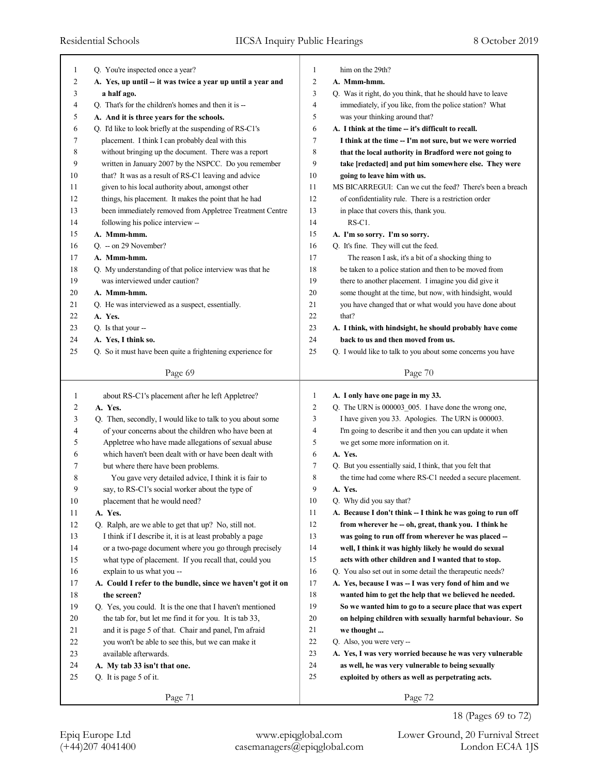| 1            | Q. You're inspected once a year?                                                                             | 1              | him on the 29th?                                            |
|--------------|--------------------------------------------------------------------------------------------------------------|----------------|-------------------------------------------------------------|
| 2            | A. Yes, up until -- it was twice a year up until a year and                                                  | 2              | A. Mmm-hmm.                                                 |
| 3            | a half ago.                                                                                                  | 3              | Q. Was it right, do you think, that he should have to leave |
| 4            | Q. That's for the children's homes and then it is --                                                         | 4              | immediately, if you like, from the police station? What     |
| 5            | A. And it is three years for the schools.                                                                    | 5              | was your thinking around that?                              |
| 6            | Q. I'd like to look briefly at the suspending of RS-C1's                                                     | 6              | A. I think at the time -- it's difficult to recall.         |
| 7            | placement. I think I can probably deal with this                                                             | 7              | I think at the time -- I'm not sure, but we were worried    |
| 8            | without bringing up the document. There was a report                                                         | 8              | that the local authority in Bradford were not going to      |
| 9            | written in January 2007 by the NSPCC. Do you remember                                                        | 9              | take [redacted] and put him somewhere else. They were       |
| 10           | that? It was as a result of RS-C1 leaving and advice                                                         | 10             | going to leave him with us.                                 |
| 11           | given to his local authority about, amongst other                                                            | 11             | MS BICARREGUI: Can we cut the feed? There's been a breach   |
| 12           | things, his placement. It makes the point that he had                                                        | 12             | of confidentiality rule. There is a restriction order       |
| 13           | been immediately removed from Appletree Treatment Centre                                                     | 13             | in place that covers this, thank you.                       |
| 14           | following his police interview --                                                                            | 14             | RS-C1.                                                      |
| 15           | A. Mmm-hmm.                                                                                                  | 15             | A. I'm so sorry. I'm so sorry.                              |
| 16           | Q. -- on 29 November?                                                                                        | 16             | Q. It's fine. They will cut the feed.                       |
| 17           | A. Mmm-hmm.                                                                                                  | 17             | The reason I ask, it's a bit of a shocking thing to         |
| 18           | Q. My understanding of that police interview was that he                                                     | 18             | be taken to a police station and then to be moved from      |
| 19           | was interviewed under caution?                                                                               | 19             | there to another placement. I imagine you did give it       |
| 20           | A. Mmm-hmm.                                                                                                  | 20             | some thought at the time, but now, with hindsight, would    |
| 21           | Q. He was interviewed as a suspect, essentially.                                                             | 21             | you have changed that or what would you have done about     |
| 22           | A. Yes.                                                                                                      | 22             | that?                                                       |
| 23           | Q. Is that your --                                                                                           | 23             | A. I think, with hindsight, he should probably have come    |
| 24           | A. Yes, I think so.                                                                                          | 24             | back to us and then moved from us.                          |
| 25           | Q. So it must have been quite a frightening experience for                                                   | 25             | Q. I would like to talk to you about some concerns you have |
|              | Page 69                                                                                                      |                | Page 70                                                     |
|              |                                                                                                              |                |                                                             |
|              |                                                                                                              |                |                                                             |
| $\mathbf{1}$ |                                                                                                              | 1              |                                                             |
| 2            | about RS-C1's placement after he left Appletree?<br>A. Yes.                                                  | $\overline{c}$ | A. I only have one page in my 33.                           |
| 3            |                                                                                                              | 3              | Q. The URN is 000003_005. I have done the wrong one,        |
| 4            | Q. Then, secondly, I would like to talk to you about some                                                    | 4              | I have given you 33. Apologies. The URN is 000003.          |
| 5            | of your concerns about the children who have been at                                                         | 5              | I'm going to describe it and then you can update it when    |
| 6            | Appletree who have made allegations of sexual abuse<br>which haven't been dealt with or have been dealt with | 6              | we get some more information on it.<br>A. Yes.              |
|              |                                                                                                              | 7              |                                                             |
| 7            | but where there have been problems.                                                                          |                | Q. But you essentially said, I think, that you felt that    |
| 8            | You gave very detailed advice, I think it is fair to                                                         | 8<br>9         | the time had come where RS-C1 needed a secure placement.    |
| 9            | say, to RS-C1's social worker about the type of                                                              |                | A. Yes.                                                     |
| 10           | placement that he would need?                                                                                | $10\,$         | Q. Why did you say that?                                    |
| 11           | A. Yes.                                                                                                      | 11             | A. Because I don't think -- I think he was going to run off |
| 12           | Q. Ralph, are we able to get that up? No, still not.                                                         | 12             | from wherever he -- oh, great, thank you. I think he        |
| 13           | I think if I describe it, it is at least probably a page                                                     | 13             | was going to run off from wherever he was placed --         |
| 14           | or a two-page document where you go through precisely                                                        | 14             | well, I think it was highly likely he would do sexual       |
| 15           | what type of placement. If you recall that, could you                                                        | 15             | acts with other children and I wanted that to stop.         |
| 16           | explain to us what you --                                                                                    | 16             | Q. You also set out in some detail the therapeutic needs?   |
| 17           | A. Could I refer to the bundle, since we haven't got it on                                                   | 17             | A. Yes, because I was -- I was very fond of him and we      |
| 18           | the screen?                                                                                                  | 18             | wanted him to get the help that we believed he needed.      |
| 19           | Q. Yes, you could. It is the one that I haven't mentioned                                                    | 19             | So we wanted him to go to a secure place that was expert    |
| 20           | the tab for, but let me find it for you. It is tab 33,                                                       | 20             | on helping children with sexually harmful behaviour. So     |
| 21           | and it is page 5 of that. Chair and panel, I'm afraid                                                        | 21             | we thought                                                  |
| 22           | you won't be able to see this, but we can make it                                                            | 22             | Q. Also, you were very --                                   |
| 23           | available afterwards.                                                                                        | 23             | A. Yes, I was very worried because he was very vulnerable   |
| 24           | A. My tab 33 isn't that one.                                                                                 | 24             | as well, he was very vulnerable to being sexually           |
| 25           | Q. It is page 5 of it.                                                                                       | 25             | exploited by others as well as perpetrating acts.           |
|              | Page 71                                                                                                      |                | Page 72                                                     |

18 (Pages 69 to 72)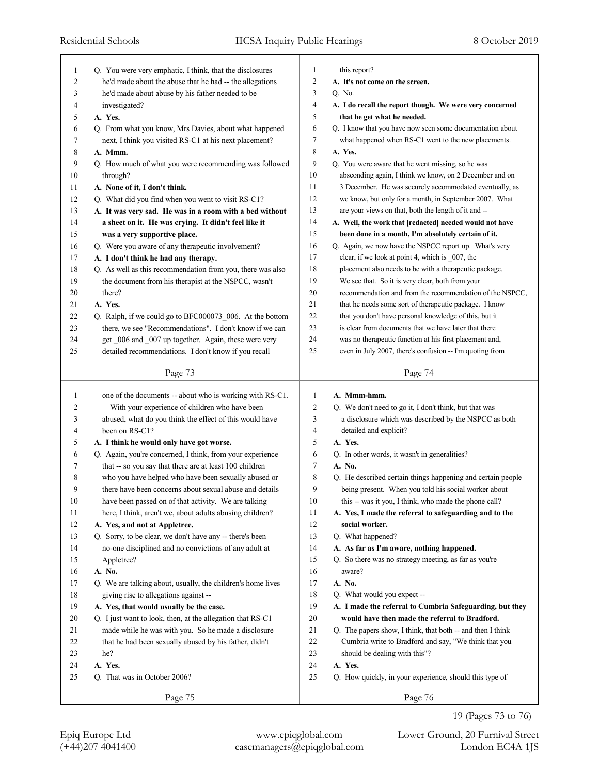| 1            | Q. You were very emphatic, I think, that the disclosures      | 1                   | this report?                                                                                                 |
|--------------|---------------------------------------------------------------|---------------------|--------------------------------------------------------------------------------------------------------------|
| 2            | he'd made about the abuse that he had -- the allegations      | $\overline{c}$      | A. It's not come on the screen.                                                                              |
| 3            | he'd made about abuse by his father needed to be              | 3                   | Q. No.                                                                                                       |
| 4            | investigated?                                                 | $\overline{4}$      | A. I do recall the report though. We were very concerned                                                     |
| 5            | A. Yes.                                                       | 5                   | that he get what he needed.                                                                                  |
| 6            | Q. From what you know, Mrs Davies, about what happened        | 6                   | Q. I know that you have now seen some documentation about                                                    |
| 7            | next, I think you visited RS-C1 at his next placement?        | 7                   | what happened when RS-C1 went to the new placements.                                                         |
| 8            | A. Mmm.                                                       | $\,$ 8 $\,$         | A. Yes.                                                                                                      |
| 9            | Q. How much of what you were recommending was followed        | 9                   | Q. You were aware that he went missing, so he was                                                            |
| 10           | through?                                                      | 10                  | absconding again, I think we know, on 2 December and on                                                      |
| 11           | A. None of it, I don't think.                                 | 11                  | 3 December. He was securely accommodated eventually, as                                                      |
| 12           | Q. What did you find when you went to visit RS-C1?            | 12                  | we know, but only for a month, in September 2007. What                                                       |
| 13           | A. It was very sad. He was in a room with a bed without       | 13                  | are your views on that, both the length of it and --                                                         |
| 14           | a sheet on it. He was crying. It didn't feel like it          | 14                  | A. Well, the work that [redacted] needed would not have                                                      |
| 15           | was a very supportive place.                                  | 15                  | been done in a month, I'm absolutely certain of it.                                                          |
| 16           | Q. Were you aware of any therapeutic involvement?             | 16                  | Q. Again, we now have the NSPCC report up. What's very                                                       |
| 17           | A. I don't think he had any therapy.                          | 17                  | clear, if we look at point 4, which is 007, the                                                              |
| 18           | Q. As well as this recommendation from you, there was also    | 18                  | placement also needs to be with a therapeutic package.                                                       |
| 19           | the document from his therapist at the NSPCC, wasn't          | 19                  | We see that. So it is very clear, both from your                                                             |
| 20           | there?                                                        | 20                  | recommendation and from the recommendation of the NSPCC,                                                     |
| 21           | A. Yes.                                                       | 21                  | that he needs some sort of therapeutic package. I know                                                       |
| 22           | Q. Ralph, if we could go to BFC000073_006. At the bottom      | 22                  | that you don't have personal knowledge of this, but it                                                       |
| 23           | there, we see "Recommendations". I don't know if we can       | 23                  | is clear from documents that we have later that there                                                        |
| 24           | get _006 and _007 up together. Again, these were very         | 24                  | was no therapeutic function at his first placement and,                                                      |
| 25           | detailed recommendations. I don't know if you recall          | 25                  | even in July 2007, there's confusion -- I'm quoting from                                                     |
|              | Page 73                                                       |                     | Page 74                                                                                                      |
|              |                                                               |                     |                                                                                                              |
|              |                                                               |                     |                                                                                                              |
| $\mathbf{1}$ | one of the documents -- about who is working with RS-C1.      | 1                   | A. Mmm-hmm.                                                                                                  |
| 2            | With your experience of children who have been                | $\overline{2}$      | Q. We don't need to go it, I don't think, but that was                                                       |
| 3            | abused, what do you think the effect of this would have       | 3                   | a disclosure which was described by the NSPCC as both                                                        |
| 4            | been on RS-C1?                                                | 4                   | detailed and explicit?                                                                                       |
| 5            | A. I think he would only have got worse.                      | 5                   | A. Yes.                                                                                                      |
| 6            | Q. Again, you're concerned, I think, from your experience     | 6<br>$\overline{7}$ | Q. In other words, it wasn't in generalities?                                                                |
| 7            | that -- so you say that there are at least 100 children       |                     | A. No.                                                                                                       |
| 8            | who you have helped who have been sexually abused or          | 8                   | Q. He described certain things happening and certain people                                                  |
| 9            | there have been concerns about sexual abuse and details       | 9                   | being present. When you told his social worker about                                                         |
| 10           | have been passed on of that activity. We are talking          | 10                  | this -- was it you, I think, who made the phone call?                                                        |
| 11           | here, I think, aren't we, about adults abusing children?      | 11                  | A. Yes, I made the referral to safeguarding and to the                                                       |
| 12           | A. Yes, and not at Appletree.                                 | 12                  | social worker.                                                                                               |
| 13           | Q. Sorry, to be clear, we don't have any -- there's been      | 13                  | Q. What happened?                                                                                            |
| 14           | no-one disciplined and no convictions of any adult at         | 14                  | A. As far as I'm aware, nothing happened.                                                                    |
| 15           | Appletree?                                                    | 15                  | Q. So there was no strategy meeting, as far as you're                                                        |
| 16           | A. No.                                                        | 16                  | aware?                                                                                                       |
| 17           | Q. We are talking about, usually, the children's home lives   | 17                  | A. No.                                                                                                       |
| 18           | giving rise to allegations against --                         | 18                  | Q. What would you expect --                                                                                  |
| 19           | A. Yes, that would usually be the case.                       | 19                  | A. I made the referral to Cumbria Safeguarding, but they                                                     |
| 20<br>21     | Q. I just want to look, then, at the allegation that RS-C1    | 20<br>21            | would have then made the referral to Bradford.<br>Q. The papers show, I think, that both -- and then I think |
|              | made while he was with you. So he made a disclosure           |                     |                                                                                                              |
| 22<br>23     | that he had been sexually abused by his father, didn't<br>he? | 22<br>23            | Cumbria write to Bradford and say, "We think that you                                                        |
| 24           | A. Yes.                                                       | 24                  | should be dealing with this"?<br>A. Yes.                                                                     |
| 25           | Q. That was in October 2006?                                  | 25                  | Q. How quickly, in your experience, should this type of                                                      |
|              | Page 75                                                       |                     | Page 76                                                                                                      |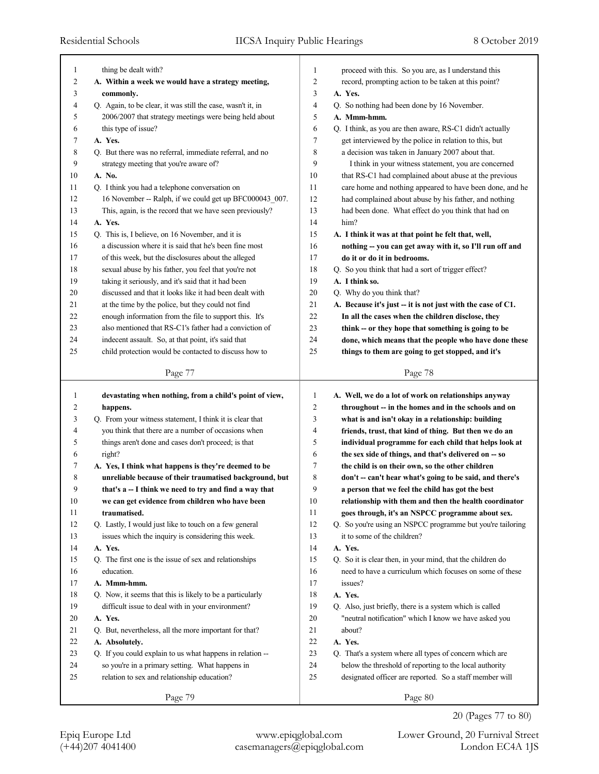|    | thing be dealt with?                                        |        | proceed with this. So you are, as I understand this         |
|----|-------------------------------------------------------------|--------|-------------------------------------------------------------|
| 1  |                                                             | 1      |                                                             |
| 2  | A. Within a week we would have a strategy meeting,          | 2      | record, prompting action to be taken at this point?         |
| 3  | commonly.                                                   | 3      | A. Yes.                                                     |
| 4  | Q. Again, to be clear, it was still the case, wasn't it, in | 4      | Q. So nothing had been done by 16 November.                 |
| 5  | 2006/2007 that strategy meetings were being held about      | 5      | A. Mmm-hmm.                                                 |
| 6  | this type of issue?                                         | 6      | Q. I think, as you are then aware, RS-C1 didn't actually    |
| 7  | A. Yes.                                                     | 7      | get interviewed by the police in relation to this, but      |
| 8  | Q. But there was no referral, immediate referral, and no    | 8      | a decision was taken in January 2007 about that.            |
| 9  | strategy meeting that you're aware of?                      | 9      | I think in your witness statement, you are concerned        |
| 10 | A. No.                                                      | 10     | that RS-C1 had complained about abuse at the previous       |
| 11 | Q. I think you had a telephone conversation on              | 11     | care home and nothing appeared to have been done, and he    |
| 12 | 16 November -- Ralph, if we could get up BFC000043_007.     | 12     | had complained about abuse by his father, and nothing       |
| 13 | This, again, is the record that we have seen previously?    | 13     | had been done. What effect do you think that had on         |
| 14 | A. Yes.                                                     | 14     | him?                                                        |
| 15 | Q. This is, I believe, on 16 November, and it is            | 15     | A. I think it was at that point he felt that, well,         |
| 16 | a discussion where it is said that he's been fine most      | 16     | nothing -- you can get away with it, so I'll run off and    |
| 17 | of this week, but the disclosures about the alleged         | 17     | do it or do it in bedrooms.                                 |
| 18 | sexual abuse by his father, you feel that you're not        | 18     | Q. So you think that had a sort of trigger effect?          |
| 19 | taking it seriously, and it's said that it had been         | 19     | A. I think so.                                              |
| 20 | discussed and that it looks like it had been dealt with     | 20     | Q. Why do you think that?                                   |
| 21 | at the time by the police, but they could not find          | 21     | A. Because it's just -- it is not just with the case of C1. |
| 22 | enough information from the file to support this. It's      | 22     | In all the cases when the children disclose, they           |
| 23 | also mentioned that RS-C1's father had a conviction of      | 23     | think -- or they hope that something is going to be         |
| 24 | indecent assault. So, at that point, it's said that         | 24     | done, which means that the people who have done these       |
| 25 | child protection would be contacted to discuss how to       | 25     | things to them are going to get stopped, and it's           |
|    |                                                             |        |                                                             |
|    | Page 77                                                     |        | Page 78                                                     |
|    |                                                             |        |                                                             |
|    |                                                             |        |                                                             |
| 1  | devastating when nothing, from a child's point of view,     | 1      | A. Well, we do a lot of work on relationships anyway        |
| 2  | happens.                                                    | 2      | throughout -- in the homes and in the schools and on        |
| 3  | Q. From your witness statement, I think it is clear that    | 3      | what is and isn't okay in a relationship: building          |
| 4  | you think that there are a number of occasions when         | 4      | friends, trust, that kind of thing. But then we do an       |
| 5  | things aren't done and cases don't proceed; is that         | 5      | individual programme for each child that helps look at      |
| 6  | right?                                                      | 6      | the sex side of things, and that's delivered on -- so       |
| 7  | A. Yes, I think what happens is they're deemed to be        | 7      | the child is on their own, so the other children            |
| 8  | unreliable because of their traumatised background, but     | 8      | don't -- can't hear what's going to be said, and there's    |
| 9  | that's a -- I think we need to try and find a way that      | 9      | a person that we feel the child has got the best            |
| 10 | we can get evidence from children who have been             | 10     | relationship with them and then the health coordinator      |
| 11 | traumatised.                                                | 11     | goes through, it's an NSPCC programme about sex.            |
| 12 | Q. Lastly, I would just like to touch on a few general      | 12     | Q. So you're using an NSPCC programme but you're tailoring  |
| 13 | issues which the inquiry is considering this week.          | 13     | it to some of the children?                                 |
| 14 | A. Yes.                                                     | 14     | A. Yes.                                                     |
| 15 | Q. The first one is the issue of sex and relationships      | 15     | Q. So it is clear then, in your mind, that the children do  |
| 16 | education.                                                  | 16     | need to have a curriculum which focuses on some of these    |
| 17 | A. Mmm-hmm.                                                 | 17     | issues?                                                     |
| 18 | Q. Now, it seems that this is likely to be a particularly   | 18     | A. Yes.                                                     |
| 19 | difficult issue to deal with in your environment?           | 19     | Q. Also, just briefly, there is a system which is called    |
| 20 | A. Yes.                                                     | $20\,$ | "neutral notification" which I know we have asked you       |
| 21 | Q. But, nevertheless, all the more important for that?      | 21     | about?                                                      |
| 22 | A. Absolutely.                                              | $22\,$ | A. Yes.                                                     |
| 23 | Q. If you could explain to us what happens in relation --   | 23     | Q. That's a system where all types of concern which are     |
| 24 | so you're in a primary setting. What happens in             | 24     | below the threshold of reporting to the local authority     |
| 25 | relation to sex and relationship education?                 | 25     | designated officer are reported. So a staff member will     |
|    | Page 79                                                     |        | Page 80                                                     |

20 (Pages 77 to 80)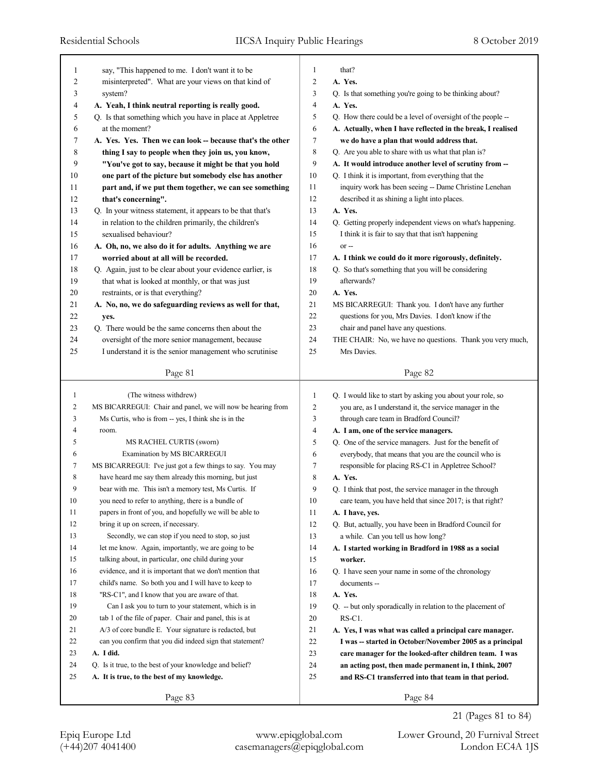٦

| 1  | say, "This happened to me. I don't want it to be            | 1<br>2 | that?<br>A. Yes.                                            |
|----|-------------------------------------------------------------|--------|-------------------------------------------------------------|
| 2  | misinterpreted". What are your views on that kind of        |        |                                                             |
| 3  | system?                                                     | 3      | Q. Is that something you're going to be thinking about?     |
| 4  | A. Yeah, I think neutral reporting is really good.          | 4      | A. Yes.                                                     |
| 5  | Q. Is that something which you have in place at Appletree   | 5      | Q. How there could be a level of oversight of the people -- |
| 6  | at the moment?                                              | 6      | A. Actually, when I have reflected in the break, I realised |
| 7  | A. Yes. Yes. Then we can look -- because that's the other   | 7      | we do have a plan that would address that.                  |
| 8  | thing I say to people when they join us, you know,          | 8      | Q. Are you able to share with us what that plan is?         |
| 9  | "You've got to say, because it might be that you hold       | 9      | A. It would introduce another level of scrutiny from --     |
| 10 | one part of the picture but somebody else has another       | 10     | Q. I think it is important, from everything that the        |
| 11 | part and, if we put them together, we can see something     | 11     | inquiry work has been seeing -- Dame Christine Lenehan      |
| 12 | that's concerning".                                         | 12     | described it as shining a light into places.                |
| 13 | Q. In your witness statement, it appears to be that that's  | 13     | A. Yes.                                                     |
| 14 | in relation to the children primarily, the children's       | 14     | Q. Getting properly independent views on what's happening.  |
| 15 | sexualised behaviour?                                       | 15     | I think it is fair to say that that isn't happening         |
| 16 | A. Oh, no, we also do it for adults. Anything we are        | 16     | $or -$                                                      |
| 17 | worried about at all will be recorded.                      | 17     | A. I think we could do it more rigorously, definitely.      |
| 18 | Q. Again, just to be clear about your evidence earlier, is  | 18     | Q. So that's something that you will be considering         |
| 19 | that what is looked at monthly, or that was just            | 19     | afterwards?                                                 |
| 20 | restraints, or is that everything?                          | 20     | A. Yes.                                                     |
| 21 | A. No, no, we do safeguarding reviews as well for that,     | 21     | MS BICARREGUI: Thank you. I don't have any further          |
| 22 | yes.                                                        | 22     | questions for you, Mrs Davies. I don't know if the          |
| 23 | Q. There would be the same concerns then about the          | 23     | chair and panel have any questions.                         |
| 24 | oversight of the more senior management, because            | 24     | THE CHAIR: No, we have no questions. Thank you very much,   |
| 25 | I understand it is the senior management who scrutinise     | 25     | Mrs Davies.                                                 |
|    |                                                             |        |                                                             |
|    | Page 81                                                     |        | Page 82                                                     |
|    |                                                             |        |                                                             |
|    |                                                             |        |                                                             |
| 1  | (The witness withdrew)                                      | 1      | Q. I would like to start by asking you about your role, so  |
| 2  | MS BICARREGUI: Chair and panel, we will now be hearing from | 2      | you are, as I understand it, the service manager in the     |
| 3  | Ms Curtis, who is from -- yes, I think she is in the        | 3      | through care team in Bradford Council?                      |
| 4  | room.                                                       | 4      | A. I am, one of the service managers.                       |
| 5  | MS RACHEL CURTIS (sworn)                                    | 5      | Q. One of the service managers. Just for the benefit of     |
| 6  | Examination by MS BICARREGUI                                | 6      | everybody, that means that you are the council who is       |
| 7  | MS BICARREGUI: I've just got a few things to say. You may   | 7      | responsible for placing RS-C1 in Appletree School?          |
| 8  | have heard me say them already this morning, but just       | 8      | A. Yes.                                                     |
| 9  | bear with me. This isn't a memory test, Ms Curtis. If       | 9      | Q. I think that post, the service manager in the through    |
| 10 | you need to refer to anything, there is a bundle of         | 10     | care team, you have held that since 2017; is that right?    |
| 11 | papers in front of you, and hopefully we will be able to    | 11     | A. I have, yes.                                             |
| 12 | bring it up on screen, if necessary.                        | 12     | Q. But, actually, you have been in Bradford Council for     |
| 13 | Secondly, we can stop if you need to stop, so just          | 13     | a while. Can you tell us how long?                          |
| 14 | let me know. Again, importantly, we are going to be         | 14     | A. I started working in Bradford in 1988 as a social        |
| 15 | talking about, in particular, one child during your         | 15     | worker.                                                     |
| 16 | evidence, and it is important that we don't mention that    | 16     | Q. I have seen your name in some of the chronology          |
| 17 | child's name. So both you and I will have to keep to        | 17     | documents --                                                |
| 18 | "RS-C1", and I know that you are aware of that.             | 18     | A. Yes.                                                     |
| 19 | Can I ask you to turn to your statement, which is in        | 19     | Q. -- but only sporadically in relation to the placement of |
| 20 | tab 1 of the file of paper. Chair and panel, this is at     | 20     | RS-C1.                                                      |
| 21 | A/3 of core bundle E. Your signature is redacted, but       | 21     | A. Yes, I was what was called a principal care manager.     |
| 22 | can you confirm that you did indeed sign that statement?    | 22     | I was -- started in October/November 2005 as a principal    |
| 23 | A. I did.                                                   | 23     | care manager for the looked-after children team. I was      |
| 24 | Q. Is it true, to the best of your knowledge and belief?    | 24     | an acting post, then made permanent in, I think, 2007       |
| 25 | A. It is true, to the best of my knowledge.                 | 25     | and RS-C1 transferred into that team in that period.        |
|    | Page 83                                                     |        | Page 84                                                     |

21 (Pages 81 to 84)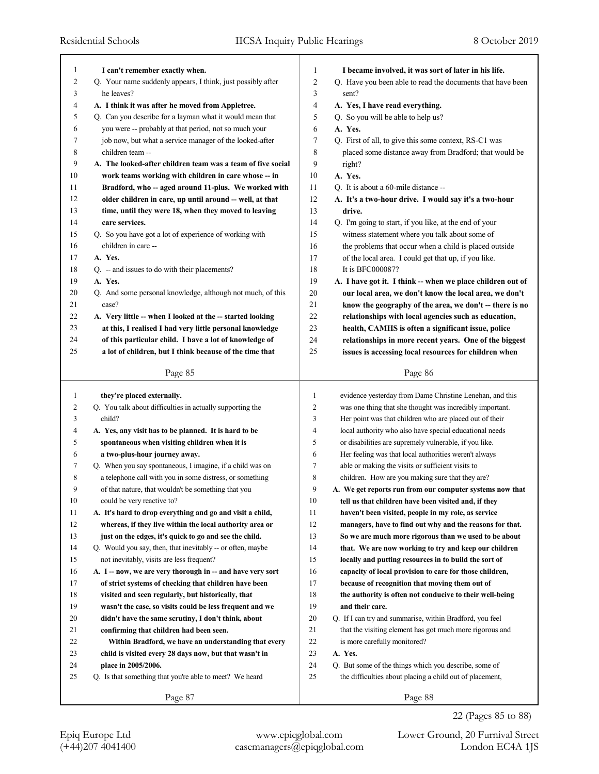| 1      | I can't remember exactly when.                              | 1              | I became involved, it was sort of later in his life.       |
|--------|-------------------------------------------------------------|----------------|------------------------------------------------------------|
| 2      | Q. Your name suddenly appears, I think, just possibly after | $\overline{2}$ | Q. Have you been able to read the documents that have been |
| 3      | he leaves?                                                  | 3              | sent?                                                      |
| 4      | A. I think it was after he moved from Appletree.            | 4              | A. Yes, I have read everything.                            |
| 5      | Q. Can you describe for a layman what it would mean that    | 5              | Q. So you will be able to help us?                         |
| 6      | you were -- probably at that period, not so much your       | 6              | A. Yes.                                                    |
| 7      | job now, but what a service manager of the looked-after     | 7              | Q. First of all, to give this some context, RS-C1 was      |
| 8      | children team --                                            | 8              | placed some distance away from Bradford; that would be     |
| 9      | A. The looked-after children team was a team of five social | 9              | right?                                                     |
| 10     | work teams working with children in care whose -- in        | 10             | A. Yes.                                                    |
| 11     | Bradford, who -- aged around 11-plus. We worked with        | 11             | Q. It is about a 60-mile distance --                       |
| 12     | older children in care, up until around -- well, at that    | 12             | A. It's a two-hour drive. I would say it's a two-hour      |
| 13     | time, until they were 18, when they moved to leaving        | 13             | drive.                                                     |
| 14     | care services.                                              | 14             | Q. I'm going to start, if you like, at the end of your     |
| 15     | Q. So you have got a lot of experience of working with      | 15             | witness statement where you talk about some of             |
| 16     | children in care --                                         | 16             | the problems that occur when a child is placed outside     |
| 17     | A. Yes.                                                     | 17             | of the local area. I could get that up, if you like.       |
| 18     | Q. -- and issues to do with their placements?               | 18             | It is BFC000087?                                           |
| 19     | A. Yes.                                                     | 19             | A. I have got it. I think -- when we place children out of |
| 20     | Q. And some personal knowledge, although not much, of this  | 20             | our local area, we don't know the local area, we don't     |
| 21     | case?                                                       | 21             | know the geography of the area, we don't -- there is no    |
| 22     | A. Very little -- when I looked at the -- started looking   | 22             | relationships with local agencies such as education,       |
| 23     | at this, I realised I had very little personal knowledge    | 23             | health, CAMHS is often a significant issue, police         |
| 24     | of this particular child. I have a lot of knowledge of      | 24             | relationships in more recent years. One of the biggest     |
| 25     | a lot of children, but I think because of the time that     | 25             | issues is accessing local resources for children when      |
|        | Page 85                                                     |                | Page 86                                                    |
|        |                                                             |                |                                                            |
| 1      | they're placed externally.                                  | 1              | evidence yesterday from Dame Christine Lenehan, and this   |
| 2      | Q. You talk about difficulties in actually supporting the   | 2              | was one thing that she thought was incredibly important.   |
| 3      | child?                                                      | 3              | Her point was that children who are placed out of their    |
| 4      | A. Yes, any visit has to be planned. It is hard to be       | 4              | local authority who also have special educational needs    |
| 5      | spontaneous when visiting children when it is               | 5              | or disabilities are supremely vulnerable, if you like.     |
| 6      | a two-plus-hour journey away.                               | 6              | Her feeling was that local authorities weren't always      |
| 7      | Q. When you say spontaneous, I imagine, if a child was on   | 7              | able or making the visits or sufficient visits to          |
| 8      | a telephone call with you in some distress, or something    | 8              | children. How are you making sure that they are?           |
| 9      | of that nature, that wouldn't be something that you         | 9              | A. We get reports run from our computer systems now that   |
| $10\,$ | could be very reactive to?                                  | $10\,$         | tell us that children have been visited and, if they       |
| 11     | A. It's hard to drop everything and go and visit a child,   | 11             | haven't been visited, people in my role, as service        |
| 12     | whereas, if they live within the local authority area or    | 12             | managers, have to find out why and the reasons for that.   |
| 13     | just on the edges, it's quick to go and see the child.      | 13             | So we are much more rigorous than we used to be about      |
| 14     | Q. Would you say, then, that inevitably -- or often, maybe  | 14             | that. We are now working to try and keep our children      |
| 15     | not inevitably, visits are less frequent?                   | 15             | locally and putting resources in to build the sort of      |
| 16     | A. I -- now, we are very thorough in -- and have very sort  | 16             | capacity of local provision to care for those children,    |
| 17     | of strict systems of checking that children have been       | 17             | because of recognition that moving them out of             |
| 18     | visited and seen regularly, but historically, that          | 18             | the authority is often not conducive to their well-being   |
| 19     | wasn't the case, so visits could be less frequent and we    | 19             | and their care.                                            |
| 20     | didn't have the same scrutiny, I don't think, about         | 20             | Q. If I can try and summarise, within Bradford, you feel   |
| 21     | confirming that children had been seen.                     | 21             | that the visiting element has got much more rigorous and   |
| 22     | Within Bradford, we have an understanding that every        | 22             | is more carefully monitored?                               |
| 23     | child is visited every 28 days now, but that wasn't in      | 23             | A. Yes.                                                    |
| 24     | place in 2005/2006.                                         | 24             | Q. But some of the things which you describe, some of      |
|        |                                                             |                |                                                            |
| 25     | Q. Is that something that you're able to meet? We heard     | 25             | the difficulties about placing a child out of placement,   |
|        | Page 87                                                     |                | Page 88                                                    |

22 (Pages 85 to 88)

(+44)207 4041400 casemanagers@epiqglobal.com London EC4A 1JS Epiq Europe Ltd www.epiqglobal.com Lower Ground, 20 Furnival Street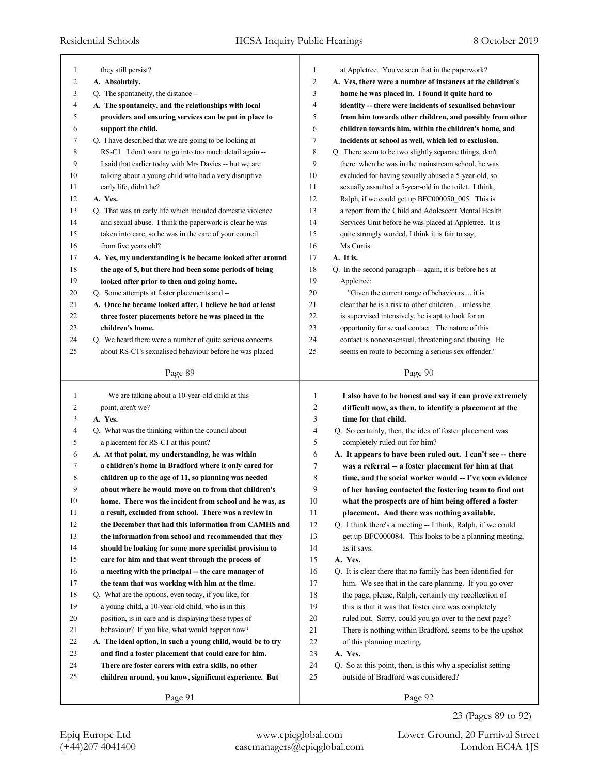| 1  | they still persist?                                         | 1              | at Appletree. You've seen that in the paperwork?            |
|----|-------------------------------------------------------------|----------------|-------------------------------------------------------------|
| 2  | A. Absolutely.                                              | $\overline{c}$ | A. Yes, there were a number of instances at the children's  |
| 3  | Q. The spontaneity, the distance --                         | 3              | home he was placed in. I found it quite hard to             |
| 4  | A. The spontaneity, and the relationships with local        | $\overline{4}$ | identify -- there were incidents of sexualised behaviour    |
| 5  | providers and ensuring services can be put in place to      | 5              | from him towards other children, and possibly from other    |
| 6  | support the child.                                          | 6              | children towards him, within the children's home, and       |
| 7  | Q. I have described that we are going to be looking at      | 7              | incidents at school as well, which led to exclusion.        |
| 8  | RS-C1. I don't want to go into too much detail again --     | 8              | Q. There seem to be two slightly separate things, don't     |
| 9  | I said that earlier today with Mrs Davies -- but we are     | 9              | there: when he was in the mainstream school, he was         |
| 10 | talking about a young child who had a very disruptive       | 10             | excluded for having sexually abused a 5-year-old, so        |
| 11 | early life, didn't he?                                      | 11             | sexually assaulted a 5-year-old in the toilet. I think,     |
| 12 | A. Yes.                                                     | 12             | Ralph, if we could get up BFC000050 005. This is            |
| 13 | Q. That was an early life which included domestic violence  | 13             | a report from the Child and Adolescent Mental Health        |
| 14 | and sexual abuse. I think the paperwork is clear he was     | 14             | Services Unit before he was placed at Appletree. It is      |
| 15 | taken into care, so he was in the care of your council      | 15             | quite strongly worded, I think it is fair to say,           |
| 16 | from five years old?                                        | 16             | Ms Curtis.                                                  |
| 17 | A. Yes, my understanding is he became looked after around   | 17             | A. It is.                                                   |
| 18 | the age of 5, but there had been some periods of being      | 18             | Q. In the second paragraph -- again, it is before he's at   |
| 19 | looked after prior to then and going home.                  | 19             | Appletree:                                                  |
| 20 | Q. Some attempts at foster placements and --                | 20             | "Given the current range of behaviours  it is               |
| 21 | A. Once he became looked after, I believe he had at least   | 21             | clear that he is a risk to other children  unless he        |
| 22 | three foster placements before he was placed in the         | 22             | is supervised intensively, he is apt to look for an         |
| 23 | children's home.                                            | 23             | opportunity for sexual contact. The nature of this          |
| 24 | Q. We heard there were a number of quite serious concerns   | 24             | contact is nonconsensual, threatening and abusing. He       |
| 25 | about RS-C1's sexualised behaviour before he was placed     | 25             | seems en route to becoming a serious sex offender."         |
|    |                                                             |                |                                                             |
|    | Page 89                                                     |                | Page 90                                                     |
|    |                                                             |                |                                                             |
|    |                                                             |                |                                                             |
| 1  | We are talking about a 10-year-old child at this            | 1              | I also have to be honest and say it can prove extremely     |
| 2  | point, aren't we?                                           | $\overline{2}$ | difficult now, as then, to identify a placement at the      |
| 3  | A. Yes.                                                     | 3              | time for that child.                                        |
| 4  | Q. What was the thinking within the council about           | $\overline{4}$ | Q. So certainly, then, the idea of foster placement was     |
| 5  | a placement for RS-C1 at this point?                        | 5              | completely ruled out for him?                               |
| 6  | A. At that point, my understanding, he was within           | 6              | A. It appears to have been ruled out. I can't see -- there  |
| 7  | a children's home in Bradford where it only cared for       | 7              | was a referral -- a foster placement for him at that        |
| 8  | children up to the age of 11, so planning was needed        | 8              | time, and the social worker would -- I've seen evidence     |
| 9  | about where he would move on to from that children's        | 9              | of her having contacted the fostering team to find out      |
| 10 | home. There was the incident from school and he was, as     | 10             | what the prospects are of him being offered a foster        |
| 11 | a result, excluded from school. There was a review in       | 11             | placement. And there was nothing available.                 |
| 12 | the December that had this information from CAMHS and       | 12             | Q. I think there's a meeting -- I think, Ralph, if we could |
| 13 | the information from school and recommended that they       | 13             | get up BFC000084. This looks to be a planning meeting,      |
| 14 | should be looking for some more specialist provision to     | 14             | as it says.                                                 |
| 15 | care for him and that went through the process of           | 15             | A. Yes.                                                     |
| 16 | a meeting with the principal -- the care manager of         | 16             | Q. It is clear there that no family has been identified for |
| 17 | the team that was working with him at the time.             | 17             | him. We see that in the care planning. If you go over       |
| 18 | Q. What are the options, even today, if you like, for       | 18             | the page, please, Ralph, certainly my recollection of       |
| 19 | a young child, a 10-year-old child, who is in this          | 19             | this is that it was that foster care was completely         |
| 20 | position, is in care and is displaying these types of       | 20             | ruled out. Sorry, could you go over to the next page?       |
| 21 | behaviour? If you like, what would happen now?              | 21             | There is nothing within Bradford, seems to be the upshot    |
| 22 | A. The ideal option, in such a young child, would be to try | 22             | of this planning meeting.                                   |
| 23 | and find a foster placement that could care for him.        | 23             | A. Yes.                                                     |
| 24 | There are foster carers with extra skills, no other         | 24             | Q. So at this point, then, is this why a specialist setting |
| 25 | children around, you know, significant experience. But      | 25             | outside of Bradford was considered?                         |
|    | Page 91                                                     |                | Page 92                                                     |

23 (Pages 89 to 92)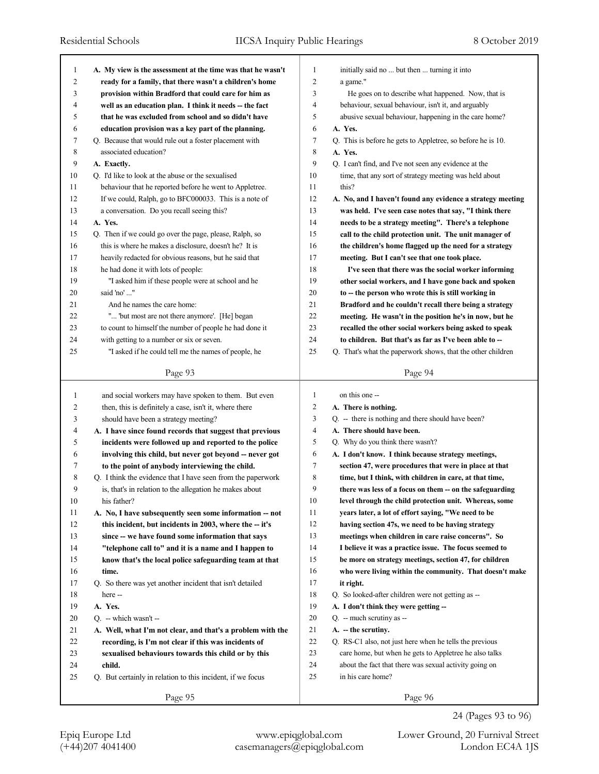| 1              | A. My view is the assessment at the time was that he wasn't | $\mathbf{1}$   | initially said no  but then  turning it into                |
|----------------|-------------------------------------------------------------|----------------|-------------------------------------------------------------|
| $\overline{c}$ | ready for a family, that there wasn't a children's home     | $\overline{c}$ | a game."                                                    |
| 3              | provision within Bradford that could care for him as        | 3              | He goes on to describe what happened. Now, that is          |
| 4              | well as an education plan. I think it needs -- the fact     | $\overline{4}$ | behaviour, sexual behaviour, isn't it, and arguably         |
| 5              | that he was excluded from school and so didn't have         | 5              | abusive sexual behaviour, happening in the care home?       |
| 6              | education provision was a key part of the planning.         | 6              | A. Yes.                                                     |
| 7              | Q. Because that would rule out a foster placement with      | 7              | Q. This is before he gets to Appletree, so before he is 10. |
| 8              | associated education?                                       | 8              | A. Yes.                                                     |
| 9              | A. Exactly.                                                 | 9              | Q. I can't find, and I've not seen any evidence at the      |
| 10             | Q. I'd like to look at the abuse or the sexualised          | 10             | time, that any sort of strategy meeting was held about      |
| 11             | behaviour that he reported before he went to Appletree.     | 11             | this?                                                       |
| 12             | If we could, Ralph, go to BFC000033. This is a note of      | 12             | A. No, and I haven't found any evidence a strategy meeting  |
| 13             | a conversation. Do you recall seeing this?                  | 13             | was held. I've seen case notes that say, "I think there     |
| 14             | A. Yes.                                                     | 14             | needs to be a strategy meeting". There's a telephone        |
| 15             | Q. Then if we could go over the page, please, Ralph, so     | 15             | call to the child protection unit. The unit manager of      |
| 16             | this is where he makes a disclosure, doesn't he? It is      | 16             | the children's home flagged up the need for a strategy      |
| 17             | heavily redacted for obvious reasons, but he said that      | 17             | meeting. But I can't see that one took place.               |
| 18             | he had done it with lots of people:                         | 18             | I've seen that there was the social worker informing        |
| 19             | "I asked him if these people were at school and he          | 19             | other social workers, and I have gone back and spoken       |
| 20             | said 'no' "                                                 | 20             | to -- the person who wrote this is still working in         |
| 21             | And he names the care home:                                 | 21             | Bradford and he couldn't recall there being a strategy      |
| 22             | " "but most are not there anymore'. [He] began              | 22             | meeting. He wasn't in the position he's in now, but he      |
| 23             | to count to himself the number of people he had done it     | 23             | recalled the other social workers being asked to speak      |
| 24             | with getting to a number or six or seven.                   | 24             | to children. But that's as far as I've been able to --      |
| 25             | "I asked if he could tell me the names of people, he        | 25             | Q. That's what the paperwork shows, that the other children |
|                |                                                             |                |                                                             |
|                | Page 93                                                     |                | Page 94                                                     |
|                |                                                             |                |                                                             |
|                |                                                             |                |                                                             |
| 1              | and social workers may have spoken to them. But even        | $\mathbf{1}$   | on this one --                                              |
| 2              | then, this is definitely a case, isn't it, where there      | 2              | A. There is nothing.                                        |
| 3              | should have been a strategy meeting?                        | 3              | Q. -- there is nothing and there should have been?          |
| 4              | A. I have since found records that suggest that previous    | 4              | A. There should have been.                                  |
| 5              | incidents were followed up and reported to the police       | 5              | Q. Why do you think there wasn't?                           |
| 6              | involving this child, but never got beyond -- never got     | 6              | A. I don't know. I think because strategy meetings,         |
| 7              | to the point of anybody interviewing the child.             | 7              | section 47, were procedures that were in place at that      |
| 8              | Q. I think the evidence that I have seen from the paperwork | 8              | time, but I think, with children in care, at that time,     |
| 9              | is, that's in relation to the allegation he makes about     | 9              | there was less of a focus on them -- on the safeguarding    |
| 10             | his father?                                                 | 10             | level through the child protection unit. Whereas, some      |
| 11             | A. No, I have subsequently seen some information -- not     | 11             | years later, a lot of effort saying, "We need to be         |
| 12             | this incident, but incidents in 2003, where the -- it's     | 12             | having section 47s, we need to be having strategy           |
| 13             | since -- we have found some information that says           | 13             | meetings when children in care raise concerns". So          |
| 14             | "telephone call to" and it is a name and I happen to        | 14             | I believe it was a practice issue. The focus seemed to      |
| 15             | know that's the local police safeguarding team at that      | 15             | be more on strategy meetings, section 47, for children      |
| 16             | time.                                                       | 16             | who were living within the community. That doesn't make     |
| 17             | Q. So there was yet another incident that isn't detailed    | 17             | it right.                                                   |
| 18             | here --                                                     | 18             | Q. So looked-after children were not getting as --          |
| 19             | A. Yes.                                                     | 19             | A. I don't think they were getting --                       |
| 20             | $Q. -$ which wasn't $-$                                     | 20             | Q. -- much scrutiny as --                                   |
| 21             | A. Well, what I'm not clear, and that's a problem with the  | 21             | A. - the scrutiny.                                          |
| 22             | recording, is I'm not clear if this was incidents of        | 22             | Q. RS-C1 also, not just here when he tells the previous     |
| 23             | sexualised behaviours towards this child or by this         | 23             | care home, but when he gets to Appletree he also talks      |
| 24             | child.                                                      | 24             | about the fact that there was sexual activity going on      |
| 25             | Q. But certainly in relation to this incident, if we focus  | 25             | in his care home?                                           |
|                | Page 95                                                     |                | Page 96                                                     |

24 (Pages 93 to 96)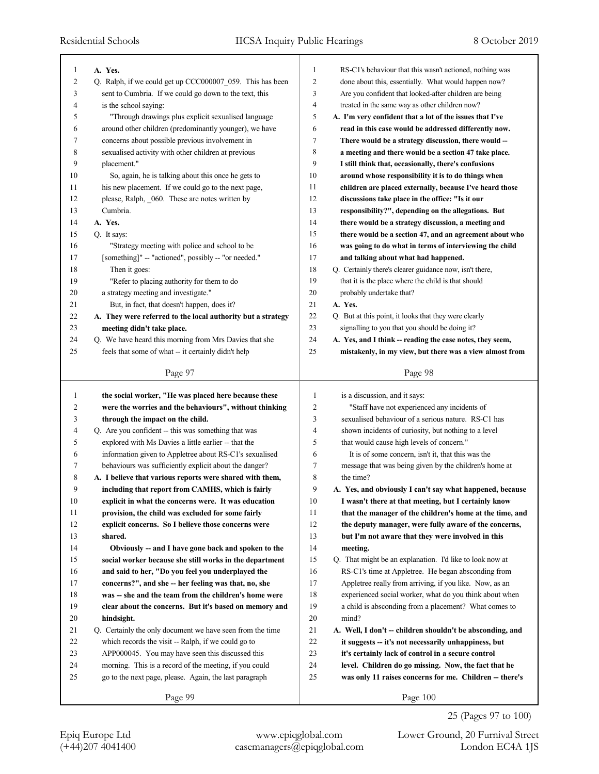٦

| 1  | A. Yes.                                                     | 1              | RS-C1's behaviour that this wasn't actioned, nothing was  |
|----|-------------------------------------------------------------|----------------|-----------------------------------------------------------|
| 2  | Q. Ralph, if we could get up CCC000007_059. This has been   | $\overline{c}$ | done about this, essentially. What would happen now?      |
| 3  | sent to Cumbria. If we could go down to the text, this      | 3              | Are you confident that looked-after children are being    |
| 4  | is the school saying:                                       | 4              | treated in the same way as other children now?            |
| 5  | "Through drawings plus explicit sexualised language         | 5              | A. I'm very confident that a lot of the issues that I've  |
| 6  | around other children (predominantly younger), we have      | 6              | read in this case would be addressed differently now.     |
| 7  | concerns about possible previous involvement in             | 7              | There would be a strategy discussion, there would -       |
| 8  | sexualised activity with other children at previous         | 8              | a meeting and there would be a section 47 take place.     |
| 9  | placement."                                                 | 9              | I still think that, occasionally, there's confusions      |
| 10 | So, again, he is talking about this once he gets to         | 10             | around whose responsibility it is to do things when       |
| 11 | his new placement. If we could go to the next page,         | 11             | children are placed externally, because I've heard those  |
| 12 | please, Ralph, _060. These are notes written by             | 12             | discussions take place in the office: "Is it our          |
| 13 | Cumbria.                                                    | 13             | responsibility?", depending on the allegations. But       |
| 14 | A. Yes.                                                     | 14             | there would be a strategy discussion, a meeting and       |
| 15 | Q. It says:                                                 | 15             | there would be a section 47, and an agreement about who   |
| 16 | "Strategy meeting with police and school to be              | 16             | was going to do what in terms of interviewing the child   |
| 17 | [something]" -- "actioned", possibly -- "or needed."        | 17             | and talking about what had happened.                      |
| 18 | Then it goes:                                               | 18             | Q. Certainly there's clearer guidance now, isn't there,   |
| 19 | "Refer to placing authority for them to do                  | 19             | that it is the place where the child is that should       |
| 20 | a strategy meeting and investigate."                        | 20             | probably undertake that?                                  |
| 21 | But, in fact, that doesn't happen, does it?                 | 21             | A. Yes.                                                   |
| 22 | A. They were referred to the local authority but a strategy | 22             | Q. But at this point, it looks that they were clearly     |
| 23 | meeting didn't take place.                                  | 23             | signalling to you that you should be doing it?            |
| 24 | Q. We have heard this morning from Mrs Davies that she      | 24             | A. Yes, and I think -- reading the case notes, they seem, |
| 25 | feels that some of what -- it certainly didn't help         | 25             | mistakenly, in my view, but there was a view almost from  |
|    |                                                             |                |                                                           |
|    | Page 97                                                     |                | Page 98                                                   |
| 1  | the social worker, "He was placed here because these        | 1              | is a discussion, and it says:                             |
|    |                                                             |                |                                                           |
| 2  | were the worries and the behaviours", without thinking      | 2              | "Staff have not experienced any incidents of              |
| 3  | through the impact on the child.                            | 3              | sexualised behaviour of a serious nature. RS-C1 has       |
| 4  | Q. Are you confident -- this was something that was         | 4              | shown incidents of curiosity, but nothing to a level      |
| 5  | explored with Ms Davies a little earlier -- that the        | 5              | that would cause high levels of concern."                 |
| 6  | information given to Appletree about RS-C1's sexualised     | 6              | It is of some concern, isn't it, that this was the        |
| 7  | behaviours was sufficiently explicit about the danger?      | 7              | message that was being given by the children's home at    |
| 8  | A. I believe that various reports were shared with them,    | 8              | the time?                                                 |
| 9  | including that report from CAMHS, which is fairly           | 9              | A. Yes, and obviously I can't say what happened, because  |
| 10 | explicit in what the concerns were. It was education        | 10             | I wasn't there at that meeting, but I certainly know      |
| 11 | provision, the child was excluded for some fairly           | 11             | that the manager of the children's home at the time, and  |
| 12 | explicit concerns. So I believe those concerns were         | 12             | the deputy manager, were fully aware of the concerns,     |
| 13 | shared.                                                     | 13             | but I'm not aware that they were involved in this         |
| 14 | Obviously -- and I have gone back and spoken to the         | 14             | meeting.                                                  |
| 15 | social worker because she still works in the department     | 15             | Q. That might be an explanation. I'd like to look now at  |
| 16 | and said to her, "Do you feel you underplayed the           | 16             | RS-C1's time at Appletree. He began absconding from       |
| 17 | concerns?", and she -- her feeling was that, no, she        | 17             | Appletree really from arriving, if you like. Now, as an   |
| 18 | was -- she and the team from the children's home were       | 18             | experienced social worker, what do you think about when   |
| 19 | clear about the concerns. But it's based on memory and      | 19             | a child is absconding from a placement? What comes to     |
| 20 | hindsight.                                                  | 20             | mind?                                                     |
| 21 | Q. Certainly the only document we have seen from the time   | 21             | A. Well, I don't -- children shouldn't be absconding, and |
| 22 | which records the visit -- Ralph, if we could go to         | $22\,$         | it suggests -- it's not necessarily unhappiness, but      |
| 23 | APP000045. You may have seen this discussed this            | 23             | it's certainly lack of control in a secure control        |
| 24 | morning. This is a record of the meeting, if you could      | 24             | level. Children do go missing. Now, the fact that he      |
| 25 | go to the next page, please. Again, the last paragraph      | 25             | was only 11 raises concerns for me. Children -- there's   |

25 (Pages 97 to 100)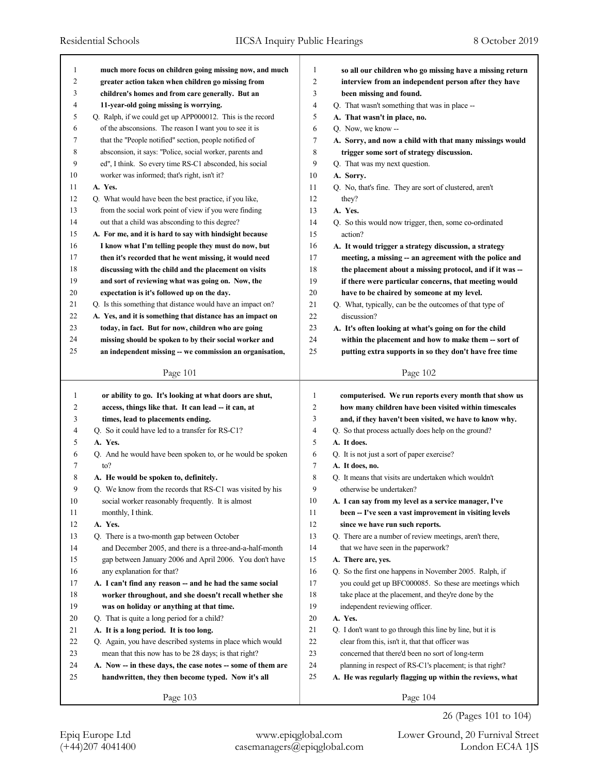| 1      | much more focus on children going missing now, and much     | 1      | so all our children who go missing have a missing return   |
|--------|-------------------------------------------------------------|--------|------------------------------------------------------------|
| 2      | greater action taken when children go missing from          | 2      | interview from an independent person after they have       |
| 3      | children's homes and from care generally. But an            | 3      | been missing and found.                                    |
| 4      | 11-year-old going missing is worrying.                      | 4      | Q. That wasn't something that was in place --              |
| 5      | Q. Ralph, if we could get up APP000012. This is the record  | 5      | A. That wasn't in place, no.                               |
| 6      | of the absconsions. The reason I want you to see it is      | 6      | Q. Now, we know --                                         |
| 7      | that the "People notified" section, people notified of      | 7      | A. Sorry, and now a child with that many missings would    |
| 8      | absconsion, it says: "Police, social worker, parents and    | 8      | trigger some sort of strategy discussion.                  |
| 9      | ed", I think. So every time RS-C1 absconded, his social     | 9      | Q. That was my next question.                              |
| 10     | worker was informed; that's right, isn't it?                | 10     | A. Sorry.                                                  |
| 11     | A. Yes.                                                     | 11     | Q. No, that's fine. They are sort of clustered, aren't     |
| 12     | Q. What would have been the best practice, if you like,     | 12     | they?                                                      |
| 13     | from the social work point of view if you were finding      | 13     | A. Yes.                                                    |
| 14     | out that a child was absconding to this degree?             | 14     | Q. So this would now trigger, then, some co-ordinated      |
| 15     | A. For me, and it is hard to say with hindsight because     | 15     | action?                                                    |
| 16     | I know what I'm telling people they must do now, but        | 16     | A. It would trigger a strategy discussion, a strategy      |
| 17     | then it's recorded that he went missing, it would need      | 17     | meeting, a missing -- an agreement with the police and     |
| 18     | discussing with the child and the placement on visits       | 18     | the placement about a missing protocol, and if it was --   |
| 19     | and sort of reviewing what was going on. Now, the           | 19     | if there were particular concerns, that meeting would      |
| 20     | expectation is it's followed up on the day.                 | 20     | have to be chaired by someone at my level.                 |
| 21     | Q. Is this something that distance would have an impact on? | 21     | Q. What, typically, can be the outcomes of that type of    |
| 22     | A. Yes, and it is something that distance has an impact on  | 22     | discussion?                                                |
| 23     | today, in fact. But for now, children who are going         | 23     | A. It's often looking at what's going on for the child     |
| 24     | missing should be spoken to by their social worker and      | 24     | within the placement and how to make them -- sort of       |
| 25     | an independent missing -- we commission an organisation,    | 25     | putting extra supports in so they don't have free time     |
|        | Page 101                                                    |        | Page 102                                                   |
|        |                                                             |        |                                                            |
|        |                                                             |        |                                                            |
| 1      | or ability to go. It's looking at what doors are shut,      | 1      | computerised. We run reports every month that show us      |
| 2      | access, things like that. It can lead -- it can, at         | 2      | how many children have been visited within timescales      |
| 3      | times, lead to placements ending.                           | 3      | and, if they haven't been visited, we have to know why.    |
| 4      | Q. So it could have led to a transfer for RS-C1?            | 4      | Q. So that process actually does help on the ground?       |
| 5      | A. Yes.                                                     | 5      | A. It does.                                                |
| 6      | Q. And he would have been spoken to, or he would be spoken  | 6      | Q. It is not just a sort of paper exercise?                |
| 7      | to?                                                         | 7      | A. It does, no.                                            |
| 8      | A. He would be spoken to, definitely.                       | 8      | Q. It means that visits are undertaken which wouldn't      |
| 9      | Q. We know from the records that RS-C1 was visited by his   | 9      | otherwise be undertaken?                                   |
| $10\,$ | social worker reasonably frequently. It is almost           | 10     | A. I can say from my level as a service manager, I've      |
| 11     | monthly, I think.                                           | 11     | been -- I've seen a vast improvement in visiting levels    |
| 12     | A. Yes.                                                     | 12     | since we have run such reports.                            |
| 13     | Q. There is a two-month gap between October                 | 13     | Q. There are a number of review meetings, aren't there,    |
| 14     | and December 2005, and there is a three-and-a-half-month    | 14     | that we have seen in the paperwork?                        |
| 15     | gap between January 2006 and April 2006. You don't have     | 15     | A. There are, yes.                                         |
| 16     | any explanation for that?                                   | 16     | Q. So the first one happens in November 2005. Ralph, if    |
| 17     | A. I can't find any reason -- and he had the same social    | 17     | you could get up BFC000085. So these are meetings which    |
| 18     | worker throughout, and she doesn't recall whether she       | 18     | take place at the placement, and they're done by the       |
| 19     | was on holiday or anything at that time.                    | 19     | independent reviewing officer.                             |
| 20     | Q. That is quite a long period for a child?                 | $20\,$ | A. Yes.                                                    |
| 21     | A. It is a long period. It is too long.                     | 21     | Q. I don't want to go through this line by line, but it is |
| 22     | Q. Again, you have described systems in place which would   | 22     | clear from this, isn't it, that that officer was           |
| 23     | mean that this now has to be 28 days; is that right?        | 23     | concerned that there'd been no sort of long-term           |
| 24     | A. Now -- in these days, the case notes -- some of them are | 24     | planning in respect of RS-C1's placement; is that right?   |
| 25     | handwritten, they then become typed. Now it's all           | 25     | A. He was regularly flagging up within the reviews, what   |

26 (Pages 101 to 104)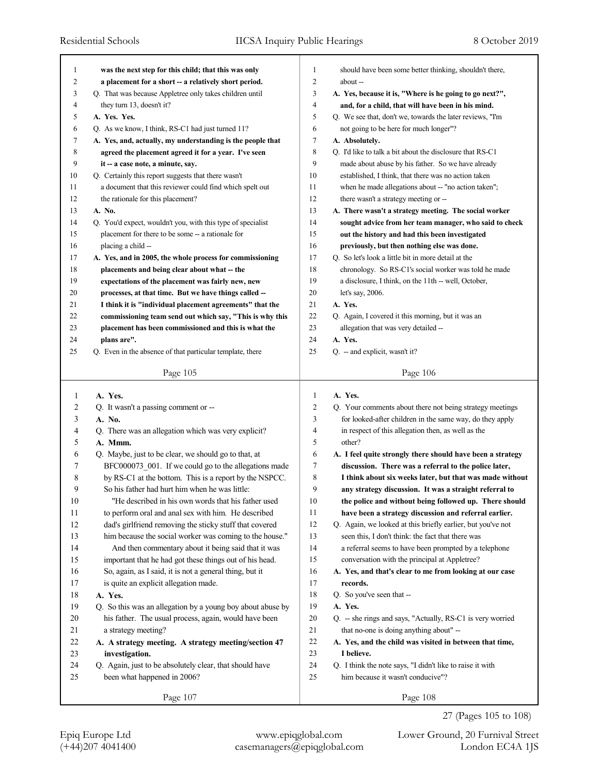| 1              | was the next step for this child; that this was only        | 1              | should have been some better thinking, shouldn't there,     |
|----------------|-------------------------------------------------------------|----------------|-------------------------------------------------------------|
| $\overline{c}$ | a placement for a short -- a relatively short period.       | $\overline{c}$ | about --                                                    |
| 3              | Q. That was because Appletree only takes children until     | 3              | A. Yes, because it is, "Where is he going to go next?",     |
| 4              | they turn 13, doesn't it?                                   | 4              | and, for a child, that will have been in his mind.          |
| 5              | A. Yes. Yes.                                                | 5              | Q. We see that, don't we, towards the later reviews, "I'm   |
| 6              | Q. As we know, I think, RS-C1 had just turned 11?           | 6              | not going to be here for much longer"?                      |
| 7              | A. Yes, and, actually, my understanding is the people that  | 7              | A. Absolutely.                                              |
| 8              | agreed the placement agreed it for a year. I've seen        | 8              | Q. I'd like to talk a bit about the disclosure that RS-C1   |
| 9              | it -- a case note, a minute, say.                           | 9              | made about abuse by his father. So we have already          |
| 10             | Q. Certainly this report suggests that there wasn't         | 10             | established, I think, that there was no action taken        |
| 11             | a document that this reviewer could find which spelt out    | 11             | when he made allegations about -- "no action taken";        |
| 12             | the rationale for this placement?                           | 12             | there wasn't a strategy meeting or --                       |
| 13             | A. No.                                                      | 13             | A. There wasn't a strategy meeting. The social worker       |
| 14             | Q. You'd expect, wouldn't you, with this type of specialist | 14             | sought advice from her team manager, who said to check      |
| 15             | placement for there to be some -- a rationale for           | 15             | out the history and had this been investigated              |
| 16             | placing a child --                                          | 16             | previously, but then nothing else was done.                 |
| 17             | A. Yes, and in 2005, the whole process for commissioning    | 17             | Q. So let's look a little bit in more detail at the         |
| 18             | placements and being clear about what -- the                | 18             | chronology. So RS-C1's social worker was told he made       |
| 19             | expectations of the placement was fairly new, new           | 19             | a disclosure, I think, on the 11th -- well, October,        |
| 20             | processes, at that time. But we have things called --       | 20             | let's say, 2006.                                            |
| 21             | I think it is "individual placement agreements" that the    | 21             | A. Yes.                                                     |
| 22             | commissioning team send out which say, "This is why this    | 22             | Q. Again, I covered it this morning, but it was an          |
| 23             | placement has been commissioned and this is what the        | 23             | allegation that was very detailed --                        |
| 24             | plans are".                                                 | 24             | A. Yes.                                                     |
| 25             | Q. Even in the absence of that particular template, there   | 25             | Q. -- and explicit, wasn't it?                              |
|                |                                                             |                |                                                             |
|                | Page 105                                                    |                | Page 106                                                    |
|                |                                                             |                |                                                             |
|                |                                                             |                |                                                             |
| $\mathbf{1}$   | A. Yes.                                                     | 1              | A. Yes.                                                     |
| 2              | Q. It wasn't a passing comment or --                        | 2              | Q. Your comments about there not being strategy meetings    |
| 3              | A. No.                                                      | 3              | for looked-after children in the same way, do they apply    |
| 4              | Q. There was an allegation which was very explicit?         | 4              | in respect of this allegation then, as well as the          |
| 5              | A. Mmm.                                                     | 5              | other?                                                      |
| 6              | Q. Maybe, just to be clear, we should go to that, at        | 6              | A. I feel quite strongly there should have been a strategy  |
| 7              | BFC000073_001. If we could go to the allegations made       | 7              | discussion. There was a referral to the police later,       |
| 8              | by RS-C1 at the bottom. This is a report by the NSPCC.      | 8              | I think about six weeks later, but that was made without    |
| 9              | So his father had hurt him when he was little:              | 9              | any strategy discussion. It was a straight referral to      |
| $10\,$         | "He described in his own words that his father used         | 10             | the police and without being followed up. There should      |
| 11             | to perform oral and anal sex with him. He described         | 11             | have been a strategy discussion and referral earlier.       |
| 12             | dad's girlfriend removing the sticky stuff that covered     | 12             | Q. Again, we looked at this briefly earlier, but you've not |
| 13             | him because the social worker was coming to the house."     | 13             | seen this, I don't think: the fact that there was           |
| 14             | And then commentary about it being said that it was         | 14             | a referral seems to have been prompted by a telephone       |
| 15             | important that he had got these things out of his head.     | 15             | conversation with the principal at Appletree?               |
| 16             | So, again, as I said, it is not a general thing, but it     | 16             | A. Yes, and that's clear to me from looking at our case     |
| 17             | is quite an explicit allegation made.                       | 17             | records.                                                    |
| 18             | A. Yes.                                                     | 18             | Q. So you've seen that --                                   |
| 19             | Q. So this was an allegation by a young boy about abuse by  | 19             | A. Yes.                                                     |
| $20\,$         | his father. The usual process, again, would have been       | 20             | Q. -- she rings and says, "Actually, RS-C1 is very worried  |
| 21             | a strategy meeting?                                         | 21             | that no-one is doing anything about" --                     |
| 22             | A. A strategy meeting. A strategy meeting/section 47        | $22\,$         | A. Yes, and the child was visited in between that time,     |
| 23             | investigation.                                              | 23             | I believe.                                                  |
| 24             | Q. Again, just to be absolutely clear, that should have     | 24             | Q. I think the note says, "I didn't like to raise it with   |
| 25             | been what happened in 2006?                                 | 25             | him because it wasn't conducive"?                           |

(+44)207 4041400 casemanagers@epiqglobal.com London EC4A 1JS Epiq Europe Ltd www.epiqglobal.com Lower Ground, 20 Furnival Street

27 (Pages 105 to 108)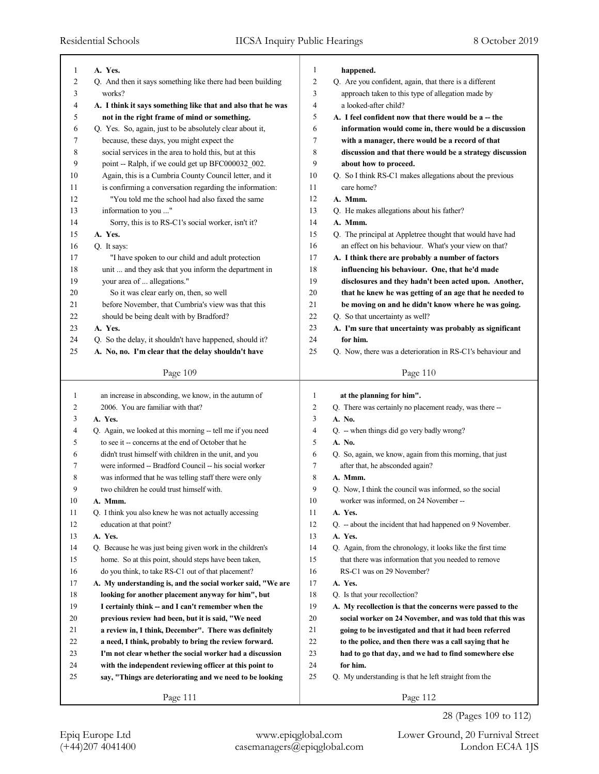| 1      | A. Yes.                                                     | 1              | happened.                                                                            |
|--------|-------------------------------------------------------------|----------------|--------------------------------------------------------------------------------------|
| 2      | Q. And then it says something like there had been building  | $\overline{2}$ | Q. Are you confident, again, that there is a different                               |
| 3      | works?                                                      | 3              | approach taken to this type of allegation made by                                    |
| 4      | A. I think it says something like that and also that he was | 4              | a looked-after child?                                                                |
| 5      | not in the right frame of mind or something.                | 5              | A. I feel confident now that there would be a -- the                                 |
| 6      | Q. Yes. So, again, just to be absolutely clear about it,    | 6              | information would come in, there would be a discussion                               |
| 7      | because, these days, you might expect the                   | 7              | with a manager, there would be a record of that                                      |
| 8      | social services in the area to hold this, but at this       | 8              | discussion and that there would be a strategy discussion                             |
| 9      | point -- Ralph, if we could get up BFC000032 002.           | 9              | about how to proceed.                                                                |
| 10     | Again, this is a Cumbria County Council letter, and it      | 10             | Q. So I think RS-C1 makes allegations about the previous                             |
| 11     | is confirming a conversation regarding the information:     | 11             | care home?                                                                           |
| 12     | "You told me the school had also faxed the same             | 12             | A. Mmm.                                                                              |
| 13     | information to you "                                        | 13             | Q. He makes allegations about his father?                                            |
| 14     | Sorry, this is to RS-C1's social worker, isn't it?          | 14             | A. Mmm.                                                                              |
| 15     | A. Yes.                                                     | 15             | Q. The principal at Appletree thought that would have had                            |
| 16     | Q. It says:                                                 | 16             | an effect on his behaviour. What's your view on that?                                |
| 17     | "I have spoken to our child and adult protection            | 17             | A. I think there are probably a number of factors                                    |
| 18     | unit  and they ask that you inform the department in        | 18             | influencing his behaviour. One, that he'd made                                       |
| 19     | your area of  allegations."                                 | 19             | disclosures and they hadn't been acted upon. Another,                                |
| 20     | So it was clear early on, then, so well                     | 20             | that he knew he was getting of an age that he needed to                              |
| 21     | before November, that Cumbria's view was that this          | 21             | be moving on and he didn't know where he was going.                                  |
| 22     | should be being dealt with by Bradford?                     | 22             | Q. So that uncertainty as well?                                                      |
| 23     | A. Yes.                                                     | 23             | A. I'm sure that uncertainty was probably as significant                             |
| 24     | Q. So the delay, it shouldn't have happened, should it?     | 24             | for him.                                                                             |
| 25     | A. No, no. I'm clear that the delay shouldn't have          | 25             | Q. Now, there was a deterioration in RS-C1's behaviour and                           |
|        |                                                             |                |                                                                                      |
|        | Page 109                                                    |                | Page 110                                                                             |
|        |                                                             |                |                                                                                      |
| 1      | an increase in absconding, we know, in the autumn of        | 1              |                                                                                      |
| 2      | 2006. You are familiar with that?                           | $\overline{c}$ | at the planning for him".<br>Q. There was certainly no placement ready, was there -- |
| 3      | A. Yes.                                                     | 3              | A. No.                                                                               |
| 4      | Q. Again, we looked at this morning -- tell me if you need  | 4              | Q. -- when things did go very badly wrong?                                           |
| 5      | to see it -- concerns at the end of October that he         | 5              | A. No.                                                                               |
| 6      | didn't trust himself with children in the unit, and you     | 6              | Q. So, again, we know, again from this morning, that just                            |
| 7      | were informed -- Bradford Council -- his social worker      | 7              | after that, he absconded again?                                                      |
| 8      | was informed that he was telling staff there were only      | 8              | A. Mmm.                                                                              |
| 9      | two children he could trust himself with.                   | 9              | Q. Now, I think the council was informed, so the social                              |
| $10\,$ | A. Mmm.                                                     | $10\,$         | worker was informed, on 24 November --                                               |
| 11     | Q. I think you also knew he was not actually accessing      | 11             | A. Yes.                                                                              |
| 12     | education at that point?                                    | 12             | Q. -- about the incident that had happened on 9 November.                            |
| 13     | A. Yes.                                                     | 13             | A. Yes.                                                                              |
| 14     | Q. Because he was just being given work in the children's   | 14             | Q. Again, from the chronology, it looks like the first time                          |
| 15     | home. So at this point, should steps have been taken,       | 15             | that there was information that you needed to remove                                 |
| 16     | do you think, to take RS-C1 out of that placement?          | 16             | RS-C1 was on 29 November?                                                            |
| 17     | A. My understanding is, and the social worker said, "We are | 17             | A. Yes.                                                                              |
| 18     | looking for another placement anyway for him", but          | 18             | Q. Is that your recollection?                                                        |
| 19     | I certainly think -- and I can't remember when the          | 19             | A. My recollection is that the concerns were passed to the                           |
| 20     | previous review had been, but it is said, "We need          | 20             | social worker on 24 November, and was told that this was                             |
| 21     | a review in, I think, December". There was definitely       | 21             | going to be investigated and that it had been referred                               |
| 22     | a need, I think, probably to bring the review forward.      | 22             | to the police, and then there was a call saying that he                              |
| 23     | I'm not clear whether the social worker had a discussion    | 23             | had to go that day, and we had to find somewhere else                                |
| 24     | with the independent reviewing officer at this point to     | 24             | for him.                                                                             |
| 25     | say, "Things are deteriorating and we need to be looking    | 25             | Q. My understanding is that he left straight from the                                |

28 (Pages 109 to 112)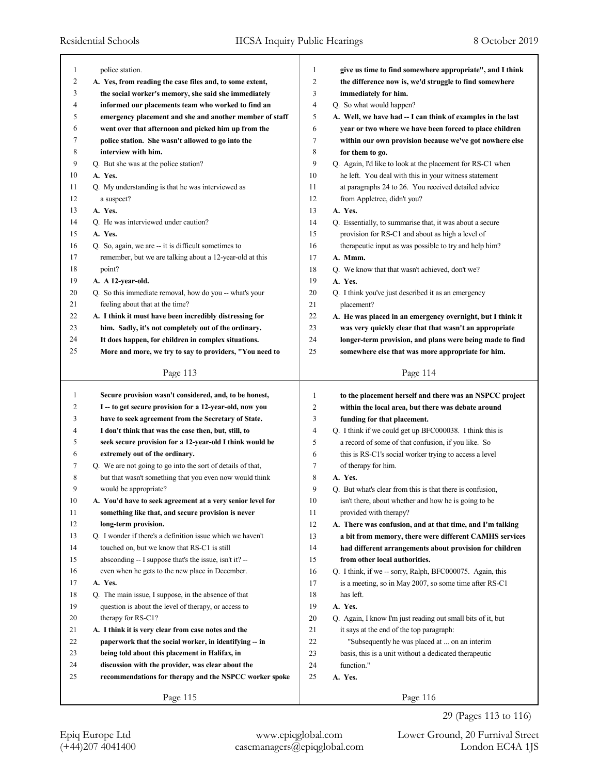| $\mathbf{1}$   | police station.                                             | 1      | give us time to find somewhere appropriate", and I think    |
|----------------|-------------------------------------------------------------|--------|-------------------------------------------------------------|
| $\overline{c}$ | A. Yes, from reading the case files and, to some extent,    | 2      | the difference now is, we'd struggle to find somewhere      |
| 3              | the social worker's memory, she said she immediately        | 3      | immediately for him.                                        |
| 4              | informed our placements team who worked to find an          | 4      | Q. So what would happen?                                    |
| 5              | emergency placement and she and another member of staff     | 5      | A. Well, we have had - I can think of examples in the last  |
| 6              | went over that afternoon and picked him up from the         | 6      | year or two where we have been forced to place children     |
| 7              | police station. She wasn't allowed to go into the           | 7      | within our own provision because we've got nowhere else     |
| 8              | interview with him.                                         | 8      | for them to go.                                             |
| 9              | Q. But she was at the police station?                       | 9      | Q. Again, I'd like to look at the placement for RS-C1 when  |
| 10             | A. Yes.                                                     | 10     | he left. You deal with this in your witness statement       |
| 11             | Q. My understanding is that he was interviewed as           | 11     | at paragraphs 24 to 26. You received detailed advice        |
| 12             | a suspect?                                                  | 12     | from Appletree, didn't you?                                 |
| 13             | A. Yes.                                                     | 13     | A. Yes.                                                     |
| 14             | Q. He was interviewed under caution?                        | 14     | Q. Essentially, to summarise that, it was about a secure    |
| 15             | A. Yes.                                                     | 15     | provision for RS-C1 and about as high a level of            |
| 16             | Q. So, again, we are -- it is difficult sometimes to        | 16     | therapeutic input as was possible to try and help him?      |
| 17             | remember, but we are talking about a 12-year-old at this    | 17     | A. Mmm.                                                     |
| 18             | point?                                                      | 18     | Q. We know that that wasn't achieved, don't we?             |
| 19             | A. A 12-year-old.                                           | 19     | A. Yes.                                                     |
| 20             | Q. So this immediate removal, how do you -- what's your     | 20     | Q. I think you've just described it as an emergency         |
| 21             | feeling about that at the time?                             | 21     | placement?                                                  |
| 22             | A. I think it must have been incredibly distressing for     | 22     | A. He was placed in an emergency overnight, but I think it  |
| 23             | him. Sadly, it's not completely out of the ordinary.        | 23     | was very quickly clear that that wasn't an appropriate      |
| 24             | It does happen, for children in complex situations.         | 24     | longer-term provision, and plans were being made to find    |
| 25             | More and more, we try to say to providers, "You need to     | 25     | somewhere else that was more appropriate for him.           |
|                | Page 113                                                    |        | Page 114                                                    |
|                |                                                             |        |                                                             |
|                |                                                             |        |                                                             |
| $\mathbf{1}$   | Secure provision wasn't considered, and, to be honest,      | 1      | to the placement herself and there was an NSPCC project     |
| $\overline{c}$ | I -- to get secure provision for a 12-year-old, now you     | 2      | within the local area, but there was debate around          |
| 3              | have to seek agreement from the Secretary of State.         | 3      | funding for that placement.                                 |
| 4              | I don't think that was the case then, but, still, to        | 4      | Q. I think if we could get up BFC000038. I think this is    |
| 5              | seek secure provision for a 12-year-old I think would be    | 5      | a record of some of that confusion, if you like. So         |
| 6              | extremely out of the ordinary.                              | 6      | this is RS-C1's social worker trying to access a level      |
| 7              | Q. We are not going to go into the sort of details of that, | 7      | of therapy for him.                                         |
| 8              | but that wasn't something that you even now would think     | 8      | A. Yes.                                                     |
| 9              | would be appropriate?                                       | 9      | Q. But what's clear from this is that there is confusion,   |
| 10             | A. You'd have to seek agreement at a very senior level for  | $10\,$ | isn't there, about whether and how he is going to be        |
| 11             | something like that, and secure provision is never          | 11     | provided with therapy?                                      |
| 12             | long-term provision.                                        | 12     | A. There was confusion, and at that time, and I'm talking   |
| 13             | Q. I wonder if there's a definition issue which we haven't  | 13     | a bit from memory, there were different CAMHS services      |
| 14             | touched on, but we know that RS-C1 is still                 | 14     | had different arrangements about provision for children     |
| 15             | absconding -- I suppose that's the issue, isn't it? --      | 15     | from other local authorities.                               |
| 16             | even when he gets to the new place in December.             | 16     | Q. I think, if we -- sorry, Ralph, BFC000075. Again, this   |
| 17             | A. Yes.                                                     | 17     | is a meeting, so in May 2007, so some time after RS-C1      |
| 18             | Q. The main issue, I suppose, in the absence of that        | 18     | has left.                                                   |
| 19             | question is about the level of therapy, or access to        | 19     | A. Yes.                                                     |
| 20             | therapy for RS-C1?                                          | 20     | Q. Again, I know I'm just reading out small bits of it, but |
| 21             | A. I think it is very clear from case notes and the         | 21     | it says at the end of the top paragraph:                    |
| 22             | paperwork that the social worker, in identifying -- in      | 22     | "Subsequently he was placed at  on an interim               |
| 23             | being told about this placement in Halifax, in              | 23     | basis, this is a unit without a dedicated therapeutic       |
| 24             | discussion with the provider, was clear about the           | 24     | function."                                                  |
| 25             | recommendations for therapy and the NSPCC worker spoke      | 25     | A. Yes.                                                     |

29 (Pages 113 to 116)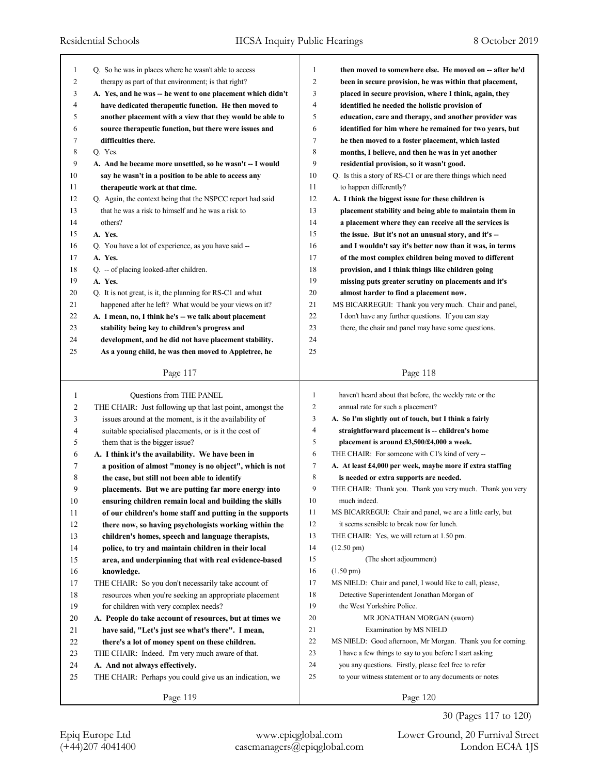| 1  | Q. So he was in places where he wasn't able to access       | $\mathbf{1}$   | then moved to somewhere else. He moved on -- after he'd    |
|----|-------------------------------------------------------------|----------------|------------------------------------------------------------|
| 2  | therapy as part of that environment; is that right?         | $\overline{2}$ | been in secure provision, he was within that placement,    |
| 3  | A. Yes, and he was -- he went to one placement which didn't | 3              | placed in secure provision, where I think, again, they     |
| 4  | have dedicated therapeutic function. He then moved to       | $\overline{4}$ | identified he needed the holistic provision of             |
| 5  | another placement with a view that they would be able to    | 5              | education, care and therapy, and another provider was      |
| 6  | source therapeutic function, but there were issues and      | 6              | identified for him where he remained for two years, but    |
| 7  | difficulties there.                                         | 7              | he then moved to a foster placement, which lasted          |
| 8  | Q. Yes.                                                     | 8              | months, I believe, and then he was in yet another          |
| 9  | A. And he became more unsettled, so he wasn't -- I would    | 9              | residential provision, so it wasn't good.                  |
| 10 | say he wasn't in a position to be able to access any        | 10             | Q. Is this a story of RS-C1 or are there things which need |
| 11 | therapeutic work at that time.                              | 11             | to happen differently?                                     |
| 12 | Q. Again, the context being that the NSPCC report had said  | 12             | A. I think the biggest issue for these children is         |
| 13 | that he was a risk to himself and he was a risk to          | 13             | placement stability and being able to maintain them in     |
| 14 | others?                                                     | 14             | a placement where they can receive all the services is     |
| 15 | A. Yes.                                                     | 15             | the issue. But it's not an unusual story, and it's --      |
| 16 | Q. You have a lot of experience, as you have said --        | 16             | and I wouldn't say it's better now than it was, in terms   |
| 17 | A. Yes.                                                     | 17             | of the most complex children being moved to different      |
| 18 | Q. - of placing looked-after children.                      | 18             | provision, and I think things like children going          |
| 19 | A. Yes.                                                     | 19             | missing puts greater scrutiny on placements and it's       |
| 20 | Q. It is not great, is it, the planning for RS-C1 and what  | 20             | almost harder to find a placement now.                     |
| 21 | happened after he left? What would be your views on it?     | 21             | MS BICARREGUI: Thank you very much. Chair and panel,       |
| 22 | A. I mean, no, I think he's -- we talk about placement      | 22             | I don't have any further questions. If you can stay        |
| 23 | stability being key to children's progress and              | 23             | there, the chair and panel may have some questions.        |
| 24 | development, and he did not have placement stability.       | 24             |                                                            |
| 25 | As a young child, he was then moved to Appletree, he        | 25             |                                                            |
|    |                                                             |                |                                                            |
|    | Page 117                                                    |                | Page 118                                                   |
|    |                                                             |                |                                                            |
| 1  | Questions from THE PANEL                                    | 1              | haven't heard about that before, the weekly rate or the    |
| 2  | THE CHAIR: Just following up that last point, amongst the   | 2              | annual rate for such a placement?                          |
| 3  | issues around at the moment, is it the availability of      | 3              | A. So I'm slightly out of touch, but I think a fairly      |
| 4  | suitable specialised placements, or is it the cost of       | 4              | straightforward placement is -- children's home            |
| 5  | them that is the bigger issue?                              | 5              | placement is around £3,500/£4,000 a week.                  |
| 6  | A. I think it's the availability. We have been in           | 6              | THE CHAIR: For someone with C1's kind of very --           |
| 7  | a position of almost "money is no object", which is not     | 7              | A. At least £4,000 per week, maybe more if extra staffing  |
| 8  | the case, but still not been able to identify               | 8              | is needed or extra supports are needed.                    |
| 9  | placements. But we are putting far more energy into         | 9              | THE CHAIR: Thank you. Thank you very much. Thank you very  |
| 10 | ensuring children remain local and building the skills      | 10             | much indeed.                                               |
| 11 | of our children's home staff and putting in the supports    | 11             | MS BICARREGUI: Chair and panel, we are a little early, but |
| 12 | there now, so having psychologists working within the       | 12             | it seems sensible to break now for lunch.                  |
| 13 | children's homes, speech and language therapists,           | 13             | THE CHAIR: Yes, we will return at 1.50 pm.                 |
| 14 | police, to try and maintain children in their local         | 14             | $(12.50 \text{ pm})$                                       |
| 15 | area, and underpinning that with real evidence-based        | 15             | (The short adjournment)                                    |
| 16 | knowledge.                                                  | 16             | $(1.50 \text{ pm})$                                        |
| 17 | THE CHAIR: So you don't necessarily take account of         | 17             | MS NIELD: Chair and panel, I would like to call, please,   |
| 18 | resources when you're seeking an appropriate placement      | 18             | Detective Superintendent Jonathan Morgan of                |
| 19 | for children with very complex needs?                       | 19             | the West Yorkshire Police.                                 |
| 20 | A. People do take account of resources, but at times we     | 20             | MR JONATHAN MORGAN (sworn)                                 |
|    |                                                             |                |                                                            |
| 21 | have said, "Let's just see what's there". I mean,           | 21             | Examination by MS NIELD                                    |
| 22 | there's a lot of money spent on these children.             | 22             | MS NIELD: Good afternoon, Mr Morgan. Thank you for coming. |
| 23 | THE CHAIR: Indeed. I'm very much aware of that.             | 23             | I have a few things to say to you before I start asking    |
| 24 | A. And not always effectively.                              | 24             | you any questions. Firstly, please feel free to refer      |
| 25 | THE CHAIR: Perhaps you could give us an indication, we      | 25             | to your witness statement or to any documents or notes     |

Page 119

30 (Pages 117 to 120)

Page 120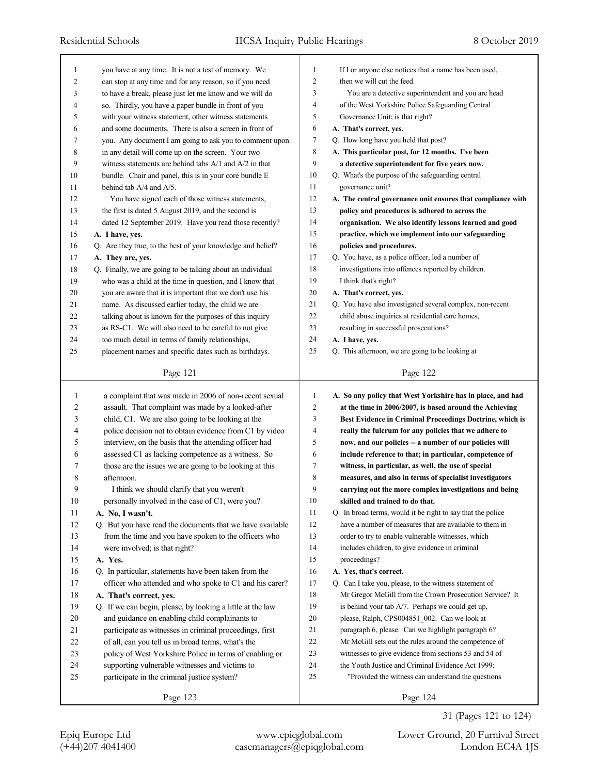| 1              | you have at any time. It is not a test of memory. We        | 1              | If I or anyone else notices that a name has been used,      |
|----------------|-------------------------------------------------------------|----------------|-------------------------------------------------------------|
| $\overline{c}$ | can stop at any time and for any reason, so if you need     | $\overline{2}$ | then we will cut the feed.                                  |
| 3              | to have a break, please just let me know and we will do     | 3              | You are a detective superintendent and you are head         |
| 4              | so. Thirdly, you have a paper bundle in front of you        | $\overline{4}$ | of the West Yorkshire Police Safeguarding Central           |
| 5              | with your witness statement, other witness statements       | 5              | Governance Unit; is that right?                             |
| 6              | and some documents. There is also a screen in front of      | 6              | A. That's correct, yes.                                     |
| 7              | you. Any document I am going to ask you to comment upon     | $\tau$         | Q. How long have you held that post?                        |
| 8              | in any detail will come up on the screen. Your two          | 8              | A. This particular post, for 12 months. I've been           |
| 9              | witness statements are behind tabs $A/1$ and $A/2$ in that  | 9              | a detective superintendent for five years now.              |
| 10             | bundle. Chair and panel, this is in your core bundle E      | 10             | Q. What's the purpose of the safeguarding central           |
| 11             | behind tab A/4 and A/5.                                     | 11             | governance unit?                                            |
| 12             | You have signed each of those witness statements,           | 12             | A. The central governance unit ensures that compliance with |
| 13             | the first is dated 5 August 2019, and the second is         | 13             | policy and procedures is adhered to across the              |
| 14             | dated 12 September 2019. Have you read those recently?      | 14             | organisation. We also identify lessons learned and good     |
| 15             | A. I have, yes.                                             | 15             | practice, which we implement into our safeguarding          |
| 16             | Q. Are they true, to the best of your knowledge and belief? | 16             | policies and procedures.                                    |
| 17             | A. They are, yes.                                           | 17             | Q. You have, as a police officer, led a number of           |
| 18             | Q. Finally, we are going to be talking about an individual  | 18             | investigations into offences reported by children.          |
| 19             | who was a child at the time in question, and I know that    | 19             | I think that's right?                                       |
| 20             | you are aware that it is important that we don't use his    | 20             | A. That's correct, ves.                                     |
| 21             | name. As discussed earlier today, the child we are          | 21             | Q. You have also investigated several complex, non-recent   |
| 22             | talking about is known for the purposes of this inquiry     | 22             | child abuse inquiries at residential care homes,            |
| 23             | as RS-C1. We will also need to be careful to not give       | 23             | resulting in successful prosecutions?                       |
| 24             | too much detail in terms of family relationships,           | 24             | A. I have, yes.                                             |
| 25             | placement names and specific dates such as birthdays.       | 25             | Q. This afternoon, we are going to be looking at            |
|                |                                                             |                |                                                             |
|                | Page 121                                                    |                | Page 122                                                    |
|                |                                                             |                |                                                             |
|                |                                                             |                |                                                             |
| 1              | a complaint that was made in 2006 of non-recent sexual      | $\mathbf{1}$   | A. So any policy that West Yorkshire has in place, and had  |
| 2              | assault. That complaint was made by a looked-after          | $\overline{c}$ | at the time in 2006/2007, is based around the Achieving     |
| 3              | child, C1. We are also going to be looking at the           | 3              | Best Evidence in Criminal Proceedings Doctrine, which is    |
| 4              | police decision not to obtain evidence from C1 by video     | $\overline{4}$ | really the fulcrum for any policies that we adhere to       |
| 5              | interview, on the basis that the attending officer had      | 5              | now, and our policies -- a number of our policies will      |
| 6              | assessed C1 as lacking competence as a witness. So          | 6              | include reference to that; in particular, competence of     |
| 7              | those are the issues we are going to be looking at this     | 7              | witness, in particular, as well, the use of special         |
| 8              | afternoon.                                                  | 8              | measures, and also in terms of specialist investigators     |
| 9              | I think we should clarify that you weren't                  | 9              | carrying out the more complex investigations and being      |
| 10             | personally involved in the case of C1, were you?            | 10             | skilled and trained to do that.                             |
| 11             | A. No, I wasn't.                                            | 11             | Q. In broad terms, would it be right to say that the police |
| 12             | Q. But you have read the documents that we have available   | 12             | have a number of measures that are available to them in     |
| 13             | from the time and you have spoken to the officers who       | 13             | order to try to enable vulnerable witnesses, which          |
| 14             | were involved; is that right?                               | 14             | includes children, to give evidence in criminal             |
| 15             | A. Yes.                                                     | 15             | proceedings?                                                |
| 16             | Q. In particular, statements have been taken from the       | 16             | A. Yes, that's correct.                                     |
| 17             | officer who attended and who spoke to C1 and his carer?     | 17             | Q. Can I take you, please, to the witness statement of      |
| $18\,$         | A. That's correct, yes.                                     | 18             | Mr Gregor McGill from the Crown Prosecution Service? It     |
| 19             | Q. If we can begin, please, by looking a little at the law  | 19             | is behind your tab $A/7$ . Perhaps we could get up,         |
| 20             | and guidance on enabling child complainants to              | 20             | please, Ralph, CPS004851_002. Can we look at                |
| 21             | participate as witnesses in criminal proceedings, first     | 21             | paragraph 6, please. Can we highlight paragraph 6?          |
| 22             | of all, can you tell us in broad terms, what's the          | 22             | Mr McGill sets out the rules around the competence of       |
| 23             | policy of West Yorkshire Police in terms of enabling or     | 23             | witnesses to give evidence from sections 53 and 54 of       |
| 24             | supporting vulnerable witnesses and victims to              | 24             | the Youth Justice and Criminal Evidence Act 1999:           |
| 25             | participate in the criminal justice system?                 | 25             | "Provided the witness can understand the questions"         |
|                | Page 123                                                    |                | Page 124                                                    |

Epiq Europe Ltd www.epiqglobal.com Lower Ground, 20 Furnival Street

31 (Pages 121 to 124)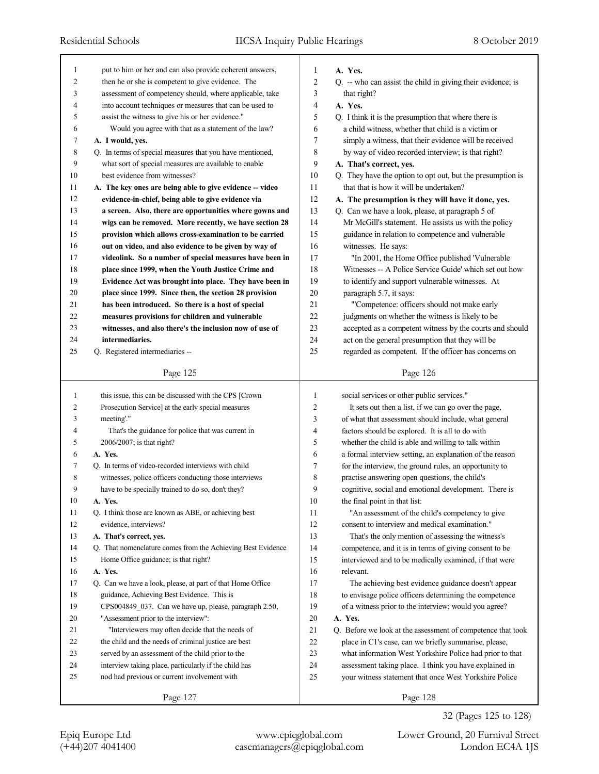| 1  | put to him or her and can also provide coherent answers,    | 1              | A. Yes.                                                     |
|----|-------------------------------------------------------------|----------------|-------------------------------------------------------------|
| 2  | then he or she is competent to give evidence. The           | $\overline{c}$ | Q. -- who can assist the child in giving their evidence; is |
| 3  | assessment of competency should, where applicable, take     | 3              | that right?                                                 |
| 4  | into account techniques or measures that can be used to     | 4              | A. Yes.                                                     |
| 5  | assist the witness to give his or her evidence."            | 5              | Q. I think it is the presumption that where there is        |
| 6  | Would you agree with that as a statement of the law?        | 6              | a child witness, whether that child is a victim or          |
| 7  | A. I would, yes.                                            | $\tau$         | simply a witness, that their evidence will be received      |
| 8  | Q. In terms of special measures that you have mentioned,    | 8              | by way of video recorded interview; is that right?          |
| 9  | what sort of special measures are available to enable       | 9              | A. That's correct, yes.                                     |
| 10 | best evidence from witnesses?                               | 10             | Q. They have the option to opt out, but the presumption is  |
| 11 | A. The key ones are being able to give evidence -- video    | 11             | that that is how it will be undertaken?                     |
| 12 | evidence-in-chief, being able to give evidence via          | 12             | A. The presumption is they will have it done, yes.          |
| 13 | a screen. Also, there are opportunities where gowns and     | 13             | Q. Can we have a look, please, at paragraph 5 of            |
| 14 | wigs can be removed. More recently, we have section 28      | 14             | Mr McGill's statement. He assists us with the policy        |
| 15 | provision which allows cross-examination to be carried      | 15             | guidance in relation to competence and vulnerable           |
| 16 | out on video, and also evidence to be given by way of       | 16             | witnesses. He says:                                         |
| 17 | videolink. So a number of special measures have been in     | 17             | "In 2001, the Home Office published 'Vulnerable             |
| 18 | place since 1999, when the Youth Justice Crime and          | 18             | Witnesses -- A Police Service Guide' which set out how      |
| 19 | Evidence Act was brought into place. They have been in      | 19             | to identify and support vulnerable witnesses. At            |
| 20 | place since 1999. Since then, the section 28 provision      | 20             | paragraph 5.7, it says:                                     |
| 21 | has been introduced. So there is a host of special          | 21             | "Competence: officers should not make early                 |
| 22 | measures provisions for children and vulnerable             | 22             | judgments on whether the witness is likely to be            |
| 23 | witnesses, and also there's the inclusion now of use of     | 23             | accepted as a competent witness by the courts and should    |
| 24 | intermediaries.                                             | 24             | act on the general presumption that they will be            |
| 25 | Q. Registered intermediaries --                             | 25             | regarded as competent. If the officer has concerns on       |
|    |                                                             |                |                                                             |
|    | Page 125                                                    |                | Page 126                                                    |
|    |                                                             |                |                                                             |
|    |                                                             |                |                                                             |
| 1  | this issue, this can be discussed with the CPS [Crown       | 1              | social services or other public services."                  |
| 2  | Prosecution Service] at the early special measures          | 2              | It sets out then a list, if we can go over the page,        |
| 3  | meeting'."                                                  | 3              | of what that assessment should include, what general        |
| 4  | That's the guidance for police that was current in          | 4              | factors should be explored. It is all to do with            |
| 5  | 2006/2007; is that right?                                   | 5              | whether the child is able and willing to talk within        |
| 6  | A. Yes.                                                     | 6              | a formal interview setting, an explanation of the reason    |
| 7  | Q. In terms of video-recorded interviews with child         | 7              | for the interview, the ground rules, an opportunity to      |
| 8  | witnesses, police officers conducting those interviews      | 8              | practise answering open questions, the child's              |
| 9  | have to be specially trained to do so, don't they?          | 9              | cognitive, social and emotional development. There is       |
| 10 | A. Yes.                                                     | 10             | the final point in that list:                               |
| 11 | Q. I think those are known as ABE, or achieving best        | 11             | "An assessment of the child's competency to give            |
| 12 | evidence, interviews?                                       | 12             | consent to interview and medical examination."              |
| 13 | A. That's correct, yes.                                     | 13             | That's the only mention of assessing the witness's          |
| 14 | Q. That nomenclature comes from the Achieving Best Evidence | 14             | competence, and it is in terms of giving consent to be      |
| 15 | Home Office guidance; is that right?                        | 15             | interviewed and to be medically examined, if that were      |
| 16 | A. Yes.                                                     | 16             | relevant.                                                   |
| 17 | Q. Can we have a look, please, at part of that Home Office  | 17             | The achieving best evidence guidance doesn't appear         |
| 18 | guidance, Achieving Best Evidence. This is                  | 18             | to envisage police officers determining the competence      |
| 19 | CPS004849_037. Can we have up, please, paragraph 2.50,      | 19             | of a witness prior to the interview; would you agree?       |
| 20 | "Assessment prior to the interview":                        | 20             | A. Yes.                                                     |
| 21 | "Interviewers may often decide that the needs of            | 21             | Q. Before we look at the assessment of competence that took |
| 22 | the child and the needs of criminal justice are best        | 22             | place in C1's case, can we briefly summarise, please,       |
| 23 | served by an assessment of the child prior to the           | 23             | what information West Yorkshire Police had prior to that    |
| 24 | interview taking place, particularly if the child has       | 24             | assessment taking place. I think you have explained in      |
| 25 | nod had previous or current involvement with                | 25             | your witness statement that once West Yorkshire Police      |

32 (Pages 125 to 128)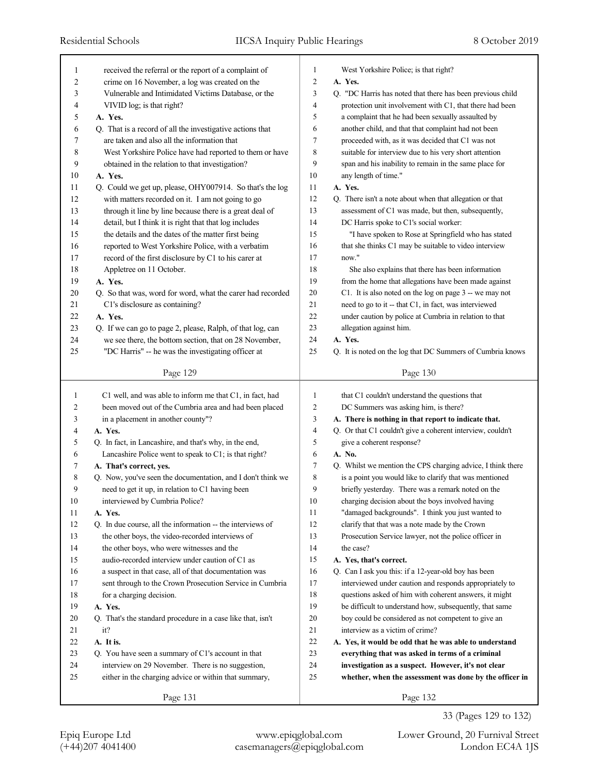| 1  | received the referral or the report of a complaint of       | West Yorkshire Police; is that right?<br>1                                   |
|----|-------------------------------------------------------------|------------------------------------------------------------------------------|
| 2  | crime on 16 November, a log was created on the              | 2<br>A. Yes.                                                                 |
| 3  | Vulnerable and Intimidated Victims Database, or the         | 3<br>Q. "DC Harris has noted that there has been previous child              |
| 4  | VIVID log; is that right?                                   | 4<br>protection unit involvement with C1, that there had been                |
| 5  | A. Yes.                                                     | 5<br>a complaint that he had been sexually assaulted by                      |
| 6  | Q. That is a record of all the investigative actions that   | another child, and that that complaint had not been<br>6                     |
| 7  | are taken and also all the information that                 | 7<br>proceeded with, as it was decided that C1 was not                       |
| 8  | West Yorkshire Police have had reported to them or have     | 8<br>suitable for interview due to his very short attention                  |
| 9  | obtained in the relation to that investigation?             | 9<br>span and his inability to remain in the same place for                  |
| 10 | A. Yes.                                                     | 10<br>any length of time."                                                   |
| 11 | Q. Could we get up, please, OHY007914. So that's the log    | 11<br>A. Yes.                                                                |
| 12 | with matters recorded on it. I am not going to go           | 12<br>Q. There isn't a note about when that allegation or that               |
| 13 | through it line by line because there is a great deal of    | 13<br>assessment of C1 was made, but then, subsequently,                     |
| 14 | detail, but I think it is right that that log includes      | DC Harris spoke to C1's social worker:<br>14                                 |
| 15 | the details and the dates of the matter first being         | 15<br>"I have spoken to Rose at Springfield who has stated                   |
| 16 | reported to West Yorkshire Police, with a verbatim          | 16<br>that she thinks C1 may be suitable to video interview                  |
| 17 | record of the first disclosure by C1 to his carer at        | now."<br>17                                                                  |
| 18 | Appletree on 11 October.                                    | 18<br>She also explains that there has been information                      |
| 19 | A. Yes.                                                     | 19<br>from the home that allegations have been made against                  |
| 20 | Q. So that was, word for word, what the carer had recorded  | C1. It is also noted on the log on page 3 -- we may not<br>20                |
| 21 | C1's disclosure as containing?                              | need to go to it -- that C1, in fact, was interviewed<br>21                  |
| 22 | A. Yes.                                                     | 22<br>under caution by police at Cumbria in relation to that                 |
| 23 | Q. If we can go to page 2, please, Ralph, of that log, can  | allegation against him.<br>23                                                |
| 24 | we see there, the bottom section, that on 28 November,      | 24<br>A. Yes.                                                                |
| 25 | "DC Harris" -- he was the investigating officer at          | 25<br>Q. It is noted on the log that DC Summers of Cumbria knows             |
|    |                                                             |                                                                              |
|    | Page 129                                                    | Page 130                                                                     |
|    |                                                             | that C1 couldn't understand the questions that<br>1                          |
|    |                                                             |                                                                              |
| 1  | C1 well, and was able to inform me that C1, in fact, had    |                                                                              |
| 2  | been moved out of the Cumbria area and had been placed      | 2<br>DC Summers was asking him, is there?                                    |
| 3  | in a placement in another county"?                          | 3<br>A. There is nothing in that report to indicate that.                    |
| 4  | A. Yes.                                                     | $\overline{4}$<br>Q. Or that C1 couldn't give a coherent interview, couldn't |
| 5  | Q. In fact, in Lancashire, and that's why, in the end,      | 5<br>give a coherent response?                                               |
| 6  | Lancashire Police went to speak to C1; is that right?       | 6<br>A. No.                                                                  |
| 7  | A. That's correct, yes.                                     | 7<br>Q. Whilst we mention the CPS charging advice, I think there             |
| 8  | Q. Now, you've seen the documentation, and I don't think we | 8<br>is a point you would like to clarify that was mentioned                 |
| 9  | need to get it up, in relation to C1 having been            | 9<br>briefly yesterday. There was a remark noted on the                      |
| 10 | interviewed by Cumbria Police?                              | 10<br>charging decision about the boys involved having                       |
| 11 | A. Yes.                                                     | 11<br>"damaged backgrounds". I think you just wanted to                      |
| 12 | Q. In due course, all the information -- the interviews of  | 12<br>clarify that that was a note made by the Crown                         |
| 13 | the other boys, the video-recorded interviews of            | 13<br>Prosecution Service lawyer, not the police officer in                  |
| 14 | the other boys, who were witnesses and the                  | 14<br>the case?                                                              |
| 15 | audio-recorded interview under caution of C1 as             | 15<br>A. Yes, that's correct.                                                |
| 16 | a suspect in that case, all of that documentation was       | 16<br>Q. Can I ask you this: if a 12-year-old boy has been                   |
| 17 | sent through to the Crown Prosecution Service in Cumbria    | 17<br>interviewed under caution and responds appropriately to                |
| 18 | for a charging decision.                                    | 18<br>questions asked of him with coherent answers, it might                 |
| 19 | A. Yes.                                                     | 19<br>be difficult to understand how, subsequently, that same                |
| 20 | Q. That's the standard procedure in a case like that, isn't | 20<br>boy could be considered as not competent to give an                    |
| 21 | it?                                                         | 21<br>interview as a victim of crime?                                        |
| 22 | A. It is.                                                   | $22\,$<br>A. Yes, it would be odd that he was able to understand             |
| 23 | Q. You have seen a summary of C1's account in that          | 23<br>everything that was asked in terms of a criminal                       |
| 24 | interview on 29 November. There is no suggestion,           | 24<br>investigation as a suspect. However, it's not clear                    |
| 25 | either in the charging advice or within that summary,       | 25<br>whether, when the assessment was done by the officer in                |
|    | Page 131                                                    | Page 132                                                                     |

(+44)207 4041400 casemanagers@epiqglobal.com London EC4A 1JS Epiq Europe Ltd www.epiqglobal.com Lower Ground, 20 Furnival Street

33 (Pages 129 to 132)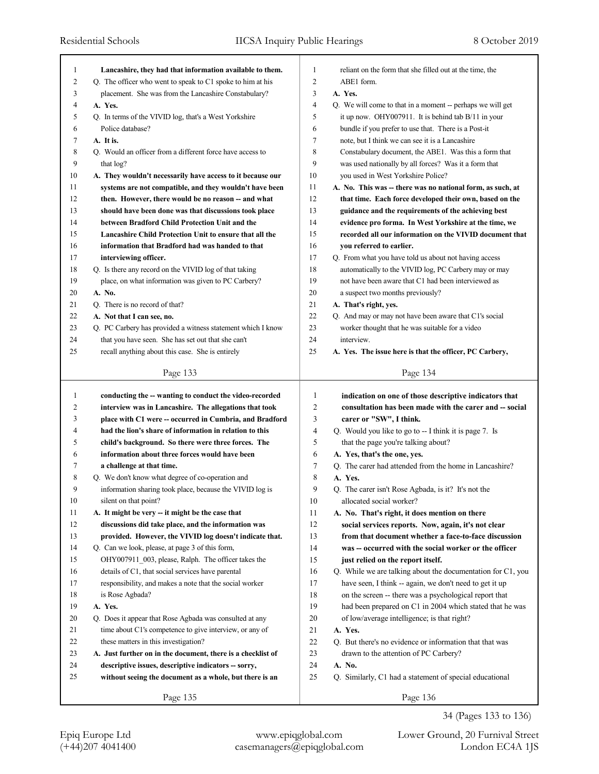| $\mathbf{1}$   | Lancashire, they had that information available to them.    | 1              | reliant on the form that she filled out at the time, the    |
|----------------|-------------------------------------------------------------|----------------|-------------------------------------------------------------|
| $\overline{c}$ | Q. The officer who went to speak to C1 spoke to him at his  | $\overline{c}$ | ABE1 form.                                                  |
| 3              | placement. She was from the Lancashire Constabulary?        | 3              | A. Yes.                                                     |
| 4              | A. Yes.                                                     | $\overline{4}$ | Q. We will come to that in a moment -- perhaps we will get  |
| 5              | Q. In terms of the VIVID log, that's a West Yorkshire       | 5              | it up now. OHY007911. It is behind tab B/11 in your         |
| 6              | Police database?                                            | 6              | bundle if you prefer to use that. There is a Post-it        |
| 7              | A. It is.                                                   | 7              | note, but I think we can see it is a Lancashire             |
| 8              | Q. Would an officer from a different force have access to   | 8              | Constabulary document, the ABE1. Was this a form that       |
| 9              | that log?                                                   | 9              | was used nationally by all forces? Was it a form that       |
| 10             | A. They wouldn't necessarily have access to it because our  | 10             | you used in West Yorkshire Police?                          |
| 11             | systems are not compatible, and they wouldn't have been     | 11             | A. No. This was -- there was no national form, as such, at  |
| 12             | then. However, there would be no reason -- and what         | 12             | that time. Each force developed their own, based on the     |
| 13             | should have been done was that discussions took place       | 13             | guidance and the requirements of the achieving best         |
| 14             | between Bradford Child Protection Unit and the              | 14             | evidence pro forma. In West Yorkshire at the time, we       |
| 15             | Lancashire Child Protection Unit to ensure that all the     | 15             | recorded all our information on the VIVID document that     |
| 16             | information that Bradford had was handed to that            | 16             | you referred to earlier.                                    |
| 17             | interviewing officer.                                       | 17             | Q. From what you have told us about not having access       |
| 18             | Q. Is there any record on the VIVID log of that taking      | 18             | automatically to the VIVID log, PC Carbery may or may       |
| 19             | place, on what information was given to PC Carbery?         | 19             | not have been aware that C1 had been interviewed as         |
| 20             | A. No.                                                      | 20             | a suspect two months previously?                            |
| 21             | Q. There is no record of that?                              | 21             | A. That's right, yes.                                       |
| 22             | A. Not that I can see, no.                                  | 22             | Q. And may or may not have been aware that C1's social      |
| 23             | Q. PC Carbery has provided a witness statement which I know | 23             | worker thought that he was suitable for a video             |
| 24             | that you have seen. She has set out that she can't          | 24             | interview.                                                  |
| 25             | recall anything about this case. She is entirely            | 25             | A. Yes. The issue here is that the officer, PC Carbery,     |
|                |                                                             |                |                                                             |
|                | Page 133                                                    |                | Page 134                                                    |
|                |                                                             |                |                                                             |
|                |                                                             |                |                                                             |
| $\mathbf{1}$   | conducting the -- wanting to conduct the video-recorded     | $\mathbf{1}$   | indication on one of those descriptive indicators that      |
| $\overline{c}$ | interview was in Lancashire. The allegations that took      | 2              | consultation has been made with the carer and -- social     |
| 3              | place with C1 were -- occurred in Cumbria, and Bradford     | 3              | carer or "SW", I think.                                     |
| 4              | had the lion's share of information in relation to this     | $\overline{4}$ | Q. Would you like to go to -- I think it is page 7. Is      |
| 5              | child's background. So there were three forces. The         | 5              | that the page you're talking about?                         |
| 6              | information about three forces would have been              | 6              | A. Yes, that's the one, yes.                                |
| 7              | a challenge at that time.                                   | 7              | Q. The carer had attended from the home in Lancashire?      |
| 8              | Q. We don't know what degree of co-operation and            | 8              | A. Yes.                                                     |
| 9              | information sharing took place, because the VIVID log is    | 9              | Q. The carer isn't Rose Agbada, is it? It's not the         |
| 10             | silent on that point?                                       | 10             | allocated social worker?                                    |
| 11             | A. It might be very - it might be the case that             | 11             | A. No. That's right, it does mention on there               |
| 12             | discussions did take place, and the information was         | 12             | social services reports. Now, again, it's not clear         |
| 13             | provided. However, the VIVID log doesn't indicate that.     | 13             | from that document whether a face-to-face discussion        |
| 14             | Q. Can we look, please, at page 3 of this form,             | 14             | was -- occurred with the social worker or the officer       |
| 15             | OHY007911 003, please, Ralph. The officer takes the         | 15             | just relied on the report itself.                           |
| 16             | details of C1, that social services have parental           | 16             | Q. While we are talking about the documentation for C1, you |
| 17             | responsibility, and makes a note that the social worker     | 17             | have seen, I think -- again, we don't need to get it up     |
| 18             | is Rose Agbada?                                             | 18             | on the screen -- there was a psychological report that      |
| 19             | A. Yes.                                                     | 19             | had been prepared on C1 in 2004 which stated that he was    |
| 20             | Q. Does it appear that Rose Agbada was consulted at any     | 20             | of low/average intelligence; is that right?                 |
| 21             | time about C1's competence to give interview, or any of     | 21             | A. Yes.                                                     |
| 22             | these matters in this investigation?                        | 22             | Q. But there's no evidence or information that that was     |
| 23             | A. Just further on in the document, there is a checklist of | 23             | drawn to the attention of PC Carbery?                       |
| 24             | descriptive issues, descriptive indicators -- sorry,        | 24             | A. No.                                                      |
| 25             | without seeing the document as a whole, but there is an     | 25             | Q. Similarly, C1 had a statement of special educational     |
|                | Page 135                                                    |                | Page 136                                                    |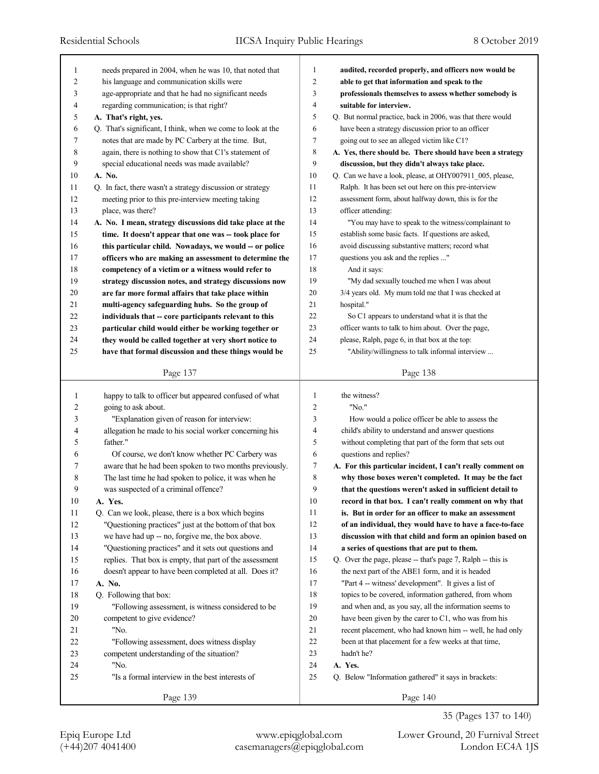| 1      | needs prepared in 2004, when he was 10, that noted that     | 1  | audited, recorded properly, and officers now would be       |
|--------|-------------------------------------------------------------|----|-------------------------------------------------------------|
| 2      | his language and communication skills were                  | 2  | able to get that information and speak to the               |
| 3      | age-appropriate and that he had no significant needs        | 3  | professionals themselves to assess whether somebody is      |
| 4      | regarding communication; is that right?                     | 4  | suitable for interview.                                     |
| 5      | A. That's right, yes.                                       | 5  | Q. But normal practice, back in 2006, was that there would  |
| 6      | Q. That's significant, I think, when we come to look at the | 6  | have been a strategy discussion prior to an officer         |
| 7      | notes that are made by PC Carbery at the time. But,         | 7  | going out to see an alleged victim like C1?                 |
| 8      | again, there is nothing to show that C1's statement of      | 8  | A. Yes, there should be. There should have been a strategy  |
| 9      | special educational needs was made available?               | 9  | discussion, but they didn't always take place.              |
| 10     | A. No.                                                      | 10 | Q. Can we have a look, please, at OHY007911_005, please,    |
| 11     | Q. In fact, there wasn't a strategy discussion or strategy  | 11 | Ralph. It has been set out here on this pre-interview       |
| 12     | meeting prior to this pre-interview meeting taking          | 12 | assessment form, about halfway down, this is for the        |
| 13     | place, was there?                                           | 13 | officer attending:                                          |
| 14     | A. No. I mean, strategy discussions did take place at the   | 14 | "You may have to speak to the witness/complainant to        |
| 15     | time. It doesn't appear that one was -- took place for      | 15 | establish some basic facts. If questions are asked,         |
| 16     | this particular child. Nowadays, we would -- or police      | 16 | avoid discussing substantive matters; record what           |
| 17     | officers who are making an assessment to determine the      | 17 | questions you ask and the replies "                         |
| 18     | competency of a victim or a witness would refer to          | 18 | And it says:                                                |
| 19     | strategy discussion notes, and strategy discussions now     | 19 | "My dad sexually touched me when I was about                |
| 20     | are far more formal affairs that take place within          | 20 | 3/4 years old. My mum told me that I was checked at         |
| 21     | multi-agency safeguarding hubs. So the group of             | 21 | hospital."                                                  |
| 22     | individuals that -- core participants relevant to this      | 22 | So C1 appears to understand what it is that the             |
| 23     | particular child would either be working together or        | 23 | officer wants to talk to him about. Over the page,          |
| 24     | they would be called together at very short notice to       | 24 | please, Ralph, page 6, in that box at the top:              |
| 25     | have that formal discussion and these things would be       | 25 | "Ability/willingness to talk informal interview             |
|        |                                                             |    |                                                             |
|        | Page 137                                                    |    |                                                             |
|        |                                                             |    | Page 138                                                    |
|        |                                                             |    |                                                             |
| 1      | happy to talk to officer but appeared confused of what      | 1  | the witness?                                                |
| 2      | going to ask about.                                         | 2  | "No."                                                       |
| 3      | "Explanation given of reason for interview:                 | 3  | How would a police officer be able to assess the            |
| 4      | allegation he made to his social worker concerning his      | 4  | child's ability to understand and answer questions          |
| 5      | father."                                                    | 5  | without completing that part of the form that sets out      |
| 6      | Of course, we don't know whether PC Carbery was             | 6  | questions and replies?                                      |
| 7      | aware that he had been spoken to two months previously.     | 7  | A. For this particular incident, I can't really comment on  |
| 8      | The last time he had spoken to police, it was when he       | 8  | why those boxes weren't completed. It may be the fact       |
| 9      | was suspected of a criminal offence?                        | 9  | that the questions weren't asked in sufficient detail to    |
| 10     | A. Yes.                                                     | 10 | record in that box. I can't really comment on why that      |
| 11     | Q. Can we look, please, there is a box which begins         | 11 | is. But in order for an officer to make an assessment       |
| 12     | "Questioning practices" just at the bottom of that box      | 12 | of an individual, they would have to have a face-to-face    |
| 13     | we have had up -- no, forgive me, the box above.            | 13 | discussion with that child and form an opinion based on     |
| 14     | "Questioning practices" and it sets out questions and       | 14 | a series of questions that are put to them.                 |
| 15     | replies. That box is empty, that part of the assessment     | 15 | Q. Over the page, please -- that's page 7, Ralph -- this is |
| 16     | doesn't appear to have been completed at all. Does it?      | 16 | the next part of the ABE1 form, and it is headed            |
| $17\,$ | A. No.                                                      | 17 | "Part 4 -- witness' development". It gives a list of        |
| 18     | Q. Following that box:                                      | 18 | topics to be covered, information gathered, from whom       |
| 19     | "Following assessment, is witness considered to be          | 19 | and when and, as you say, all the information seems to      |
| 20     | competent to give evidence?                                 | 20 | have been given by the carer to C1, who was from his        |
| 21     | "No.                                                        | 21 | recent placement, who had known him -- well, he had only    |
| $22\,$ | "Following assessment, does witness display                 | 22 | been at that placement for a few weeks at that time,        |
| 23     | competent understanding of the situation?                   | 23 | hadn't he?                                                  |
| 24     | "No.                                                        | 24 | A. Yes.                                                     |
| 25     | "Is a formal interview in the best interests of             | 25 | Q. Below "Information gathered" it says in brackets:        |

35 (Pages 137 to 140)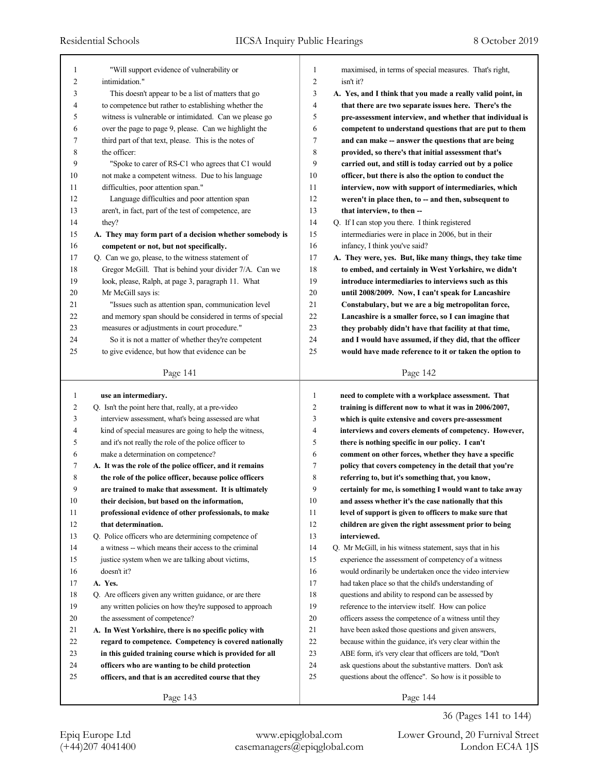| $\mathbf{1}$   | "Will support evidence of vulnerability or               | $\mathbf{1}$   | maximised, in terms of special measures. That's right,     |
|----------------|----------------------------------------------------------|----------------|------------------------------------------------------------|
| 2              | intimidation."                                           | $\overline{2}$ | isn't it?                                                  |
| 3              | This doesn't appear to be a list of matters that go      | 3              | A. Yes, and I think that you made a really valid point, in |
| 4              | to competence but rather to establishing whether the     | $\overline{4}$ | that there are two separate issues here. There's the       |
| 5              | witness is vulnerable or intimidated. Can we please go   | 5              | pre-assessment interview, and whether that individual is   |
| 6              | over the page to page 9, please. Can we highlight the    | 6              | competent to understand questions that are put to them     |
| 7              | third part of that text, please. This is the notes of    | 7              | and can make -- answer the questions that are being        |
| 8              | the officer:                                             | 8              | provided, so there's that initial assessment that's        |
| 9              | "Spoke to carer of RS-C1 who agrees that C1 would        | 9              | carried out, and still is today carried out by a police    |
| 10             | not make a competent witness. Due to his language        | 10             | officer, but there is also the option to conduct the       |
| 11             | difficulties, poor attention span."                      | 11             | interview, now with support of intermediaries, which       |
| 12             | Language difficulties and poor attention span            | 12             | weren't in place then, to -- and then, subsequent to       |
| 13             | aren't, in fact, part of the test of competence, are     | 13             | that interview, to then --                                 |
| 14             | they?                                                    | 14             | Q. If I can stop you there. I think registered             |
| 15             | A. They may form part of a decision whether somebody is  | 15             | intermediaries were in place in 2006, but in their         |
| 16             | competent or not, but not specifically.                  | 16             | infancy, I think you've said?                              |
| 17             | Q. Can we go, please, to the witness statement of        | 17             | A. They were, yes. But, like many things, they take time   |
| 18             | Gregor McGill. That is behind your divider 7/A. Can we   | 18             | to embed, and certainly in West Yorkshire, we didn't       |
| 19             | look, please, Ralph, at page 3, paragraph 11. What       | 19             | introduce intermediaries to interviews such as this        |
| 20             | Mr McGill says is:                                       | 20             | until 2008/2009. Now, I can't speak for Lancashire         |
| 21             | "Issues such as attention span, communication level      | 21             | Constabulary, but we are a big metropolitan force,         |
| 22             | and memory span should be considered in terms of special | 22             | Lancashire is a smaller force, so I can imagine that       |
| 23             | measures or adjustments in court procedure."             | 23             | they probably didn't have that facility at that time,      |
| 24             | So it is not a matter of whether they're competent       | 24             | and I would have assumed, if they did, that the officer    |
| 25             | to give evidence, but how that evidence can be           | 25             | would have made reference to it or taken the option to     |
|                |                                                          |                |                                                            |
|                |                                                          |                |                                                            |
|                | Page 141                                                 |                | Page 142                                                   |
|                |                                                          |                |                                                            |
| $\mathbf{1}$   | use an intermediary.                                     | 1              | need to complete with a workplace assessment. That         |
| $\overline{c}$ | Q. Isn't the point here that, really, at a pre-video     | $\overline{2}$ | training is different now to what it was in 2006/2007,     |
| 3              | interview assessment, what's being assessed are what     | 3              | which is quite extensive and covers pre-assessment         |
| 4              | kind of special measures are going to help the witness,  | 4              | interviews and covers elements of competency. However,     |
| 5              | and it's not really the role of the police officer to    | 5              | there is nothing specific in our policy. I can't           |
| 6              | make a determination on competence?                      | 6              | comment on other forces, whether they have a specific      |
| 7              | A. It was the role of the police officer, and it remains | 7              | policy that covers competency in the detail that you're    |
| 8              | the role of the police officer, because police officers  | 8              | referring to, but it's something that, you know,           |
| 9              | are trained to make that assessment. It is ultimately    | 9              | certainly for me, is something I would want to take away   |
| $10\,$         | their decision, but based on the information,            | $10\,$         | and assess whether it's the case nationally that this      |
| 11             | professional evidence of other professionals, to make    | 11             | level of support is given to officers to make sure that    |
| 12             | that determination.                                      | 12             | children are given the right assessment prior to being     |
| 13             | Q. Police officers who are determining competence of     | 13             | interviewed.                                               |
| 14             | a witness -- which means their access to the criminal    | 14             | Q. Mr McGill, in his witness statement, says that in his   |
| 15             | justice system when we are talking about victims,        | 15             | experience the assessment of competency of a witness       |
| 16             | doesn't it?                                              | 16             | would ordinarily be undertaken once the video interview    |
| 17             | A. Yes.                                                  | 17             | had taken place so that the child's understanding of       |
| 18             | Q. Are officers given any written guidance, or are there | 18             | questions and ability to respond can be assessed by        |
| 19             | any written policies on how they're supposed to approach | 19             | reference to the interview itself. How can police          |
| 20             | the assessment of competence?                            | 20             | officers assess the competence of a witness until they     |
| 21             | A. In West Yorkshire, there is no specific policy with   | 21             | have been asked those questions and given answers,         |
| 22             | regard to competence. Competency is covered nationally   | $22\,$         | because within the guidance, it's very clear within the    |
| 23             | in this guided training course which is provided for all | 23             | ABE form, it's very clear that officers are told, "Don't   |
| 24             | officers who are wanting to be child protection          | 24             | ask questions about the substantive matters. Don't ask     |
| 25             | officers, and that is an accredited course that they     | 25             | questions about the offence". So how is it possible to     |

36 (Pages 141 to 144)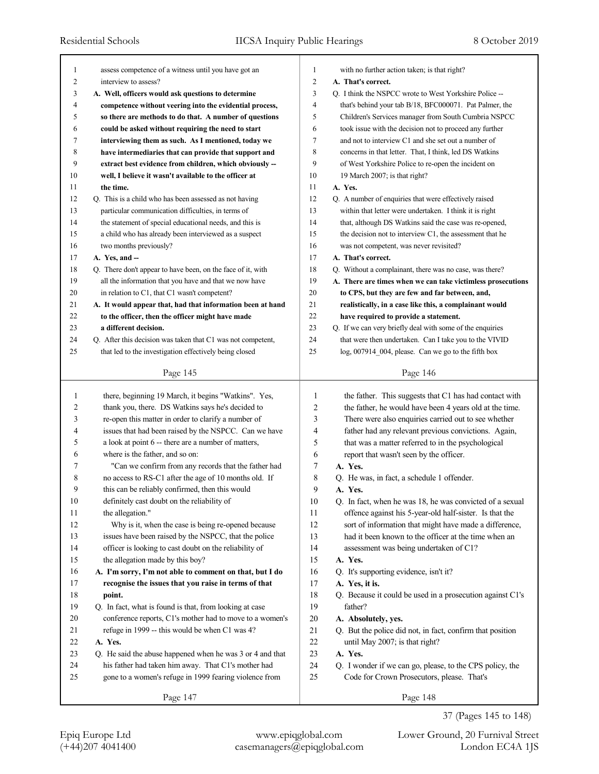| 1      | assess competence of a witness until you have got an                                                     | 1      | with no further action taken; is that right?                |
|--------|----------------------------------------------------------------------------------------------------------|--------|-------------------------------------------------------------|
| 2      | interview to assess?                                                                                     | 2      | A. That's correct.                                          |
| 3      | A. Well, officers would ask questions to determine                                                       | 3      | Q. I think the NSPCC wrote to West Yorkshire Police --      |
| 4      | competence without veering into the evidential process,                                                  | 4      | that's behind your tab B/18, BFC000071. Pat Palmer, the     |
| 5      | so there are methods to do that. A number of questions                                                   | 5      | Children's Services manager from South Cumbria NSPCC        |
| 6      | could be asked without requiring the need to start                                                       | 6      | took issue with the decision not to proceed any further     |
| 7      | interviewing them as such. As I mentioned, today we                                                      | 7      | and not to interview C1 and she set out a number of         |
| 8      | have intermediaries that can provide that support and                                                    | 8      | concerns in that letter. That, I think, led DS Watkins      |
| 9      | extract best evidence from children, which obviously --                                                  | 9      | of West Yorkshire Police to re-open the incident on         |
| 10     | well, I believe it wasn't available to the officer at                                                    | 10     | 19 March 2007; is that right?                               |
| 11     | the time.                                                                                                | 11     | A. Yes.                                                     |
| 12     | Q. This is a child who has been assessed as not having                                                   | 12     | Q. A number of enquiries that were effectively raised       |
| 13     | particular communication difficulties, in terms of                                                       | 13     | within that letter were undertaken. I think it is right     |
| 14     | the statement of special educational needs, and this is                                                  | 14     | that, although DS Watkins said the case was re-opened,      |
| 15     | a child who has already been interviewed as a suspect                                                    | 15     | the decision not to interview C1, the assessment that he    |
| 16     | two months previously?                                                                                   | 16     | was not competent, was never revisited?                     |
| 17     | A. Yes, and --                                                                                           | 17     | A. That's correct.                                          |
| 18     | Q. There don't appear to have been, on the face of it, with                                              | 18     | Q. Without a complainant, there was no case, was there?     |
| 19     | all the information that you have and that we now have                                                   | 19     | A. There are times when we can take victimless prosecutions |
| 20     | in relation to C1, that C1 wasn't competent?                                                             | 20     | to CPS, but they are few and far between, and,              |
| 21     | A. It would appear that, had that information been at hand                                               | 21     | realistically, in a case like this, a complainant would     |
| 22     | to the officer, then the officer might have made                                                         | 22     | have required to provide a statement.                       |
| 23     | a different decision.                                                                                    | 23     | Q. If we can very briefly deal with some of the enquiries   |
| 24     | Q. After this decision was taken that C1 was not competent,                                              | 24     | that were then undertaken. Can I take you to the VIVID      |
| 25     | that led to the investigation effectively being closed                                                   | 25     | log, 007914_004, please. Can we go to the fifth box         |
|        |                                                                                                          |        |                                                             |
|        | Page 145                                                                                                 |        | Page 146                                                    |
| 1      | there, beginning 19 March, it begins "Watkins". Yes,                                                     | 1      | the father. This suggests that C1 has had contact with      |
| 2      | thank you, there. DS Watkins says he's decided to                                                        | 2      | the father, he would have been 4 years old at the time.     |
| 3      | re-open this matter in order to clarify a number of                                                      | 3      | There were also enquiries carried out to see whether        |
| 4      | issues that had been raised by the NSPCC. Can we have                                                    | 4      |                                                             |
| 5      | a look at point 6 -- there are a number of matters,                                                      | 5      | father had any relevant previous convictions. Again,        |
| 6      | where is the father, and so on:                                                                          | 6      | that was a matter referred to in the psychological          |
| 7      | "Can we confirm from any records that the father had                                                     | 7      | report that wasn't seen by the officer.<br>A. Yes.          |
| 8      |                                                                                                          |        |                                                             |
| 9      | no access to RS-C1 after the age of 10 months old. If<br>this can be reliably confirmed, then this would | 8<br>9 | Q. He was, in fact, a schedule 1 offender.                  |
|        |                                                                                                          |        | A. Yes.                                                     |
| $10\,$ | definitely cast doubt on the reliability of                                                              | $10\,$ | Q. In fact, when he was 18, he was convicted of a sexual    |
| 11     | the allegation."                                                                                         | 11     | offence against his 5-year-old half-sister. Is that the     |
| $12\,$ | Why is it, when the case is being re-opened because                                                      | 12     | sort of information that might have made a difference,      |
| 13     | issues have been raised by the NSPCC, that the police                                                    | 13     | had it been known to the officer at the time when an        |
| 14     | officer is looking to cast doubt on the reliability of                                                   | 14     | assessment was being undertaken of C1?                      |
| 15     | the allegation made by this boy?                                                                         | 15     | A. Yes.                                                     |
| 16     | A. I'm sorry, I'm not able to comment on that, but I do                                                  | 16     | Q. It's supporting evidence, isn't it?                      |
| 17     | recognise the issues that you raise in terms of that                                                     | 17     | A. Yes, it is.                                              |
| 18     | point.                                                                                                   | 18     | Q. Because it could be used in a prosecution against C1's   |
| 19     | Q. In fact, what is found is that, from looking at case                                                  | 19     | father?                                                     |
| 20     | conference reports, C1's mother had to move to a women's                                                 | 20     | A. Absolutely, yes.                                         |
| 21     | refuge in 1999 -- this would be when C1 was 4?                                                           | 21     | Q. But the police did not, in fact, confirm that position   |
| 22     | A. Yes.                                                                                                  | 22     | until May 2007; is that right?                              |
| 23     | Q. He said the abuse happened when he was 3 or 4 and that                                                | 23     | A. Yes.                                                     |
| 24     | his father had taken him away. That C1's mother had                                                      | 24     | Q. I wonder if we can go, please, to the CPS policy, the    |
| 25     | gone to a women's refuge in 1999 fearing violence from                                                   | 25     | Code for Crown Prosecutors, please. That's                  |
|        |                                                                                                          |        |                                                             |
|        | Page 147                                                                                                 |        | Page 148                                                    |

37 (Pages 145 to 148)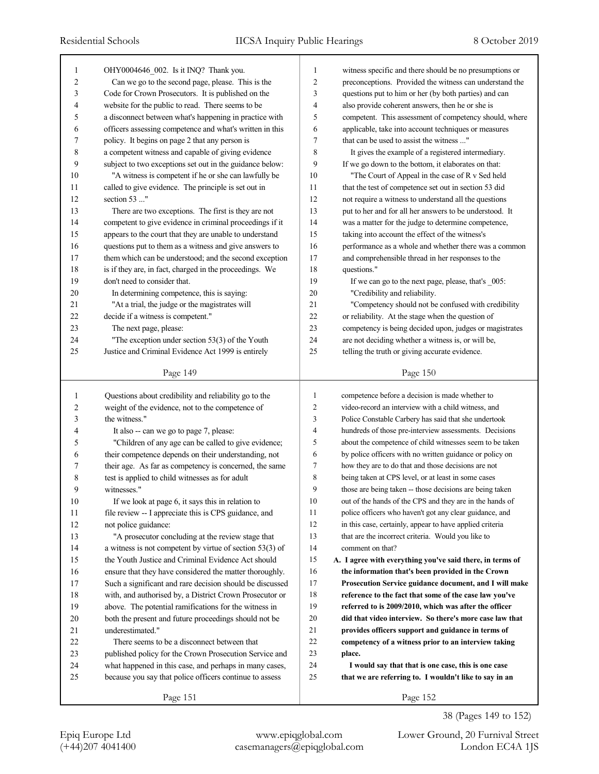| 1      | OHY0004646_002. Is it INQ? Thank you.                      | 1              | witness specific and there should be no presumptions or   |
|--------|------------------------------------------------------------|----------------|-----------------------------------------------------------|
| 2      | Can we go to the second page, please. This is the          | 2              | preconceptions. Provided the witness can understand the   |
| 3      | Code for Crown Prosecutors. It is published on the         | 3              | questions put to him or her (by both parties) and can     |
| 4      | website for the public to read. There seems to be          | 4              | also provide coherent answers, then he or she is          |
| 5      | a disconnect between what's happening in practice with     | 5              | competent. This assessment of competency should, where    |
| 6      | officers assessing competence and what's written in this   | 6              | applicable, take into account techniques or measures      |
| 7      | policy. It begins on page 2 that any person is             | 7              | that can be used to assist the witness "                  |
| 8      | a competent witness and capable of giving evidence         | 8              | It gives the example of a registered intermediary.        |
| 9      | subject to two exceptions set out in the guidance below:   | 9              | If we go down to the bottom, it elaborates on that:       |
| 10     | "A witness is competent if he or she can lawfully be       | 10             | "The Court of Appeal in the case of R v Sed held          |
| 11     | called to give evidence. The principle is set out in       | 11             | that the test of competence set out in section 53 did     |
| 12     | section 53 "                                               | 12             | not require a witness to understand all the questions     |
| 13     | There are two exceptions. The first is they are not        | 13             | put to her and for all her answers to be understood. It   |
| 14     | competent to give evidence in criminal proceedings if it   | 14             | was a matter for the judge to determine competence,       |
| 15     | appears to the court that they are unable to understand    | 15             | taking into account the effect of the witness's           |
| 16     | questions put to them as a witness and give answers to     | 16             | performance as a whole and whether there was a common     |
| 17     | them which can be understood; and the second exception     | 17             | and comprehensible thread in her responses to the         |
| 18     | is if they are, in fact, charged in the proceedings. We    | 18             | questions."                                               |
| 19     | don't need to consider that.                               | 19             | If we can go to the next page, please, that's _005:       |
| 20     | In determining competence, this is saying:                 | 20             | "Credibility and reliability.                             |
| 21     | "At a trial, the judge or the magistrates will             | 21             | "Competency should not be confused with credibility       |
| 22     | decide if a witness is competent."                         | 22             | or reliability. At the stage when the question of         |
| 23     | The next page, please:                                     | 23             | competency is being decided upon, judges or magistrates   |
| 24     | "The exception under section 53(3) of the Youth            | 24             | are not deciding whether a witness is, or will be,        |
| 25     | Justice and Criminal Evidence Act 1999 is entirely         | 25             | telling the truth or giving accurate evidence.            |
|        | Page 149                                                   |                | Page 150                                                  |
|        |                                                            |                |                                                           |
|        |                                                            |                |                                                           |
| 1      | Questions about credibility and reliability go to the      | 1              | competence before a decision is made whether to           |
| 2      | weight of the evidence, not to the competence of           | $\overline{2}$ | video-record an interview with a child witness, and       |
| 3      | the witness."                                              | 3              | Police Constable Carbery has said that she undertook      |
| 4      | It also -- can we go to page 7, please:                    | 4              | hundreds of those pre-interview assessments. Decisions    |
| 5      | "Children of any age can be called to give evidence;       | 5              | about the competence of child witnesses seem to be taken  |
| 6      | their competence depends on their understanding, not       | 6              | by police officers with no written guidance or policy on  |
| 7      | their age. As far as competency is concerned, the same     | 7              | how they are to do that and those decisions are not       |
| 8      | test is applied to child witnesses as for adult            | 8              | being taken at CPS level, or at least in some cases       |
| 9      | witnesses."                                                | 9              | those are being taken -- those decisions are being taken  |
| 10     | If we look at page 6, it says this in relation to          | 10             | out of the hands of the CPS and they are in the hands of  |
| 11     | file review -- I appreciate this is CPS guidance, and      | 11             | police officers who haven't got any clear guidance, and   |
| 12     | not police guidance:                                       | 12             | in this case, certainly, appear to have applied criteria  |
| 13     | "A prosecutor concluding at the review stage that          | 13             | that are the incorrect criteria. Would you like to        |
| 14     | a witness is not competent by virtue of section $53(3)$ of | 14             | comment on that?                                          |
| 15     | the Youth Justice and Criminal Evidence Act should         | 15             | A. I agree with everything you've said there, in terms of |
| 16     | ensure that they have considered the matter thoroughly.    | 16             | the information that's been provided in the Crown         |
| 17     | Such a significant and rare decision should be discussed   | 17             | Prosecution Service guidance document, and I will make    |
| 18     | with, and authorised by, a District Crown Prosecutor or    | 18             | reference to the fact that some of the case law you've    |
| 19     | above. The potential ramifications for the witness in      | 19             | referred to is 2009/2010, which was after the officer     |
| 20     | both the present and future proceedings should not be      | 20             | did that video interview. So there's more case law that   |
| 21     | underestimated."                                           | 21             | provides officers support and guidance in terms of        |
| $22\,$ | There seems to be a disconnect between that                | 22             | competency of a witness prior to an interview taking      |
| 23     | published policy for the Crown Prosecution Service and     | 23             | place.                                                    |
| 24     | what happened in this case, and perhaps in many cases,     | 24             | I would say that that is one case, this is one case       |
| 25     | because you say that police officers continue to assess    | 25             | that we are referring to. I wouldn't like to say in an    |
|        | Page 151                                                   |                | Page 152                                                  |

Epiq Europe Ltd www.epiqglobal.com Lower Ground, 20 Furnival Street

38 (Pages 149 to 152)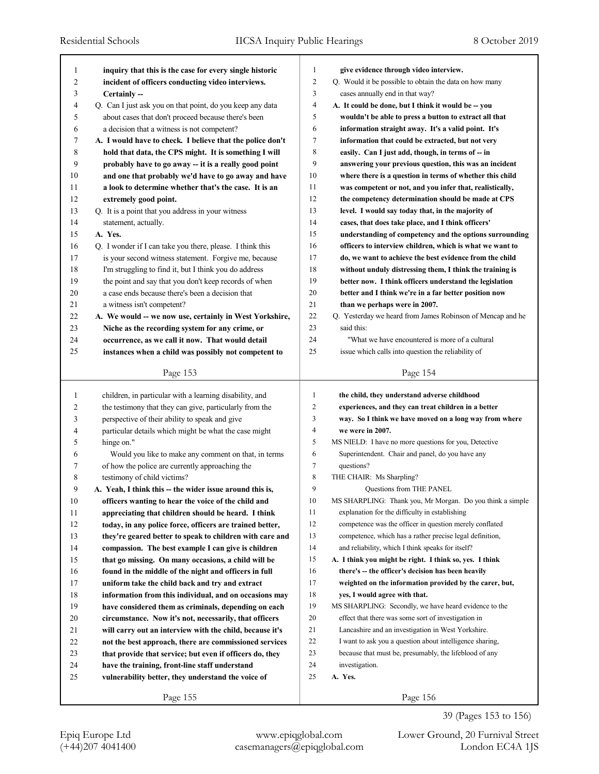| 1              | inquiry that this is the case for every single historic   | 1              | give evidence through video interview.                     |
|----------------|-----------------------------------------------------------|----------------|------------------------------------------------------------|
| $\overline{c}$ | incident of officers conducting video interviews.         | $\sqrt{2}$     | Q. Would it be possible to obtain the data on how many     |
| 3              | Certainly --                                              | 3              | cases annually end in that way?                            |
| 4              | Q. Can I just ask you on that point, do you keep any data | $\overline{4}$ | A. It could be done, but I think it would be -- you        |
| 5              | about cases that don't proceed because there's been       | 5              | wouldn't be able to press a button to extract all that     |
| 6              | a decision that a witness is not competent?               | 6              | information straight away. It's a valid point. It's        |
| 7              | A. I would have to check. I believe that the police don't | $\overline{7}$ | information that could be extracted, but not very          |
| 8              | hold that data, the CPS might. It is something I will     | 8              | easily. Can I just add, though, in terms of -- in          |
| 9              | probably have to go away -- it is a really good point     | 9              | answering your previous question, this was an incident     |
| 10             | and one that probably we'd have to go away and have       | 10             | where there is a question in terms of whether this child   |
| 11             | a look to determine whether that's the case. It is an     | 11             | was competent or not, and you infer that, realistically,   |
| 12             | extremely good point.                                     | 12             | the competency determination should be made at CPS         |
| 13             | Q. It is a point that you address in your witness         | 13             | level. I would say today that, in the majority of          |
| 14             | statement, actually.                                      | 14             | cases, that does take place, and I think officers'         |
| 15             | A. Yes.                                                   | 15             | understanding of competency and the options surrounding    |
| 16             | Q. I wonder if I can take you there, please. I think this | 16             | officers to interview children, which is what we want to   |
| 17             | is your second witness statement. Forgive me, because     | 17             | do, we want to achieve the best evidence from the child    |
| 18             | I'm struggling to find it, but I think you do address     | 18             | without unduly distressing them, I think the training is   |
| 19             | the point and say that you don't keep records of when     | 19             | better now. I think officers understand the legislation    |
| 20             | a case ends because there's been a decision that          | 20             | better and I think we're in a far better position now      |
| 21             | a witness isn't competent?                                | 21             | than we perhaps were in 2007.                              |
| $22\,$         | A. We would -- we now use, certainly in West Yorkshire,   | 22             | Q. Yesterday we heard from James Robinson of Mencap and he |
| 23             | Niche as the recording system for any crime, or           | 23             | said this:                                                 |
| 24             | occurrence, as we call it now. That would detail          | 24             | "What we have encountered is more of a cultural"           |
| 25             | instances when a child was possibly not competent to      | 25             | issue which calls into question the reliability of         |
|                |                                                           |                |                                                            |
|                | Page 153                                                  |                | Page 154                                                   |
|                |                                                           |                |                                                            |
|                |                                                           |                |                                                            |
| $\mathbf{1}$   | children, in particular with a learning disability, and   | $\mathbf{1}$   | the child, they understand adverse childhood               |
| 2              | the testimony that they can give, particularly from the   | $\overline{2}$ | experiences, and they can treat children in a better       |
| 3              | perspective of their ability to speak and give            | 3              | way. So I think we have moved on a long way from where     |
| 4              | particular details which might be what the case might     | $\overline{4}$ | we were in 2007.                                           |
| 5              | hinge on."                                                | 5              | MS NIELD: I have no more questions for you, Detective      |
| 6              | Would you like to make any comment on that, in terms      | 6              | Superintendent. Chair and panel, do you have any           |
| 7              | of how the police are currently approaching the           | 7              | questions?                                                 |
| 8              | testimony of child victims?                               | 8              | THE CHAIR: Ms Sharpling?                                   |
| 9              | A. Yeah, I think this -- the wider issue around this is,  | 9              | <b>Ouestions from THE PANEL</b>                            |
| $10\,$         | officers wanting to hear the voice of the child and       | $10\,$         | MS SHARPLING: Thank you, Mr Morgan. Do you think a simple  |
| 11             | appreciating that children should be heard. I think       | 11             | explanation for the difficulty in establishing             |
| 12             | today, in any police force, officers are trained better,  | 12             | competence was the officer in question merely conflated    |
| 13             | they're geared better to speak to children with care and  | 13             | competence, which has a rather precise legal definition,   |
| 14             | compassion. The best example I can give is children       | 14             | and reliability, which I think speaks for itself?          |
| 15             | that go missing. On many occasions, a child will be       | 15             | A. I think you might be right. I think so, yes. I think    |
| 16             | found in the middle of the night and officers in full     | 16             | there's -- the officer's decision has been heavily         |
| 17             | uniform take the child back and try and extract           | 17             | weighted on the information provided by the carer, but,    |
| 18             | information from this individual, and on occasions may    | 18             | yes, I would agree with that.                              |
| 19             | have considered them as criminals, depending on each      | 19             | MS SHARPLING: Secondly, we have heard evidence to the      |
| 20             | circumstance. Now it's not, necessarily, that officers    | 20             | effect that there was some sort of investigation in        |
| 21             | will carry out an interview with the child, because it's  | 21             | Lancashire and an investigation in West Yorkshire.         |
| 22             | not the best approach, there are commissioned services    | 22             | I want to ask you a question about intelligence sharing,   |
| 23             | that provide that service; but even if officers do, they  | 23             | because that must be, presumably, the lifeblood of any     |
| 24             | have the training, front-line staff understand            | 24             | investigation.                                             |
| 25             | vulnerability better, they understand the voice of        | 25             | A. Yes.                                                    |
|                | Page 155                                                  |                | Page 156                                                   |

39 (Pages 153 to 156)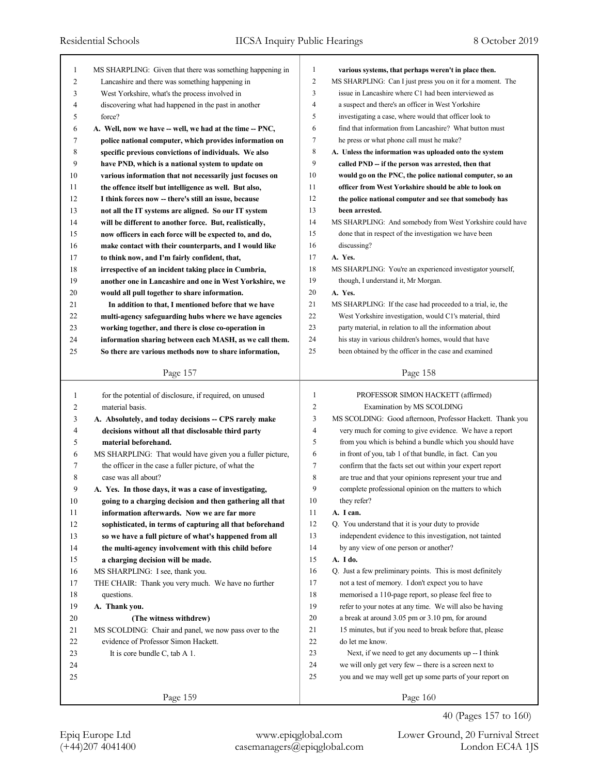| 1              | MS SHARPLING: Given that there was something happening in | 1              | various systems, that perhaps weren't in place then.        |
|----------------|-----------------------------------------------------------|----------------|-------------------------------------------------------------|
| $\overline{c}$ | Lancashire and there was something happening in           | $\mathfrak{2}$ | MS SHARPLING: Can I just press you on it for a moment. The  |
| 3              | West Yorkshire, what's the process involved in            | 3              | issue in Lancashire where C1 had been interviewed as        |
| $\overline{4}$ | discovering what had happened in the past in another      | $\overline{4}$ | a suspect and there's an officer in West Yorkshire          |
| 5              | force?                                                    | 5              | investigating a case, where would that officer look to      |
| 6              | A. Well, now we have -- well, we had at the time -- PNC,  | 6              | find that information from Lancashire? What button must     |
| 7              | police national computer, which provides information on   | $\tau$         | he press or what phone call must he make?                   |
| 8              | specific previous convictions of individuals. We also     | 8              | A. Unless the information was uploaded onto the system      |
| 9              | have PND, which is a national system to update on         | 9              | called PND -- if the person was arrested, then that         |
| 10             | various information that not necessarily just focuses on  | 10             | would go on the PNC, the police national computer, so an    |
| 11             | the offence itself but intelligence as well. But also,    | 11             | officer from West Yorkshire should be able to look on       |
| 12             | I think forces now -- there's still an issue, because     | 12             | the police national computer and see that somebody has      |
| 13             | not all the IT systems are aligned. So our IT system      | 13             | been arrested.                                              |
| 14             | will be different to another force. But, realistically,   | 14             | MS SHARPLING: And somebody from West Yorkshire could have   |
| 15             | now officers in each force will be expected to, and do,   | 15             | done that in respect of the investigation we have been      |
| 16             | make contact with their counterparts, and I would like    | 16             | discussing?                                                 |
| 17             | to think now, and I'm fairly confident, that,             | 17             | A. Yes.                                                     |
| 18             | irrespective of an incident taking place in Cumbria,      | 18             | MS SHARPLING: You're an experienced investigator yourself,  |
| 19             | another one in Lancashire and one in West Yorkshire, we   | 19             | though, I understand it, Mr Morgan.                         |
| 20             | would all pull together to share information.             | 20             | A. Yes.                                                     |
| 21             | In addition to that, I mentioned before that we have      | 21             | MS SHARPLING: If the case had proceeded to a trial, ie, the |
| 22             | multi-agency safeguarding hubs where we have agencies     | 22             | West Yorkshire investigation, would C1's material, third    |
| 23             | working together, and there is close co-operation in      | 23             | party material, in relation to all the information about    |
| 24             | information sharing between each MASH, as we call them.   | 24             | his stay in various children's homes, would that have       |
| 25             | So there are various methods now to share information,    | 25             | been obtained by the officer in the case and examined       |
|                |                                                           |                |                                                             |
|                | Page 157                                                  |                | Page 158                                                    |
|                |                                                           |                |                                                             |
|                |                                                           |                |                                                             |
| $\mathbf{1}$   | for the potential of disclosure, if required, on unused   | $\mathbf{1}$   | PROFESSOR SIMON HACKETT (affirmed)                          |
| 2              | material basis.                                           | $\overline{2}$ | Examination by MS SCOLDING                                  |
| 3              | A. Absolutely, and today decisions -- CPS rarely make     | 3              | MS SCOLDING: Good afternoon, Professor Hackett. Thank you   |
| 4              | decisions without all that disclosable third party        | $\overline{4}$ | very much for coming to give evidence. We have a report     |
| 5              | material beforehand.                                      | 5              | from you which is behind a bundle which you should have     |
| 6              | MS SHARPLING: That would have given you a fuller picture, | 6              | in front of you, tab 1 of that bundle, in fact. Can you     |
| 7              | the officer in the case a fuller picture, of what the     | $\tau$         | confirm that the facts set out within your expert report    |
| 8              | case was all about?                                       | 8              | are true and that your opinions represent your true and     |
| 9              | A. Yes. In those days, it was a case of investigating,    | 9              | complete professional opinion on the matters to which       |
| $10\,$         | going to a charging decision and then gathering all that  | 10             | they refer?                                                 |
| 11             | information afterwards. Now we are far more               | 11             | A. I can.                                                   |
| 12             | sophisticated, in terms of capturing all that beforehand  | 12             | Q. You understand that it is your duty to provide           |
| 13             | so we have a full picture of what's happened from all     | 13             | independent evidence to this investigation, not tainted     |
| 14             | the multi-agency involvement with this child before       | 14             | by any view of one person or another?                       |
| 15             | a charging decision will be made.                         | 15             | A. I do.                                                    |
| 16             | MS SHARPLING: I see, thank you.                           | 16             | Q. Just a few preliminary points. This is most definitely   |
| 17             | THE CHAIR: Thank you very much. We have no further        | 17             | not a test of memory. I don't expect you to have            |
| 18             | questions.                                                | 18             | memorised a 110-page report, so please feel free to         |
| 19             | A. Thank you.                                             | 19             | refer to your notes at any time. We will also be having     |
| 20             | (The witness withdrew)                                    | 20             | a break at around 3.05 pm or 3.10 pm, for around            |
| 21             | MS SCOLDING: Chair and panel, we now pass over to the     | 21             | 15 minutes, but if you need to break before that, please    |
| 22             | evidence of Professor Simon Hackett.                      | 22             | do let me know.                                             |
| 23             | It is core bundle C, tab A 1.                             | 23             | Next, if we need to get any documents up -- I think         |
| 24             |                                                           | 24             | we will only get very few -- there is a screen next to      |
| 25             |                                                           | 25             | you and we may well get up some parts of your report on     |

Epiq Europe Ltd www.epiqglobal.com Lower Ground, 20 Furnival Street

40 (Pages 157 to 160)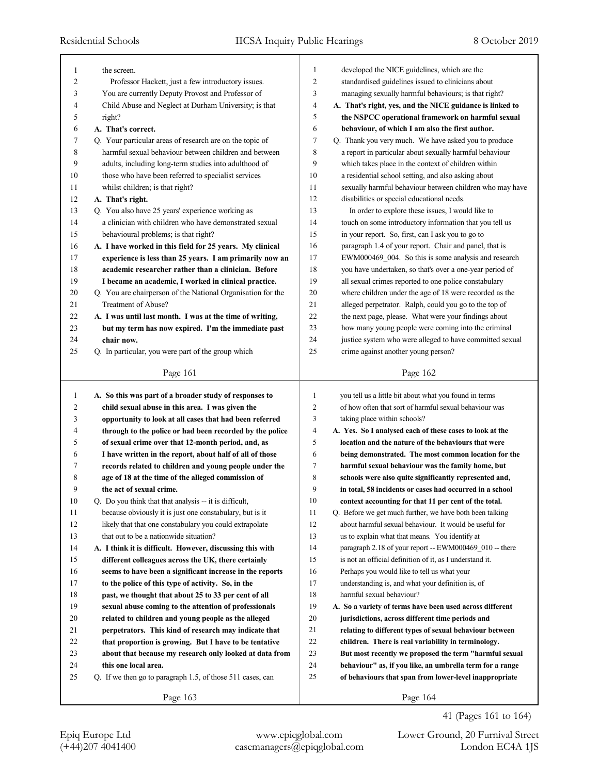|                     |                                                                                |          | developed the NICE guidelines, which are the                                                               |
|---------------------|--------------------------------------------------------------------------------|----------|------------------------------------------------------------------------------------------------------------|
| 1<br>$\overline{c}$ | the screen.                                                                    | 1<br>2   |                                                                                                            |
|                     | Professor Hackett, just a few introductory issues.                             | 3        | standardised guidelines issued to clinicians about<br>managing sexually harmful behaviours; is that right? |
| 3                   | You are currently Deputy Provost and Professor of                              |          |                                                                                                            |
| 4                   | Child Abuse and Neglect at Durham University; is that                          | 4        | A. That's right, yes, and the NICE guidance is linked to                                                   |
| 5                   | right?                                                                         | 5        | the NSPCC operational framework on harmful sexual                                                          |
| 6                   | A. That's correct.                                                             | 6        | behaviour, of which I am also the first author.                                                            |
| 7                   | Q. Your particular areas of research are on the topic of                       | 7        | Q. Thank you very much. We have asked you to produce                                                       |
| 8                   | harmful sexual behaviour between children and between                          | 8        | a report in particular about sexually harmful behaviour                                                    |
| 9                   | adults, including long-term studies into adulthood of                          | 9        | which takes place in the context of children within                                                        |
| 10                  | those who have been referred to specialist services                            | 10       | a residential school setting, and also asking about                                                        |
| 11                  | whilst children; is that right?                                                | 11       | sexually harmful behaviour between children who may have                                                   |
| 12                  | A. That's right.                                                               | 12       | disabilities or special educational needs.                                                                 |
| 13                  | Q. You also have 25 years' experience working as                               | 13       | In order to explore these issues, I would like to                                                          |
| 14                  | a clinician with children who have demonstrated sexual                         | 14       | touch on some introductory information that you tell us                                                    |
| 15                  | behavioural problems; is that right?                                           | 15       | in your report. So, first, can I ask you to go to                                                          |
| 16                  | A. I have worked in this field for 25 years. My clinical                       | 16       | paragraph 1.4 of your report. Chair and panel, that is                                                     |
| 17                  | experience is less than 25 years. I am primarily now an                        | 17       | EWM000469_004. So this is some analysis and research                                                       |
| 18                  | academic researcher rather than a clinician. Before                            | 18       | you have undertaken, so that's over a one-year period of                                                   |
| 19                  | I became an academic, I worked in clinical practice.                           | 19       | all sexual crimes reported to one police constabulary                                                      |
| 20                  | Q. You are chairperson of the National Organisation for the                    | 20       | where children under the age of 18 were recorded as the                                                    |
| 21                  | Treatment of Abuse?                                                            | 21       | alleged perpetrator. Ralph, could you go to the top of                                                     |
| 22                  | A. I was until last month. I was at the time of writing,                       | 22       | the next page, please. What were your findings about                                                       |
| 23                  | but my term has now expired. I'm the immediate past                            | 23       | how many young people were coming into the criminal                                                        |
| 24                  | chair now.                                                                     | 24       | justice system who were alleged to have committed sexual                                                   |
| 25                  | Q. In particular, you were part of the group which                             | 25       | crime against another young person?                                                                        |
|                     | Page 161                                                                       |          | Page 162                                                                                                   |
|                     |                                                                                |          |                                                                                                            |
|                     |                                                                                |          |                                                                                                            |
| 1                   | A. So this was part of a broader study of responses to                         | 1        | you tell us a little bit about what you found in terms                                                     |
| 2                   | child sexual abuse in this area. I was given the                               | 2        | of how often that sort of harmful sexual behaviour was                                                     |
| 3                   | opportunity to look at all cases that had been referred                        | 3        | taking place within schools?                                                                               |
| 4                   | through to the police or had been recorded by the police                       | 4        | A. Yes. So I analysed each of these cases to look at the                                                   |
| 5                   | of sexual crime over that 12-month period, and, as                             | 5        | location and the nature of the behaviours that were                                                        |
| 6                   | I have written in the report, about half of all of those                       | 6        | being demonstrated. The most common location for the                                                       |
| 7                   | records related to children and young people under the                         | 7        | harmful sexual behaviour was the family home, but                                                          |
| 8                   |                                                                                | 8        | schools were also quite significantly represented and,                                                     |
| 9                   | age of 18 at the time of the alleged commission of<br>the act of sexual crime. | 9        | in total, 58 incidents or cases had occurred in a school                                                   |
| $10\,$              | Q. Do you think that that analysis -- it is difficult,                         | $10\,$   | context accounting for that 11 per cent of the total.                                                      |
| 11                  | because obviously it is just one constabulary, but is it                       | 11       | Q. Before we get much further, we have both been talking                                                   |
| 12                  | likely that that one constabulary you could extrapolate                        | 12       | about harmful sexual behaviour. It would be useful for                                                     |
| 13                  | that out to be a nationwide situation?                                         | 13       | us to explain what that means. You identify at                                                             |
|                     |                                                                                | 14       |                                                                                                            |
| 14                  | A. I think it is difficult. However, discussing this with                      | 15       | paragraph 2.18 of your report -- EWM000469_010 -- there                                                    |
| 15                  | different colleagues across the UK, there certainly                            |          | is not an official definition of it, as I understand it.                                                   |
| 16                  | seems to have been a significant increase in the reports                       | 16       | Perhaps you would like to tell us what your                                                                |
| 17                  | to the police of this type of activity. So, in the                             | 17       | understanding is, and what your definition is, of                                                          |
| 18                  | past, we thought that about 25 to 33 per cent of all                           | 18<br>19 | harmful sexual behaviour?<br>A. So a variety of terms have been used across different                      |
| 19                  | sexual abuse coming to the attention of professionals                          |          |                                                                                                            |
| 20                  | related to children and young people as the alleged                            | 20       | jurisdictions, across different time periods and                                                           |
| 21                  | perpetrators. This kind of research may indicate that                          | 21       | relating to different types of sexual behaviour between                                                    |
| 22                  | that proportion is growing. But I have to be tentative                         | 22       | children. There is real variability in terminology.                                                        |
| 23                  | about that because my research only looked at data from                        | 23       | But most recently we proposed the term "harmful sexual                                                     |
| 24                  | this one local area.                                                           | 24       | behaviour" as, if you like, an umbrella term for a range                                                   |
| 25                  | Q. If we then go to paragraph 1.5, of those 511 cases, can                     | 25       | of behaviours that span from lower-level inappropriate                                                     |

41 (Pages 161 to 164)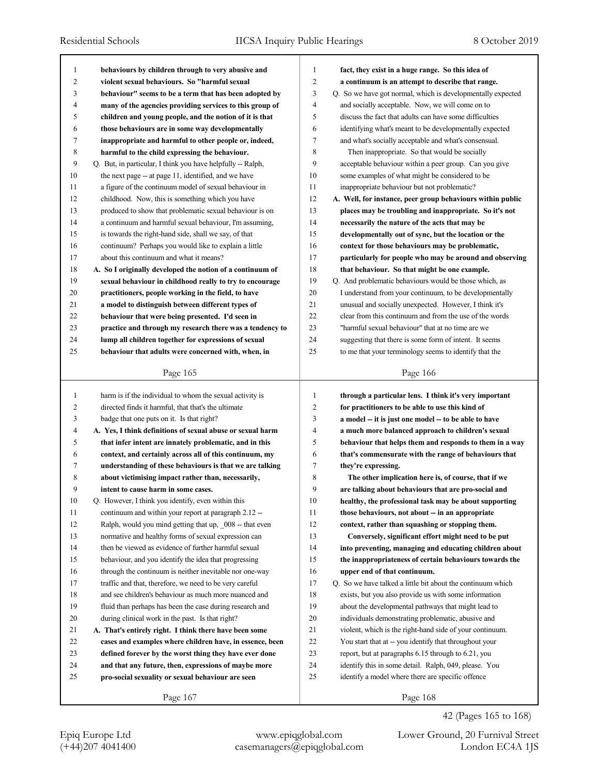| 1              | behaviours by children through to very abusive and          | 1              | fact, they exist in a huge range. So this idea of           |
|----------------|-------------------------------------------------------------|----------------|-------------------------------------------------------------|
| $\overline{2}$ | violent sexual behaviours. So "harmful sexual               | $\overline{c}$ | a continuum is an attempt to describe that range.           |
| 3              | behaviour" seems to be a term that has been adopted by      | 3              | Q. So we have got normal, which is developmentally expected |
| 4              | many of the agencies providing services to this group of    | $\overline{4}$ | and socially acceptable. Now, we will come on to            |
| 5              | children and young people, and the notion of it is that     | 5              | discuss the fact that adults can have some difficulties     |
| 6              | those behaviours are in some way developmentally            | 6              | identifying what's meant to be developmentally expected     |
| 7              | inappropriate and harmful to other people or, indeed,       | 7              | and what's socially acceptable and what's consensual.       |
| 8              | harmful to the child expressing the behaviour.              | 8              | Then inappropriate. So that would be socially               |
| 9              | Q. But, in particular, I think you have helpfully -- Ralph, | 9              | acceptable behaviour within a peer group. Can you give      |
| 10             | the next page -- at page 11, identified, and we have        | 10             | some examples of what might be considered to be             |
| 11             | a figure of the continuum model of sexual behaviour in      | 11             | inappropriate behaviour but not problematic?                |
| 12             | childhood. Now, this is something which you have            | 12             | A. Well, for instance, peer group behaviours within public  |
| 13             | produced to show that problematic sexual behaviour is on    | 13             | places may be troubling and inappropriate. So it's not      |
| 14             | a continuum and harmful sexual behaviour, I'm assuming,     | 14             | necessarily the nature of the acts that may be              |
| 15             | is towards the right-hand side, shall we say, of that       | 15             | developmentally out of sync, but the location or the        |
| 16             | continuum? Perhaps you would like to explain a little       | 16             | context for those behaviours may be problematic,            |
| 17             | about this continuum and what it means?                     | 17             | particularly for people who may be around and observing     |
| 18             | A. So I originally developed the notion of a continuum of   | 18             | that behaviour. So that might be one example.               |
| 19             | sexual behaviour in childhood really to try to encourage    | 19             | Q. And problematic behaviours would be those which, as      |
| 20             | practitioners, people working in the field, to have         | 20             | I understand from your continuum, to be developmentally     |
| 21             | a model to distinguish between different types of           | 21             | unusual and socially unexpected. However, I think it's      |
| 22             | behaviour that were being presented. I'd seen in            | 22             | clear from this continuum and from the use of the words     |
| 23             | practice and through my research there was a tendency to    | 23             | "harmful sexual behaviour" that at no time are we           |
| 24             | lump all children together for expressions of sexual        | 24             | suggesting that there is some form of intent. It seems      |
| 25             | behaviour that adults were concerned with, when, in         | 25             | to me that your terminology seems to identify that the      |
|                |                                                             |                |                                                             |
|                | Page 165                                                    |                | Page 166                                                    |
|                |                                                             |                |                                                             |
|                |                                                             |                |                                                             |
| $\mathbf{1}$   | harm is if the individual to whom the sexual activity is    | 1              | through a particular lens. I think it's very important      |
| $\overline{2}$ | directed finds it harmful, that that's the ultimate         | 2              | for practitioners to be able to use this kind of            |
| 3              | badge that one puts on it. Is that right?                   | 3              | a model -- it is just one model -- to be able to have       |
| $\overline{4}$ | A. Yes, I think definitions of sexual abuse or sexual harm  | $\overline{4}$ | a much more balanced approach to children's sexual          |
| 5              | that infer intent are innately problematic, and in this     | 5              | behaviour that helps them and responds to them in a way     |
| 6              | context, and certainly across all of this continuum, my     | 6              | that's commensurate with the range of behaviours that       |
| 7              | understanding of these behaviours is that we are talking    | 7              | they're expressing.                                         |
| 8              | about victimising impact rather than, necessarily,          | 8              | The other implication here is, of course, that if we        |
| 9              | intent to cause harm in some cases.                         | 9              | are talking about behaviours that are pro-social and        |
| 10             | Q. However, I think you identify, even within this          | $10\,$         | healthy, the professional task may be about supporting      |
| 11             | continuum and within your report at paragraph 2.12 --       | 11             | those behaviours, not about -- in an appropriate            |
| 12             | Ralph, would you mind getting that up, 008 -- that even     | 12             | context, rather than squashing or stopping them.            |
| 13             | normative and healthy forms of sexual expression can        | 13             | Conversely, significant effort might need to be put         |
| 14             | then be viewed as evidence of further harmful sexual        | 14             | into preventing, managing and educating children about      |
| 15             | behaviour, and you identify the idea that progressing       | 15             | the inappropriateness of certain behaviours towards the     |
| 16             | through the continuum is neither inevitable nor one-way     | 16             | upper end of that continuum.                                |
| 17             | traffic and that, therefore, we need to be very careful     | 17             | Q. So we have talked a little bit about the continuum which |
| 18             | and see children's behaviour as much more nuanced and       | 18             | exists, but you also provide us with some information       |
| 19             | fluid than perhaps has been the case during research and    | 19             | about the developmental pathways that might lead to         |
| 20             | during clinical work in the past. Is that right?            | 20             | individuals demonstrating problematic, abusive and          |
| 21             | A. That's entirely right. I think there have been some      | 21             | violent, which is the right-hand side of your continuum.    |
| 22             | cases and examples where children have, in essence, been    | 22             | You start that at -- you identify that throughout your      |
| 23             | defined forever by the worst thing they have ever done      | 23             | report, but at paragraphs 6.15 through to 6.21, you         |
| 24             | and that any future, then, expressions of maybe more        | 24             | identify this in some detail. Ralph, 049, please. You       |
| 25             | pro-social sexuality or sexual behaviour are seen           | 25             | identify a model where there are specific offence           |
|                | Page 167                                                    |                | Page 168                                                    |

(+44)207 4041400 casemanagers@epiqglobal.com London EC4A 1JS Epiq Europe Ltd www.epiqglobal.com Lower Ground, 20 Furnival Street

42 (Pages 165 to 168)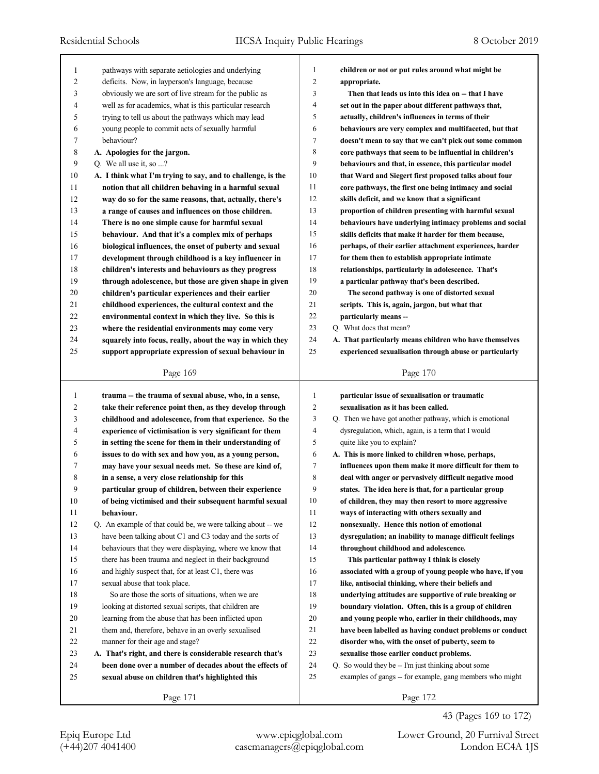| 1  | pathways with separate aetiologies and underlying           | 1              | children or not or put rules around what might be        |
|----|-------------------------------------------------------------|----------------|----------------------------------------------------------|
| 2  | deficits. Now, in layperson's language, because             | $\overline{2}$ | appropriate.                                             |
| 3  | obviously we are sort of live stream for the public as      | 3              | Then that leads us into this idea on - that I have       |
| 4  | well as for academics, what is this particular research     | $\overline{4}$ | set out in the paper about different pathways that,      |
| 5  | trying to tell us about the pathways which may lead         | 5              | actually, children's influences in terms of their        |
| 6  | young people to commit acts of sexually harmful             | 6              | behaviours are very complex and multifaceted, but that   |
| 7  | behaviour?                                                  | $\overline{7}$ | doesn't mean to say that we can't pick out some common   |
| 8  | A. Apologies for the jargon.                                | 8              | core pathways that seem to be influential in children's  |
| 9  | Q. We all use it, so ?                                      | 9              | behaviours and that, in essence, this particular model   |
| 10 | A. I think what I'm trying to say, and to challenge, is the | 10             | that Ward and Siegert first proposed talks about four    |
| 11 | notion that all children behaving in a harmful sexual       | 11             | core pathways, the first one being intimacy and social   |
| 12 | way do so for the same reasons, that, actually, there's     | 12             | skills deficit, and we know that a significant           |
| 13 | a range of causes and influences on those children.         | 13             | proportion of children presenting with harmful sexual    |
| 14 | There is no one simple cause for harmful sexual             | 14             | behaviours have underlying intimacy problems and social  |
| 15 | behaviour. And that it's a complex mix of perhaps           | 15             | skills deficits that make it harder for them because,    |
| 16 | biological influences, the onset of puberty and sexual      | 16             | perhaps, of their earlier attachment experiences, harder |
| 17 | development through childhood is a key influencer in        | 17             | for them then to establish appropriate intimate          |
| 18 | children's interests and behaviours as they progress        | 18             | relationships, particularly in adolescence. That's       |
| 19 | through adolescence, but those are given shape in given     | 19             | a particular pathway that's been described.              |
| 20 | children's particular experiences and their earlier         | 20             | The second pathway is one of distorted sexual            |
| 21 | childhood experiences, the cultural context and the         | 21             | scripts. This is, again, jargon, but what that           |
| 22 | environmental context in which they live. So this is        | 22             | particularly means --                                    |
| 23 | where the residential environments may come very            | 23             | Q. What does that mean?                                  |
| 24 | squarely into focus, really, about the way in which they    | 24             | A. That particularly means children who have themselves  |
| 25 | support appropriate expression of sexual behaviour in       | 25             | experienced sexualisation through abuse or particularly  |
|    |                                                             |                |                                                          |
|    | Page 169                                                    |                | Page 170                                                 |
|    |                                                             |                |                                                          |
|    |                                                             |                |                                                          |
| 1  | trauma -- the trauma of sexual abuse, who, in a sense,      | 1              | particular issue of sexualisation or traumatic           |
| 2  | take their reference point then, as they develop through    | $\overline{2}$ | sexualisation as it has been called.                     |
| 3  | childhood and adolescence, from that experience. So the     | 3              | Q. Then we have got another pathway, which is emotional  |
| 4  | experience of victimisation is very significant for them    | $\overline{4}$ | dysregulation, which, again, is a term that I would      |
| 5  | in setting the scene for them in their understanding of     | 5              | quite like you to explain?                               |
| 6  | issues to do with sex and how you, as a young person,       | 6              | A. This is more linked to children whose, perhaps,       |
| 7  | may have your sexual needs met. So these are kind of,       | $\overline{7}$ | influences upon them make it more difficult for them to  |
| 8  | in a sense, a very close relationship for this              | 8              | deal with anger or pervasively difficult negative mood   |
| 9  | particular group of children, between their experience      | 9              | states. The idea here is that, for a particular group    |
| 10 | of being victimised and their subsequent harmful sexual     | 10             | of children, they may then resort to more aggressive     |
| 11 | behaviour.                                                  | 11             | ways of interacting with others sexually and             |
| 12 | Q. An example of that could be, we were talking about -- we | 12             | nonsexually. Hence this notion of emotional              |
| 13 | have been talking about C1 and C3 today and the sorts of    | 13             | dysregulation; an inability to manage difficult feelings |
| 14 | behaviours that they were displaying, where we know that    | 14             | throughout childhood and adolescence.                    |
| 15 | there has been trauma and neglect in their background       | 15             | This particular pathway I think is closely               |
| 16 | and highly suspect that, for at least C1, there was         | 16             | associated with a group of young people who have, if you |
| 17 | sexual abuse that took place.                               | 17             | like, antisocial thinking, where their beliefs and       |
| 18 | So are those the sorts of situations, when we are           | 18             | underlying attitudes are supportive of rule breaking or  |
| 19 | looking at distorted sexual scripts, that children are      | 19             | boundary violation. Often, this is a group of children   |
| 20 | learning from the abuse that has been inflicted upon        | 20             | and young people who, earlier in their childhoods, may   |
| 21 | them and, therefore, behave in an overly sexualised         | 21             | have been labelled as having conduct problems or conduct |
| 22 | manner for their age and stage?                             | 22             | disorder who, with the onset of puberty, seem to         |
| 23 | A. That's right, and there is considerable research that's  | 23             | sexualise those earlier conduct problems.                |
| 24 | been done over a number of decades about the effects of     | 24             | Q. So would they be -- I'm just thinking about some      |
| 25 | sexual abuse on children that's highlighted this            | 25             | examples of gangs -- for example, gang members who might |

43 (Pages 169 to 172)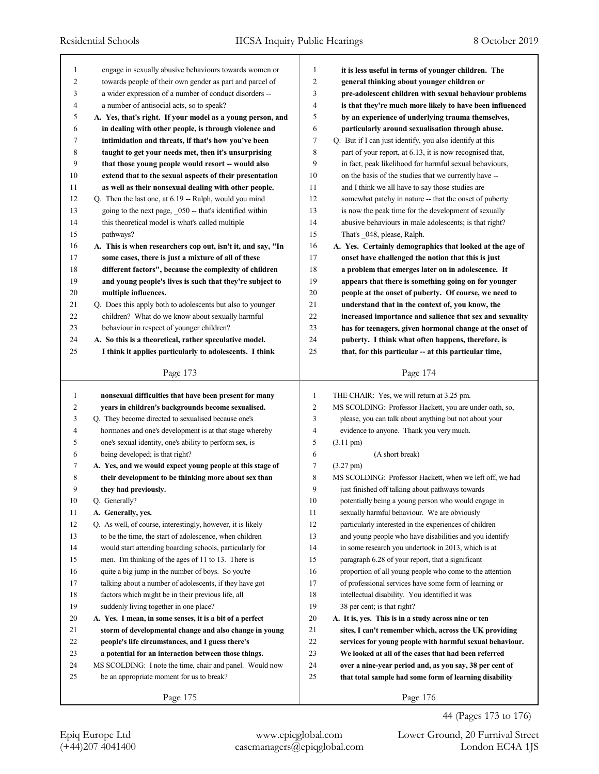| 1      | engage in sexually abusive behaviours towards women or      | $\mathbf{1}$   | it is less useful in terms of younger children. The      |
|--------|-------------------------------------------------------------|----------------|----------------------------------------------------------|
| 2      | towards people of their own gender as part and parcel of    | $\overline{c}$ | general thinking about younger children or               |
| 3      | a wider expression of a number of conduct disorders --      | 3              | pre-adolescent children with sexual behaviour problems   |
| 4      | a number of antisocial acts, so to speak?                   | $\overline{4}$ | is that they're much more likely to have been influenced |
| 5      | A. Yes, that's right. If your model as a young person, and  | 5              | by an experience of underlying trauma themselves,        |
| 6      | in dealing with other people, is through violence and       | 6              | particularly around sexualisation through abuse.         |
| 7      | intimidation and threats, if that's how you've been         | $\tau$         | Q. But if I can just identify, you also identify at this |
| 8      | taught to get your needs met, then it's unsurprising        | 8              | part of your report, at 6.13, it is now recognised that, |
| 9      | that those young people would resort -- would also          | 9              | in fact, peak likelihood for harmful sexual behaviours,  |
| 10     | extend that to the sexual aspects of their presentation     | 10             | on the basis of the studies that we currently have --    |
| 11     | as well as their nonsexual dealing with other people.       | 11             | and I think we all have to say those studies are         |
| 12     | Q. Then the last one, at 6.19 -- Ralph, would you mind      | 12             | somewhat patchy in nature -- that the onset of puberty   |
| 13     | going to the next page, _050 -- that's identified within    | 13             | is now the peak time for the development of sexually     |
| 14     | this theoretical model is what's called multiple            | 14             | abusive behaviours in male adolescents; is that right?   |
| 15     | pathways?                                                   | 15             | That's _048, please, Ralph.                              |
| 16     | A. This is when researchers cop out, isn't it, and say, "In | 16             | A. Yes. Certainly demographics that looked at the age of |
| 17     | some cases, there is just a mixture of all of these         | 17             | onset have challenged the notion that this is just       |
| 18     | different factors", because the complexity of children      | 18             | a problem that emerges later on in adolescence. It       |
| 19     | and young people's lives is such that they're subject to    | 19             | appears that there is something going on for younger     |
| 20     | multiple influences.                                        | $20\,$         | people at the onset of puberty. Of course, we need to    |
| 21     | Q. Does this apply both to adolescents but also to younger  | 21             | understand that in the context of, you know, the         |
| 22     | children? What do we know about sexually harmful            | 22             | increased importance and salience that sex and sexuality |
| 23     | behaviour in respect of younger children?                   | 23             | has for teenagers, given hormonal change at the onset of |
| 24     | A. So this is a theoretical, rather speculative model.      | 24             | puberty. I think what often happens, therefore, is       |
| 25     | I think it applies particularly to adolescents. I think     | 25             | that, for this particular -- at this particular time,    |
|        |                                                             |                |                                                          |
|        | Page 173                                                    |                | Page 174                                                 |
|        |                                                             |                |                                                          |
|        |                                                             |                |                                                          |
| 1      | nonsexual difficulties that have been present for many      | $\mathbf{1}$   | THE CHAIR: Yes, we will return at 3.25 pm.               |
| 2      | years in children's backgrounds become sexualised.          | $\mathbf{2}$   | MS SCOLDING: Professor Hackett, you are under oath, so,  |
| 3      | Q. They become directed to sexualised because one's         | 3              | please, you can talk about anything but not about your   |
| 4      | hormones and one's development is at that stage whereby     | $\overline{4}$ | evidence to anyone. Thank you very much.                 |
| 5      | one's sexual identity, one's ability to perform sex, is     | 5              | $(3.11 \text{ pm})$                                      |
| 6      | being developed; is that right?                             | 6              | (A short break)                                          |
| 7      | A. Yes, and we would expect young people at this stage of   | $\tau$         | $(3.27 \text{ pm})$                                      |
| 8      | their development to be thinking more about sex than        | $\,$ 8 $\,$    | MS SCOLDING: Professor Hackett, when we left off, we had |
| 9      | they had previously.                                        | 9              | just finished off talking about pathways towards         |
| $10\,$ | Q. Generally?                                               | $10\,$         | potentially being a young person who would engage in     |
| 11     | A. Generally, yes.                                          | 11             | sexually harmful behaviour. We are obviously             |
| 12     | Q. As well, of course, interestingly, however, it is likely | 12             | particularly interested in the experiences of children   |
| 13     | to be the time, the start of adolescence, when children     | 13             | and young people who have disabilities and you identify  |
| 14     | would start attending boarding schools, particularly for    | 14             | in some research you undertook in 2013, which is at      |
| 15     | men. I'm thinking of the ages of 11 to 13. There is         | 15             | paragraph 6.28 of your report, that a significant        |
| 16     | quite a big jump in the number of boys. So you're           | 16             | proportion of all young people who come to the attention |
| 17     | talking about a number of adolescents, if they have got     | 17             | of professional services have some form of learning or   |
| $18\,$ | factors which might be in their previous life, all          | 18             | intellectual disability. You identified it was           |
| 19     | suddenly living together in one place?                      | 19             | 38 per cent; is that right?                              |
| $20\,$ | A. Yes. I mean, in some senses, it is a bit of a perfect    | $20\,$         | A. It is, yes. This is in a study across nine or ten     |
| 21     | storm of developmental change and also change in young      | $21\,$         | sites, I can't remember which, across the UK providing   |
| 22     | people's life circumstances, and I guess there's            | $22\,$         | services for young people with harmful sexual behaviour. |
| 23     | a potential for an interaction between those things.        | 23             | We looked at all of the cases that had been referred     |
| 24     | MS SCOLDING: I note the time, chair and panel. Would now    | 24             | over a nine-year period and, as you say, 38 per cent of  |
| 25     | be an appropriate moment for us to break?                   | 25             | that total sample had some form of learning disability   |

44 (Pages 173 to 176)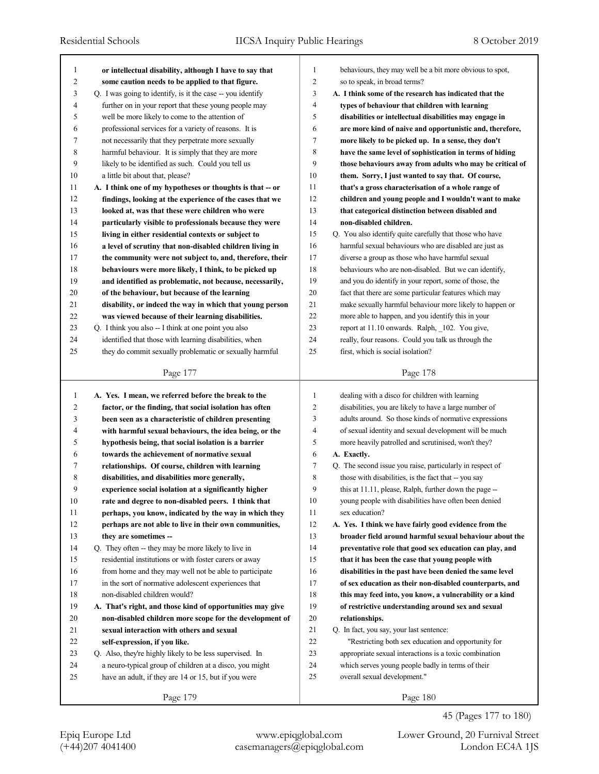| $\mathbf{1}$ |                                                            |                |                                                           |
|--------------|------------------------------------------------------------|----------------|-----------------------------------------------------------|
|              | or intellectual disability, although I have to say that    | 1              | behaviours, they may well be a bit more obvious to spot,  |
| 2            | some caution needs to be applied to that figure.           | $\overline{c}$ | so to speak, in broad terms?                              |
| 3            | Q. I was going to identify, is it the case -- you identify | 3              | A. I think some of the research has indicated that the    |
| 4            | further on in your report that these young people may      | 4              | types of behaviour that children with learning            |
| 5            | well be more likely to come to the attention of            | 5              | disabilities or intellectual disabilities may engage in   |
| 6            | professional services for a variety of reasons. It is      | 6              | are more kind of naive and opportunistic and, therefore,  |
| 7            | not necessarily that they perpetrate more sexually         | 7              | more likely to be picked up. In a sense, they don't       |
| 8            | harmful behaviour. It is simply that they are more         | 8              | have the same level of sophistication in terms of hiding  |
| 9            | likely to be identified as such. Could you tell us         | 9              | those behaviours away from adults who may be critical of  |
| 10           | a little bit about that, please?                           | 10             | them. Sorry, I just wanted to say that. Of course,        |
| 11           | A. I think one of my hypotheses or thoughts is that -- or  | 11             | that's a gross characterisation of a whole range of       |
| 12           | findings, looking at the experience of the cases that we   | 12             | children and young people and I wouldn't want to make     |
| 13           | looked at, was that these were children who were           | 13             | that categorical distinction between disabled and         |
| 14           | particularly visible to professionals because they were    | 14             | non-disabled children.                                    |
| 15           | living in either residential contexts or subject to        | 15             | Q. You also identify quite carefully that those who have  |
| 16           | a level of scrutiny that non-disabled children living in   | 16             | harmful sexual behaviours who are disabled are just as    |
| 17           | the community were not subject to, and, therefore, their   | 17             | diverse a group as those who have harmful sexual          |
| 18           | behaviours were more likely, I think, to be picked up      | 18             | behaviours who are non-disabled. But we can identify,     |
| 19           | and identified as problematic, not because, necessarily,   | 19             | and you do identify in your report, some of those, the    |
| 20           | of the behaviour, but because of the learning              | 20             | fact that there are some particular features which may    |
| 21           | disability, or indeed the way in which that young person   | 21             | make sexually harmful behaviour more likely to happen or  |
| 22           | was viewed because of their learning disabilities.         | $22\,$         | more able to happen, and you identify this in your        |
| 23           | Q. I think you also -- I think at one point you also       | 23             | report at 11.10 onwards. Ralph, 102. You give,            |
| 24           | identified that those with learning disabilities, when     | 24             | really, four reasons. Could you talk us through the       |
| 25           | they do commit sexually problematic or sexually harmful    | 25             | first, which is social isolation?                         |
|              |                                                            |                |                                                           |
|              | Page 177                                                   |                | Page 178                                                  |
| 1            | A. Yes. I mean, we referred before the break to the        | 1              | dealing with a disco for children with learning           |
| 2            | factor, or the finding, that social isolation has often    | 2              | disabilities, you are likely to have a large number of    |
| 3            | been seen as a characteristic of children presenting       | 3              | adults around. So those kinds of normative expressions    |
| 4            | with harmful sexual behaviours, the idea being, or the     | 4              | of sexual identity and sexual development will be much    |
| 5            | hypothesis being, that social isolation is a barrier       | 5              | more heavily patrolled and scrutinised, won't they?       |
| 6            | towards the achievement of normative sexual                |                |                                                           |
| 7            |                                                            |                |                                                           |
|              |                                                            | 6              | A. Exactly.                                               |
|              | relationships. Of course, children with learning           | 7              | Q. The second issue you raise, particularly in respect of |
| 8            | disabilities, and disabilities more generally,             | 8              | those with disabilities, is the fact that -- you say      |
| 9            | experience social isolation at a significantly higher      | 9              | this at 11.11, please, Ralph, further down the page --    |
| $10\,$       | rate and degree to non-disabled peers. I think that        | $10\,$         | young people with disabilities have often been denied     |
| 11           | perhaps, you know, indicated by the way in which they      | 11             | sex education?                                            |
| 12           | perhaps are not able to live in their own communities,     | 12             | A. Yes. I think we have fairly good evidence from the     |
| 13           | they are sometimes --                                      | 13             | broader field around harmful sexual behaviour about the   |
| 14           | Q. They often -- they may be more likely to live in        | 14             | preventative role that good sex education can play, and   |
| 15           | residential institutions or with foster carers or away     | 15             | that it has been the case that young people with          |
| 16           | from home and they may well not be able to participate     | 16             | disabilities in the past have been denied the same level  |
| 17           | in the sort of normative adolescent experiences that       | 17             | of sex education as their non-disabled counterparts, and  |
| 18           | non-disabled children would?                               | 18             | this may feed into, you know, a vulnerability or a kind   |
| 19           | A. That's right, and those kind of opportunities may give  | 19             | of restrictive understanding around sex and sexual        |
| 20           | non-disabled children more scope for the development of    | 20             | relationships.                                            |
| 21           | sexual interaction with others and sexual                  | 21             | Q. In fact, you say, your last sentence:                  |
| 22           | self-expression, if you like.                              | 22             | "Restricting both sex education and opportunity for       |
| 23           | Q. Also, they're highly likely to be less supervised. In   | 23             | appropriate sexual interactions is a toxic combination    |
| 24           | a neuro-typical group of children at a disco, you might    | 24             | which serves young people badly in terms of their         |
| 25           | have an adult, if they are 14 or 15, but if you were       | 25             | overall sexual development."                              |
|              | Page 179                                                   |                | Page 180                                                  |

45 (Pages 177 to 180)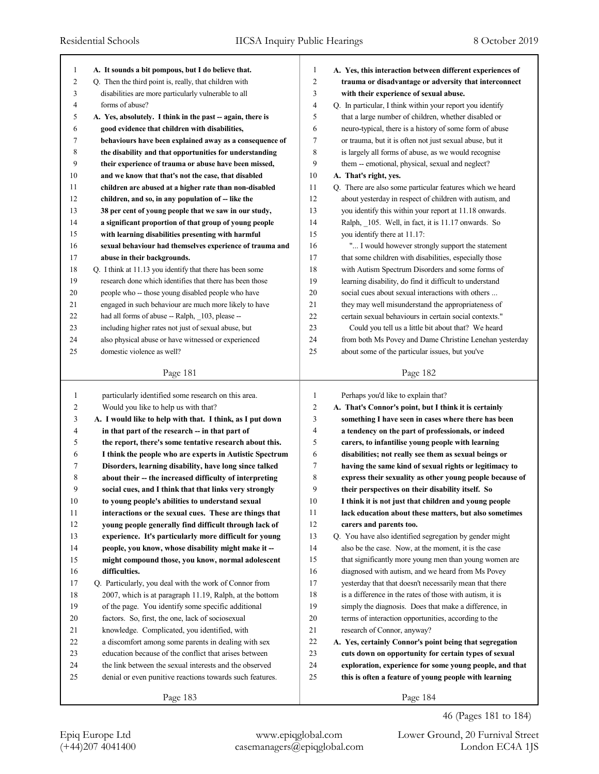| 1              |                                                            |                |                                                           |
|----------------|------------------------------------------------------------|----------------|-----------------------------------------------------------|
|                | A. It sounds a bit pompous, but I do believe that.         | 1              | A. Yes, this interaction between different experiences of |
| $\overline{c}$ | Q. Then the third point is, really, that children with     | $\overline{c}$ | trauma or disadvantage or adversity that interconnect     |
| 3              | disabilities are more particularly vulnerable to all       | 3              | with their experience of sexual abuse.                    |
| 4              | forms of abuse?                                            | $\overline{4}$ | Q. In particular, I think within your report you identify |
| 5              | A. Yes, absolutely. I think in the past -- again, there is | 5              | that a large number of children, whether disabled or      |
| 6              | good evidence that children with disabilities,             | 6              | neuro-typical, there is a history of some form of abuse   |
| 7              | behaviours have been explained away as a consequence of    | $\tau$         | or trauma, but it is often not just sexual abuse, but it  |
| 8              | the disability and that opportunities for understanding    | 8              | is largely all forms of abuse, as we would recognise      |
| 9              | their experience of trauma or abuse have been missed,      | 9              | them -- emotional, physical, sexual and neglect?          |
| 10             | and we know that that's not the case, that disabled        | 10             | A. That's right, yes.                                     |
| 11             | children are abused at a higher rate than non-disabled     | 11             | Q. There are also some particular features which we heard |
| 12             | children, and so, in any population of -- like the         | 12             | about yesterday in respect of children with autism, and   |
| 13             | 38 per cent of young people that we saw in our study,      | 13             | you identify this within your report at 11.18 onwards.    |
| 14             | a significant proportion of that group of young people     | 14             | Ralph, 105. Well, in fact, it is 11.17 onwards. So        |
| 15             | with learning disabilities presenting with harmful         | 15             | you identify there at 11.17:                              |
| 16             | sexual behaviour had themselves experience of trauma and   | 16             | " I would however strongly support the statement          |
| 17             | abuse in their backgrounds.                                | 17             | that some children with disabilities, especially those    |
| 18             | Q. I think at 11.13 you identify that there has been some  | 18             | with Autism Spectrum Disorders and some forms of          |
| 19             | research done which identifies that there has been those   | 19             | learning disability, do find it difficult to understand   |
| 20             | people who -- those young disabled people who have         | 20             | social cues about sexual interactions with others         |
| 21             | engaged in such behaviour are much more likely to have     | 21             | they may well misunderstand the appropriateness of        |
| 22             | had all forms of abuse -- Ralph, _103, please --           | 22             | certain sexual behaviours in certain social contexts."    |
| 23             | including higher rates not just of sexual abuse, but       | 23             | Could you tell us a little bit about that? We heard       |
| 24             | also physical abuse or have witnessed or experienced       | 24             | from both Ms Povey and Dame Christine Lenehan yesterday   |
| 25             | domestic violence as well?                                 | 25             | about some of the particular issues, but you've           |
|                |                                                            |                |                                                           |
|                | Page 181                                                   |                | Page 182                                                  |
| $\mathbf{1}$   | particularly identified some research on this area.        | $\mathbf{1}$   | Perhaps you'd like to explain that?                       |
| 2              | Would you like to help us with that?                       |                |                                                           |
|                |                                                            |                |                                                           |
|                |                                                            | $\overline{2}$ | A. That's Connor's point, but I think it is certainly     |
| 3              | A. I would like to help with that. I think, as I put down  | 3              | something I have seen in cases where there has been       |
| 4              | in that part of the research -- in that part of            | $\overline{4}$ | a tendency on the part of professionals, or indeed        |
| 5              | the report, there's some tentative research about this.    | 5              | carers, to infantilise young people with learning         |
| 6              | I think the people who are experts in Autistic Spectrum    | 6              | disabilities; not really see them as sexual beings or     |
| 7              | Disorders, learning disability, have long since talked     | $\overline{7}$ | having the same kind of sexual rights or legitimacy to    |
| 8              | about their -- the increased difficulty of interpreting    | 8              | express their sexuality as other young people because of  |
| 9              | social cues, and I think that that links very strongly     | 9              | their perspectives on their disability itself. So         |
| 10             | to young people's abilities to understand sexual           | 10             | I think it is not just that children and young people     |
| 11             | interactions or the sexual cues. These are things that     | 11             | lack education about these matters, but also sometimes    |
| 12             | young people generally find difficult through lack of      | 12             | carers and parents too.                                   |
| 13             | experience. It's particularly more difficult for young     | 13             | Q. You have also identified segregation by gender might   |
| 14             | people, you know, whose disability might make it --        | 14             | also be the case. Now, at the moment, it is the case      |
| 15             | might compound those, you know, normal adolescent          | 15             | that significantly more young men than young women are    |
| 16             | difficulties.                                              | 16             | diagnosed with autism, and we heard from Ms Povey         |
| 17             | Q. Particularly, you deal with the work of Connor from     | 17             | yesterday that that doesn't necessarily mean that there   |
| 18             | 2007, which is at paragraph 11.19, Ralph, at the bottom    | 18             | is a difference in the rates of those with autism, it is  |
| 19             | of the page. You identify some specific additional         | 19             | simply the diagnosis. Does that make a difference, in     |
| 20             | factors. So, first, the one, lack of sociosexual           | 20             | terms of interaction opportunities, according to the      |
| 21             | knowledge. Complicated, you identified, with               | 21             | research of Connor, anyway?                               |
| 22             | a discomfort among some parents in dealing with sex        | $22\,$         | A. Yes, certainly Connor's point being that segregation   |
| 23             | education because of the conflict that arises between      | 23             | cuts down on opportunity for certain types of sexual      |
| 24             | the link between the sexual interests and the observed     | 24             | exploration, experience for some young people, and that   |
| 25             | denial or even punitive reactions towards such features.   | 25             | this is often a feature of young people with learning     |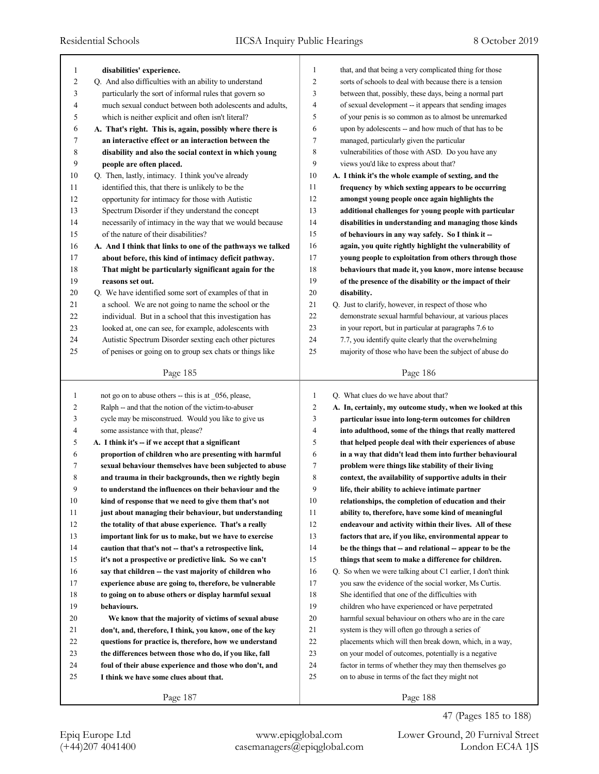| 1              | disabilities' experience.                                  | $\mathbf{1}$   | that, and that being a very complicated thing for those    |
|----------------|------------------------------------------------------------|----------------|------------------------------------------------------------|
| 2              | Q. And also difficulties with an ability to understand     | $\overline{2}$ | sorts of schools to deal with because there is a tension   |
| 3              | particularly the sort of informal rules that govern so     | 3              | between that, possibly, these days, being a normal part    |
| 4              | much sexual conduct between both adolescents and adults,   | $\overline{4}$ | of sexual development -- it appears that sending images    |
| 5              | which is neither explicit and often isn't literal?         | 5              | of your penis is so common as to almost be unremarked      |
| 6              | A. That's right. This is, again, possibly where there is   | 6              | upon by adolescents -- and how much of that has to be      |
| 7              | an interactive effect or an interaction between the        | 7              | managed, particularly given the particular                 |
| 8              | disability and also the social context in which young      | 8              | vulnerabilities of those with ASD. Do you have any         |
| 9              | people are often placed.                                   | 9              | views you'd like to express about that?                    |
| 10             | Q. Then, lastly, intimacy. I think you've already          | 10             | A. I think it's the whole example of sexting, and the      |
| 11             | identified this, that there is unlikely to be the          | 11             | frequency by which sexting appears to be occurring         |
| 12             | opportunity for intimacy for those with Autistic           | 12             | amongst young people once again highlights the             |
| 13             | Spectrum Disorder if they understand the concept           | 13             | additional challenges for young people with particular     |
| 14             | necessarily of intimacy in the way that we would because   | 14             | disabilities in understanding and managing those kinds     |
| 15             | of the nature of their disabilities?                       | 15             | of behaviours in any way safely. So I think it --          |
| 16             | A. And I think that links to one of the pathways we talked | 16             | again, you quite rightly highlight the vulnerability of    |
| 17             | about before, this kind of intimacy deficit pathway.       | 17             | young people to exploitation from others through those     |
| 18             | That might be particularly significant again for the       | 18             | behaviours that made it, you know, more intense because    |
| 19             | reasons set out.                                           | 19             | of the presence of the disability or the impact of their   |
| 20             | Q. We have identified some sort of examples of that in     | 20             | disability.                                                |
| 21             | a school. We are not going to name the school or the       | 21             | Q. Just to clarify, however, in respect of those who       |
| 22             | individual. But in a school that this investigation has    | 22             | demonstrate sexual harmful behaviour, at various places    |
| 23             | looked at, one can see, for example, adolescents with      | 23             | in your report, but in particular at paragraphs 7.6 to     |
| 24             | Autistic Spectrum Disorder sexting each other pictures     | 24             | 7.7, you identify quite clearly that the overwhelming      |
| 25             | of penises or going on to group sex chats or things like   | 25             | majority of those who have been the subject of abuse do    |
|                |                                                            |                |                                                            |
|                | Page 185                                                   |                | Page 186                                                   |
|                |                                                            |                |                                                            |
|                |                                                            |                |                                                            |
| $\mathbf{1}$   | not go on to abuse others $-$ this is at 056, please,      | $\mathbf{1}$   | Q. What clues do we have about that?                       |
| $\overline{c}$ | Ralph -- and that the notion of the victim-to-abuser       | $\overline{c}$ | A. In, certainly, my outcome study, when we looked at this |
| 3              | cycle may be misconstrued. Would you like to give us       | 3              | particular issue into long-term outcomes for children      |
| $\overline{4}$ | some assistance with that, please?                         | $\overline{4}$ | into adulthood, some of the things that really mattered    |
| 5              | A. I think it's -- if we accept that a significant         | 5              | that helped people deal with their experiences of abuse    |
| 6              | proportion of children who are presenting with harmful     | 6              | in a way that didn't lead them into further behavioural    |
| 7              | sexual behaviour themselves have been subjected to abuse   | 7              | problem were things like stability of their living         |
| 8              | and trauma in their backgrounds, then we rightly begin     | 8              | context, the availability of supportive adults in their    |
| 9              | to understand the influences on their behaviour and the    | 9              | life, their ability to achieve intimate partner            |
| 10             | kind of response that we need to give them that's not      | 10             | relationships, the completion of education and their       |
| 11             | just about managing their behaviour, but understanding     | 11             | ability to, therefore, have some kind of meaningful        |
| 12             | the totality of that abuse experience. That's a really     | 12             | endeavour and activity within their lives. All of these    |
| 13             | important link for us to make, but we have to exercise     | 13             | factors that are, if you like, environmental appear to     |
| 14             | caution that that's not -- that's a retrospective link,    | 14             | be the things that - and relational - appear to be the     |
| 15             | it's not a prospective or predictive link. So we can't     | 15             | things that seem to make a difference for children.        |
| 16             | say that children – the vast majority of children who      | 16             | Q. So when we were talking about C1 earlier, I don't think |
| 17             | experience abuse are going to, therefore, be vulnerable    | 17             | you saw the evidence of the social worker, Ms Curtis.      |
| 18             | to going on to abuse others or display harmful sexual      | 18             | She identified that one of the difficulties with           |
| 19             | behaviours.                                                | 19             | children who have experienced or have perpetrated          |
| 20             | We know that the majority of victims of sexual abuse       | 20             | harmful sexual behaviour on others who are in the care     |
| 21             | don't, and, therefore, I think, you know, one of the key   | 21             | system is they will often go through a series of           |
| 22             | questions for practice is, therefore, how we understand    | 22             | placements which will then break down, which, in a way,    |
| 23             | the differences between those who do, if you like, fall    | 23             | on your model of outcomes, potentially is a negative       |
| 24             | foul of their abuse experience and those who don't, and    | 24             | factor in terms of whether they may then themselves go     |
| 25             | I think we have some clues about that.                     | 25             | on to abuse in terms of the fact they might not            |
|                | Page 187                                                   |                | Page 188                                                   |

47 (Pages 185 to 188)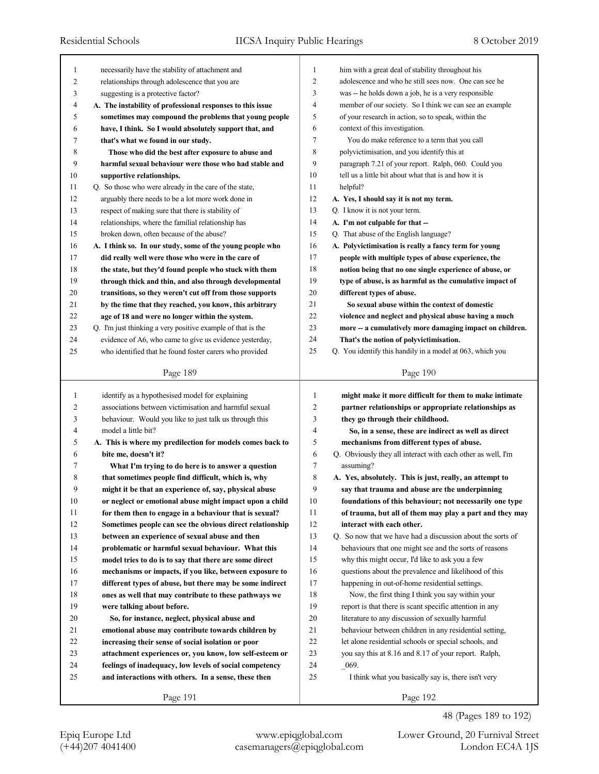| 1              | necessarily have the stability of attachment and            | 1              | him with a great deal of stability throughout his           |
|----------------|-------------------------------------------------------------|----------------|-------------------------------------------------------------|
| $\overline{c}$ | relationships through adolescence that you are              | $\overline{2}$ | adolescence and who he still sees now. One can see he       |
| 3              | suggesting is a protective factor?                          | 3              | was -- he holds down a job, he is a very responsible        |
| 4              | A. The instability of professional responses to this issue  | $\overline{4}$ | member of our society. So I think we can see an example     |
| 5              | sometimes may compound the problems that young people       | 5              | of your research in action, so to speak, within the         |
| 6              | have, I think. So I would absolutely support that, and      | 6              | context of this investigation.                              |
| 7              | that's what we found in our study.                          | $\overline{7}$ | You do make reference to a term that you call               |
| 8              | Those who did the best after exposure to abuse and          | 8              | polyvictimisation, and you identify this at                 |
| 9              | harmful sexual behaviour were those who had stable and      | 9              | paragraph 7.21 of your report. Ralph, 060. Could you        |
| 10             | supportive relationships.                                   | 10             | tell us a little bit about what that is and how it is       |
| 11             | Q. So those who were already in the care of the state,      | 11             | helpful?                                                    |
| 12             | arguably there needs to be a lot more work done in          | 12             | A. Yes, I should say it is not my term.                     |
| 13             | respect of making sure that there is stability of           | 13             | Q. I know it is not your term.                              |
| 14             | relationships, where the familial relationship has          | 14             | A. I'm not culpable for that --                             |
| 15             | broken down, often because of the abuse?                    | 15             | Q. That abuse of the English language?                      |
| 16             | A. I think so. In our study, some of the young people who   | 16             | A. Polyvictimisation is really a fancy term for young       |
| 17             | did really well were those who were in the care of          | 17             | people with multiple types of abuse experience, the         |
| 18             | the state, but they'd found people who stuck with them      | 18             | notion being that no one single experience of abuse, or     |
| 19             | through thick and thin, and also through developmental      | 19             | type of abuse, is as harmful as the cumulative impact of    |
| 20             | transitions, so they weren't cut off from those supports    | 20             | different types of abuse.                                   |
| 21             | by the time that they reached, you know, this arbitrary     | 21             | So sexual abuse within the context of domestic              |
| 22             | age of 18 and were no longer within the system.             | 22             | violence and neglect and physical abuse having a much       |
| 23             | Q. I'm just thinking a very positive example of that is the | 23             | more -- a cumulatively more damaging impact on children.    |
| 24             | evidence of A6, who came to give us evidence yesterday,     | 24             | That's the notion of polyvictimisation.                     |
| 25             | who identified that he found foster carers who provided     | 25             | Q. You identify this handily in a model at 063, which you   |
|                |                                                             |                |                                                             |
|                | Page 189                                                    |                | Page 190                                                    |
|                |                                                             |                |                                                             |
|                |                                                             |                |                                                             |
| 1              | identify as a hypothesised model for explaining             | 1              | might make it more difficult for them to make intimate      |
| 2              | associations between victimisation and harmful sexual       | $\overline{2}$ | partner relationships or appropriate relationships as       |
| 3              | behaviour. Would you like to just talk us through this      | 3              | they go through their childhood.                            |
| 4              | model a little bit?                                         | 4              | So, in a sense, these are indirect as well as direct        |
| 5              | A. This is where my predilection for models comes back to   | 5              | mechanisms from different types of abuse.                   |
| 6              | bite me, doesn't it?                                        | 6              | Q. Obviously they all interact with each other as well, I'm |
| 7              | What I'm trying to do here is to answer a question          | 7              | assuming?                                                   |
| 8              | that sometimes people find difficult, which is, why         | 8              | A. Yes, absolutely. This is just, really, an attempt to     |
| 9              | might it be that an experience of, say, physical abuse      | 9              | say that trauma and abuse are the underpinning              |
| 10             | or neglect or emotional abuse might impact upon a child     | 10             | foundations of this behaviour; not necessarily one type     |
| 11             | for them then to engage in a behaviour that is sexual?      | 11             | of trauma, but all of them may play a part and they may     |
| 12             | Sometimes people can see the obvious direct relationship    | 12             | interact with each other.                                   |
| 13             | between an experience of sexual abuse and then              | 13             | Q. So now that we have had a discussion about the sorts of  |
| 14             | problematic or harmful sexual behaviour. What this          | 14             | behaviours that one might see and the sorts of reasons      |
| 15             | model tries to do is to say that there are some direct      | 15             | why this might occur, I'd like to ask you a few             |
| 16             | mechanisms or impacts, if you like, between exposure to     | 16             | questions about the prevalence and likelihood of this       |
| 17             | different types of abuse, but there may be some indirect    | 17             | happening in out-of-home residential settings.              |
| 18             | ones as well that may contribute to these pathways we       | 18             | Now, the first thing I think you say within your            |
| 19             | were talking about before.                                  | 19             | report is that there is scant specific attention in any     |
| 20             | So, for instance, neglect, physical abuse and               | 20             | literature to any discussion of sexually harmful            |
| 21             | emotional abuse may contribute towards children by          | 21             | behaviour between children in any residential setting,      |
| 22             | increasing their sense of social isolation or poor          | 22             | let alone residential schools or special schools, and       |
| 23             | attachment experiences or, you know, low self-esteem or     | 23             | you say this at 8.16 and 8.17 of your report. Ralph,        |
| 24             | feelings of inadequacy, low levels of social competency     | 24             | $-069.$                                                     |
| 25             | and interactions with others. In a sense, these then        | 25             | I think what you basically say is, there isn't very         |
|                | Page 191                                                    |                | Page 192                                                    |

48 (Pages 189 to 192)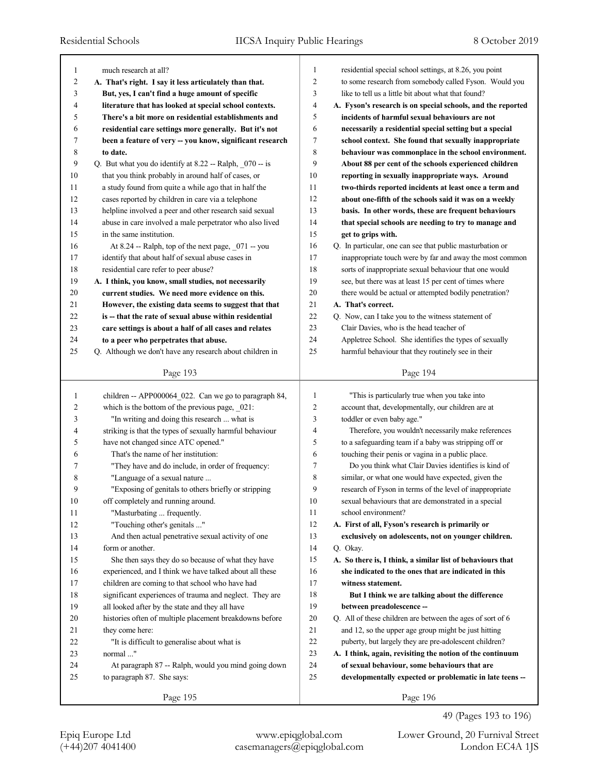| 1                       | much research at all?                                    | $\mathbf{1}$   | residential special school settings, at 8.26, you point     |
|-------------------------|----------------------------------------------------------|----------------|-------------------------------------------------------------|
| $\overline{\mathbf{c}}$ | A. That's right. I say it less articulately than that.   | $\overline{c}$ | to some research from somebody called Fyson. Would you      |
| 3                       | But, yes, I can't find a huge amount of specific         | 3              | like to tell us a little bit about what that found?         |
| 4                       | literature that has looked at special school contexts.   | 4              | A. Fyson's research is on special schools, and the reported |
| 5                       | There's a bit more on residential establishments and     | 5              | incidents of harmful sexual behaviours are not              |
| 6                       | residential care settings more generally. But it's not   | 6              | necessarily a residential special setting but a special     |
| 7                       | been a feature of very -- you know, significant research | 7              | school context. She found that sexually inappropriate       |
| 8                       | to date.                                                 | 8              | behaviour was commonplace in the school environment.        |
| 9                       | Q. But what you do identify at 8.22 -- Ralph, 070 -- is  | 9              | About 88 per cent of the schools experienced children       |
| 10                      | that you think probably in around half of cases, or      | 10             | reporting in sexually inappropriate ways. Around            |
| 11                      | a study found from quite a while ago that in half the    | 11             | two-thirds reported incidents at least once a term and      |
| 12                      | cases reported by children in care via a telephone       | 12             | about one-fifth of the schools said it was on a weekly      |
| 13                      | helpline involved a peer and other research said sexual  | 13             | basis. In other words, these are frequent behaviours        |
| 14                      | abuse in care involved a male perpetrator who also lived | 14             | that special schools are needing to try to manage and       |
| 15                      | in the same institution.                                 | 15             | get to grips with.                                          |
| 16                      | At 8.24 -- Ralph, top of the next page, _071 -- you      | 16             | Q. In particular, one can see that public masturbation or   |
| 17                      | identify that about half of sexual abuse cases in        | 17             | inappropriate touch were by far and away the most common    |
| 18                      | residential care refer to peer abuse?                    | 18             | sorts of inappropriate sexual behaviour that one would      |
| 19                      | A. I think, you know, small studies, not necessarily     | 19             | see, but there was at least 15 per cent of times where      |
| $20\,$                  | current studies. We need more evidence on this.          | 20             | there would be actual or attempted bodily penetration?      |
| 21                      | However, the existing data seems to suggest that that    | 21             | A. That's correct.                                          |
| 22                      | is -- that the rate of sexual abuse within residential   | 22             | Q. Now, can I take you to the witness statement of          |
| 23                      | care settings is about a half of all cases and relates   | 23             | Clair Davies, who is the head teacher of                    |
| 24                      | to a peer who perpetrates that abuse.                    | 24             | Appletree School. She identifies the types of sexually      |
| 25                      | Q. Although we don't have any research about children in | 25             | harmful behaviour that they routinely see in their          |
|                         |                                                          |                |                                                             |
|                         | Page 193                                                 |                | Page 194                                                    |
|                         |                                                          |                |                                                             |
|                         |                                                          |                |                                                             |
| 1                       | children -- APP000064_022. Can we go to paragraph 84,    | $\mathbf{1}$   | "This is particularly true when you take into               |
| 2                       | which is the bottom of the previous page, 021:           | 2              | account that, developmentally, our children are at          |
| 3                       | "In writing and doing this research  what is             | 3              | toddler or even baby age."                                  |
| 4                       | striking is that the types of sexually harmful behaviour | 4              | Therefore, you wouldn't necessarily make references         |
| 5                       | have not changed since ATC opened."                      | 5              | to a safeguarding team if a baby was stripping off or       |
| 6                       | That's the name of her institution:                      | 6              | touching their penis or vagina in a public place.           |
| 7                       | "They have and do include, in order of frequency:        | 7              | Do you think what Clair Davies identifies is kind of        |
| 8                       | "Language of a sexual nature                             | 8              | similar, or what one would have expected, given the         |
| 9                       | "Exposing of genitals to others briefly or stripping     | 9              | research of Fyson in terms of the level of inappropriate    |
| $10\,$                  | off completely and running around.                       | 10             | sexual behaviours that are demonstrated in a special        |
| 11                      | "Masturbating  frequently.                               | 11             | school environment?                                         |
| 12                      | "Touching other's genitals "                             | 12             | A. First of all, Fyson's research is primarily or           |
| 13                      | And then actual penetrative sexual activity of one       | 13             | exclusively on adolescents, not on younger children.        |
| 14                      | form or another.                                         | 14             | Q. Okay.                                                    |
| 15                      | She then says they do so because of what they have       | 15             | A. So there is, I think, a similar list of behaviours that  |
| 16                      | experienced, and I think we have talked about all these  | 16             | she indicated to the ones that are indicated in this        |
| 17                      | children are coming to that school who have had          | 17             | witness statement.                                          |
| 18                      | significant experiences of trauma and neglect. They are  | 18             | But I think we are talking about the difference             |
| 19                      | all looked after by the state and they all have          | 19             | between preadolescence --                                   |
| 20                      | histories often of multiple placement breakdowns before  | 20             | Q. All of these children are between the ages of sort of 6  |
| 21                      | they come here:                                          | 21             | and 12, so the upper age group might be just hitting        |
| 22                      | "It is difficult to generalise about what is             | $22\,$         | puberty, but largely they are pre-adolescent children?      |
| 23                      | normal "                                                 | 23             | A. I think, again, revisiting the notion of the continuum   |
| 24                      | At paragraph 87 -- Ralph, would you mind going down      | 24             | of sexual behaviour, some behaviours that are               |
| 25                      | to paragraph 87. She says:                               | 25             | developmentally expected or problematic in late teens --    |
|                         | Page 195                                                 |                | Page 196                                                    |

49 (Pages 193 to 196)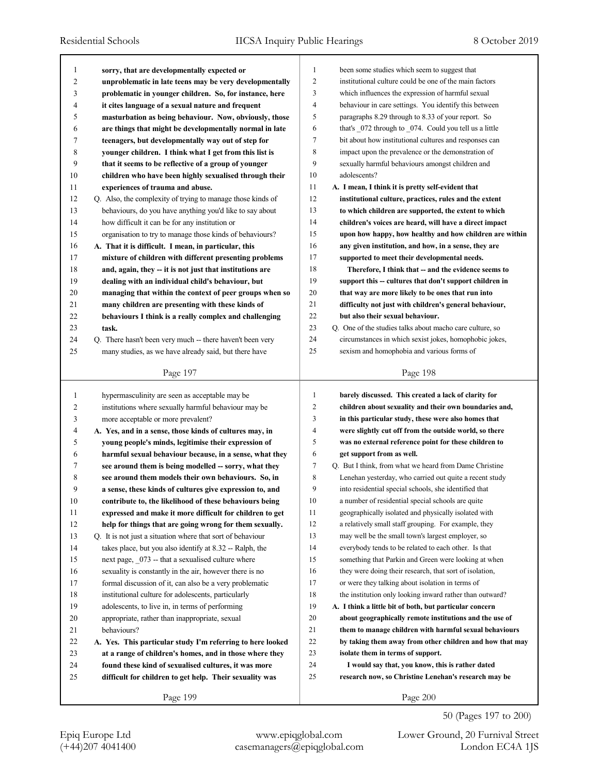| 1  | sorry, that are developmentally expected or                | $\mathbf{1}$   | been some studies which seem to suggest that             |
|----|------------------------------------------------------------|----------------|----------------------------------------------------------|
| 2  | unproblematic in late teens may be very developmentally    | $\overline{2}$ | institutional culture could be one of the main factors   |
| 3  | problematic in younger children. So, for instance, here    | 3              | which influences the expression of harmful sexual        |
| 4  | it cites language of a sexual nature and frequent          | $\overline{4}$ | behaviour in care settings. You identify this between    |
| 5  | masturbation as being behaviour. Now, obviously, those     | 5              | paragraphs 8.29 through to 8.33 of your report. So       |
| 6  | are things that might be developmentally normal in late    | 6              | that's 072 through to 074. Could you tell us a little    |
| 7  | teenagers, but developmentally way out of step for         | $\tau$         | bit about how institutional cultures and responses can   |
| 8  | younger children. I think what I get from this list is     | 8              | impact upon the prevalence or the demonstration of       |
| 9  | that it seems to be reflective of a group of younger       | 9              | sexually harmful behaviours amongst children and         |
| 10 | children who have been highly sexualised through their     | 10             | adolescents?                                             |
| 11 | experiences of trauma and abuse.                           | 11             | A. I mean, I think it is pretty self-evident that        |
| 12 | Q. Also, the complexity of trying to manage those kinds of | 12             | institutional culture, practices, rules and the extent   |
| 13 | behaviours, do you have anything you'd like to say about   | 13             | to which children are supported, the extent to which     |
| 14 | how difficult it can be for any institution or             | 14             | children's voices are heard, will have a direct impact   |
| 15 | organisation to try to manage those kinds of behaviours?   | 15             | upon how happy, how healthy and how children are within  |
| 16 | A. That it is difficult. I mean, in particular, this       | 16             | any given institution, and how, in a sense, they are     |
| 17 | mixture of children with different presenting problems     | 17             | supported to meet their developmental needs.             |
| 18 | and, again, they -- it is not just that institutions are   | 18             | Therefore, I think that -- and the evidence seems to     |
| 19 | dealing with an individual child's behaviour, but          | 19             | support this -- cultures that don't support children in  |
| 20 | managing that within the context of peer groups when so    | 20             | that way are more likely to be ones that run into        |
| 21 | many children are presenting with these kinds of           | 21             | difficulty not just with children's general behaviour,   |
| 22 | behaviours I think is a really complex and challenging     | 22             | but also their sexual behaviour.                         |
| 23 | task.                                                      | 23             | Q. One of the studies talks about macho care culture, so |
| 24 | Q. There hasn't been very much -- there haven't been very  | 24             | circumstances in which sexist jokes, homophobic jokes,   |
| 25 | many studies, as we have already said, but there have      | 25             | sexism and homophobia and various forms of               |
|    |                                                            |                |                                                          |
|    | Page 197                                                   |                | Page 198                                                 |
|    |                                                            |                |                                                          |
|    |                                                            |                |                                                          |
| 1  | hypermasculinity are seen as acceptable may be             | $\mathbf{1}$   | barely discussed. This created a lack of clarity for     |
| 2  | institutions where sexually harmful behaviour may be       | $\overline{c}$ | children about sexuality and their own boundaries and,   |
| 3  | more acceptable or more prevalent?                         | 3              | in this particular study, these were also homes that     |
| 4  | A. Yes, and in a sense, those kinds of cultures may, in    | $\overline{4}$ | were slightly cut off from the outside world, so there   |
| 5  | young people's minds, legitimise their expression of       | 5              | was no external reference point for these children to    |
| 6  | harmful sexual behaviour because, in a sense, what they    | 6              | get support from as well.                                |
| 7  | see around them is being modelled -- sorry, what they      | $\tau$         | Q. But I think, from what we heard from Dame Christine   |
| 8  | see around them models their own behaviours. So, in        | 8              | Lenehan yesterday, who carried out quite a recent study  |
| 9  | a sense, these kinds of cultures give expression to, and   | 9              | into residential special schools, she identified that    |
| 10 | contribute to, the likelihood of these behaviours being    | 10             | a number of residential special schools are quite        |
| 11 | expressed and make it more difficult for children to get   | 11             | geographically isolated and physically isolated with     |
| 12 | help for things that are going wrong for them sexually.    | 12             | a relatively small staff grouping. For example, they     |
| 13 | Q. It is not just a situation where that sort of behaviour | 13             | may well be the small town's largest employer, so        |
| 14 | takes place, but you also identify at 8.32 -- Ralph, the   | 14             | everybody tends to be related to each other. Is that     |
| 15 | next page, 073 -- that a sexualised culture where          | 15             | something that Parkin and Green were looking at when     |
| 16 | sexuality is constantly in the air, however there is no    | 16             | they were doing their research, that sort of isolation,  |
| 17 | formal discussion of it, can also be a very problematic    | 17             | or were they talking about isolation in terms of         |
| 18 | institutional culture for adolescents, particularly        | 18             | the institution only looking inward rather than outward? |
| 19 | adolescents, to live in, in terms of performing            | 19             | A. I think a little bit of both, but particular concern  |
| 20 | appropriate, rather than inappropriate, sexual             | 20             | about geographically remote institutions and the use of  |
| 21 | behaviours?                                                | 21             | them to manage children with harmful sexual behaviours   |
| 22 | A. Yes. This particular study I'm referring to here looked | 22             | by taking them away from other children and how that may |
| 23 | at a range of children's homes, and in those where they    | 23             | isolate them in terms of support.                        |
| 24 | found these kind of sexualised cultures, it was more       | 24             | I would say that, you know, this is rather dated         |
| 25 | difficult for children to get help. Their sexuality was    | 25             | research now, so Christine Lenehan's research may be     |

50 (Pages 197 to 200)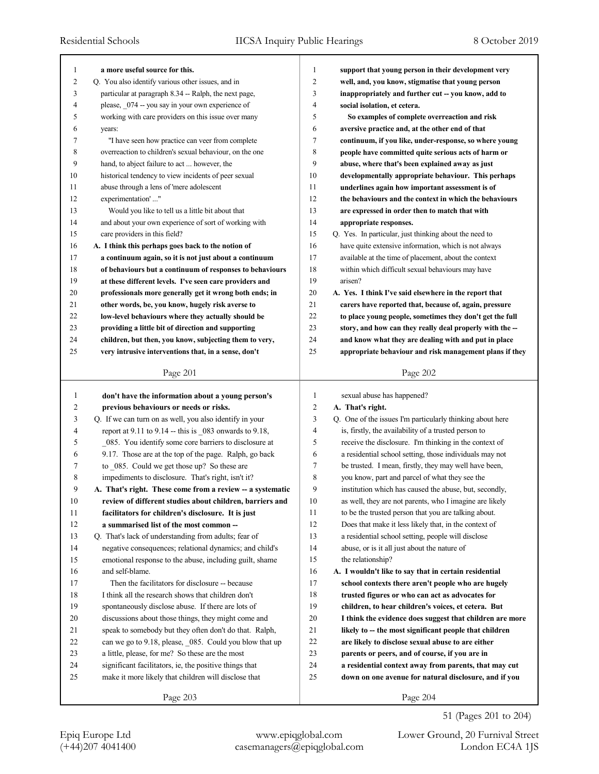| 1            | a more useful source for this.                            | 1              | support that young person in their development very       |
|--------------|-----------------------------------------------------------|----------------|-----------------------------------------------------------|
| 2            | Q. You also identify various other issues, and in         | $\overline{c}$ | well, and, you know, stigmatise that young person         |
| 3            | particular at paragraph 8.34 -- Ralph, the next page,     | 3              | inappropriately and further cut -- you know, add to       |
| 4            | please, _074 -- you say in your own experience of         | $\overline{4}$ | social isolation, et cetera.                              |
| 5            | working with care providers on this issue over many       | 5              | So examples of complete overreaction and risk             |
| 6            | years:                                                    | 6              | aversive practice and, at the other end of that           |
| 7            | "I have seen how practice can veer from complete          | 7              | continuum, if you like, under-response, so where young    |
| 8            | overreaction to children's sexual behaviour, on the one   | 8              | people have committed quite serious acts of harm or       |
| 9            | hand, to abject failure to act  however, the              | 9              | abuse, where that's been explained away as just           |
| 10           | historical tendency to view incidents of peer sexual      | 10             | developmentally appropriate behaviour. This perhaps       |
| 11           | abuse through a lens of 'mere adolescent                  | 11             | underlines again how important assessment is of           |
| 12           | experimentation'"                                         | 12             | the behaviours and the context in which the behaviours    |
| 13           | Would you like to tell us a little bit about that         | 13             | are expressed in order then to match that with            |
| 14           | and about your own experience of sort of working with     | 14             | appropriate responses.                                    |
| 15           | care providers in this field?                             | 15             | Q. Yes. In particular, just thinking about the need to    |
| 16           | A. I think this perhaps goes back to the notion of        | 16             | have quite extensive information, which is not always     |
| 17           | a continuum again, so it is not just about a continuum    | 17             | available at the time of placement, about the context     |
| 18           | of behaviours but a continuum of responses to behaviours  | 18             | within which difficult sexual behaviours may have         |
| 19           | at these different levels. I've seen care providers and   | 19             | arisen?                                                   |
| 20           | professionals more generally get it wrong both ends; in   | 20             | A. Yes. I think I've said elsewhere in the report that    |
| 21           | other words, be, you know, hugely risk averse to          | 21             | carers have reported that, because of, again, pressure    |
| 22           | low-level behaviours where they actually should be        | 22             | to place young people, sometimes they don't get the full  |
| 23           | providing a little bit of direction and supporting        | 23             | story, and how can they really deal properly with the --  |
| 24           | children, but then, you know, subjecting them to very,    | 24             | and know what they are dealing with and put in place      |
| 25           | very intrusive interventions that, in a sense, don't      | 25             | appropriate behaviour and risk management plans if they   |
|              | Page 201                                                  |                | Page 202                                                  |
|              |                                                           |                |                                                           |
|              |                                                           |                |                                                           |
| $\mathbf{1}$ | don't have the information about a young person's         | 1              | sexual abuse has happened?                                |
| 2            | previous behaviours or needs or risks.                    | 2              | A. That's right.                                          |
| 3            | Q. If we can turn on as well, you also identify in your   | 3              | Q. One of the issues I'm particularly thinking about here |
| 4            | report at 9.11 to 9.14 -- this is _083 onwards to 9.18,   | 4              | is, firstly, the availability of a trusted person to      |
| 5            | 085. You identify some core barriers to disclosure at     | 5              | receive the disclosure. I'm thinking in the context of    |
| 6            | 9.17. Those are at the top of the page. Ralph, go back    | 6              | a residential school setting, those individuals may not   |
| 7            | to _085. Could we get those up? So these are              | 7              | be trusted. I mean, firstly, they may well have been,     |
| 8            | impediments to disclosure. That's right, isn't it?        | 8              | you know, part and parcel of what they see the            |
| 9            | A. That's right. These come from a review -- a systematic | 9              | institution which has caused the abuse, but, secondly,    |
| 10           | review of different studies about children, barriers and  | 10             | as well, they are not parents, who I imagine are likely   |
| 11           | facilitators for children's disclosure. It is just        | 11             | to be the trusted person that you are talking about.      |
| 12           | a summarised list of the most common --                   | 12             | Does that make it less likely that, in the context of     |
| 13           | Q. That's lack of understanding from adults; fear of      | 13             | a residential school setting, people will disclose        |
| 14           | negative consequences; relational dynamics; and child's   | 14             | abuse, or is it all just about the nature of              |
| 15           | emotional response to the abuse, including guilt, shame   | 15             | the relationship?                                         |
| 16           | and self-blame.                                           | 16             | A. I wouldn't like to say that in certain residential     |
| 17           | Then the facilitators for disclosure -- because           | 17             | school contexts there aren't people who are hugely        |
| $18\,$       | I think all the research shows that children don't        | 18             | trusted figures or who can act as advocates for           |
| 19           | spontaneously disclose abuse. If there are lots of        | 19             | children, to hear children's voices, et cetera. But       |
| 20           | discussions about those things, they might come and       | 20             | I think the evidence does suggest that children are more  |
| 21           | speak to somebody but they often don't do that. Ralph,    | 21             | likely to -- the most significant people that children    |
| $22\,$       | can we go to 9.18, please, _085. Could you blow that up   | 22             | are likely to disclose sexual abuse to are either         |
| 23           | a little, please, for me? So these are the most           | 23             | parents or peers, and of course, if you are in            |
| 24           | significant facilitators, ie, the positive things that    | 24             | a residential context away from parents, that may cut     |
| 25           | make it more likely that children will disclose that      | 25             | down on one avenue for natural disclosure, and if you     |
|              | Page 203                                                  |                | Page 204                                                  |

51 (Pages 201 to 204)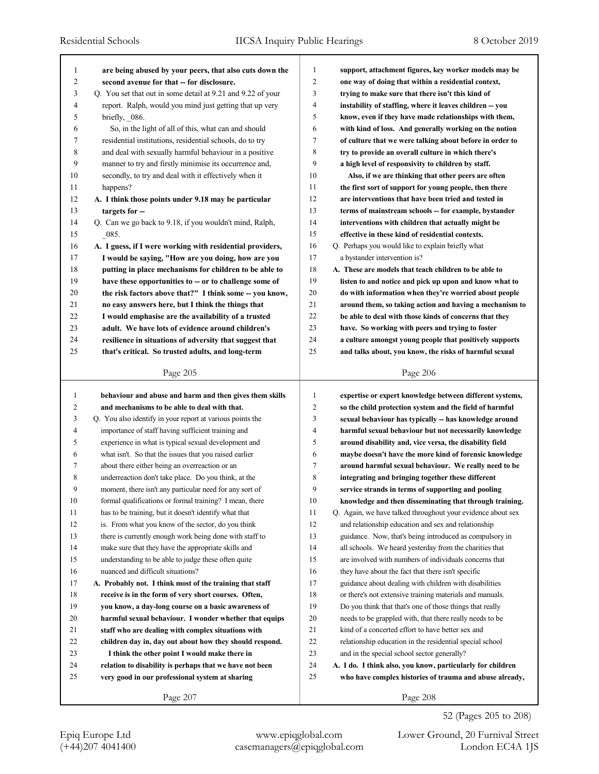| 1              | are being abused by your peers, that also cuts down the                                                       | 1            | support, attachment figures, key worker models may be                                                              |
|----------------|---------------------------------------------------------------------------------------------------------------|--------------|--------------------------------------------------------------------------------------------------------------------|
| $\overline{c}$ | second avenue for that -- for disclosure.                                                                     | 2            | one way of doing that within a residential context,                                                                |
| 3              | Q. You set that out in some detail at 9.21 and 9.22 of your                                                   | 3            | trying to make sure that there isn't this kind of                                                                  |
| 4              | report. Ralph, would you mind just getting that up very                                                       | 4            | instability of staffing, where it leaves children -- you                                                           |
| 5              | briefly, $\_\ 086$ .                                                                                          | 5            | know, even if they have made relationships with them,                                                              |
| 6              | So, in the light of all of this, what can and should                                                          | 6            | with kind of loss. And generally working on the notion                                                             |
| 7              | residential institutions, residential schools, do to try                                                      | 7            | of culture that we were talking about before in order to                                                           |
| 8              | and deal with sexually harmful behaviour in a positive                                                        | 8            | try to provide an overall culture in which there's                                                                 |
| 9              | manner to try and firstly minimise its occurrence and,                                                        | 9            | a high level of responsivity to children by staff.                                                                 |
| 10             | secondly, to try and deal with it effectively when it                                                         | 10           | Also, if we are thinking that other peers are often                                                                |
| 11             | happens?                                                                                                      | 11           | the first sort of support for young people, then there                                                             |
| 12             | A. I think those points under 9.18 may be particular                                                          | 12           | are interventions that have been tried and tested in                                                               |
| 13             | targets for --                                                                                                | 13           | terms of mainstream schools -- for example, bystander                                                              |
| 14             | Q. Can we go back to 9.18, if you wouldn't mind, Ralph,                                                       | 14           | interventions with children that actually might be                                                                 |
| 15             | $-085.$                                                                                                       | 15           | effective in these kind of residential contexts.                                                                   |
| 16             | A. I guess, if I were working with residential providers,                                                     | 16           | Q. Perhaps you would like to explain briefly what                                                                  |
| 17             | I would be saying, "How are you doing, how are you                                                            | 17           | a bystander intervention is?                                                                                       |
| 18             | putting in place mechanisms for children to be able to                                                        | 18           | A. These are models that teach children to be able to                                                              |
| 19             | have these opportunities to -- or to challenge some of                                                        | 19           | listen to and notice and pick up upon and know what to                                                             |
| 20             | the risk factors above that?" I think some -- you know,                                                       | 20           | do with information when they're worried about people                                                              |
| 21             | no easy answers here, but I think the things that                                                             | 21           | around them, so taking action and having a mechanism to                                                            |
| 22             | I would emphasise are the availability of a trusted                                                           | 22           | be able to deal with those kinds of concerns that they                                                             |
| 23             | adult. We have lots of evidence around children's                                                             | 23           | have. So working with peers and trying to foster                                                                   |
| 24             | resilience in situations of adversity that suggest that                                                       | 24           | a culture amongst young people that positively supports                                                            |
| 25             | that's critical. So trusted adults, and long-term                                                             | 25           | and talks about, you know, the risks of harmful sexual                                                             |
|                | Page 205                                                                                                      |              | Page 206                                                                                                           |
|                |                                                                                                               |              |                                                                                                                    |
|                |                                                                                                               |              |                                                                                                                    |
| 1              | behaviour and abuse and harm and then gives them skills                                                       | 1            | expertise or expert knowledge between different systems,                                                           |
| $\overline{c}$ | and mechanisms to be able to deal with that.                                                                  | 2            | so the child protection system and the field of harmful                                                            |
| 3              | Q. You also identify in your report at various points the                                                     | 3            | sexual behaviour has typically -- has knowledge around                                                             |
| 4              | importance of staff having sufficient training and                                                            | 4            | harmful sexual behaviour but not necessarily knowledge                                                             |
| 5              | experience in what is typical sexual development and                                                          | 5            | around disability and, vice versa, the disability field                                                            |
| 6              | what isn't. So that the issues that you raised earlier                                                        | 6            | maybe doesn't have the more kind of forensic knowledge                                                             |
| 7              | about there either being an overreaction or an                                                                | 7            | around harmful sexual behaviour. We really need to be                                                              |
| 8<br>9         | underreaction don't take place. Do you think, at the                                                          | 8<br>9       | integrating and bringing together these different                                                                  |
|                | moment, there isn't any particular need for any sort of                                                       |              | service strands in terms of supporting and pooling                                                                 |
| $10\,$<br>11   | formal qualifications or formal training? I mean, there                                                       | $10\,$<br>11 | knowledge and then disseminating that through training.                                                            |
| 12             | has to be training, but it doesn't identify what that                                                         | 12           | Q. Again, we have talked throughout your evidence about sex<br>and relationship education and sex and relationship |
|                | is. From what you know of the sector, do you think<br>there is currently enough work being done with staff to | 13           | guidance. Now, that's being introduced as compulsory in                                                            |
| 13<br>14       | make sure that they have the appropriate skills and                                                           | 14           | all schools. We heard yesterday from the charities that                                                            |
| 15             | understanding to be able to judge these often quite                                                           | 15           | are involved with numbers of individuals concerns that                                                             |
| 16             | nuanced and difficult situations?                                                                             | 16           | they have about the fact that there isn't specific                                                                 |
| 17             | A. Probably not. I think most of the training that staff                                                      | 17           | guidance about dealing with children with disabilities                                                             |
| $18\,$         | receive is in the form of very short courses. Often,                                                          | 18           | or there's not extensive training materials and manuals.                                                           |
| 19             | you know, a day-long course on a basic awareness of                                                           | 19           | Do you think that that's one of those things that really                                                           |
| 20             | harmful sexual behaviour. I wonder whether that equips                                                        | 20           | needs to be grappled with, that there really needs to be                                                           |
| 21             | staff who are dealing with complex situations with                                                            | 21           | kind of a concerted effort to have better sex and                                                                  |
| 22             | children day in, day out about how they should respond.                                                       | 22           | relationship education in the residential special school                                                           |
| 23             | I think the other point I would make there in                                                                 | 23           | and in the special school sector generally?                                                                        |
| 24             | relation to disability is perhaps that we have not been                                                       | 24           | A. I do. I think also, you know, particularly for children                                                         |
| 25             | very good in our professional system at sharing                                                               | 25           | who have complex histories of trauma and abuse already,                                                            |

52 (Pages 205 to 208)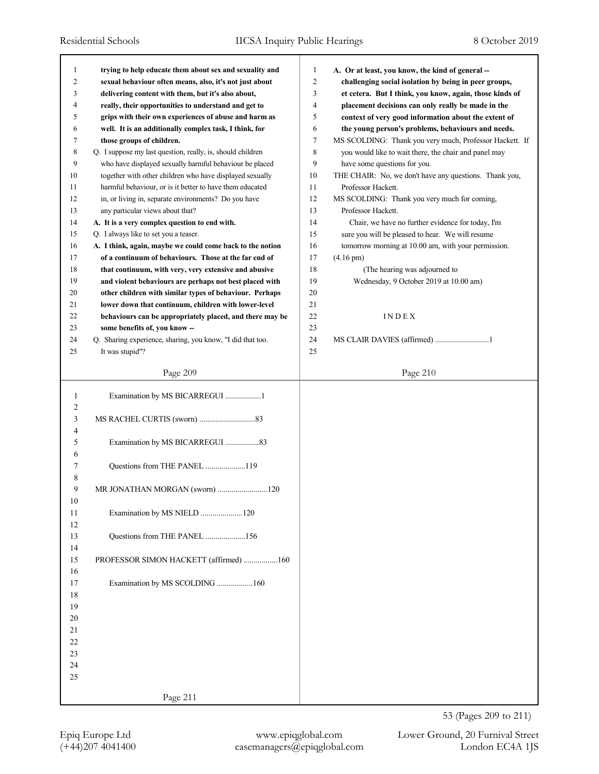| 1              | trying to help educate them about sex and sexuality and    | $\mathbf{1}$ | A. Or at least, you know, the kind of general --        |
|----------------|------------------------------------------------------------|--------------|---------------------------------------------------------|
| 2              | sexual behaviour often means, also, it's not just about    | 2            | challenging social isolation by being in peer groups,   |
| 3              | delivering content with them, but it's also about,         | 3            | et cetera. But I think, you know, again, those kinds of |
| 4              | really, their opportunities to understand and get to       | 4            | placement decisions can only really be made in the      |
| 5              | grips with their own experiences of abuse and harm as      | 5            | context of very good information about the extent of    |
| 6              | well. It is an additionally complex task, I think, for     | 6            | the young person's problems, behaviours and needs.      |
| 7              | those groups of children.                                  | 7            | MS SCOLDING: Thank you very much, Professor Hackett. If |
| 8              | Q. I suppose my last question, really, is, should children | 8            | you would like to wait there, the chair and panel may   |
| 9              | who have displayed sexually harmful behaviour be placed    | 9            | have some questions for you.                            |
| 10             | together with other children who have displayed sexually   | 10           | THE CHAIR: No, we don't have any questions. Thank you,  |
| 11             | harmful behaviour, or is it better to have them educated   | 11           | Professor Hackett.                                      |
| 12             | in, or living in, separate environments? Do you have       | 12           | MS SCOLDING: Thank you very much for coming,            |
| 13             | any particular views about that?                           | 13           | Professor Hackett.                                      |
| 14             | A. It is a very complex question to end with.              | 14           | Chair, we have no further evidence for today, I'm       |
| 15             | Q. I always like to set you a teaser.                      | 15           | sure you will be pleased to hear. We will resume        |
| 16             | A. I think, again, maybe we could come back to the notion  | 16           | tomorrow morning at 10.00 am, with your permission.     |
| 17             | of a continuum of behaviours. Those at the far end of      | 17           | $(4.16 \text{ pm})$                                     |
| 18             | that continuum, with very, very extensive and abusive      | 18           | (The hearing was adjourned to                           |
| 19             | and violent behaviours are perhaps not best placed with    | 19           | Wednesday, 9 October 2019 at 10.00 am)                  |
| 20             | other children with similar types of behaviour. Perhaps    | 20           |                                                         |
|                |                                                            | 21           |                                                         |
| 21             | lower down that continuum, children with lower-level       |              |                                                         |
| 22             | behaviours can be appropriately placed, and there may be   | 22           | INDEX                                                   |
| 23             | some benefits of, you know --                              | 23           |                                                         |
| 24             | Q. Sharing experience, sharing, you know, "I did that too. | 24           | MS CLAIR DAVIES (affirmed) 1                            |
| 25             | It was stupid"?                                            | 25           |                                                         |
|                | Page 209                                                   |              | Page 210                                                |
|                |                                                            |              |                                                         |
| $\mathbf{1}$   | Examination by MS BICARREGUI 1                             |              |                                                         |
| $\overline{c}$ |                                                            |              |                                                         |
|                |                                                            |              |                                                         |
| 3              |                                                            |              |                                                         |
| 4              |                                                            |              |                                                         |
| 5              | Examination by MS BICARREGUI 83                            |              |                                                         |
| 6              |                                                            |              |                                                         |
| 7              | Questions from THE PANEL 119                               |              |                                                         |
| 8              |                                                            |              |                                                         |
| 9              | MR JONATHAN MORGAN (sworn) 120                             |              |                                                         |
| 10             |                                                            |              |                                                         |
| 11             | Examination by MS NIELD 120                                |              |                                                         |
| 12             |                                                            |              |                                                         |
| 13             | Questions from THE PANEL 156                               |              |                                                         |
| 14             |                                                            |              |                                                         |
| 15             | PROFESSOR SIMON HACKETT (affirmed) 160                     |              |                                                         |
| 16             |                                                            |              |                                                         |
| 17             | Examination by MS SCOLDING 160                             |              |                                                         |
| 18             |                                                            |              |                                                         |
| 19             |                                                            |              |                                                         |
| 20             |                                                            |              |                                                         |
| 21             |                                                            |              |                                                         |
| 22             |                                                            |              |                                                         |
| 23             |                                                            |              |                                                         |
| 24             |                                                            |              |                                                         |
| 25             |                                                            |              |                                                         |
|                | Page 211                                                   |              |                                                         |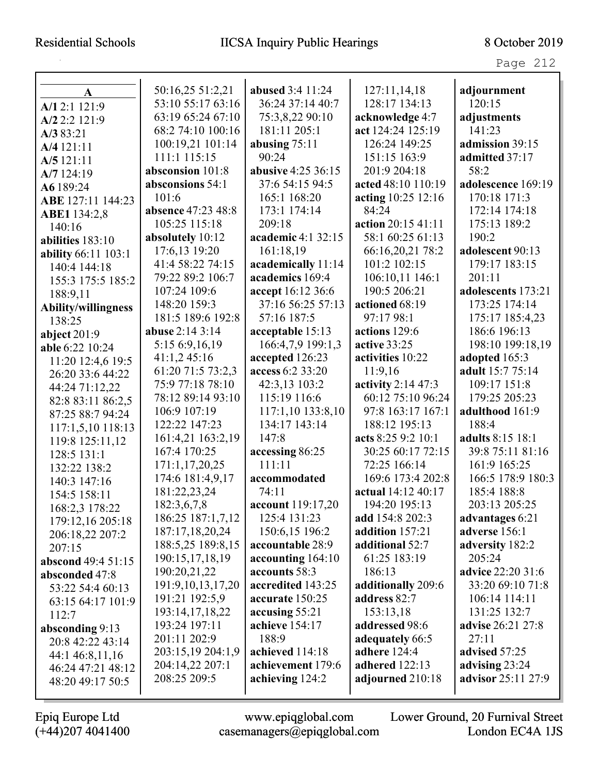# Residential Schools IICSA Inquiry Public Hearings 8 October 2019

| r<br>$\sim$<br>ı<br>$\overline{\phantom{0}}$ |  |
|----------------------------------------------|--|
|----------------------------------------------|--|

| A                          | 50:16,25 51:2,21   | <b>abused</b> 3:4 11:24 | 127:11,14,18       | adjournment               |
|----------------------------|--------------------|-------------------------|--------------------|---------------------------|
| A/12:1 121:9               | 53:10 55:17 63:16  | 36:24 37:14 40:7        | 128:17 134:13      | 120:15                    |
| A/2 2:2 121:9              | 63:19 65:24 67:10  | 75:3,8,22 90:10         | acknowledge 4:7    | adjustments               |
| A/383:21                   | 68:2 74:10 100:16  | 181:11 205:1            | act 124:24 125:19  | 141:23                    |
| A/4 121:11                 | 100:19,21 101:14   | abusing $75:11$         | 126:24 149:25      | admission 39:15           |
| A/5 121:11                 | 111:1 115:15       | 90:24                   | 151:15 163:9       | admitted 37:17            |
| A/7 124:19                 | absconsion 101:8   | abusive 4:25 36:15      | 201:9 204:18       | 58:2                      |
| A6 189:24                  | absconsions 54:1   | 37:6 54:15 94:5         | acted 48:10 110:19 | adolescence 169:19        |
| ABE 127:11 144:23          | 101:6              | 165:1 168:20            | acting 10:25 12:16 | 170:18 171:3              |
| ABE1 134:2,8               | absence 47:23 48:8 | 173:1 174:14            | 84:24              | 172:14 174:18             |
| 140:16                     | 105:25 115:18      | 209:18                  | action 20:15 41:11 | 175:13 189:2              |
| abilities 183:10           | absolutely 10:12   | academic 4:1 32:15      | 58:1 60:25 61:13   | 190:2                     |
| <b>ability</b> 66:11 103:1 | 17:6,13 19:20      | 161:18,19               | 66:16,20,21 78:2   | adolescent 90:13          |
| 140:4 144:18               | 41:4 58:22 74:15   | academically 11:14      | 101:2 102:15       | 179:17 183:15             |
| 155:3 175:5 185:2          | 79:22 89:2 106:7   | academics 169:4         | 106:10,11 146:1    | 201:11                    |
| 188:9,11                   | 107:24 109:6       | accept 16:12 36:6       | 190:5 206:21       | adolescents 173:21        |
| Ability/willingness        | 148:20 159:3       | 37:16 56:25 57:13       | actioned 68:19     | 173:25 174:14             |
| 138:25                     | 181:5 189:6 192:8  | 57:16 187:5             | 97:17 98:1         | 175:17 185:4,23           |
| abject $201:9$             | abuse 2:14 3:14    | acceptable 15:13        | actions 129:6      | 186:6 196:13              |
| able 6:22 10:24            | 5:15 6:9,16,19     | 166:4,7,9 199:1,3       | active 33:25       | 198:10 199:18,19          |
| 11:20 12:4,6 19:5          | 41:1,245:16        | accepted 126:23         | activities 10:22   | adopted 165:3             |
| 26:20 33:6 44:22           | 61:20 71:5 73:2,3  | access 6:2 33:20        | 11:9,16            | adult 15:7 75:14          |
| 44:24 71:12,22             | 75:9 77:18 78:10   | 42:3,13 103:2           | activity 2:14 47:3 | 109:17 151:8              |
| 82:8 83:11 86:2,5          | 78:12 89:14 93:10  | 115:19 116:6            | 60:12 75:10 96:24  | 179:25 205:23             |
| 87:25 88:7 94:24           | 106:9 107:19       | 117:1,10 133:8,10       | 97:8 163:17 167:1  | adulthood 161:9           |
| 117:1,5,10 118:13          | 122:22 147:23      | 134:17 143:14           | 188:12 195:13      | 188:4                     |
| 119:8 125:11,12            | 161:4,21 163:2,19  | 147:8                   | acts 8:25 9:2 10:1 | adults 8:15 18:1          |
| 128:5 131:1                | 167:4 170:25       | accessing 86:25         | 30:25 60:17 72:15  | 39:8 75:11 81:16          |
| 132:22 138:2               | 171:1,17,20,25     | 111:11                  | 72:25 166:14       | 161:9 165:25              |
| 140:3 147:16               | 174:6 181:4,9,17   | accommodated            | 169:6 173:4 202:8  | 166:5 178:9 180:3         |
| 154:5 158:11               | 181:22,23,24       | 74:11                   | actual 14:12 40:17 | 185:4 188:8               |
| 168:2,3 178:22             | 182:3,6,7,8        | account 119:17,20       | 194:20 195:13      | 203:13 205:25             |
| 179:12,16 205:18           | 186:25 187:1,7,12  | 125:4 131:23            | add 154:8 202:3    | advantages 6:21           |
| 206:18,22 207:2            | 187:17,18,20,24    | 150:6,15 196:2          | addition 157:21    | adverse 156:1             |
| 207:15                     | 188:5,25 189:8,15  | accountable 28:9        | additional 52:7    | adversity 182:2           |
| abscond 49:4 51:15         | 190:15,17,18,19    | accounting 164:10       | 61:25 183:19       | 205:24                    |
| absconded 47:8             | 190:20,21,22       | accounts 58:3           | 186:13             | <b>advice</b> 22:20 31:6  |
| 53:22 54:4 60:13           | 191:9,10,13,17,20  | accredited 143:25       | additionally 209:6 | 33:20 69:10 71:8          |
| 63:15 64:17 101:9          | 191:21 192:5,9     | accurate 150:25         | address 82:7       | 106:14 114:11             |
| 112:7                      | 193:14,17,18,22    | accusing 55:21          | 153:13,18          | 131:25 132:7              |
| absconding 9:13            | 193:24 197:11      | achieve 154:17          | addressed 98:6     | <b>advise</b> 26:21 27:8  |
| 20:8 42:22 43:14           | 201:11 202:9       | 188:9                   | adequately 66:5    | 27:11                     |
| 44:1 46:8,11,16            | 203:15,19 204:1,9  | achieved 114:18         | adhere 124:4       | advised 57:25             |
| 46:24 47:21 48:12          | 204:14,22 207:1    | achievement 179:6       | adhered 122:13     | advising 23:24            |
| 48:20 49:17 50:5           | 208:25 209:5       | achieving 124:2         | adjourned 210:18   | <b>advisor</b> 25:11 27:9 |
|                            |                    |                         |                    |                           |

Epiq Europe Ltd www.epiqglobal.com Lower Ground, 20 Furnival Street

(+44)207 4041400 casemanagers@epiqglobal.com London EC4A 1JS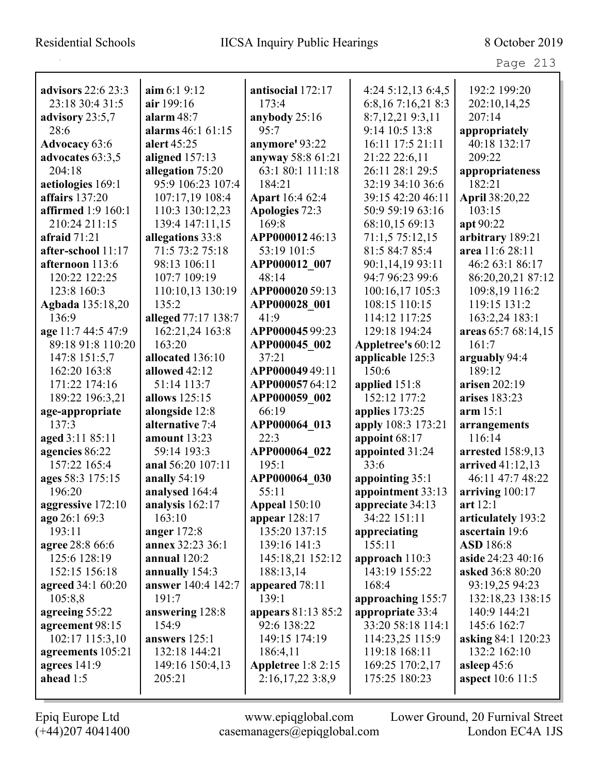| <b>advisors</b> 22:6 23:3 | $\lim 6:19:12$           | antisocial 172:17         | 4:24 5:12,13 6:4,5 | 192:2 199:20                       |
|---------------------------|--------------------------|---------------------------|--------------------|------------------------------------|
| 23:18 30:4 31:5           | air 199:16               | 173:4                     | 6:8,167:16,218:3   | 202:10,14,25                       |
| advisory 23:5,7           | alarm $48:7$             | anybody 25:16             | 8:7,12,219:3,11    | 207:14                             |
| 28:6                      | alarms 46:1 61:15        | 95:7                      | 9:14 10:5 13:8     | appropriately                      |
| <b>Advocacy</b> 63:6      | alert 45:25              | anymore' 93:22            | 16:11 17:5 21:11   | 40:18 132:17                       |
| advocates 63:3,5          | aligned $157:13$         | anyway 58:8 61:21         | 21:22 22:6,11      | 209:22                             |
| 204:18                    | allegation 75:20         | 63:1 80:1 111:18          | 26:11 28:1 29:5    | appropriateness                    |
| aetiologies 169:1         | 95:9 106:23 107:4        | 184:21                    | 32:19 34:10 36:6   | 182:21                             |
| affairs 137:20            | 107:17,19 108:4          | <b>Apart</b> 16:4 62:4    | 39:15 42:20 46:11  | April 38:20,22                     |
| affirmed 1:9 160:1        | 110:3 130:12,23          | Apologies 72:3            | 50:9 59:19 63:16   | 103:15                             |
| 210:24 211:15             | 139:4 147:11,15          | 169:8                     | 68:10,15 69:13     | apt 90:22                          |
| afraid $71:21$            | allegations 33:8         | APP00001246:13            | 71:1,5 75:12,15    | arbitrary 189:21                   |
| after-school 11:17        | 71:5 73:2 75:18          | 53:19 101:5               | 81:5 84:7 85:4     | area 11:6 28:11                    |
| afternoon 113:6           | 98:13 106:11             | APP000012 007             | 90:1,14,19 93:11   | 46:2 63:1 86:17                    |
| 120:22 122:25             | 107:7 109:19             | 48:14                     | 94:7 96:23 99:6    | 86:20,20,21 87:12                  |
| 123:8 160:3               | 110:10,13 130:19         | APP000020 59:13           | 100:16,17 105:3    | 109:8,19 116:2                     |
| Agbada 135:18,20          | 135:2                    | APP000028 001             | 108:15 110:15      | 119:15 131:2                       |
| 136:9                     | alleged 77:17 138:7      | 41:9                      | 114:12 117:25      | 163:2,24 183:1                     |
| age 11:7 44:5 47:9        | 162:21,24 163:8          | APP00004599:23            | 129:18 194:24      | areas 65:7 68:14,15                |
| 89:18 91:8 110:20         | 163:20                   | APP000045 002             | Appletree's 60:12  | 161:7                              |
| 147:8 151:5,7             | allocated 136:10         | 37:21                     | applicable 125:3   | arguably 94:4                      |
| 162:20 163:8              | allowed 42:12            | APP00004949:11            | 150:6              | 189:12                             |
| 171:22 174:16             | 51:14 113:7              | APP00005764:12            | applied 151:8      | arisen 202:19                      |
| 189:22 196:3,21           | allows 125:15            | APP000059 002             | 152:12 177:2       | arises 183:23                      |
| age-appropriate           | alongside 12:8           | 66:19                     | applies 173:25     | arm 15:1                           |
| 137:3                     | alternative 7:4          | APP000064 013             | apply 108:3 173:21 | arrangements                       |
| aged 3:11 85:11           | amount 13:23             | 22:3                      | appoint 68:17      | 116:14                             |
| agencies 86:22            | 59:14 193:3              | APP000064 022             | appointed 31:24    | arrested 158:9,13                  |
| 157:22 165:4              | anal 56:20 107:11        | 195:1                     | 33:6               | arrived 41:12,13                   |
| ages 58:3 175:15          | anally 54:19             | APP000064 030             | appointing 35:1    | 46:11 47:7 48:22                   |
| 196:20                    | analysed 164:4           | 55:11                     | appointment 33:13  | arriving $100:17$                  |
| aggressive 172:10         | analysis 162:17          | <b>Appeal</b> 150:10      | appreciate 34:13   | art 12:1                           |
| ago 26:1 69:3             | 163:10                   | appear $128:17$           | 34:22 151:11       | articulately 193:2                 |
| 193:11                    | anger $172:8$            | 135:20 137:15             | appreciating       | ascertain 19:6                     |
| agree 28:8 66:6           | annex 32:23 36:1         | 139:16 141:3              | 155:11             | <b>ASD</b> 186:8                   |
| 125:6 128:19              | annual 120:2             | 145:18,21 152:12          | approach 110:3     | aside 24:23 40:16                  |
| 152:15 156:18             | annually 154:3           | 188:13,14                 | 143:19 155:22      | asked 36:8 80:20                   |
| <b>agreed</b> 34:1 60:20  | answer 140:4 142:7       | appeared 78:11            | 168:4              | 93:19,25 94:23                     |
| 105:8,8                   | 191:7                    | 139:1                     | approaching 155:7  | 132:18,23 138:15                   |
| agreeing 55:22            |                          | appears 81:13 85:2        | appropriate 33:4   | 140:9 144:21                       |
| agreement 98:15           | answering 128:8<br>154:9 | 92:6 138:22               | 33:20 58:18 114:1  | 145:6 162:7                        |
| 102:17 115:3,10           | answers 125:1            | 149:15 174:19             |                    |                                    |
|                           |                          |                           | 114:23,25 115:9    | asking 84:1 120:23<br>132:2 162:10 |
| agreements 105:21         | 132:18 144:21            | 186:4,11                  | 119:18 168:11      |                                    |
| agrees $141:9$            | 149:16 150:4,13          | <b>Appletree</b> 1:8 2:15 | 169:25 170:2,17    | asleep 45:6                        |
| ahead 1:5                 | 205:21                   | 2:16,17,223:8,9           | 175:25 180:23      | <b>aspect</b> 10:6 11:5            |
|                           |                          |                           |                    |                                    |

L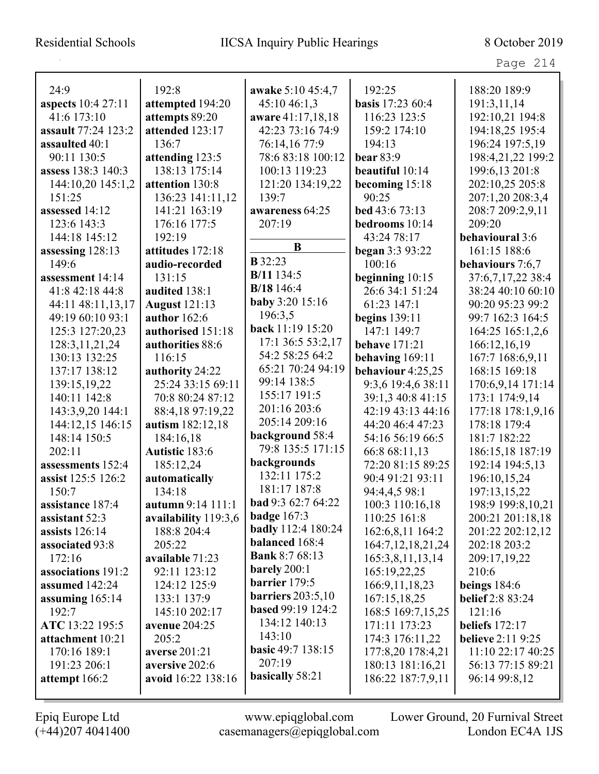| 24:9                | 192:8                | awake 5:10 45:4,7                          | 192:25                  | 188:20 189:9             |
|---------------------|----------------------|--------------------------------------------|-------------------------|--------------------------|
| aspects 10:4 27:11  | attempted 194:20     | 45:10 46:1,3                               | <b>basis</b> 17:23 60:4 | 191:3,11,14              |
| 41:6 173:10         | attempts 89:20       | aware 41:17,18,18                          | 116:23 123:5            | 192:10,21 194:8          |
| assault 77:24 123:2 | attended 123:17      | 42:23 73:16 74:9                           | 159:2 174:10            | 194:18,25 195:4          |
| assaulted 40:1      | 136:7                | 76:14,16 77:9                              | 194:13                  | 196:24 197:5,19          |
| 90:11 130:5         | attending 123:5      | 78:6 83:18 100:12                          | <b>bear</b> 83:9        | 198:4,21,22 199:2        |
| assess 138:3 140:3  | 138:13 175:14        | 100:13 119:23                              | beautiful 10:14         | 199:6,13 201:8           |
| 144:10,20 145:1,2   | attention 130:8      | 121:20 134:19,22                           | becoming 15:18          | 202:10,25 205:8          |
| 151:25              | 136:23 141:11,12     | 139:7                                      | 90:25                   | 207:1,20 208:3,4         |
| assessed 14:12      | 141:21 163:19        | awareness 64:25                            | bed 43:6 73:13          | 208:7 209:2,9,11         |
| 123:6 143:3         | 176:16 177:5         | 207:19                                     | bedrooms 10:14          | 209:20                   |
| 144:18 145:12       | 192:19               |                                            | 43:24 78:17             | behavioural 3:6          |
| assessing 128:13    | attitudes 172:18     | B                                          | <b>began</b> $3:393:22$ | 161:15 188:6             |
| 149:6               | audio-recorded       | <b>B</b> 32:23                             | 100:16                  | behaviours 7:6,7         |
| assessment 14:14    | 131:15               | B/11 134:5                                 | beginning $10:15$       | 37:6,7,17,22 38:4        |
| 41:8 42:18 44:8     | audited 138:1        | B/18 146:4                                 | 26:6 34:1 51:24         | 38:24 40:10 60:10        |
| 44:11 48:11,13,17   | <b>August</b> 121:13 | <b>baby</b> 3:20 15:16                     | 61:23 147:1             | 90:20 95:23 99:2         |
| 49:19 60:10 93:1    | author $162:6$       | 196:3,5                                    | <b>begins</b> 139:11    | 99:7 162:3 164:5         |
| 125:3 127:20,23     | authorised 151:18    | back 11:19 15:20                           | 147:1 149:7             | 164:25 165:1,2,6         |
| 128:3, 11, 21, 24   | authorities 88:6     | 17:1 36:5 53:2,17                          | <b>behave</b> 171:21    | 166:12,16,19             |
| 130:13 132:25       | 116:15               | 54:2 58:25 64:2                            | behaving $169:11$       | 167:7 168:6,9,11         |
| 137:17 138:12       | authority 24:22      | 65:21 70:24 94:19                          | behaviour 4:25,25       | 168:15 169:18            |
| 139:15,19,22        | 25:24 33:15 69:11    | 99:14 138:5                                | 9:3,6 19:4,6 38:11      | 170:6,9,14 171:14        |
| 140:11 142:8        | 70:8 80:24 87:12     | 155:17 191:5                               | 39:1,3 40:8 41:15       | 173:1 174:9,14           |
| 143:3,9,20 144:1    | 88:4,18 97:19,22     | 201:16 203:6                               | 42:19 43:13 44:16       | 177:18 178:1,9,16        |
| 144:12,15 146:15    | autism 182:12,18     | 205:14 209:16                              | 44:20 46:4 47:23        | 178:18 179:4             |
| 148:14 150:5        | 184:16,18            | background 58:4                            | 54:16 56:19 66:5        | 181:7 182:22             |
| 202:11              | Autistic 183:6       | 79:8 135:5 171:15                          | 66:8 68:11,13           | 186:15,18 187:19         |
| assessments 152:4   | 185:12,24            | backgrounds                                | 72:20 81:15 89:25       | 192:14 194:5,13          |
| assist 125:5 126:2  | automatically        | 132:11 175:2<br>181:17 187:8               | 90:4 91:21 93:11        | 196:10,15,24             |
| 150:7               | 134:18               | <b>bad</b> 9:3 62:7 64:22                  | 94:4,4,5 98:1           | 197:13,15,22             |
| assistance 187:4    | autumn 9:14 111:1    |                                            | 100:3 110:16,18         | 198:9 199:8,10,21        |
| assistant 52:3      | availability 119:3,6 | badge $167:3$<br><b>badly</b> 112:4 180:24 | 110:25 161:8            | 200:21 201:18,18         |
| assists $126:14$    | 188:8 204:4          | balanced 168:4                             | 162:6,8,11 164:2        | 201:22 202:12,12         |
| associated 93:8     | 205:22               | <b>Bank 8:7 68:13</b>                      | 164:7, 12, 18, 21, 24   | 202:18 203:2             |
| 172:16              | available 71:23      | barely 200:1                               | 165:3,8,11,13,14        | 209:17,19,22             |
| associations 191:2  | 92:11 123:12         | barrier 179:5                              | 165:19,22,25            | 210:6                    |
| assumed 142:24      | 124:12 125:9         | <b>barriers</b> 203:5,10                   | 166:9,11,18,23          | beings $184:6$           |
| assuming $165:14$   | 133:1 137:9          | <b>based 99:19 124:2</b>                   | 167:15,18,25            | <b>belief</b> 2:8 83:24  |
| 192:7               | 145:10 202:17        | 134:12 140:13                              | 168:5 169:7,15,25       | 121:16                   |
| ATC 13:22 195:5     | avenue 204:25        | 143:10                                     | 171:11 173:23           | beliefs $172:17$         |
| attachment 10:21    | 205:2                | <b>basic</b> 49:7 138:15                   | 174:3 176:11,22         | <b>believe</b> 2:11 9:25 |
| 170:16 189:1        | <b>averse</b> 201:21 | 207:19                                     | 177:8,20 178:4,21       | 11:10 22:17 40:25        |
| 191:23 206:1        | aversive 202:6       | basically 58:21                            | 180:13 181:16,21        | 56:13 77:15 89:21        |
| attempt 166:2       | avoid 16:22 138:16   |                                            | 186:22 187:7,9,11       | 96:14 99:8,12            |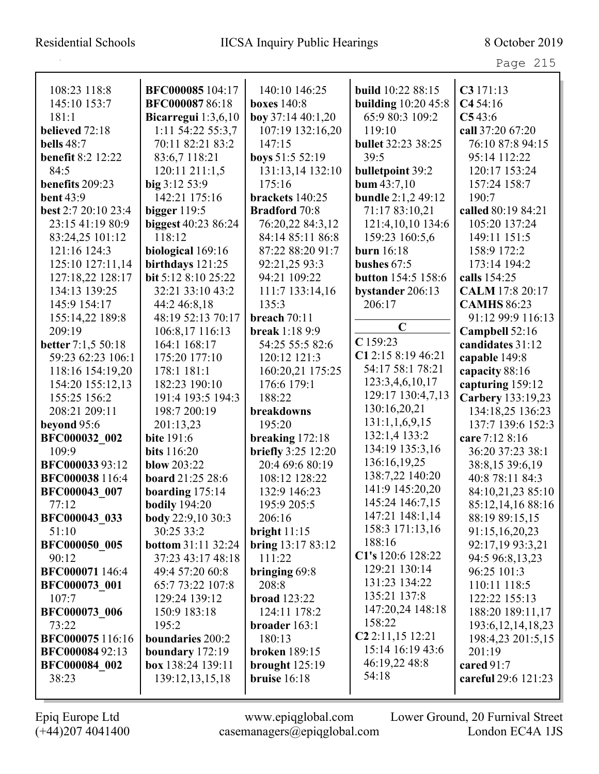| دے .<br>$\lnot$ $\lnot$ $\lnot$ |  |
|---------------------------------|--|
|---------------------------------|--|

| 108:23 118:8              | BFC000085 104:17          | 140:10 146:25             | build 10:22 88:15            | C3171:13              |
|---------------------------|---------------------------|---------------------------|------------------------------|-----------------------|
| 145:10 153:7              | BFC00008786:18            | <b>boxes</b> 140:8        | <b>building</b> 10:20 45:8   | C454:16               |
| 181:1                     | Bicarregui $1:3,6,10$     | boy $37:1440:1,20$        | 65:9 80:3 109:2              | C543:6                |
| believed 72:18            | 1:11 54:22 55:3,7         | 107:19 132:16,20          | 119:10                       | call 37:20 67:20      |
| <b>bells</b> 48:7         | 70:11 82:21 83:2          | 147:15                    | <b>bullet</b> 32:23 38:25    | 76:10 87:8 94:15      |
| <b>benefit 8:2 12:22</b>  | 83:6,7 118:21             | boys 51:5 52:19           | 39:5                         | 95:14 112:22          |
| 84:5                      | 120:11 211:1,5            | 131:13,14 132:10          | bulletpoint 39:2             | 120:17 153:24         |
| benefits 209:23           | big 3:12 53:9             | 175:16                    | bum $43:7,10$                | 157:24 158:7          |
| <b>bent 43:9</b>          | 142:21 175:16             | brackets 140:25           | <b>bundle</b> 2:1,2 49:12    | 190:7                 |
| best 2:7 20:10 23:4       | bigger 119:5              | <b>Bradford</b> 70:8      | 71:17 83:10,21               | called 80:19 84:21    |
| 23:15 41:19 80:9          | biggest 40:23 86:24       | 76:20,22 84:3,12          | 121:4,10,10 134:6            | 105:20 137:24         |
| 83:24,25 101:12           | 118:12                    | 84:14 85:11 86:8          | 159:23 160:5,6               | 149:11 151:5          |
| 121:16 124:3              | biological 169:16         | 87:22 88:20 91:7          | <b>burn</b> 16:18            | 158:9 172:2           |
| 125:10 127:11,14          | birthdays 121:25          | 92:21,25 93:3             | bushes $67:5$                | 173:14 194:2          |
| 127:18,22 128:17          | bit 5:12 8:10 25:22       | 94:21 109:22              | button 154:5 158:6           | calls 154:25          |
| 134:13 139:25             | 32:21 33:10 43:2          | 111:7 133:14,16           | bystander 206:13             | CALM 17:8 20:17       |
| 145:9 154:17              | 44:2 46:8,18              | 135:3                     | 206:17                       | <b>CAMHS 86:23</b>    |
| 155:14,22 189:8           | 48:19 52:13 70:17         | breach 70:11              |                              | 91:12 99:9 116:13     |
| 209:19                    | 106:8,17 116:13           | <b>break</b> 1:18 9:9     | $\mathbf C$                  | Campbell 52:16        |
| <b>better</b> 7:1,5 50:18 | 164:1 168:17              | 54:25 55:5 82:6           | C159:23                      | candidates 31:12      |
| 59:23 62:23 106:1         | 175:20 177:10             | 120:12 121:3              | C1 2:15 8:19 46:21           | capable 149:8         |
| 118:16 154:19,20          | 178:1 181:1               | 160:20,21 175:25          | 54:17 58:1 78:21             | capacity 88:16        |
| 154:20 155:12,13          | 182:23 190:10             | 176:6 179:1               | 123:3,4,6,10,17              | capturing 159:12      |
| 155:25 156:2              | 191:4 193:5 194:3         | 188:22                    | 129:17 130:4,7,13            | Carbery 133:19,23     |
| 208:21 209:11             | 198:7 200:19              | breakdowns                | 130:16,20,21                 | 134:18,25 136:23      |
| beyond 95:6               | 201:13,23                 | 195:20                    | 131:1,1,6,9,15               | 137:7 139:6 152:3     |
| BFC000032 002             | <b>bite</b> 191:6         | breaking 172:18           | 132:1,4 133:2                | care 7:12 8:16        |
| 109:9                     | <b>bits</b> 116:20        | <b>briefly</b> 3:25 12:20 | 134:19 135:3,16              | 36:20 37:23 38:1      |
| BFC00003393:12            | <b>blow</b> 203:22        | 20:4 69:6 80:19           | 136:16,19,25                 | 38:8,15 39:6,19       |
| BFC000038 116:4           | board 21:25 28:6          | 108:12 128:22             | 138:7,22 140:20              | 40:8 78:11 84:3       |
| BFC000043 007             | boarding $175:14$         | 132:9 146:23              | 141:9 145:20,20              | 84:10,21,23 85:10     |
| 77:12                     | <b>bodily</b> 194:20      | 195:9 205:5               | 145:24 146:7,15              | 85:12,14,16 88:16     |
| <b>BFC000043 033</b>      | <b>body</b> 22:9,10 30:3  | 206:16                    | 147:21 148:1,14              | 88:19 89:15,15        |
| 51:10                     | 30:25 33:2                | bright $11:15$            | 158:3 171:13,16              | 91:15,16,20,23        |
| <b>BFC000050 005</b>      | <b>bottom 31:11 32:24</b> | bring 13:17 83:12         | 188:16                       | 92:17,19 93:3,21      |
| 90:12                     | 37:23 43:17 48:18         | 111:22                    | C1's 120:6 128:22            | 94:5 96:8,13,23       |
| BFC000071 146:4           | 49:4 57:20 60:8           | bringing 69:8             | 129:21 130:14                | 96:25 101:3           |
| BFC000073 001             | 65:7 73:22 107:8          | 208:8                     | 131:23 134:22                | 110:11 118:5          |
| 107:7                     | 129:24 139:12             | <b>broad</b> 123:22       | 135:21 137:8                 | 122:22 155:13         |
| <b>BFC000073 006</b>      | 150:9 183:18              | 124:11 178:2              | 147:20,24 148:18             | 188:20 189:11,17      |
| 73:22                     | 195:2                     | broader 163:1             | 158:22                       | 193:6, 12, 14, 18, 23 |
| BFC000075116:16           | boundaries 200:2          | 180:13                    | C <sub>2</sub> 2:11,15 12:21 | 198:4,23 201:5,15     |
| <b>BFC00008492:13</b>     | boundary $172:19$         | <b>broken</b> 189:15      | 15:14 16:19 43:6             | 201:19                |
| BFC000084 002             | box 138:24 139:11         | brought $125:19$          | 46:19,22 48:8                | cared 91:7            |
| 38:23                     | 139:12,13,15,18           | bruise 16:18              | 54:18                        | careful 29:6 121:23   |
|                           |                           |                           |                              |                       |

L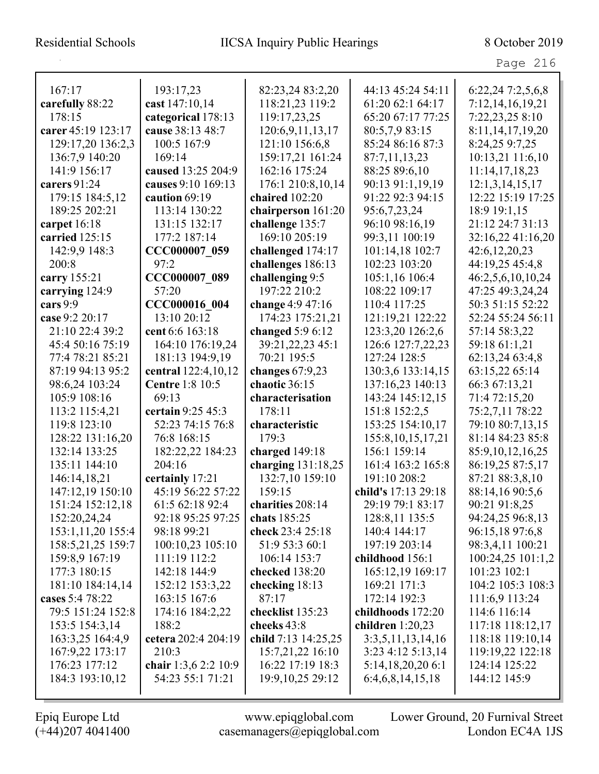#### Residential Schools IICSA Inquiry Public Hearings 8 October 2019

Page 216

| 167:17             | 193:17,23              | 82:23,24 83:2,20    | 44:13 45:24 54:11     | 6:22,24 7:2,5,6,8    |
|--------------------|------------------------|---------------------|-----------------------|----------------------|
| carefully 88:22    | cast 147:10,14         | 118:21,23 119:2     | 61:20 62:1 64:17      | 7:12,14,16,19,21     |
| 178:15             | categorical 178:13     | 119:17,23,25        | 65:20 67:17 77:25     | 7:22,23,25 8:10      |
| carer 45:19 123:17 | cause 38:13 48:7       | 120:6,9,11,13,17    | 80:5,7,9 83:15        | 8:11, 14, 17, 19, 20 |
| 129:17,20 136:2,3  | 100:5 167:9            | 121:10 156:6,8      | 85:24 86:16 87:3      | 8:24,25 9:7,25       |
| 136:7,9 140:20     | 169:14                 | 159:17,21 161:24    | 87:7,11,13,23         | 10:13,21 11:6,10     |
| 141:9 156:17       | caused 13:25 204:9     | 162:16 175:24       | 88:25 89:6,10         | 11:14,17,18,23       |
| carers 91:24       | causes 9:10 169:13     | 176:1 210:8,10,14   | 90:13 91:1,19,19      | 12:1,3,14,15,17      |
| 179:15 184:5,12    | caution 69:19          | chaired 102:20      | 91:22 92:3 94:15      | 12:22 15:19 17:25    |
| 189:25 202:21      | 113:14 130:22          | chairperson 161:20  | 95:6,7,23,24          | 18:9 19:1,15         |
| carpet 16:18       | 131:15 132:17          | challenge 135:7     | 96:10 98:16,19        | 21:12 24:7 31:13     |
| carried 125:15     | 177:2 187:14           | 169:10 205:19       | 99:3,11 100:19        | 32:16,22 41:16,20    |
| 142:9,9 148:3      | CCC000007 059          | challenged 174:17   | 101:14,18 102:7       | 42:6,12,20,23        |
| 200:8              | 97:2                   | challenges 186:13   | 102:23 103:20         | 44:19,25 45:4,8      |
| carry 155:21       | CCC000007 089          | challenging 9:5     | 105:1,16 106:4        | 46:2,5,6,10,10,24    |
| carrying 124:9     | 57:20                  | 197:22 210:2        | 108:22 109:17         | 47:25 49:3,24,24     |
| cars $9:9$         | CCC000016 004          | change 4:9 47:16    | 110:4 117:25          | 50:3 51:15 52:22     |
| case 9:2 20:17     | 13:10 20:12            | 174:23 175:21,21    | 121:19,21 122:22      | 52:24 55:24 56:11    |
| 21:10 22:4 39:2    | cent 6:6 163:18        | changed $5:96:12$   | 123:3,20 126:2,6      | 57:14 58:3,22        |
| 45:4 50:16 75:19   | 164:10 176:19,24       | 39:21,22,23 45:1    | 126:6 127:7,22,23     | 59:18 61:1,21        |
| 77:4 78:21 85:21   | 181:13 194:9,19        | 70:21 195:5         | 127:24 128:5          | 62:13,24 63:4,8      |
| 87:19 94:13 95:2   | central 122:4,10,12    | changes $67:9,23$   | 130:3,6 133:14,15     | 63:15,22 65:14       |
| 98:6,24 103:24     | <b>Centre 1:8 10:5</b> | chaotic 36:15       | 137:16,23 140:13      | 66:3 67:13,21        |
| 105:9 108:16       | 69:13                  | characterisation    | 143:24 145:12,15      | 71:4 72:15,20        |
| 113:2 115:4,21     | certain 9:25 45:3      | 178:11              | 151:8 152:2,5         | 75:2,7,11 78:22      |
| 119:8 123:10       | 52:23 74:15 76:8       | characteristic      | 153:25 154:10,17      | 79:10 80:7,13,15     |
| 128:22 131:16,20   | 76:8 168:15            | 179:3               | 155:8, 10, 15, 17, 21 | 81:14 84:23 85:8     |
| 132:14 133:25      | 182:22,22 184:23       | charged 149:18      | 156:1 159:14          | 85:9,10,12,16,25     |
| 135:11 144:10      | 204:16                 | charging 131:18,25  | 161:4 163:2 165:8     | 86:19,25 87:5,17     |
| 146:14,18,21       | certainly 17:21        | 132:7,10 159:10     | 191:10 208:2          | 87:21 88:3,8,10      |
| 147:12,19 150:10   | 45:19 56:22 57:22      | 159:15              | child's 17:13 29:18   | 88:14,16 90:5,6      |
| 151:24 152:12.18   | 61:5 62:18 92:4        | charities 208:14    | 29:19 79:1 83:17      | 90:21 91:8,25        |
| 152:20,24,24       | 92:18 95:25 97:25      | chats 185:25        | 128:8,11 135:5        | 94:24,25 96:8,13     |
| 153:1,11,20 155:4  | 98:18 99:21            | check 23:4 25:18    | 140:4 144:17          | 96:15,18 97:6,8      |
| 158:5,21,25 159:7  | 100:10,23 105:10       | 51:9 53:3 60:1      | 197:19 203:14         | 98:3,4,11 100:21     |
| 159:8,9 167:19     | 111:19 112:2           | 106:14 153:7        | childhood 156:1       | 100:24,25 101:1,2    |
| 177:3 180:15       | 142:18 144:9           | checked 138:20      | 165:12,19 169:17      | 101:23 102:1         |
| 181:10 184:14,14   | 152:12 153:3,22        | checking 18:13      | 169:21 171:3          | 104:2 105:3 108:3    |
| cases 5:4 78:22    | 163:15 167:6           | 87:17               | 172:14 192:3          | 111:6,9 113:24       |
| 79:5 151:24 152:8  | 174:16 184:2,22        | checklist 135:23    | childhoods 172:20     | 114:6 116:14         |
| 153:5 154:3,14     | 188:2                  | cheeks 43:8         | children $1:20,23$    | 117:18 118:12,17     |
| 163:3,25 164:4,9   | cetera 202:4 204:19    | child 7:13 14:25,25 | 3:3,5,11,13,14,16     | 118:18 119:10,14     |
| 167:9,22 173:17    | 210:3                  | 15:7,21,22 16:10    | 3:23 4:12 5:13,14     | 119:19,22 122:18     |
| 176:23 177:12      | chair 1:3,6 2:2 10:9   | 16:22 17:19 18:3    | 5:14,18,20,206:1      | 124:14 125:22        |
| 184:3 193:10,12    | 54:23 55:1 71:21       | 19:9, 10, 25 29:12  | 6:4,6,8,14,15,18      | 144:12 145:9         |
|                    |                        |                     |                       |                      |

(+44)207 4041400 casemanagers@epiqglobal.com London EC4A 1JS

Epiq Europe Ltd www.epiqglobal.com Lower Ground, 20 Furnival Street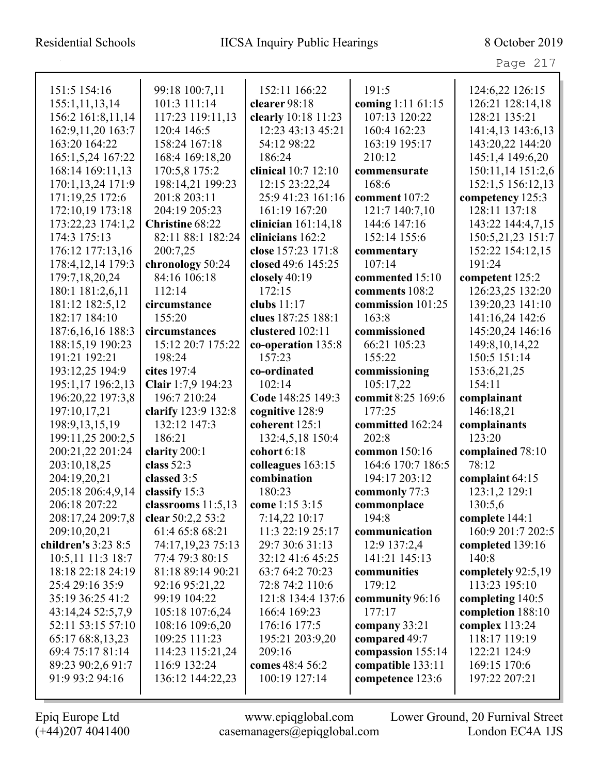## Residential Schools IICSA Inquiry Public Hearings 8 October 2019

Page 217

| 151:5 154:16                      | 99:18 100:7,11              | 152:11 166:22                    | 191:5                              | 124:6,22 126:15                  |
|-----------------------------------|-----------------------------|----------------------------------|------------------------------------|----------------------------------|
| 155:1,11,13,14                    | 101:3 111:14                | clearer 98:18                    | coming 1:11 61:15                  | 126:21 128:14,18                 |
| 156:2 161:8,11,14                 | 117:23 119:11,13            | clearly 10:18 11:23              | 107:13 120:22                      | 128:21 135:21                    |
| 162:9,11,20 163:7                 | 120:4 146:5                 | 12:23 43:13 45:21                | 160:4 162:23                       | 141:4,13 143:6,13                |
| 163:20 164:22                     | 158:24 167:18               | 54:12 98:22                      | 163:19 195:17                      | 143:20,22 144:20                 |
| 165:1,5,24 167:22                 | 168:4 169:18,20             | 186:24                           | 210:12                             | 145:1,4 149:6,20                 |
| 168:14 169:11,13                  | 170:5,8 175:2               | clinical 10:7 12:10              | commensurate                       | 150:11,14 151:2,6                |
| 170:1,13,24 171:9                 | 198:14,21 199:23            | 12:15 23:22,24                   | 168:6                              | 152:1,5 156:12,13                |
| 171:19,25 172:6                   | 201:8 203:11                | 25:9 41:23 161:16                | comment 107:2                      | competency 125:3                 |
| 172:10,19 173:18                  | 204:19 205:23               | 161:19 167:20                    | 121:7 140:7,10                     | 128:11 137:18                    |
| 173:22,23 174:1,2                 | Christine 68:22             | clinician $161:14,18$            | 144:6 147:16                       | 143:22 144:4,7,15                |
| 174:3 175:13                      | 82:11 88:1 182:24           | clinicians 162:2                 | 152:14 155:6                       | 150:5,21,23 151:7                |
| 176:12 177:13,16                  | 200:7,25                    | close 157:23 171:8               | commentary                         | 152:22 154:12,15                 |
| 178:4, 12, 14 179:3               | chronology 50:24            | closed 49:6 145:25               | 107:14                             | 191:24                           |
| 179:7, 18, 20, 24                 | 84:16 106:18                | closely 40:19                    | commented 15:10                    | competent 125:2                  |
| 180:1 181:2,6,11                  | 112:14                      | 172:15                           | comments 108:2                     | 126:23,25 132:20                 |
| 181:12 182:5,12                   | circumstance                | clubs $11:17$                    | commission 101:25                  | 139:20,23 141:10                 |
| 182:17 184:10                     | 155:20                      | clues 187:25 188:1               | 163:8                              | 141:16,24 142:6                  |
| 187:6, 16, 16 188:3               | circumstances               | clustered 102:11                 | commissioned                       | 145:20,24 146:16                 |
| 188:15,19 190:23                  | 15:12 20:7 175:22           | co-operation 135:8               | 66:21 105:23                       | 149:8, 10, 14, 22                |
| 191:21 192:21                     | 198:24                      | 157:23                           | 155:22                             | 150:5 151:14                     |
| 193:12,25 194:9                   | cites 197:4                 | co-ordinated                     | commissioning                      | 153:6,21,25                      |
| 195:1,17 196:2,13                 | Clair 1:7,9 194:23          | 102:14                           | 105:17,22                          | 154:11                           |
| 196:20,22 197:3,8                 | 196:7 210:24                | Code 148:25 149:3                | commit 8:25 169:6                  | complainant                      |
| 197:10,17,21                      | clarify 123:9 132:8         | cognitive 128:9                  | 177:25                             | 146:18,21                        |
| 198:9, 13, 15, 19                 | 132:12 147:3                | coherent 125:1                   | committed 162:24                   | complainants                     |
| 199:11,25 200:2,5                 | 186:21                      | 132:4,5,18 150:4                 | 202:8                              | 123:20                           |
| 200:21,22 201:24                  | clarity 200:1               | cohort 6:18                      | common 150:16<br>164:6 170:7 186:5 | complained 78:10                 |
| 203:10,18,25                      | class $52:3$<br>classed 3:5 | colleagues 163:15<br>combination | 194:17 203:12                      | 78:12                            |
| 204:19,20,21<br>205:18 206:4,9,14 | classify 15:3               | 180:23                           |                                    | complaint 64:15<br>123:1,2 129:1 |
| 206:18 207:22                     | classrooms 11:5,13          | come 1:15 3:15                   | commonly 77:3<br>commonplace       | 130:5,6                          |
| 208:17,24 209:7,8                 | clear 50:2,2 53:2           | 7:14,22 10:17                    | 194:8                              | complete 144:1                   |
| 209:10,20,21                      | 61:4 65:8 68:21             | 11:3 22:19 25:17                 | communication                      | 160:9 201:7 202:5                |
| children's 3:23 8:5               | 74:17,19,23 75:13           | 29:7 30:6 31:13                  | 12:9 137:2,4                       | completed 139:16                 |
| 10:5,11 11:3 18:7                 | 77:4 79:3 80:15             | 32:12 41:6 45:25                 | 141:21 145:13                      | 140:8                            |
| 18:18 22:18 24:19                 | 81:18 89:14 90:21           | 63:7 64:2 70:23                  | communities                        | completely 92:5,19               |
| 25:4 29:16 35:9                   | 92:16 95:21,22              | 72:8 74:2 110:6                  | 179:12                             | 113:23 195:10                    |
| 35:19 36:25 41:2                  | 99:19 104:22                | 121:8 134:4 137:6                | community 96:16                    | completing 140:5                 |
| 43:14,24 52:5,7,9                 | 105:18 107:6,24             | 166:4 169:23                     | 177:17                             | completion 188:10                |
| 52:11 53:15 57:10                 | 108:16 109:6,20             | 176:16 177:5                     | company 33:21                      | complex 113:24                   |
| 65:17 68:8,13,23                  | 109:25 111:23               | 195:21 203:9,20                  | compared 49:7                      | 118:17 119:19                    |
| 69:4 75:17 81:14                  | 114:23 115:21,24            | 209:16                           | compassion 155:14                  | 122:21 124:9                     |
| 89:23 90:2,6 91:7                 | 116:9 132:24                | comes 48:4 56:2                  | compatible 133:11                  | 169:15 170:6                     |
| 91:9 93:2 94:16                   | 136:12 144:22,23            | 100:19 127:14                    | competence 123:6                   | 197:22 207:21                    |
|                                   |                             |                                  |                                    |                                  |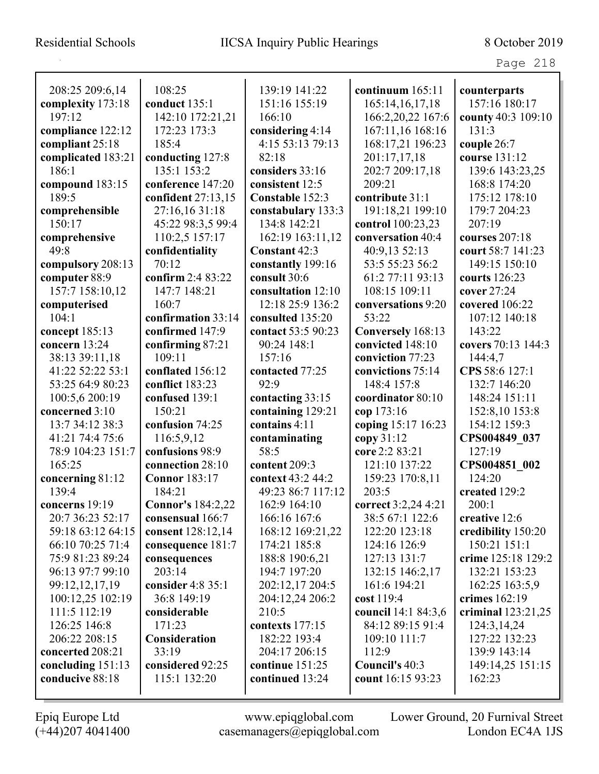| 208:25 209:6,14    | 108:25                   | 139:19 141:22      | continuum $165:11$  | counterparts         |
|--------------------|--------------------------|--------------------|---------------------|----------------------|
| complexity 173:18  | conduct 135:1            | 151:16 155:19      | 165:14, 16, 17, 18  | 157:16 180:17        |
| 197:12             | 142:10 172:21,21         | 166:10             | 166:2,20,22 167:6   | county 40:3 109:10   |
| compliance 122:12  | 172:23 173:3             | considering 4:14   | 167:11,16 168:16    | 131:3                |
| compliant 25:18    | 185:4                    | 4:15 53:13 79:13   | 168:17,21 196:23    | couple 26:7          |
| complicated 183:21 | conducting 127:8         | 82:18              | 201:17,17,18        | course 131:12        |
| 186:1              | 135:1 153:2              | considers 33:16    | 202:7 209:17,18     | 139:6 143:23,25      |
| compound 183:15    | conference 147:20        | consistent 12:5    | 209:21              | 168:8 174:20         |
| 189:5              | confident 27:13,15       | Constable 152:3    | contribute 31:1     | 175:12 178:10        |
| comprehensible     | 27:16,16 31:18           | constabulary 133:3 | 191:18,21 199:10    | 179:7 204:23         |
| 150:17             | 45:22 98:3,5 99:4        | 134:8 142:21       | control 100:23,23   | 207:19               |
| comprehensive      | 110:2,5 157:17           | 162:19 163:11,12   | conversation 40:4   | courses 207:18       |
| 49:8               | confidentiality          | Constant 42:3      | 40:9,13 52:13       | court 58:7 141:23    |
| compulsory 208:13  | 70:12                    | constantly 199:16  | 53:5 55:23 56:2     | 149:15 150:10        |
| computer 88:9      | confirm 2:4 83:22        | consult 30:6       | 61:2 77:11 93:13    | courts 126:23        |
| 157:7 158:10,12    | 147:7 148:21             | consultation 12:10 | 108:15 109:11       | cover 27:24          |
| computerised       | 160:7                    | 12:18 25:9 136:2   | conversations 9:20  | covered 106:22       |
| 104:1              | confirmation 33:14       | consulted 135:20   | 53:22               | 107:12 140:18        |
| concept 185:13     | confirmed 147:9          | contact 53:5 90:23 | Conversely 168:13   | 143:22               |
| concern 13:24      | confirming 87:21         | 90:24 148:1        | convicted 148:10    | covers 70:13 144:3   |
| 38:13 39:11,18     | 109:11                   | 157:16             | conviction 77:23    | 144:4,7              |
| 41:22 52:22 53:1   | conflated 156:12         | contacted 77:25    | convictions 75:14   | CPS 58:6 127:1       |
| 53:25 64:9 80:23   | conflict 183:23          | 92:9               | 148:4 157:8         | 132:7 146:20         |
| 100:5,6 200:19     | confused 139:1           | contacting 33:15   | coordinator 80:10   | 148:24 151:11        |
| concerned 3:10     | 150:21                   | containing 129:21  | cop 173:16          | 152:8,10 153:8       |
| 13:7 34:12 38:3    | confusion 74:25          | contains 4:11      | coping 15:17 16:23  | 154:12 159:3         |
| 41:21 74:4 75:6    | 116:5,9,12               | contaminating      | copy 31:12          | CPS004849 037        |
| 78:9 104:23 151:7  | confusions 98:9          | 58:5               | core 2:2 83:21      | 127:19               |
| 165:25             | connection 28:10         | content 209:3      | 121:10 137:22       | CPS004851_002        |
| concerning 81:12   | <b>Connor</b> 183:17     | context 43:2 44:2  | 159:23 170:8,11     | 124:20               |
| 139:4              | 184:21                   | 49:23 86:7 117:12  | 203:5               | created 129:2        |
| concerns 19:19     | <b>Connor's 184:2,22</b> | 162:9 164:10       | correct 3:2,24 4:21 | 200:1                |
| 20:7 36:23 52:17   | consensual 166:7         | 166:16 167:6       | 38:5 67:1 122:6     | creative 12:6        |
| 59:18 63:12 64:15  | consent 128:12,14        | 168:12 169:21,22   | 122:20 123:18       | credibility 150:20   |
| 66:10 70:25 71:4   | consequence 181:7        | 174:21 185:8       | 124:16 126:9        | 150:21 151:1         |
| 75:9 81:23 89:24   | consequences             | 188:8 190:6,21     | 127:13 131:7        | crime 125:18 129:2   |
| 96:13 97:7 99:10   | 203:14                   | 194:7 197:20       | 132:15 146:2,17     | 132:21 153:23        |
| 99:12,12,17,19     | consider 4:8 35:1        | 202:12,17 204:5    | 161:6 194:21        | 162:25 163:5,9       |
| 100:12,25 102:19   | 36:8 149:19              | 204:12,24 206:2    | cost 119:4          | crimes $162:19$      |
| 111:5 112:19       | considerable             | 210:5              | council 14:1 84:3,6 | criminal $123:21,25$ |
| 126:25 146:8       | 171:23                   | contexts 177:15    | 84:12 89:15 91:4    | 124:3,14,24          |
| 206:22 208:15      | Consideration            | 182:22 193:4       | 109:10 111:7        | 127:22 132:23        |
| concerted 208:21   | 33:19                    | 204:17 206:15      | 112:9               | 139:9 143:14         |
| concluding 151:13  | considered 92:25         | continue 151:25    | Council's 40:3      | 149:14,25 151:15     |
| conducive 88:18    | 115:1 132:20             | continued 13:24    | count 16:15 93:23   | 162:23               |
|                    |                          |                    |                     |                      |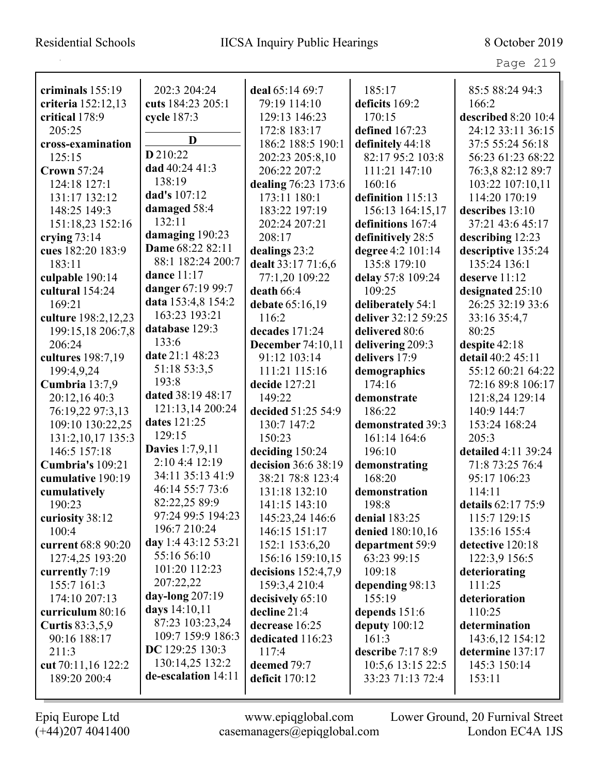| criminals $155:19$     | 202:3 204:24           | deal 65:14 69:7          | 185:17              | 85:5 88:24 94:3     |
|------------------------|------------------------|--------------------------|---------------------|---------------------|
| criteria 152:12,13     | cuts 184:23 205:1      | 79:19 114:10             | deficits 169:2      | 166:2               |
| critical 178:9         | cycle 187:3            | 129:13 146:23            | 170:15              | described 8:20 10:4 |
| 205:25                 | D                      | 172:8 183:17             | defined 167:23      | 24:12 33:11 36:15   |
| cross-examination      |                        | 186:2 188:5 190:1        | definitely 44:18    | 37:5 55:24 56:18    |
| 125:15                 | D 210:22               | 202:23 205:8,10          | 82:17 95:2 103:8    | 56:23 61:23 68:22   |
| <b>Crown 57:24</b>     | dad 40:24 41:3         | 206:22 207:2             | 111:21 147:10       | 76:3,8 82:12 89:7   |
| 124:18 127:1           | 138:19                 | dealing 76:23 173:6      | 160:16              | 103:22 107:10,11    |
| 131:17 132:12          | dad's 107:12           | 173:11 180:1             | definition 115:13   | 114:20 170:19       |
| 148:25 149:3           | damaged 58:4           | 183:22 197:19            | 156:13 164:15,17    | describes $13:10$   |
| 151:18,23 152:16       | 132:11                 | 202:24 207:21            | definitions 167:4   | 37:21 43:6 45:17    |
| crying $73:14$         | damaging 190:23        | 208:17                   | definitively 28:5   | describing 12:23    |
| cues 182:20 183:9      | Dame 68:22 82:11       | dealings 23:2            | degree 4:2 101:14   | descriptive 135:24  |
| 183:11                 | 88:1 182:24 200:7      | dealt 33:17 71:6,6       | 135:8 179:10        | 135:24 136:1        |
| culpable 190:14        | dance 11:17            | 77:1,20 109:22           | delay 57:8 109:24   | deserve $11:12$     |
| cultural 154:24        | danger 67:19 99:7      | death 66:4               | 109:25              | designated 25:10    |
| 169:21                 | data 153:4,8 154:2     | debate 65:16,19          | deliberately 54:1   | 26:25 32:19 33:6    |
| culture 198:2,12,23    | 163:23 193:21          | 116:2                    | deliver 32:12 59:25 | 33:16 35:4,7        |
| 199:15,18 206:7,8      | database 129:3         | decades $171:24$         | delivered 80:6      | 80:25               |
| 206:24                 | 133:6                  | <b>December</b> 74:10,11 | delivering 209:3    | despite 42:18       |
| cultures 198:7,19      | date 21:1 48:23        | 91:12 103:14             | delivers 17:9       | detail 40:2 45:11   |
| 199:4,9,24             | 51:18 53:3,5           | 111:21 115:16            | demographics        | 55:12 60:21 64:22   |
| Cumbria 13:7,9         | 193:8                  | decide 127:21            | 174:16              | 72:16 89:8 106:17   |
| 20:12,16 40:3          | dated 38:19 48:17      | 149:22                   | demonstrate         | 121:8,24 129:14     |
| 76:19,22 97:3,13       | 121:13,14 200:24       | decided 51:25 54:9       | 186:22              | 140:9 144:7         |
| 109:10 130:22,25       | dates 121:25           | 130:7 147:2              | demonstrated 39:3   | 153:24 168:24       |
| 131:2, 10, 17 135:3    | 129:15                 | 150:23                   | 161:14 164:6        | 205:3               |
| 146:5 157:18           | <b>Davies</b> 1:7,9,11 | deciding 150:24          | 196:10              | detailed 4:11 39:24 |
| Cumbria's 109:21       | 2:10 4:4 12:19         | decision 36:6 38:19      | demonstrating       | 71:8 73:25 76:4     |
| cumulative 190:19      | 34:11 35:13 41:9       | 38:21 78:8 123:4         | 168:20              | 95:17 106:23        |
| cumulatively           | 46:14 55:7 73:6        | 131:18 132:10            | demonstration       | 114:11              |
| 190:23                 | 82:22,25 89:9          | 141:15 143:10            | 198:8               | details 62:17 75:9  |
| curiosity 38:12        | 97:24 99:5 194:23      | 145:23,24 146:6          | denial 183:25       | 115:7 129:15        |
| 100:4                  | 196:7 210:24           | 146:15 151:17            | denied 180:10,16    | 135:16 155:4        |
| current 68:8 90:20     | day 1:4 43:12 53:21    | 152:1 153:6,20           | department 59:9     | detective 120:18    |
| 127:4,25 193:20        | 55:16 56:10            | 156:16 159:10,15         | 63:23 99:15         | 122:3,9 156:5       |
| currently 7:19         | 101:20 112:23          | decisions $152:4,7,9$    | 109:18              | deteriorating       |
| 155:7 161:3            | 207:22,22              | 159:3,4 210:4            | depending 98:13     | 111:25              |
| 174:10 207:13          | day-long 207:19        | decisively 65:10         | 155:19              | deterioration       |
| curriculum 80:16       | days 14:10,11          | decline 21:4             | depends 151:6       | 110:25              |
| <b>Curtis</b> 83:3,5,9 | 87:23 103:23,24        | decrease 16:25           | deputy $100:12$     | determination       |
| 90:16 188:17           | 109:7 159:9 186:3      | dedicated 116:23         | 161:3               | 143:6,12 154:12     |
| 211:3                  | DC 129:25 130:3        | 117:4                    | describe $7:178:9$  | determine 137:17    |
| cut 70:11,16 122:2     | 130:14,25 132:2        | deemed 79:7              | 10:5,6 13:15 22:5   | 145:3 150:14        |
| 189:20 200:4           | de-escalation 14:11    | deficit 170:12           | 33:23 71:13 72:4    | 153:11              |
|                        |                        |                          |                     |                     |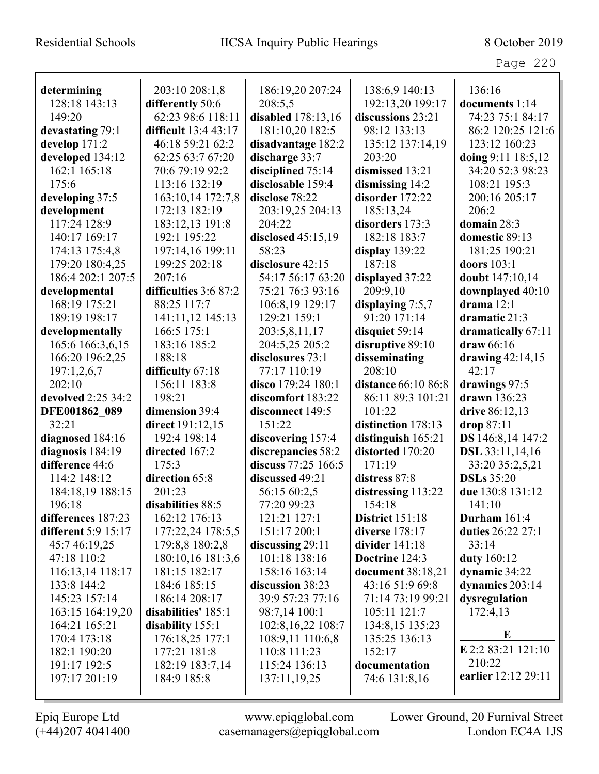## Residential Schools IICSA Inquiry Public Hearings 8 October 2019

Page 220

| determining         | 203:10 208:1,8        | 186:19,20 207:24    | 138:6,9 140:13         | 136:16                 |
|---------------------|-----------------------|---------------------|------------------------|------------------------|
| 128:18 143:13       | differently 50:6      | 208:5,5             | 192:13,20 199:17       | documents 1:14         |
| 149:20              | 62:23 98:6 118:11     | disabled 178:13,16  | discussions 23:21      | 74:23 75:1 84:17       |
| devastating 79:1    | difficult 13:4 43:17  | 181:10,20 182:5     | 98:12 133:13           | 86:2 120:25 121:6      |
| develop 171:2       | 46:18 59:21 62:2      | disadvantage 182:2  | 135:12 137:14,19       | 123:12 160:23          |
| developed 134:12    | 62:25 63:7 67:20      | discharge 33:7      | 203:20                 | doing 9:11 18:5,12     |
| 162:1 165:18        | 70:6 79:19 92:2       | disciplined 75:14   | dismissed 13:21        | 34:20 52:3 98:23       |
| 175:6               | 113:16 132:19         | disclosable 159:4   | dismissing 14:2        | 108:21 195:3           |
| developing 37:5     | 163:10,14 172:7,8     | disclose 78:22      | disorder 172:22        | 200:16 205:17          |
| development         | 172:13 182:19         | 203:19,25 204:13    | 185:13,24              | 206:2                  |
| 117:24 128:9        | 183:12,13 191:8       | 204:22              | disorders 173:3        | domain 28:3            |
| 140:17 169:17       | 192:1 195:22          | disclosed 45:15,19  | 182:18 183:7           | domestic 89:13         |
| 174:13 175:4,8      | 197:14,16 199:11      | 58:23               | display $139:22$       | 181:25 190:21          |
| 179:20 180:4.25     | 199:25 202:18         | disclosure 42:15    | 187:18                 | doors 103:1            |
| 186:4 202:1 207:5   | 207:16                | 54:17 56:17 63:20   | displayed 37:22        | doubt 147:10,14        |
| developmental       | difficulties 3:6 87:2 | 75:21 76:3 93:16    | 209:9,10               | downplayed 40:10       |
| 168:19 175:21       | 88:25 117:7           | 106:8,19 129:17     | displaying 7:5,7       | drama $12:1$           |
| 189:19 198:17       | 141:11,12 145:13      | 129:21 159:1        | 91:20 171:14           | dramatic 21:3          |
| developmentally     | 166:5 175:1           | 203:5,8,11,17       | disquiet 59:14         | dramatically 67:11     |
| 165:6 166:3,6,15    | 183:16 185:2          | 204:5,25 205:2      | disruptive 89:10       | draw 66:16             |
| 166:20 196:2,25     | 188:18                | disclosures 73:1    | disseminating          | drawing $42:14,15$     |
| 197:1,2,6,7         | difficulty 67:18      | 77:17 110:19        | 208:10                 | 42:17                  |
| 202:10              | 156:11 183:8          | disco 179:24 180:1  | distance 66:10 86:8    | drawings 97:5          |
| devolved 2:25 34:2  | 198:21                | discomfort 183:22   | 86:11 89:3 101:21      | drawn $136:23$         |
| DFE001862 089       | dimension 39:4        | disconnect 149:5    | 101:22                 | drive 86:12,13         |
| 32:21               | direct 191:12,15      | 151:22              | distinction 178:13     | drop 87:11             |
| diagnosed 184:16    | 192:4 198:14          | discovering 157:4   | distinguish 165:21     | DS 146:8,14 147:2      |
| diagnosis 184:19    | directed 167:2        | discrepancies 58:2  | distorted 170:20       | <b>DSL</b> 33:11,14,16 |
| difference 44:6     | 175:3                 | discuss 77:25 166:5 | 171:19                 | 33:20 35:2,5,21        |
| 114:2 148:12        | direction 65:8        | discussed 49:21     | distress 87:8          | <b>DSLs</b> 35:20      |
| 184:18,19 188:15    | 201:23                | 56:15 60:2,5        | distressing 113:22     | due 130:8 131:12       |
| 196:18              | disabilities 88:5     | 77:20 99:23         | 154:18                 | 141:10                 |
| differences 187:23  | 162:12 176:13         | 121:21 127:1        | <b>District</b> 151:18 | Durham $161:4$         |
| different 5:9 15:17 | 177:22,24 178:5,5     | 151:17 200:1        | diverse 178:17         | duties 26:22 27:1      |
| 45:7 46:19,25       | 179:8,8 180:2,8       | discussing 29:11    | divider $141:18$       | 33:14                  |
| 47:18 110:2         | 180:10,16 181:3,6     | 101:18 138:16       | Doctrine 124:3         | duty 160:12            |
| 116:13,14 118:17    | 181:15 182:17         | 158:16 163:14       | document 38:18,21      | dynamic 34:22          |
| 133:8 144:2         | 184:6 185:15          | discussion 38:23    | 43:16 51:9 69:8        | dynamics $203:14$      |
| 145:23 157:14       | 186:14 208:17         | 39:9 57:23 77:16    | 71:14 73:19 99:21      | dysregulation          |
| 163:15 164:19,20    | disabilities' 185:1   | 98:7,14 100:1       | 105:11 121:7           | 172:4,13               |
| 164:21 165:21       | disability 155:1      | 102:8,16,22 108:7   | 134:8,15 135:23        |                        |
| 170:4 173:18        | 176:18,25 177:1       | 108:9,11 110:6,8    | 135:25 136:13          | E                      |
| 182:1 190:20        | 177:21 181:8          | 110:8 111:23        | 152:17                 | E 2:2 83:21 121:10     |
| 191:17 192:5        | 182:19 183:7,14       | 115:24 136:13       | documentation          | 210:22                 |
| 197:17 201:19       | 184:9 185:8           | 137:11,19,25        | 74:6 131:8,16          | earlier 12:12 29:11    |
|                     |                       |                     |                        |                        |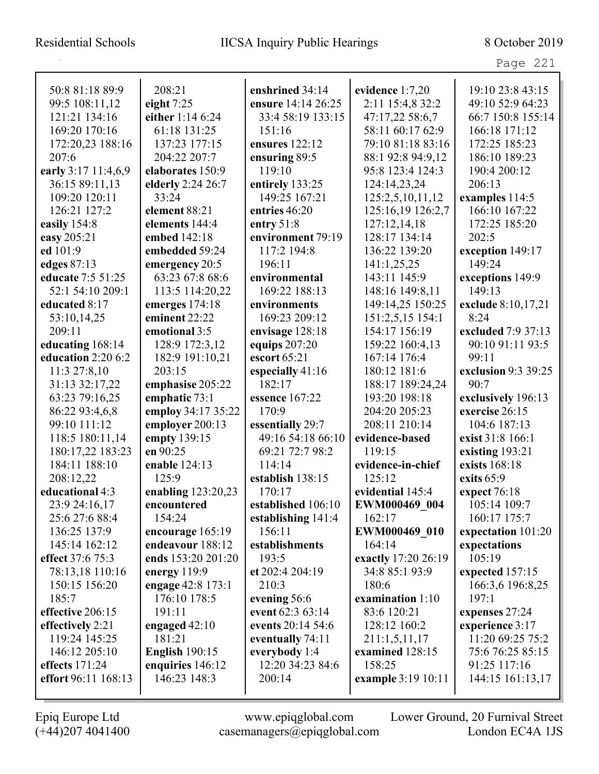| 50:8 81:18 89:9     | 208:21                | enshrined 34:14    | evidence 1:7,20     | 19:10 23:8 43:15    |
|---------------------|-----------------------|--------------------|---------------------|---------------------|
| 99:5 108:11,12      | eight $7:25$          | ensure 14:14 26:25 | 2:11 15:4,8 32:2    | 49:10 52:9 64:23    |
| 121:21 134:16       | either 1:14 6:24      | 33:4 58:19 133:15  | 47:17,22 58:6,7     | 66:7 150:8 155:14   |
| 169:20 170:16       | 61:18 131:25          | 151:16             | 58:11 60:17 62:9    | 166:18 171:12       |
| 172:20,23 188:16    | 137:23 177:15         | ensures 122:12     | 79:10 81:18 83:16   | 172:25 185:23       |
| 207:6               | 204:22 207:7          | ensuring 89:5      | 88:1 92:8 94:9,12   | 186:10 189:23       |
| early 3:17 11:4,6,9 | elaborates 150:9      | 119:10             | 95:8 123:4 124:3    | 190:4 200:12        |
| 36:15 89:11,13      | elderly 2:24 26:7     | entirely 133:25    | 124:14,23,24        | 206:13              |
| 109:20 120:11       | 33:24                 | 149:25 167:21      | 125:2,5,10,11,12    | examples 114:5      |
| 126:21 127:2        | element 88:21         | entries 46:20      | 125:16,19 126:2,7   | 166:10 167:22       |
| easily 154:8        | elements 144:4        | entry $51:8$       | 127:12,14,18        | 172:25 185:20       |
| easy 205:21         | embed 142:18          | environment 79:19  | 128:17 134:14       | 202:5               |
| ed 101:9            | embedded 59:24        | 117:2 194:8        | 136:22 139:20       | exception 149:17    |
| edges 87:13         | emergency 20:5        | 196:11             | 141:1,25,25         | 149:24              |
| educate 7:5 51:25   | 63:23 67:8 68:6       | environmental      | 143:11 145:9        | exceptions 149:9    |
| 52:1 54:10 209:1    | 113:5 114:20,22       | 169:22 188:13      | 148:16 149:8,11     | 149:13              |
| educated 8:17       | emerges 174:18        | environments       | 149:14,25 150:25    | exclude 8:10,17,21  |
| 53:10,14,25         | eminent 22:22         | 169:23 209:12      | 151:2,5,15 154:1    | 8:24                |
| 209:11              | emotional 3:5         | envisage 128:18    | 154:17 156:19       | excluded 7:9 37:13  |
| educating 168:14    | 128:9 172:3,12        | equips 207:20      | 159:22 160:4,13     | 90:10 91:11 93:5    |
| education 2:20 6:2  | 182:9 191:10,21       | escort 65:21       | 167:14 176:4        | 99:11               |
| 11:3 27:8,10        | 203:15                | especially 41:16   | 180:12 181:6        | exclusion 9:3 39:25 |
| 31:13 32:17,22      | emphasise 205:22      | 182:17             | 188:17 189:24,24    | 90:7                |
| 63:23 79:16,25      | emphatic 73:1         | essence 167:22     | 193:20 198:18       | exclusively 196:13  |
| 86:22 93:4,6,8      | employ 34:17 35:22    | 170:9              | 204:20 205:23       | exercise 26:15      |
| 99:10 111:12        | employer 200:13       | essentially 29:7   | 208:11 210:14       | 104:6 187:13        |
| 118:5 180:11,14     | empty 139:15          | 49:16 54:18 66:10  | evidence-based      | exist 31:8 166:1    |
| 180:17,22 183:23    | en 90:25              | 69:21 72:7 98:2    | 119:15              | existing 193:21     |
| 184:11 188:10       | enable 124:13         | 114:14             | evidence-in-chief   | exists 168:18       |
| 208:12,22           | 125:9                 | establish 138:15   | 125:12              | exits $65:9$        |
| educational 4:3     | enabling 123:20,23    | 170:17             | evidential 145:4    | expect 76:18        |
| 23:9 24:16,17       | encountered           | established 106:10 | EWM000469 004       | 105:14 109:7        |
| 25:6 27:6 88:4      | 154:24                | establishing 141:4 | 162:17              | 160:17 175:7        |
| 136:25 137:9        | encourage 165:19      | 156:11             | EWM000469 010       | expectation 101:20  |
| 145:14 162:12       | endeavour 188:12      | establishments     | 164:14              | expectations        |
| effect 37:6 75:3    | ends 153:20 201:20    | 193:5              | exactly 17:20 26:19 | 105:19              |
| 78:13,18 110:16     | energy $119:9$        | et 202:4 204:19    | 34:8 85:1 93:9      | expected 157:15     |
| 150:15 156:20       | engage 42:8 173:1     | 210:3              | 180:6               | 166:3,6 196:8,25    |
| 185:7               | 176:10 178:5          | evening 56:6       | examination 1:10    | 197:1               |
| effective 206:15    | 191:11                | event 62:3 63:14   | 83:6 120:21         | expenses 27:24      |
| effectively 2:21    | engaged $42:10$       | events 20:14 54:6  | 128:12 160:2        | experience 3:17     |
| 119:24 145:25       | 181:21                | eventually 74:11   | 211:1,5,11,17       | 11:20 69:25 75:2    |
| 146:12 205:10       | <b>English 190:15</b> | everybody 1:4      | examined 128:15     | 75:6 76:25 85:15    |
| effects 171:24      | enquiries 146:12      | 12:20 34:23 84:6   | 158:25              | 91:25 117:16        |
| effort 96:11 168:13 | 146:23 148:3          | 200:14             | example 3:19 10:11  | 144:15 161:13,17    |
|                     |                       |                    |                     |                     |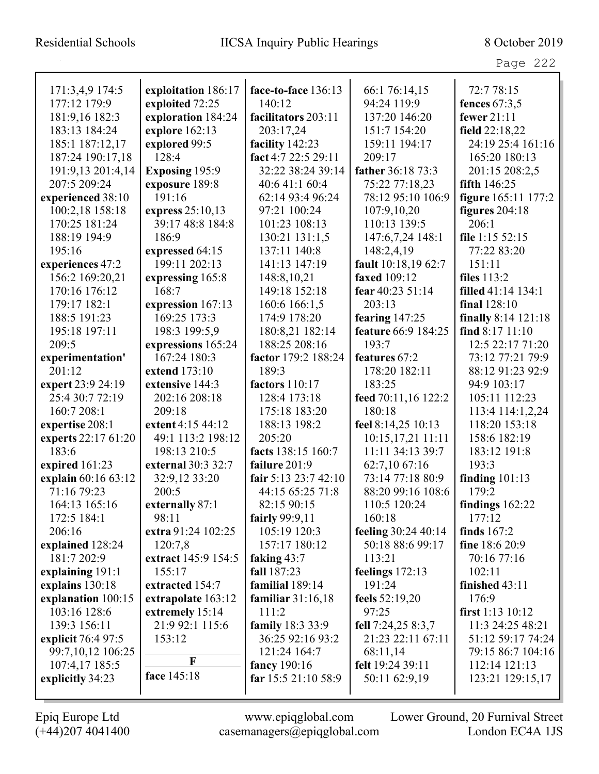|                     |                       | face-to-face 136:13   |                               | 72:7 78:15                     |
|---------------------|-----------------------|-----------------------|-------------------------------|--------------------------------|
| 171:3,4,9 174:5     | exploitation 186:17   | 140:12                | 66:1 76:14,15<br>94:24 119:9  |                                |
| 177:12 179:9        | exploited 72:25       | facilitators 203:11   |                               | fences $67:3,5$<br>fewer 21:11 |
| 181:9,16 182:3      | exploration 184:24    |                       | 137:20 146:20<br>151:7 154:20 |                                |
| 183:13 184:24       | explore 162:13        | 203:17,24             |                               | field 22:18,22                 |
| 185:1 187:12,17     | explored 99:5         | facility 142:23       | 159:11 194:17                 | 24:19 25:4 161:16              |
| 187:24 190:17,18    | 128:4                 | fact 4:7 22:5 29:11   | 209:17                        | 165:20 180:13                  |
| 191:9,13 201:4,14   | <b>Exposing 195:9</b> | 32:22 38:24 39:14     | father 36:18 73:3             | 201:15 208:2,5                 |
| 207:5 209:24        | exposure 189:8        | 40:6 41:1 60:4        | 75:22 77:18,23                | fifth $146:25$                 |
| experienced 38:10   | 191:16                | 62:14 93:4 96:24      | 78:12 95:10 106:9             | figure 165:11 177:2            |
| 100:2,18 158:18     | express 25:10,13      | 97:21 100:24          | 107:9,10,20                   | figures $204:18$               |
| 170:25 181:24       | 39:17 48:8 184:8      | 101:23 108:13         | 110:13 139:5                  | 206:1                          |
| 188:19 194:9        | 186:9                 | 130:21 131:1,5        | 147:6,7,24 148:1              | file $1:15\,52:15$             |
| 195:16              | expressed 64:15       | 137:11 140:8          | 148:2,4,19                    | 77:22 83:20                    |
| experiences 47:2    | 199:11 202:13         | 141:13 147:19         | fault 10:18,19 62:7           | 151:11                         |
| 156:2 169:20,21     | expressing 165:8      | 148:8,10,21           | faxed 109:12                  | files 113:2                    |
| 170:16 176:12       | 168:7                 | 149:18 152:18         | fear 40:23 51:14              | <b>filled</b> 41:14 134:1      |
| 179:17 182:1        | expression 167:13     | 160:6 166:1,5         | 203:13                        | final 128:10                   |
| 188:5 191:23        | 169:25 173:3          | 174:9 178:20          | fearing $147:25$              | finally 8:14 121:18            |
| 195:18 197:11       | 198:3 199:5,9         | 180:8,21 182:14       | feature 66:9 184:25           | find $8:17$ $11:10$            |
| 209:5               | expressions 165:24    | 188:25 208:16         | 193:7                         | 12:5 22:17 71:20               |
| experimentation'    | 167:24 180:3          | factor 179:2 188:24   | features 67:2                 | 73:12 77:21 79:9               |
| 201:12              | extend 173:10         | 189:3                 | 178:20 182:11                 | 88:12 91:23 92:9               |
| expert 23:9 24:19   | extensive 144:3       | <b>factors</b> 110:17 | 183:25                        | 94:9 103:17                    |
| 25:4 30:7 72:19     | 202:16 208:18         | 128:4 173:18          | feed 70:11,16 122:2           | 105:11 112:23                  |
| 160:7 208:1         | 209:18                | 175:18 183:20         | 180:18                        | 113:4 114:1,2,24               |
| expertise 208:1     | extent 4:15 44:12     | 188:13 198:2          | feel 8:14,25 10:13            | 118:20 153:18                  |
| experts 22:17 61:20 | 49:1 113:2 198:12     | 205:20                | 10:15,17,21 11:11             | 158:6 182:19                   |
| 183:6               | 198:13 210:5          | facts 138:15 160:7    | 11:11 34:13 39:7              | 183:12 191:8                   |
| expired 161:23      | external 30:3 32:7    | failure 201:9         | 62:7,10 67:16                 | 193:3                          |
| explain 60:16 63:12 | 32:9,12 33:20         | fair 5:13 23:7 42:10  | 73:14 77:18 80:9              | finding $101:13$               |
| 71:16 79:23         | 200:5                 | 44:15 65:25 71:8      | 88:20 99:16 108:6             | 179:2                          |
| 164:13 165:16       | externally 87:1       | 82:15 90:15           | 110:5 120:24                  | findings $162:22$              |
| 172:5 184:1         | 98:11                 | fairly 99:9,11        | 160:18                        | 177:12                         |
| 206:16              | extra 91:24 102:25    | 105:19 120:3          | feeling 30:24 40:14           | finds $167:2$                  |
| explained 128:24    | 120:7,8               | 157:17 180:12         | 50:18 88:6 99:17              | fine $18:620:9$                |
| 181:7 202:9         | extract 145:9 154:5   | faking $43:7$         | 113:21                        | 70:16 77:16                    |
| explaining 191:1    | 155:17                | fall 187:23           | feelings $172:13$             | 102:11                         |
| explains 130:18     | extracted 154:7       | familial 189:14       | 191:24                        | finished 43:11                 |
| explanation 100:15  | extrapolate 163:12    | familiar $31:16,18$   | feels 52:19,20                | 176:9                          |
| 103:16 128:6        | extremely 15:14       | 111:2                 | 97:25                         | first $1:13$ $10:12$           |
| 139:3 156:11        | 21:9 92:1 115:6       | family 18:3 33:9      | fell 7:24,25 8:3,7            | 11:3 24:25 48:21               |
| explicit 76:4 97:5  | 153:12                | 36:25 92:16 93:2      | 21:23 22:11 67:11             | 51:12 59:17 74:24              |
| 99:7,10,12 106:25   |                       | 121:24 164:7          | 68:11,14                      | 79:15 86:7 104:16              |
| 107:4,17 185:5      | F                     | fancy 190:16          | felt 19:24 39:11              | 112:14 121:13                  |
| explicitly 34:23    | face 145:18           | far $15:521:1058:9$   | 50:11 62:9,19                 | 123:21 129:15,17               |
|                     |                       |                       |                               |                                |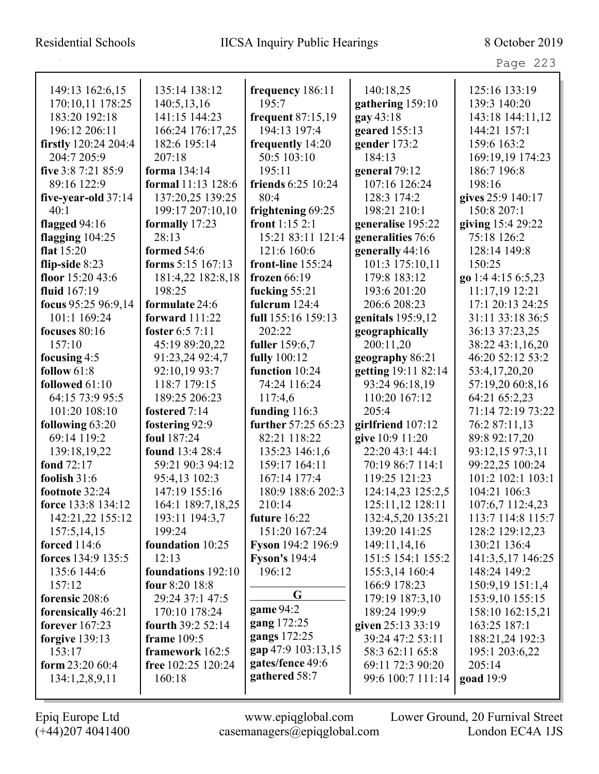| 149:13 162:6,15             | 135:14 138:12         | frequency 186:11     | 140:18,25           | 125:16 133:19      |
|-----------------------------|-----------------------|----------------------|---------------------|--------------------|
| 170:10,11 178:25            | 140:5,13,16           | 195:7                | gathering 159:10    | 139:3 140:20       |
| 183:20 192:18               | 141:15 144:23         | frequent 87:15,19    | gay 43:18           | 143:18 144:11,12   |
| 196:12 206:11               | 166:24 176:17,25      | 194:13 197:4         | geared 155:13       | 144:21 157:1       |
| <b>firstly</b> 120:24 204:4 | 182:6 195:14          | frequently 14:20     | gender 173:2        | 159:6 163:2        |
| 204:7 205:9                 | 207:18                | 50:5 103:10          | 184:13              | 169:19,19 174:23   |
| five 3:8 7:21 85:9          | forma 134:14          | 195:11               | general 79:12       | 186:7 196:8        |
| 89:16 122:9                 | formal 11:13 128:6    | friends 6:25 10:24   | 107:16 126:24       | 198:16             |
| five-year-old 37:14         | 137:20,25 139:25      | 80:4                 | 128:3 174:2         | gives 25:9 140:17  |
| 40:1                        | 199:17 207:10,10      | frightening 69:25    | 198:21 210:1        | 150:8 207:1        |
| flagged $94:16$             | formally 17:23        | front 1:15 2:1       | generalise 195:22   | giving 15:4 29:22  |
| flagging $104:25$           | 28:13                 | 15:21 83:11 121:4    | generalities 76:6   | 75:18 126:2        |
| flat $15:20$                | formed 54:6           | 121:6 160:6          | generally 44:16     | 128:14 149:8       |
| flip-side 8:23              | forms $5:15$ 167:13   | front-line 155:24    | 101:3 175:10,11     | 150:25             |
| floor 15:20 43:6            | 181:4,22 182:8,18     | frozen 66:19         | 179:8 183:12        | go 1:4 4:15 6:5,23 |
| fluid 167:19                | 198:25                | fucking 55:21        | 193:6 201:20        | 11:17,19 12:21     |
| focus 95:25 96:9,14         | formulate 24:6        | fulcrum $124:4$      | 206:6 208:23        | 17:1 20:13 24:25   |
| 101:1 169:24                | <b>forward</b> 111:22 | full 155:16 159:13   | genitals 195:9,12   | 31:11 33:18 36:5   |
| focuses $80:16$             | foster 6:5 7:11       | 202:22               | geographically      | 36:13 37:23,25     |
| 157:10                      | 45:19 89:20,22        | fuller 159:6,7       | 200:11,20           | 38:22 43:1,16,20   |
| focusing $4:5$              | 91:23,24 92:4,7       | fully 100:12         | geography 86:21     | 46:20 52:12 53:2   |
| follow $61:8$               | 92:10,19 93:7         | function 10:24       | getting 19:11 82:14 | 53:4,17,20,20      |
| followed 61:10              | 118:7 179:15          | 74:24 116:24         | 93:24 96:18,19      | 57:19,20 60:8,16   |
| 64:15 73:9 95:5             | 189:25 206:23         | 117:4,6              | 110:20 167:12       | 64:21 65:2,23      |
| 101:20 108:10               | fostered 7:14         | funding $116:3$      | 205:4               | 71:14 72:19 73:22  |
| following 63:20             | fostering 92:9        | further 57:25 65:23  | girlfriend 107:12   | 76:2 87:11,13      |
| 69:14 119:2                 | foul 187:24           | 82:21 118:22         | give 10:9 11:20     | 89:8 92:17,20      |
| 139:18,19,22                | found 13:4 28:4       | 135:23 146:1,6       | 22:20 43:1 44:1     | 93:12,15 97:3,11   |
| fond 72:17                  | 59:21 90:3 94:12      | 159:17 164:11        | 70:19 86:7 114:1    | 99:22,25 100:24    |
| foolish $31:6$              | 95:4,13 102:3         | 167:14 177:4         | 119:25 121:23       | 101:2 102:1 103:1  |
| footnote 32:24              | 147:19 155:16         | 180:9 188:6 202:3    | 124:14,23 125:2,5   | 104:21 106:3       |
| force 133:8 134:12          | 164:1 189:7,18,25     | 210:14               | 125:11,12 128:11    | 107:6,7 112:4,23   |
| 142:21,22 155:12            | 193:11 194:3,7        | future 16:22         | 132:4,5,20 135:21   | 113:7 114:8 115:7  |
| 157:5,14,15                 | 199:24                | 151:20 167:24        | 139:20 141:25       | 128:2 129:12,23    |
| <b>forced</b> 114:6         | foundation 10:25      | Fyson 194:2 196:9    | 149:11,14,16        | 130:21 136:4       |
| forces 134:9 135:5          | 12:13                 | <b>Fyson's</b> 194:4 | 151:5 154:1 155:2   | 141:3,5,17 146:25  |
| 135:6 144:6                 | foundations 192:10    | 196:12               | 155:3,14 160:4      | 148:24 149:2       |
| 157:12                      | four 8:20 18:8        |                      | 166:9 178:23        | 150:9,19 151:1,4   |
| forensic 208:6              | 29:24 37:1 47:5       | G                    | 179:19 187:3,10     | 153:9,10 155:15    |
| forensically 46:21          | 170:10 178:24         | game 94:2            | 189:24 199:9        | 158:10 162:15,21   |
| forever $167:23$            | fourth 39:2 52:14     | gang 172:25          | given 25:13 33:19   | 163:25 187:1       |
| <b>forgive</b> 139:13       | frame 109:5           | gangs 172:25         | 39:24 47:2 53:11    | 188:21,24 192:3    |
| 153:17                      | framework 162:5       | gap 47:9 103:13,15   | 58:3 62:11 65:8     | 195:1 203:6,22     |
| form $23:2060:4$            | free 102:25 120:24    | gates/fence 49:6     | 69:11 72:3 90:20    | 205:14             |
| 134:1,2,8,9,11              | 160:18                | gathered 58:7        | 99:6 100:7 111:14   | <b>goad</b> 19:9   |
|                             |                       |                      |                     |                    |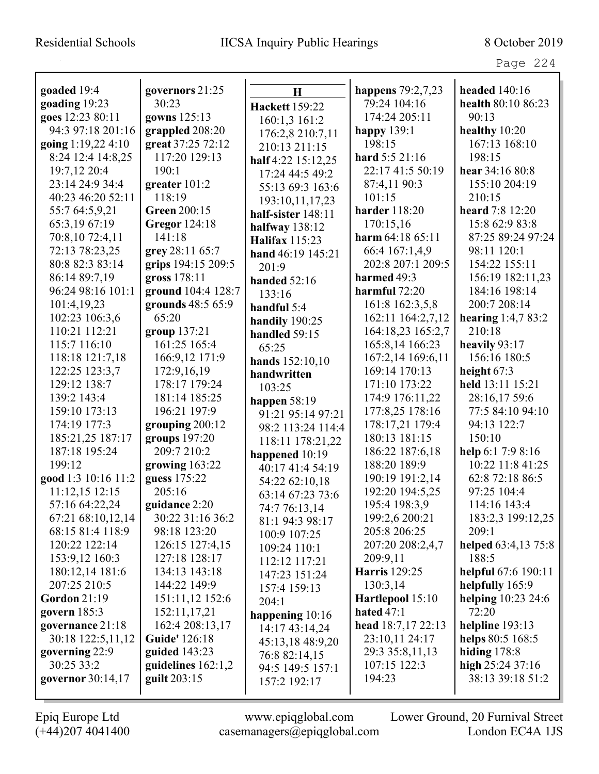|                     | governors 21:25      |                       |                                     | headed $140:16$       |
|---------------------|----------------------|-----------------------|-------------------------------------|-----------------------|
| goaded 19:4         | 30:23                | H                     | happens $79:2,7,23$<br>79:24 104:16 |                       |
| goading 19:23       |                      | <b>Hackett</b> 159:22 | 174:24 205:11                       | health 80:10 86:23    |
| goes 12:23 80:11    | gowns 125:13         | 160:1,3 161:2         |                                     | 90:13                 |
| 94:3 97:18 201:16   | grappled 208:20      | 176:2,8 210:7,11      | happy 139:1                         | healthy $10:20$       |
| going 1:19,22 4:10  | great 37:25 72:12    | 210:13 211:15         | 198:15                              | 167:13 168:10         |
| 8:24 12:4 14:8,25   | 117:20 129:13        | half 4:22 15:12,25    | hard 5:5 21:16                      | 198:15                |
| 19:7,12 20:4        | 190:1                | 17:24 44:5 49:2       | 22:17 41:5 50:19                    | hear 34:16 80:8       |
| 23:14 24:9 34:4     | greater $101:2$      | 55:13 69:3 163:6      | 87:4,11 90:3                        | 155:10 204:19         |
| 40:23 46:20 52:11   | 118:19               | 193:10,11,17,23       | 101:15                              | 210:15                |
| 55:7 64:5,9,21      | <b>Green 200:15</b>  | half-sister $148:11$  | harder 118:20                       | heard 7:8 12:20       |
| 65:3,19 67:19       | Gregor 124:18        | halfway 138:12        | 170:15,16                           | 15:8 62:9 83:8        |
| 70:8,10 72:4,11     | 141:18               | <b>Halifax</b> 115:23 | harm $64:1865:11$                   | 87:25 89:24 97:24     |
| 72:13 78:23,25      | grey 28:11 65:7      | hand 46:19 145:21     | 66:4 167:1,4,9                      | 98:11 120:1           |
| 80:8 82:3 83:14     | grips 194:15 209:5   | 201:9                 | 202:8 207:1 209:5                   | 154:22 155:11         |
| 86:14 89:7,19       | gross 178:11         | handed 52:16          | harmed 49:3                         | 156:19 182:11,23      |
| 96:24 98:16 101:1   | ground 104:4 128:7   | 133:16                | harmful $72:20$                     | 184:16 198:14         |
| 101:4,19,23         | grounds 48:5 65:9    | handful $5:4$         | 161:8 162:3,5,8                     | 200:7 208:14          |
| 102:23 106:3,6      | 65:20                | handily 190:25        | 162:11 164:2,7,12                   | hearing $1:4,783:2$   |
| 110:21 112:21       | group 137:21         | handled 59:15         | 164:18,23 165:2,7                   | 210:18                |
| 115:7 116:10        | 161:25 165:4         | 65:25                 | 165:8,14 166:23                     | heavily $93:17$       |
| 118:18 121:7,18     | 166:9,12 171:9       | hands 152:10,10       | 167:2,14 169:6,11                   | 156:16 180:5          |
| 122:25 123:3,7      | 172:9,16,19          | handwritten           | 169:14 170:13                       | height 67:3           |
| 129:12 138:7        | 178:17 179:24        | 103:25                | 171:10 173:22                       | held 13:11 15:21      |
| 139:2 143:4         | 181:14 185:25        | happen $58:19$        | 174:9 176:11,22                     | 28:16,17 59:6         |
| 159:10 173:13       | 196:21 197:9         | 91:21 95:14 97:21     | 177:8,25 178:16                     | 77:5 84:10 94:10      |
| 174:19 177:3        | grouping $200:12$    | 98:2 113:24 114:4     | 178:17,21 179:4                     | 94:13 122:7           |
| 185:21,25 187:17    | groups 197:20        | 118:11 178:21,22      | 180:13 181:15                       | 150:10                |
| 187:18 195:24       | 209:7 210:2          | happened 10:19        | 186:22 187:6,18                     | help $6:17:98:16$     |
| 199:12              | growing $163:22$     | 40:17 41:4 54:19      | 188:20 189:9                        | 10:22 11:8 41:25      |
| good 1:3 10:16 11:2 | guess 175:22         | 54:22 62:10,18        | 190:19 191:2,14                     | 62:8 72:18 86:5       |
| 11:12,15 12:15      | 205:16               | 63:14 67:23 73:6      | 192:20 194:5,25                     | 97:25 104:4           |
| 57:16 64:22,24      | guidance 2:20        | 74:7 76:13,14         | 195:4 198:3,9                       | 114:16 143:4          |
| 67:21 68:10,12,14   | 30:22 31:16 36:2     | 81:1 94:3 98:17       | 199:2,6 200:21                      | 183:2,3 199:12,25     |
| 68:15 81:4 118:9    | 98:18 123:20         | 100:9 107:25          | 205:8 206:25                        | 209:1                 |
| 120:22 122:14       | 126:15 127:4,15      | 109:24 110:1          | 207:20 208:2,4,7                    | helped 63:4,13 75:8   |
| 153:9,12 160:3      | 127:18 128:17        | 112:12 117:21         | 209:9,11                            | 188:5                 |
| 180:12,14 181:6     | 134:13 143:18        | 147:23 151:24         | <b>Harris</b> 129:25                | helpful 67:6 190:11   |
| 207:25 210:5        | 144:22 149:9         | 157:4 159:13          | 130:3,14                            | helpfully 165:9       |
| Gordon $21:19$      | 151:11,12 152:6      | 204:1                 | Hartlepool 15:10                    | helping $10:23\,24:6$ |
| govern $185:3$      | 152:11,17,21         | happening 10:16       | hated $47:1$                        | 72:20                 |
| governance 21:18    | 162:4 208:13,17      | 14:17 43:14,24        | head 18:7,17 22:13                  | helpline $193:13$     |
| 30:18 122:5,11,12   | Guide' 126:18        | 45:13,18 48:9,20      | 23:10,11 24:17                      | helps 80:5 168:5      |
| governing 22:9      | guided $143:23$      | 76:8 82:14,15         | 29:3 35:8,11,13                     | hiding $178:8$        |
| 30:25 33:2          | guidelines $162:1,2$ | 94:5 149:5 157:1      | 107:15 122:3                        | high $25:2437:16$     |
| governor 30:14,17   | guilt 203:15         | 157:2 192:17          | 194:23                              | 38:13 39:18 51:2      |
|                     |                      |                       |                                     |                       |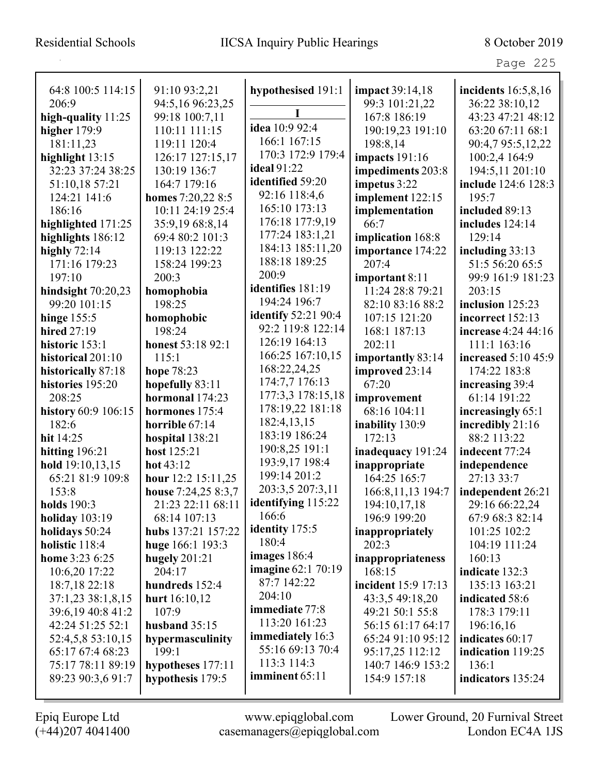F

Page 225

| 64:8 100:5 114:15    | 91:10 93:2,21       | hypothesised 191:1                       | <b>impact</b> 39:14,18 | incidents $16:5,8,16$ |
|----------------------|---------------------|------------------------------------------|------------------------|-----------------------|
| 206:9                | 94:5,16 96:23,25    |                                          | 99:3 101:21,22         | 36:22 38:10,12        |
| high-quality $11:25$ | 99:18 100:7,11      | I                                        | 167:8 186:19           | 43:23 47:21 48:12     |
| higher $179:9$       | 110:11 111:15       | idea 10:9 92:4                           | 190:19,23 191:10       | 63:20 67:11 68:1      |
| 181:11,23            | 119:11 120:4        | 166:1 167:15                             | 198:8,14               | 90:4,7 95:5,12,22     |
| highlight 13:15      | 126:17 127:15,17    | 170:3 172:9 179:4                        | <b>impacts</b> 191:16  | 100:2,4 164:9         |
| 32:23 37:24 38:25    | 130:19 136:7        | <b>ideal</b> 91:22                       | impediments 203:8      | 194:5,11 201:10       |
| 51:10,18 57:21       | 164:7 179:16        | identified 59:20                         | impetus 3:22           | include 124:6 128:3   |
| 124:21 141:6         | homes 7:20,22 8:5   | 92:16 118:4,6                            | implement 122:15       | 195:7                 |
| 186:16               | 10:11 24:19 25:4    | 165:10 173:13                            | implementation         | included 89:13        |
| highlighted 171:25   | 35:9,19 68:8,14     | 176:18 177:9,19                          | 66:7                   | includes 124:14       |
| highlights 186:12    | 69:4 80:2 101:3     | 177:24 183:1,21                          | implication 168:8      | 129:14                |
| highly $72:14$       | 119:13 122:22       | 184:13 185:11,20                         | importance 174:22      | including $33:13$     |
| 171:16 179:23        | 158:24 199:23       | 188:18 189:25                            | 207:4                  | 51:5 56:20 65:5       |
| 197:10               | 200:3               | 200:9                                    | important 8:11         | 99:9 161:9 181:23     |
| hindsight $70:20,23$ | homophobia          | identifies 181:19                        | 11:24 28:8 79:21       | 203:15                |
| 99:20 101:15         | 198:25              | 194:24 196:7                             | 82:10 83:16 88:2       | inclusion 125:23      |
| hinge 155:5          | homophobic          | <b>identify</b> 52:21 90:4               | 107:15 121:20          | incorrect 152:13      |
| hired 27:19          | 198:24              | 92:2 119:8 122:14                        | 168:1 187:13           | increase 4:24 44:16   |
| historic 153:1       | honest 53:18 92:1   | 126:19 164:13                            | 202:11                 | 111:1 163:16          |
| historical 201:10    | 115:1               | 166:25 167:10,15                         | importantly 83:14      | increased 5:10 45:9   |
| historically 87:18   | hope 78:23          | 168:22,24,25                             | improved 23:14         | 174:22 183:8          |
| histories 195:20     | hopefully 83:11     | 174:7,7 176:13                           | 67:20                  | increasing 39:4       |
| 208:25               | hormonal 174:23     | 177:3,3 178:15,18                        | improvement            | 61:14 191:22          |
| history 60:9 106:15  | hormones 175:4      | 178:19,22 181:18                         | 68:16 104:11           | increasingly 65:1     |
| 182:6                | horrible 67:14      | 182:4,13,15                              | inability 130:9        | incredibly 21:16      |
| hit $14:25$          | hospital 138:21     | 183:19 186:24                            | 172:13                 | 88:2 113:22           |
| hitting $196:21$     | host 125:21         | 190:8,25 191:1                           | inadequacy 191:24      | indecent 77:24        |
| hold 19:10,13,15     | hot $43:12$         | 193:9,17 198:4                           | inappropriate          | independence          |
| 65:21 81:9 109:8     | hour 12:2 15:11,25  | 199:14 201:2                             | 164:25 165:7           | 27:13 33:7            |
| 153:8                | house 7:24,25 8:3,7 | 203:3,5 207:3,11                         | 166:8, 11, 13 194:7    | independent 26:21     |
| holds 190:3          | 21:23 22:11 68:11   | identifying 115:22<br>166:6              | 194:10,17,18           | 29:16 66:22,24        |
| holiday $103:19$     | 68:14 107:13        |                                          | 196:9 199:20           | 67:9 68:3 82:14       |
| holidays 50:24       | hubs 137:21 157:22  | <b>identity</b> 175:5<br>180:4           | inappropriately        | 101:25 102:2          |
| holistic 118:4       | huge 166:1 193:3    | images $186:4$                           | 202:3                  | 104:19 111:24         |
| home 3:23 6:25       | hugely $201:21$     |                                          | inappropriateness      | 160:13                |
| 10:6,20 17:22        | 204:17              | <b>imagine</b> 62:1 70:19<br>87:7 142:22 | 168:15                 | indicate 132:3        |
| 18:7,18 22:18        | hundreds 152:4      | 204:10                                   | incident 15:9 17:13    | 135:13 163:21         |
| 37:1,23 38:1,8,15    | hurt 16:10,12       | immediate 77:8                           | 43:3,5 49:18,20        | indicated 58:6        |
| 39:6,19 40:8 41:2    | 107:9               | 113:20 161:23                            | 49:21 50:1 55:8        | 178:3 179:11          |
| 42:24 51:25 52:1     | husband 35:15       | immediately 16:3                         | 56:15 61:17 64:17      | 196:16,16             |
| 52:4,5,8 53:10,15    | hypermasculinity    | 55:16 69:13 70:4                         | 65:24 91:10 95:12      | indicates 60:17       |
| 65:17 67:4 68:23     | 199:1               | 113:3 114:3                              | 95:17,25 112:12        | indication 119:25     |
| 75:17 78:11 89:19    | hypotheses 177:11   |                                          | 140:7 146:9 153:2      | 136:1                 |
| 89:23 90:3,6 91:7    | hypothesis 179:5    | imminent 65:11                           | 154:9 157:18           | indicators 135:24     |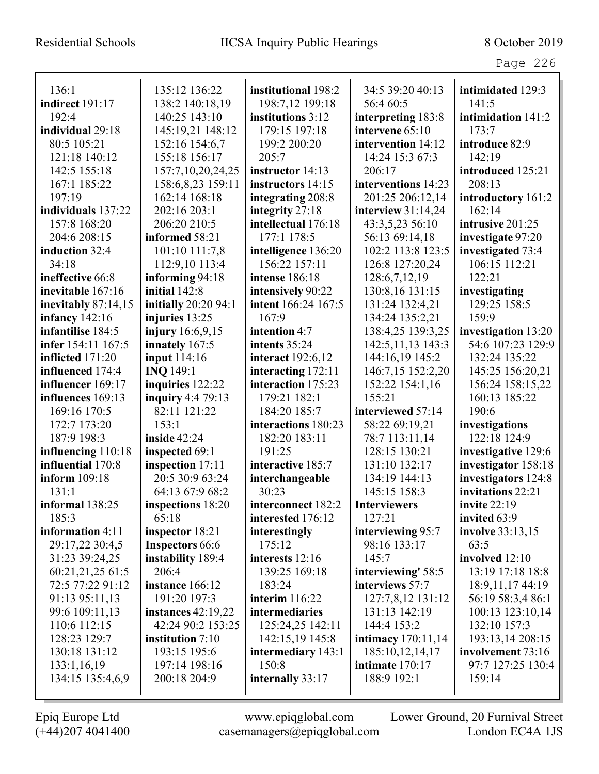| 136:1                 | 135:12 136:22               | institutional 198:2      | 34:5 39:20 40:13     | intimidated 129:3   |
|-----------------------|-----------------------------|--------------------------|----------------------|---------------------|
| indirect 191:17       | 138:2 140:18,19             | 198:7,12 199:18          | 56:4 60:5            | 141:5               |
| 192:4                 | 140:25 143:10               | institutions 3:12        | interpreting 183:8   | intimidation 141:2  |
| individual 29:18      | 145:19,21 148:12            | 179:15 197:18            | intervene 65:10      | 173:7               |
| 80:5 105:21           | 152:16 154:6,7              | 199:2 200:20             | intervention 14:12   | introduce 82:9      |
| 121:18 140:12         | 155:18 156:17               | 205:7                    | 14:24 15:3 67:3      | 142:19              |
| 142:5 155:18          | 157:7,10,20,24,25           | instructor 14:13         | 206:17               | introduced 125:21   |
| 167:1 185:22          | 158:6,8,23 159:11           | instructors 14:15        | interventions 14:23  | 208:13              |
| 197:19                | 162:14 168:18               | integrating 208:8        | 201:25 206:12,14     | introductory 161:2  |
| individuals 137:22    | 202:16 203:1                | integrity 27:18          | interview $31:14,24$ | 162:14              |
| 157:8 168:20          | 206:20 210:5                | intellectual 176:18      | 43:3,5,23 56:10      | intrusive 201:25    |
| 204:6 208:15          | informed 58:21              | 177:1 178:5              | 56:13 69:14,18       | investigate 97:20   |
| induction 32:4        | 101:10 111:7,8              | intelligence 136:20      | 102:2 113:8 123:5    | investigated 73:4   |
| 34:18                 | 112:9,10 113:4              | 156:22 157:11            | 126:8 127:20,24      | 106:15 112:21       |
| ineffective 66:8      | informing 94:18             | intense 186:18           | 128:6,7,12,19        | 122:21              |
| inevitable 167:16     | initial 142:8               | intensively 90:22        | 130:8,16 131:15      | investigating       |
| inevitably 87:14,15   | <b>initially</b> 20:20 94:1 | intent 166:24 167:5      | 131:24 132:4,21      | 129:25 158:5        |
| <b>infancy</b> 142:16 | injuries 13:25              | 167:9                    | 134:24 135:2,21      | 159:9               |
| infantilise 184:5     | injury 16:6,9,15            | intention 4:7            | 138:4,25 139:3,25    | investigation 13:20 |
| infer 154:11 167:5    | innately 167:5              | intents 35:24            | 142:5, 11, 13 143:3  | 54:6 107:23 129:9   |
| inflicted 171:20      | input 114:16                | <b>interact</b> 192:6,12 | 144:16,19 145:2      | 132:24 135:22       |
| influenced 174:4      | <b>INO 149:1</b>            | interacting 172:11       | 146:7,15 152:2,20    | 145:25 156:20,21    |
| influencer 169:17     | inquiries 122:22            | interaction 175:23       | 152:22 154:1,16      | 156:24 158:15,22    |
| influences 169:13     | <b>inquiry</b> 4:4 79:13    | 179:21 182:1             | 155:21               | 160:13 185:22       |
| 169:16 170:5          | 82:11 121:22                | 184:20 185:7             | interviewed 57:14    | 190:6               |
| 172:7 173:20          | 153:1                       | interactions 180:23      | 58:22 69:19,21       | investigations      |
| 187:9 198:3           | inside $42:24$              | 182:20 183:11            | 78:7 113:11,14       | 122:18 124:9        |
| influencing 110:18    | inspected 69:1              | 191:25                   | 128:15 130:21        | investigative 129:6 |
| influential 170:8     | inspection 17:11            | interactive 185:7        | 131:10 132:17        | investigator 158:18 |
| inform 109:18         | 20:5 30:9 63:24             | interchangeable          | 134:19 144:13        | investigators 124:8 |
| 131:1                 | 64:13 67:9 68:2             | 30:23                    | 145:15 158:3         | invitations 22:21   |
| informal 138:25       | inspections 18:20           | interconnect 182:2       | <b>Interviewers</b>  | invite $22:19$      |
| 185:3                 | 65:18                       | interested 176:12        | 127:21               | invited 63:9        |
| information 4:11      | inspector 18:21             | interestingly            | interviewing 95:7    | involve 33:13,15    |
| 29:17,22 30:4,5       | <b>Inspectors 66:6</b>      | 175:12                   | 98:16 133:17         | 63:5                |
| 31:23 39:24,25        | instability 189:4           | interests 12:16          | 145:7                | involved 12:10      |
| 60:21,21,25 61:5      | 206:4                       | 139:25 169:18            | interviewing' 58:5   | 13:19 17:18 18:8    |
| 72:5 77:22 91:12      | instance 166:12             | 183:24                   | interviews 57:7      | 18:9, 11, 17 44: 19 |
| 91:13 95:11,13        | 191:20 197:3                | interim $116:22$         | 127:7,8,12 131:12    | 56:19 58:3,4 86:1   |
| 99:6 109:11,13        | instances $42:19,22$        | intermediaries           | 131:13 142:19        | 100:13 123:10,14    |
| 110:6 112:15          | 42:24 90:2 153:25           | 125:24,25 142:11         | 144:4 153:2          | 132:10 157:3        |
| 128:23 129:7          | <b>institution</b> 7:10     | 142:15,19 145:8          | intimacy 170:11,14   | 193:13,14 208:15    |
| 130:18 131:12         | 193:15 195:6                | intermediary 143:1       | 185:10,12,14,17      | involvement 73:16   |
| 133:1,16,19           | 197:14 198:16               | 150:8                    | intimate 170:17      | 97:7 127:25 130:4   |
| 134:15 135:4,6,9      | 200:18 204:9                | internally 33:17         | 188:9 192:1          | 159:14              |
|                       |                             |                          |                      |                     |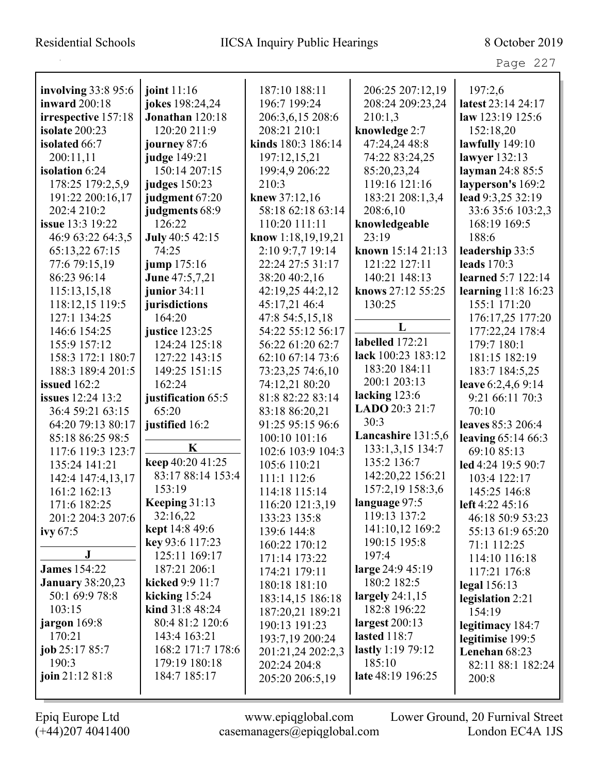| . .<br>ι<br>. . |  |
|-----------------|--|
|-----------------|--|

| involving 33:8 95:6      | joint $11:16$      | 187:10 188:11        | 206:25 207:12,19    | 197:2,6             |
|--------------------------|--------------------|----------------------|---------------------|---------------------|
| <b>inward</b> 200:18     | jokes 198:24,24    | 196:7 199:24         | 208:24 209:23,24    | latest 23:14 24:17  |
| irrespective 157:18      | Jonathan 120:18    | 206:3,6,15 208:6     | 210:1,3             | law 123:19 125:6    |
| isolate 200:23           | 120:20 211:9       | 208:21 210:1         | knowledge 2:7       | 152:18,20           |
| isolated 66:7            | journey 87:6       | kinds 180:3 186:14   | 47:24,24 48:8       | lawfully $149:10$   |
| 200:11,11                | judge 149:21       | 197:12,15,21         | 74:22 83:24,25      | lawyer 132:13       |
| isolation 6:24           | 150:14 207:15      | 199:4,9 206:22       | 85:20,23,24         | layman 24:8 85:5    |
| 178:25 179:2,5,9         | judges 150:23      | 210:3                | 119:16 121:16       | layperson's 169:2   |
| 191:22 200:16,17         | judgment 67:20     | knew 37:12,16        | 183:21 208:1,3,4    | lead 9:3,25 32:19   |
| 202:4 210:2              | judgments 68:9     | 58:18 62:18 63:14    | 208:6,10            | 33:6 35:6 103:2,3   |
| issue 13:3 19:22         | 126:22             | 110:20 111:11        | knowledgeable       | 168:19 169:5        |
| 46:9 63:22 64:3,5        | July 40:5 42:15    | know $1:18,19,19,21$ | 23:19               | 188:6               |
| 65:13,22 67:15           | 74:25              | 2:10 9:7,7 19:14     | known 15:14 21:13   | leadership 33:5     |
| 77:6 79:15,19            | jump 175:16        | 22:24 27:5 31:17     | 121:22 127:11       | leads $170:3$       |
| 86:23 96:14              | June 47:5,7,21     | 38:20 40:2,16        | 140:21 148:13       | learned 5:7 122:14  |
| 115:13,15,18             | junior $34:11$     | 42:19,25 44:2,12     | knows 27:12 55:25   | learning 11:8 16:23 |
| 118:12,15 119:5          | jurisdictions      | 45:17,21 46:4        | 130:25              | 155:1 171:20        |
| 127:1 134:25             | 164:20             | 47:8 54:5,15,18      |                     | 176:17,25 177:20    |
| 146:6 154:25             | justice 123:25     | 54:22 55:12 56:17    | L                   | 177:22,24 178:4     |
| 155:9 157:12             | 124:24 125:18      | 56:22 61:20 62:7     | labelled 172:21     | 179:7 180:1         |
| 158:3 172:1 180:7        | 127:22 143:15      | 62:10 67:14 73:6     | lack 100:23 183:12  | 181:15 182:19       |
| 188:3 189:4 201:5        | 149:25 151:15      | 73:23,25 74:6,10     | 183:20 184:11       | 183:7 184:5,25      |
| issued $162:2$           | 162:24             | 74:12,21 80:20       | 200:1 203:13        | leave 6:2,4,6 9:14  |
| <b>issues</b> 12:24 13:2 | justification 65:5 | 81:8 82:22 83:14     | lacking 123:6       | 9:21 66:11 70:3     |
| 36:4 59:21 63:15         | 65:20              | 83:18 86:20,21       | LADO 20:3 21:7      | 70:10               |
| 64:20 79:13 80:17        | justified 16:2     | 91:25 95:15 96:6     | 30:3                | leaves 85:3 206:4   |
| 85:18 86:25 98:5         |                    | 100:10 101:16        | Lancashire 131:5,6  | leaving 65:14 66:3  |
| 117:6 119:3 123:7        | $\mathbf K$        | 102:6 103:9 104:3    | 133:1,3,15 134:7    | 69:10 85:13         |
| 135:24 141:21            | keep 40:20 41:25   | 105:6 110:21         | 135:2 136:7         | led 4:24 19:5 90:7  |
| 142:4 147:4,13,17        | 83:17 88:14 153:4  | 111:1 112:6          | 142:20,22 156:21    | 103:4 122:17        |
| 161:2 162:13             | 153:19             | 114:18 115:14        | 157:2,19 158:3,6    | 145:25 146:8        |
| 171:6 182:25             | Keeping 31:13      | 116:20 121:3,19      | language 97:5       | left 4:22 45:16     |
| 201:2 204:3 207:6        | 32:16,22           | 133:23 135:8         | 119:13 137:2        | 46:18 50:9 53:23    |
| ivy $67:5$               | kept 14:8 49:6     | 139:6 144:8          | 141:10,12 169:2     | 55:13 61:9 65:20    |
|                          | key 93:6 117:23    | 160:22 170:12        | 190:15 195:8        | 71:1 112:25         |
| ${\bf J}$                | 125:11 169:17      | 171:14 173:22        | 197:4               | 114:10 116:18       |
| <b>James</b> 154:22      | 187:21 206:1       | 174:21 179:11        | large 24:9 45:19    | 117:21 176:8        |
| <b>January 38:20,23</b>  | kicked $9:911:7$   | 180:18 181:10        | 180:2 182:5         | legal $156:13$      |
| 50:1 69:9 78:8           | kicking $15:24$    | 183:14,15 186:18     | largely $24:1,15$   | legislation 2:21    |
| 103:15                   | kind $31:848:24$   | 187:20,21 189:21     | 182:8 196:22        | 154:19              |
| jargon 169:8             | 80:4 81:2 120:6    | 190:13 191:23        | largest $200:13$    | legitimacy 184:7    |
| 170:21                   | 143:4 163:21       | 193:7,19 200:24      | <b>lasted</b> 118:7 | legitimise 199:5    |
| job 25:17 85:7           | 168:2 171:7 178:6  | 201:21,24 202:2,3    | lastly 1:19 79:12   | Lenehan 68:23       |
| 190:3                    | 179:19 180:18      | 202:24 204:8         | 185:10              | 82:11 88:1 182:24   |
| join 21:12 81:8          | 184:7 185:17       | 205:20 206:5,19      | late 48:19 196:25   | 200:8               |
|                          |                    |                      |                     |                     |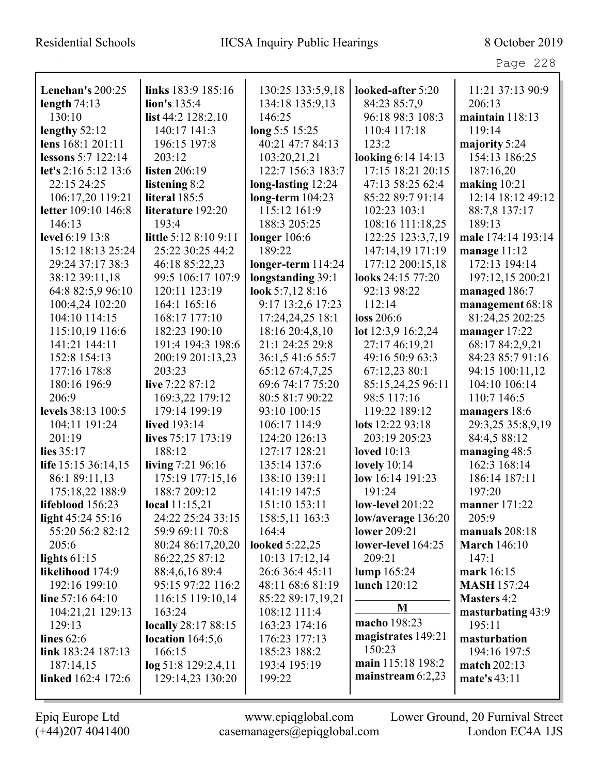| <b>Lenehan's 200:25</b>                 | links 183:9 185:16             | 130:25 133:5,9,18                  | looked-after 5:20       | 11:21 37:13 90:9                    |
|-----------------------------------------|--------------------------------|------------------------------------|-------------------------|-------------------------------------|
| length $74:13$                          | lion's 135:4                   | 134:18 135:9,13                    | 84:23 85:7,9            | 206:13                              |
| 130:10                                  | list $44:2$ $128:2,10$         | 146:25                             | 96:18 98:3 108:3        | maintain 118:13                     |
|                                         | 140:17 141:3                   | long 5:5 15:25                     | 110:4 117:18            | 119:14                              |
| lengthy 52:12<br>lens 168:1 201:11      | 196:15 197:8                   | 40:21 47:7 84:13                   | 123:2                   |                                     |
|                                         |                                |                                    |                         | majority 5:24                       |
| lessons 5:7 122:14                      | 203:12                         | 103:20,21,21                       | looking 6:14 14:13      | 154:13 186:25                       |
| let's 2:16 5:12 13:6                    | listen 206:19                  | 122:7 156:3 183:7                  | 17:15 18:21 20:15       | 187:16,20                           |
| 22:15 24:25                             | listening 8:2<br>literal 185:5 | long-lasting 12:24                 | 47:13 58:25 62:4        | making $10:21$<br>12:14 18:12 49:12 |
| 106:17,20 119:21<br>letter 109:10 146:8 |                                | $long-term 104:23$<br>115:12 161:9 | 85:22 89:7 91:14        |                                     |
|                                         | literature 192:20              |                                    | 102:23 103:1            | 88:7,8 137:17                       |
| 146:13                                  | 193:4                          | 188:3 205:25                       | 108:16 111:18,25        | 189:13                              |
| level 6:19 13:8                         | little 5:12 8:10 9:11          | longer $106:6$                     | 122:25 123:3,7,19       | male 174:14 193:14                  |
| 15:12 18:13 25:24                       | 25:22 30:25 44:2               | 189:22                             | 147:14,19 171:19        | manage $11:12$                      |
| 29:24 37:17 38:3                        | 46:18 85:22,23                 | longer-term $114:24$               | 177:12 200:15,18        | 172:13 194:14                       |
| 38:12 39:11,18                          | 99:5 106:17 107:9              | longstanding 39:1                  | looks 24:15 77:20       | 197:12,15 200:21                    |
| 64:8 82:5,9 96:10                       | 120:11 123:19                  | look 5:7,12 8:16                   | 92:13 98:22             | managed 186:7                       |
| 100:4,24 102:20                         | 164:1 165:16                   | 9:17 13:2,6 17:23                  | 112:14                  | management 68:18                    |
| 104:10 114:15                           | 168:17 177:10                  | 17:24,24,25 18:1                   | loss 206:6              | 81:24,25 202:25                     |
| 115:10,19 116:6                         | 182:23 190:10                  | 18:16 20:4,8,10                    | lot 12:3,9 16:2,24      | manager 17:22                       |
| 141:21 144:11                           | 191:4 194:3 198:6              | 21:1 24:25 29:8                    | 27:17 46:19,21          | 68:17 84:2,9,21                     |
| 152:8 154:13                            | 200:19 201:13,23               | 36:1,5 41:6 55:7                   | 49:16 50:9 63:3         | 84:23 85:7 91:16                    |
| 177:16 178:8                            | 203:23                         | 65:12 67:4,7,25                    | 67:12,23 80:1           | 94:15 100:11,12                     |
| 180:16 196:9                            | live 7:22 87:12                | 69:6 74:17 75:20                   | 85:15,24,25 96:11       | 104:10 106:14                       |
| 206:9                                   | 169:3,22 179:12                | 80:5 81:7 90:22                    | 98:5 117:16             | 110:7 146:5                         |
| levels 38:13 100:5                      | 179:14 199:19                  | 93:10 100:15                       | 119:22 189:12           | managers 18:6                       |
| 104:11 191:24                           | lived 193:14                   | 106:17 114:9                       | lots 12:22 93:18        | 29:3,25 35:8,9,19                   |
| 201:19                                  | lives 75:17 173:19             | 124:20 126:13                      | 203:19 205:23           | 84:4,5 88:12                        |
| lies 35:17                              | 188:12                         | 127:17 128:21                      | loved $10:13$           | managing 48:5                       |
| life 15:15 36:14,15                     | living 7:21 96:16              | 135:14 137:6                       | lovely $10:14$          | 162:3 168:14                        |
| 86:1 89:11,13                           | 175:19 177:15,16               | 138:10 139:11                      | low 16:14 191:23        | 186:14 187:11                       |
| 175:18,22 188:9                         | 188:7 209:12                   | 141:19 147:5                       | 191:24                  | 197:20                              |
| lifeblood 156:23                        | local 11:15,21                 | 151:10 153:11                      | <b>low-level</b> 201:22 | <b>manner</b> 171:22                |
| light $45:245:16$                       | 24:22 25:24 33:15              | 158:5,11 163:3                     | low/average $136:20$    | 205:9                               |
| 55:20 56:2 82:12                        | 59:9 69:11 70:8                | 164:4                              | lower 209:21            | manuals $208:18$                    |
| 205:6                                   | 80:24 86:17,20,20              | <b>looked</b> 5:22,25              | lower-level 164:25      | <b>March</b> 146:10                 |
| lights $61:15$                          | 86:22,25 87:12                 | $10:13$ 17:12,14                   | 209:21                  | 147:1                               |
| likelihood 174:9                        | 88:4,6,16 89:4                 | 26:6 36:4 45:11                    | lump 165:24             | mark 16:15                          |
| 192:16 199:10                           | 95:15 97:22 116:2              | 48:11 68:6 81:19                   | lunch 120:12            | <b>MASH 157:24</b>                  |
| line $57:1664:10$                       | 116:15 119:10,14               | 85:22 89:17,19,21                  |                         | <b>Masters 4:2</b>                  |
| 104:21,21 129:13                        | 163:24                         | 108:12 111:4                       | M                       | masturbating 43:9                   |
| 129:13                                  | <b>locally</b> 28:17 88:15     | 163:23 174:16                      | macho 198:23            | 195:11                              |
| lines $62:6$                            | location $164:5,6$             | 176:23 177:13                      | magistrates 149:21      | masturbation                        |
| link 183:24 187:13                      | 166:15                         | 185:23 188:2                       | 150:23                  | 194:16 197:5                        |
| 187:14,15                               | $log 51:8$ 129:2,4,11          | 193:4 195:19                       | main 115:18 198:2       | match $202:13$                      |
| linked 162:4 172:6                      | 129:14,23 130:20               | 199:22                             | mainstream $6:2,23$     | mate's 43:11                        |
|                                         |                                |                                    |                         |                                     |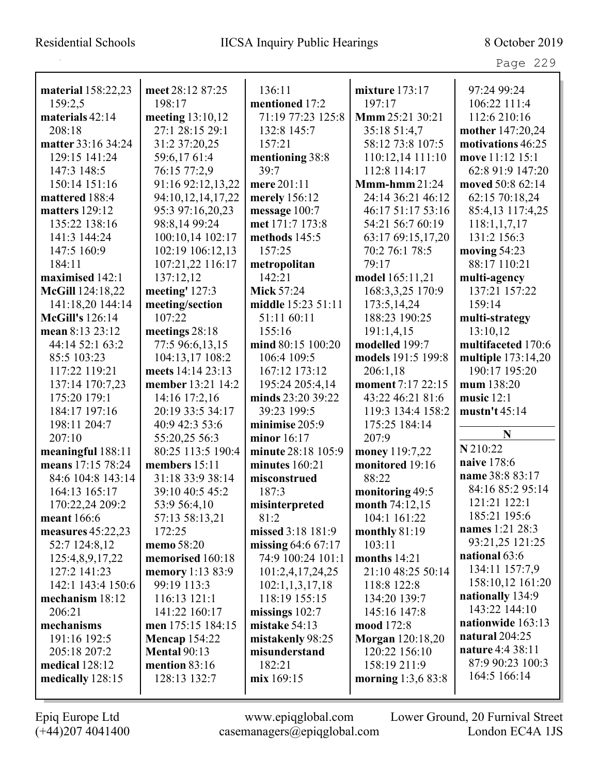| material 158:22,23     | meet 28:12 87:25     | 136:11              | mixture $173:17$<br>197:17 | 97:24 99:24        |
|------------------------|----------------------|---------------------|----------------------------|--------------------|
| 159:2,5                | 198:17               | mentioned 17:2      |                            | 106:22 111:4       |
| materials 42:14        | meeting 13:10,12     | 71:19 77:23 125:8   | Mmm 25:21 30:21            | 112:6 210:16       |
| 208:18                 | 27:1 28:15 29:1      | 132:8 145:7         | 35:18 51:4,7               | mother 147:20,24   |
| matter 33:16 34:24     | 31:2 37:20,25        | 157:21              | 58:12 73:8 107:5           | motivations 46:25  |
| 129:15 141:24          | 59:6,1761:4          | mentioning 38:8     | 110:12,14 111:10           | move 11:12 15:1    |
| 147:3 148:5            | 76:15 77:2,9         | 39:7                | 112:8 114:17               | 62:8 91:9 147:20   |
| 150:14 151:16          | 91:16 92:12,13,22    | mere 201:11         | $Mmm-hmm21:24$             | moved 50:8 62:14   |
| mattered 188:4         | 94:10,12,14,17,22    | merely 156:12       | 24:14 36:21 46:12          | 62:15 70:18,24     |
| <b>matters</b> 129:12  | 95:3 97:16,20,23     | message 100:7       | 46:17 51:17 53:16          | 85:4,13 117:4,25   |
| 135:22 138:16          | 98:8,14 99:24        | met 171:7 173:8     | 54:21 56:7 60:19           | 118:1,1,7,17       |
| 141:3 144:24           | 100:10,14 102:17     | methods 145:5       | 63:17 69:15,17,20          | 131:2 156:3        |
| 147:5 160:9            | 102:19 106:12,13     | 157:25              | 70:2 76:1 78:5             | moving $54:23$     |
| 184:11                 | 107:21,22 116:17     | metropolitan        | 79:17                      | 88:17 110:21       |
| maximised 142:1        | 137:12,12            | 142:21              | model 165:11,21            | multi-agency       |
| McGill 124:18,22       | meeting' 127:3       | <b>Mick 57:24</b>   | 168:3,3,25 170:9           | 137:21 157:22      |
| 141:18,20 144:14       | meeting/section      | middle 15:23 51:11  | 173:5,14,24                | 159:14             |
| <b>McGill's</b> 126:14 | 107:22               | 51:11 60:11         | 188:23 190:25              | multi-strategy     |
| mean 8:13 23:12        | meetings 28:18       | 155:16              | 191:1,4,15                 | 13:10,12           |
| 44:14 52:1 63:2        | 77:5 96:6,13,15      | mind 80:15 100:20   | modelled 199:7             | multifaceted 170:6 |
| 85:5 103:23            | 104:13,17 108:2      | 106:4 109:5         | models 191:5 199:8         | multiple 173:14,20 |
| 117:22 119:21          | meets 14:14 23:13    | 167:12 173:12       | 206:1,18                   | 190:17 195:20      |
| 137:14 170:7,23        | member 13:21 14:2    | 195:24 205:4,14     | moment 7:17 22:15          | mum 138:20         |
| 175:20 179:1           | 14:16 17:2,16        | minds 23:20 39:22   | 43:22 46:21 81:6           | music $12:1$       |
| 184:17 197:16          | 20:19 33:5 34:17     | 39:23 199:5         | 119:3 134:4 158:2          | mustn't $45:14$    |
| 198:11 204:7           | 40:9 42:3 53:6       | minimise 205:9      | 175:25 184:14              |                    |
| 207:10                 | 55:20,25 56:3        | minor 16:17         | 207:9                      | N                  |
| meaningful 188:11      | 80:25 113:5 190:4    | minute 28:18 105:9  | money 119:7,22             | N 210:22           |
| means 17:15 78:24      | members 15:11        | minutes $160:21$    | monitored 19:16            | naive 178:6        |
| 84:6 104:8 143:14      | 31:18 33:9 38:14     | misconstrued        | 88:22                      | name 38:8 83:17    |
| 164:13 165:17          | 39:10 40:5 45:2      | 187:3               | monitoring 49:5            | 84:16 85:2 95:14   |
| 170:22,24 209:2        | 53:9 56:4,10         | misinterpreted      | month 74:12,15             | 121:21 122:1       |
| meant 166:6            | 57:13 58:13,21       | 81:2                | 104:1 161:22               | 185:21 195:6       |
| measures 45:22,23      | 172:25               | missed 3:18 181:9   | monthly $81:19$            | names 1:21 28:3    |
| 52:7 124:8,12          | memo 58:20           | missing $64:667:17$ | 103:11                     | 93:21,25 121:25    |
| 125:4,8,9,17,22        | memorised 160:18     | 74:9 100:24 101:1   | months $14:21$             | national 63:6      |
| 127:2 141:23           | memory 1:13 83:9     | 101:2,4,17,24,25    | 21:10 48:25 50:14          | 134:11 157:7,9     |
| 142:1 143:4 150:6      | 99:19 113:3          | 102:1,1,3,17,18     | 118:8 122:8                | 158:10,12 161:20   |
| mechanism 18:12        | 116:13 121:1         | 118:19 155:15       | 134:20 139:7               | nationally 134:9   |
| 206:21                 | 141:22 160:17        | missings $102:7$    | 145:16 147:8               | 143:22 144:10      |
| mechanisms             | men 175:15 184:15    | mistake 54:13       | mood 172:8                 | nationwide 163:13  |
| 191:16 192:5           | <b>Mencap 154:22</b> | mistakenly 98:25    | <b>Morgan</b> 120:18,20    | natural $204:25$   |
| 205:18 207:2           | <b>Mental 90:13</b>  | misunderstand       | 120:22 156:10              | nature 4:4 38:11   |
| medical 128:12         | mention 83:16        | 182:21              | 158:19 211:9               | 87:9 90:23 100:3   |
| medically 128:15       | 128:13 132:7         | mix 169:15          | morning $1:3,683:8$        | 164:5 166:14       |
|                        |                      |                     |                            |                    |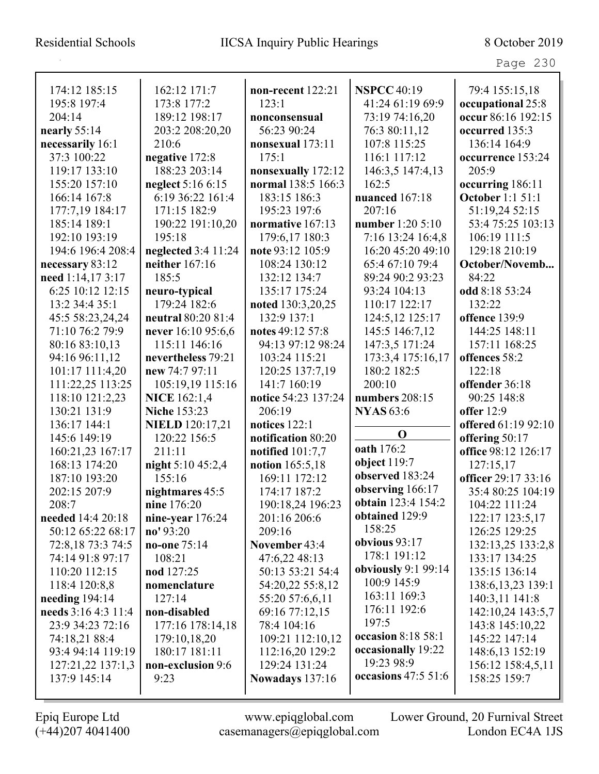## Residential Schools IICSA Inquiry Public Hearings 8 October 2019

Page 230

| 174:12 185:15       | 162:12 171:7           | non-recent 122:21      | <b>NSPCC 40:19</b>      | 79:4 155:15,18          |
|---------------------|------------------------|------------------------|-------------------------|-------------------------|
| 195:8 197:4         | 173:8 177:2            | 123:1                  | 41:24 61:19 69:9        | occupational 25:8       |
| 204:14              | 189:12 198:17          | nonconsensual          | 73:19 74:16,20          | occur 86:16 192:15      |
| nearly $55:14$      | 203:2 208:20,20        | 56:23 90:24            | 76:3 80:11,12           | occurred 135:3          |
| necessarily 16:1    | 210:6                  | nonsexual 173:11       | 107:8 115:25            | 136:14 164:9            |
| 37:3 100:22         | negative 172:8         | 175:1                  | 116:1 117:12            | occurrence 153:24       |
| 119:17 133:10       | 188:23 203:14          | nonsexually 172:12     | 146:3,5 147:4,13        | 205:9                   |
| 155:20 157:10       | neglect 5:16 6:15      | normal 138:5 166:3     | 162:5                   | occurring 186:11        |
| 166:14 167:8        | 6:19 36:22 161:4       | 183:15 186:3           | nuanced 167:18          | <b>October 1:1 51:1</b> |
| 177:7,19 184:17     | 171:15 182:9           | 195:23 197:6           | 207:16                  | 51:19,24 52:15          |
| 185:14 189:1        | 190:22 191:10,20       | normative 167:13       | number 1:20 5:10        | 53:4 75:25 103:13       |
| 192:10 193:19       | 195:18                 | 179:6,17 180:3         | 7:16 13:24 16:4,8       | 106:19 111:5            |
| 194:6 196:4 208:4   | neglected 3:4 11:24    | note 93:12 105:9       | 16:20 45:20 49:10       | 129:18 210:19           |
| necessary 83:12     | neither 167:16         | 108:24 130:12          | 65:4 67:10 79:4         | October/Novemb          |
| need 1:14,17 3:17   | 185:5                  | 132:12 134:7           | 89:24 90:2 93:23        | 84:22                   |
| 6:25 10:12 12:15    | neuro-typical          | 135:17 175:24          | 93:24 104:13            | odd 8:18 53:24          |
| 13:2 34:4 35:1      | 179:24 182:6           | noted 130:3,20,25      | 110:17 122:17           | 132:22                  |
| 45:5 58:23,24,24    | neutral 80:20 81:4     | 132:9 137:1            | 124:5,12 125:17         | offence 139:9           |
| 71:10 76:2 79:9     | never 16:10 95:6,6     | notes 49:12 57:8       | 145:5 146:7,12          | 144:25 148:11           |
| 80:16 83:10,13      | 115:11 146:16          | 94:13 97:12 98:24      | 147:3,5 171:24          | 157:11 168:25           |
| 94:16 96:11,12      | nevertheless 79:21     | 103:24 115:21          | 173:3,4 175:16,17       | offences 58:2           |
| 101:17 111:4,20     | new 74:7 97:11         | 120:25 137:7,19        | 180:2 182:5             | 122:18                  |
| 111:22,25 113:25    | 105:19,19 115:16       | 141:7 160:19           | 200:10                  | offender 36:18          |
| 118:10 121:2,23     | <b>NICE</b> 162:1,4    | notice 54:23 137:24    | numbers 208:15          | 90:25 148:8             |
| 130:21 131:9        | <b>Niche 153:23</b>    | 206:19                 | <b>NYAS</b> 63:6        | offer $12:9$            |
| 136:17 144:1        | <b>NIELD</b> 120:17,21 | notices 122:1          |                         | offered 61:19 92:10     |
| 145:6 149:19        | 120:22 156:5           | notification 80:20     | $\mathbf 0$             | offering 50:17          |
| 160:21,23 167:17    | 211:11                 | notified $101:7,7$     | oath 176:2              | office 98:12 126:17     |
| 168:13 174:20       | night 5:10 45:2,4      | notion 165:5,18        | object $119:7$          | 127:15,17               |
| 187:10 193:20       | 155:16                 | 169:11 172:12          | observed 183:24         | officer 29:17 33:16     |
| 202:15 207:9        | nightmares 45:5        | 174:17 187:2           | observing 166:17        | 35:4 80:25 104:19       |
| 208:7               | nine 176:20            | 190:18,24 196:23       | obtain 123:4 154:2      | 104:22 111:24           |
| needed 14:4 20:18   | nine-year $176:24$     | 201:16 206:6           | obtained 129:9          | 122:17 123:5,17         |
| 50:12 65:22 68:17   | no' 93:20              | 209:16                 | 158:25                  | 126:25 129:25           |
| 72:8,18 73:3 74:5   | no-one 75:14           | November 43:4          | obvious $93:17$         | 132:13,25 133:2,8       |
| 74:14 91:8 97:17    | 108:21                 | 47:6,22 48:13          | 178:1 191:12            | 133:17 134:25           |
| 110:20 112:15       | nod 127:25             | 50:13 53:21 54:4       | obviously $9:1$ $99:14$ | 135:15 136:14           |
| 118:4 120:8,8       | nomenclature           | 54:20,22 55:8,12       | 100:9 145:9             | 138:6, 13, 23 139:1     |
| needing $194:14$    | 127:14                 | 55:20 57:6,6,11        | 163:11 169:3            | 140:3,11 141:8          |
| needs 3:16 4:3 11:4 | non-disabled           | 69:16 77:12,15         | 176:11 192:6            | 142:10,24 143:5,7       |
| 23:9 34:23 72:16    | 177:16 178:14,18       | 78:4 104:16            | 197:5                   | 143:8 145:10,22         |
| 74:18,21 88:4       | 179:10,18,20           | 109:21 112:10,12       | occasion 8:18 58:1      | 145:22 147:14           |
| 93:4 94:14 119:19   | 180:17 181:11          | 112:16,20 129:2        | occasionally 19:22      | 148:6,13 152:19         |
| 127:21,22 137:1,3   | non-exclusion 9:6      | 129:24 131:24          | 19:23 98:9              | 156:12 158:4,5,11       |
| 137:9 145:14        | 9:23                   | <b>Nowadays</b> 137:16 | occasions $47:551:6$    | 158:25 159:7            |
|                     |                        |                        |                         |                         |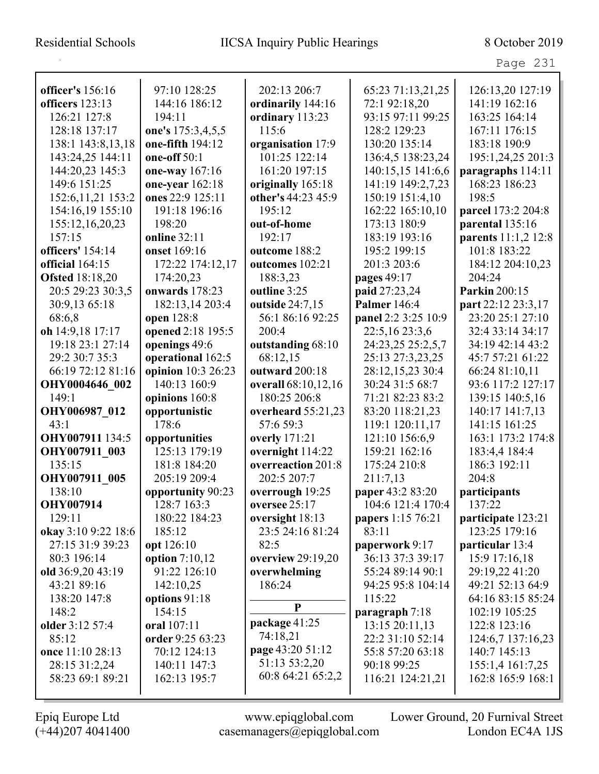|                                                                                                                                                               |                                                                                                                                                             |                                                                                                                                         |                                                                                                                                                                                      | Page 231                                                                                                                                                                                |
|---------------------------------------------------------------------------------------------------------------------------------------------------------------|-------------------------------------------------------------------------------------------------------------------------------------------------------------|-----------------------------------------------------------------------------------------------------------------------------------------|--------------------------------------------------------------------------------------------------------------------------------------------------------------------------------------|-----------------------------------------------------------------------------------------------------------------------------------------------------------------------------------------|
| officer's 156:16                                                                                                                                              | 97:10 128:25                                                                                                                                                | 202:13 206:7                                                                                                                            | 65:23 71:13,21,25                                                                                                                                                                    | 126:13,20 127:19                                                                                                                                                                        |
| officers 123:13                                                                                                                                               | 144:16 186:12                                                                                                                                               | ordinarily 144:16                                                                                                                       | 72:1 92:18,20                                                                                                                                                                        | 141:19 162:16                                                                                                                                                                           |
| 126:21 127:8                                                                                                                                                  | 194:11                                                                                                                                                      | ordinary 113:23                                                                                                                         | 93:15 97:11 99:25                                                                                                                                                                    | 163:25 164:14                                                                                                                                                                           |
| 128:18 137:17                                                                                                                                                 | one's 175:3,4,5,5                                                                                                                                           | 115:6                                                                                                                                   | 128:2 129:23                                                                                                                                                                         | 167:11 176:15                                                                                                                                                                           |
| 138:1 143:8,13,18                                                                                                                                             | one-fifth 194:12                                                                                                                                            | organisation 17:9                                                                                                                       | 130:20 135:14                                                                                                                                                                        | 183:18 190:9                                                                                                                                                                            |
| 143:24,25 144:11                                                                                                                                              | one-off $50:1$                                                                                                                                              | 101:25 122:14                                                                                                                           | 136:4,5 138:23,24                                                                                                                                                                    | 195:1,24,25 201:3                                                                                                                                                                       |
| 144:20,23 145:3                                                                                                                                               | one-way 167:16                                                                                                                                              | 161:20 197:15                                                                                                                           | 140:15,15 141:6,6                                                                                                                                                                    | paragraphs 114:11                                                                                                                                                                       |
| 149:6 151:25                                                                                                                                                  | one-year 162:18                                                                                                                                             | originally 165:18                                                                                                                       | 141:19 149:2,7,23                                                                                                                                                                    | 168:23 186:23                                                                                                                                                                           |
| 152:6, 11, 21 153:2                                                                                                                                           | ones 22:9 125:11                                                                                                                                            | other's 44:23 45:9                                                                                                                      | 150:19 151:4,10                                                                                                                                                                      | 198:5                                                                                                                                                                                   |
| 154:16,19 155:10                                                                                                                                              | 191:18 196:16                                                                                                                                               | 195:12                                                                                                                                  | 162:22 165:10,10                                                                                                                                                                     | parcel 173:2 204:8                                                                                                                                                                      |
| 155:12,16,20,23                                                                                                                                               | 198:20                                                                                                                                                      | out-of-home                                                                                                                             | 173:13 180:9                                                                                                                                                                         | parental 135:16                                                                                                                                                                         |
| 157:15                                                                                                                                                        | online 32:11                                                                                                                                                | 192:17                                                                                                                                  | 183:19 193:16                                                                                                                                                                        | parents 11:1,2 12:8                                                                                                                                                                     |
|                                                                                                                                                               |                                                                                                                                                             |                                                                                                                                         |                                                                                                                                                                                      |                                                                                                                                                                                         |
| officers' 154:14                                                                                                                                              | onset 169:16                                                                                                                                                | outcome 188:2                                                                                                                           | 195:2 199:15                                                                                                                                                                         | 101:8 183:22                                                                                                                                                                            |
| <b>official</b> 164:15                                                                                                                                        | 172:22 174:12,17                                                                                                                                            | outcomes 102:21                                                                                                                         | 201:3 203:6                                                                                                                                                                          | 184:12 204:10,23                                                                                                                                                                        |
| <b>Ofsted</b> 18:18,20                                                                                                                                        | 174:20,23                                                                                                                                                   | 188:3,23                                                                                                                                | pages 49:17                                                                                                                                                                          | 204:24                                                                                                                                                                                  |
| 20:5 29:23 30:3,5                                                                                                                                             | onwards 178:23                                                                                                                                              | outline 3:25                                                                                                                            | paid 27:23,24                                                                                                                                                                        | Parkin 200:15                                                                                                                                                                           |
| 30:9,13 65:18                                                                                                                                                 | 182:13,14 203:4                                                                                                                                             | outside 24:7,15                                                                                                                         | <b>Palmer</b> 146:4                                                                                                                                                                  | part 22:12 23:3,17                                                                                                                                                                      |
| 68:6,8                                                                                                                                                        | open 128:8                                                                                                                                                  | 56:1 86:16 92:25                                                                                                                        | panel 2:2 3:25 10:9                                                                                                                                                                  | 23:20 25:1 27:10                                                                                                                                                                        |
| oh 14:9,18 17:17                                                                                                                                              | opened 2:18 195:5                                                                                                                                           | 200:4                                                                                                                                   | 22:5,16 23:3,6                                                                                                                                                                       | 32:4 33:14 34:17                                                                                                                                                                        |
| 19:18 23:1 27:14                                                                                                                                              | openings 49:6                                                                                                                                               | outstanding 68:10                                                                                                                       | 24:23,25 25:2,5,7                                                                                                                                                                    | 34:19 42:14 43:2                                                                                                                                                                        |
| 29:2 30:7 35:3                                                                                                                                                | operational 162:5                                                                                                                                           | 68:12,15                                                                                                                                | 25:13 27:3,23,25                                                                                                                                                                     | 45:7 57:21 61:22                                                                                                                                                                        |
| 66:19 72:12 81:16                                                                                                                                             | opinion 10:3 26:23                                                                                                                                          | outward 200:18                                                                                                                          | 28:12,15,23 30:4                                                                                                                                                                     | 66:24 81:10,11                                                                                                                                                                          |
| OHY0004646 002                                                                                                                                                | 140:13 160:9                                                                                                                                                | overall 68:10,12,16                                                                                                                     | 30:24 31:5 68:7                                                                                                                                                                      | 93:6 117:2 127:17                                                                                                                                                                       |
| 149:1                                                                                                                                                         | opinions 160:8                                                                                                                                              | 180:25 206:8                                                                                                                            | 71:21 82:23 83:2                                                                                                                                                                     | 139:15 140:5,16                                                                                                                                                                         |
| OHY006987 012                                                                                                                                                 | opportunistic                                                                                                                                               | overheard 55:21,23                                                                                                                      | 83:20 118:21,23                                                                                                                                                                      | 140:17 141:7,13                                                                                                                                                                         |
| 43:1                                                                                                                                                          | 178:6                                                                                                                                                       | 57:6 59:3                                                                                                                               | 119:1 120:11,17                                                                                                                                                                      | 141:15 161:25                                                                                                                                                                           |
| OHY007911 134:5                                                                                                                                               | opportunities                                                                                                                                               | <b>overly</b> 171:21                                                                                                                    | 121:10 156:6,9                                                                                                                                                                       | 163:1 173:2 174:8                                                                                                                                                                       |
| OHY007911 003                                                                                                                                                 | 125:13 179:19                                                                                                                                               | overnight 114:22                                                                                                                        | 159:21 162:16                                                                                                                                                                        | 183:4,4 184:4                                                                                                                                                                           |
| 135:15                                                                                                                                                        | 181:8 184:20                                                                                                                                                | overreaction 201:8                                                                                                                      | 175:24 210:8                                                                                                                                                                         | 186:3 192:11                                                                                                                                                                            |
| OHY007911 005                                                                                                                                                 | 205:19 209:4                                                                                                                                                | 202:5 207:7                                                                                                                             | 211:7,13                                                                                                                                                                             | 204:8                                                                                                                                                                                   |
| 138:10                                                                                                                                                        | opportunity 90:23                                                                                                                                           | overrough 19:25                                                                                                                         | paper 43:2 83:20                                                                                                                                                                     | participants                                                                                                                                                                            |
| <b>OHY007914</b>                                                                                                                                              | 128:7 163:3                                                                                                                                                 | oversee $25:17$                                                                                                                         | 104:6 121:4 170:4                                                                                                                                                                    | 137:22                                                                                                                                                                                  |
| 129:11                                                                                                                                                        | 180:22 184:23                                                                                                                                               | oversight 18:13                                                                                                                         | <b>papers</b> 1:15 76:21                                                                                                                                                             | participate 123:21                                                                                                                                                                      |
| okay 3:10 9:22 18:6                                                                                                                                           | 185:12                                                                                                                                                      | 23:5 24:16 81:24                                                                                                                        | 83:11                                                                                                                                                                                | 123:25 179:16                                                                                                                                                                           |
| 27:15 31:9 39:23                                                                                                                                              | opt 126:10                                                                                                                                                  | 82:5                                                                                                                                    | paperwork 9:17                                                                                                                                                                       | particular 13:4                                                                                                                                                                         |
| 80:3 196:14<br>old 36:9,20 43:19<br>43:21 89:16<br>138:20 147:8<br>148:2<br>older 3:12 57:4<br>85:12<br>once 11:10 28:13<br>28:15 31:2,24<br>58:23 69:1 89:21 | option $7:10,12$<br>91:22 126:10<br>142:10,25<br>options 91:18<br>154:15<br>oral 107:11<br>order 9:25 63:23<br>70:12 124:13<br>140:11 147:3<br>162:13 195:7 | overview 29:19,20<br>overwhelming<br>186:24<br>P<br>package 41:25<br>74:18,21<br>page 43:20 51:12<br>51:13 53:2,20<br>60:8 64:21 65:2,2 | 36:13 37:3 39:17<br>55:24 89:14 90:1<br>94:25 95:8 104:14<br>115:22<br>paragraph $7:18$<br>13:15 20:11,13<br>22:2 31:10 52:14<br>55:8 57:20 63:18<br>90:18 99:25<br>116:21 124:21,21 | 15:9 17:16,18<br>29:19,22 41:20<br>49:21 52:13 64:9<br>64:16 83:15 85:24<br>102:19 105:25<br>122:8 123:16<br>124:6,7 137:16,23<br>140:7 145:13<br>155:1,4 161:7,25<br>162:8 165:9 168:1 |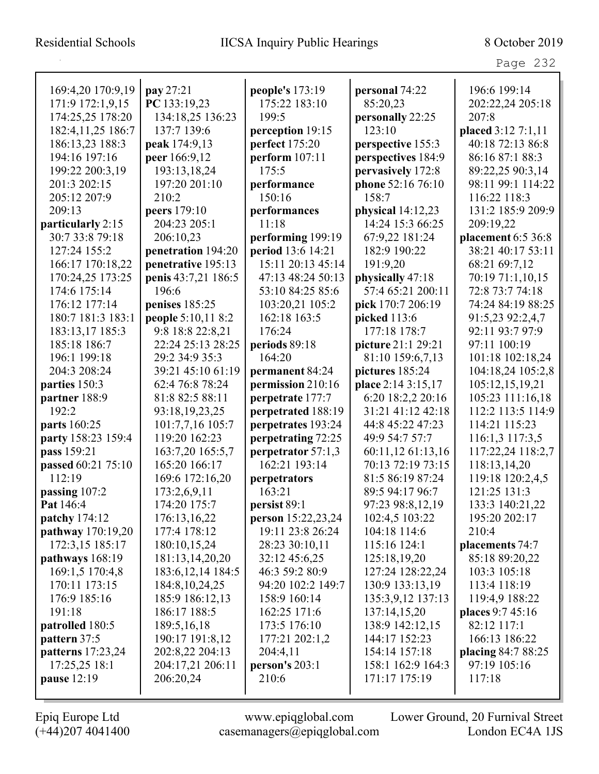| 169:4,20 170:9,19   | pay 27:21           | people's 173:19    | personal 74:22     | 196:6 199:14       |
|---------------------|---------------------|--------------------|--------------------|--------------------|
| 171:9 172:1,9,15    | PC 133:19,23        | 175:22 183:10      | 85:20,23           | 202:22,24 205:18   |
| 174:25,25 178:20    | 134:18,25 136:23    | 199:5              | personally 22:25   | 207:8              |
| 182:4, 11, 25 186:7 | 137:7 139:6         | perception 19:15   | 123:10             | placed 3:12 7:1,11 |
| 186:13,23 188:3     | peak 174:9,13       | perfect 175:20     | perspective 155:3  | 40:18 72:13 86:8   |
| 194:16 197:16       | peer 166:9,12       | perform $107:11$   | perspectives 184:9 | 86:16 87:1 88:3    |
| 199:22 200:3,19     | 193:13,18,24        | 175:5              | pervasively 172:8  | 89:22,25 90:3,14   |
| 201:3 202:15        | 197:20 201:10       | performance        | phone 52:16 76:10  | 98:11 99:1 114:22  |
| 205:12 207:9        | 210:2               | 150:16             | 158:7              | 116:22 118:3       |
| 209:13              | peers 179:10        | performances       | physical 14:12,23  | 131:2 185:9 209:9  |
| particularly 2:15   | 204:23 205:1        | 11:18              | 14:24 15:3 66:25   | 209:19,22          |
| 30:7 33:8 79:18     | 206:10,23           | performing 199:19  | 67:9,22 181:24     | placement 6:5 36:8 |
| 127:24 155:2        | penetration 194:20  | period 13:6 14:21  | 182:9 190:22       | 38:21 40:17 53:11  |
| 166:17 170:18,22    | penetrative 195:13  | 15:11 20:13 45:14  | 191:9,20           | 68:21 69:7,12      |
| 170:24,25 173:25    | penis 43:7,21 186:5 | 47:13 48:24 50:13  | physically 47:18   | 70:19 71:1,10,15   |
| 174:6 175:14        | 196:6               | 53:10 84:25 85:6   | 57:4 65:21 200:11  | 72:8 73:7 74:18    |
| 176:12 177:14       | penises 185:25      | 103:20,21 105:2    | pick 170:7 206:19  | 74:24 84:19 88:25  |
| 180:7 181:3 183:1   | people 5:10,11 8:2  | 162:18 163:5       | picked 113:6       | 91:5,23 92:2,4,7   |
| 183:13,17 185:3     | 9:8 18:8 22:8,21    | 176:24             | 177:18 178:7       | 92:11 93:7 97:9    |
| 185:18 186:7        | 22:24 25:13 28:25   | periods 89:18      | picture 21:1 29:21 | 97:11 100:19       |
| 196:1 199:18        | 29:2 34:9 35:3      | 164:20             | 81:10 159:6,7,13   | 101:18 102:18,24   |
| 204:3 208:24        | 39:21 45:10 61:19   | permanent 84:24    | pictures 185:24    | 104:18,24 105:2,8  |
| parties 150:3       | 62:4 76:8 78:24     | permission 210:16  | place 2:14 3:15,17 | 105:12,15,19,21    |
| partner 188:9       | 81:8 82:5 88:11     | perpetrate 177:7   | 6:20 18:2,2 20:16  | 105:23 111:16,18   |
| 192:2               | 93:18,19,23,25      | perpetrated 188:19 | 31:21 41:12 42:18  | 112:2 113:5 114:9  |
| parts 160:25        | 101:7,7,16 105:7    | perpetrates 193:24 | 44:8 45:22 47:23   | 114:21 115:23      |
| party 158:23 159:4  | 119:20 162:23       | perpetrating 72:25 | 49:9 54:7 57:7     | 116:1,3 117:3,5    |
| pass 159:21         | 163:7,20 165:5,7    | perpetrator 57:1,3 | 60:11,12 61:13,16  | 117:22,24 118:2,7  |
| passed 60:21 75:10  | 165:20 166:17       | 162:21 193:14      | 70:13 72:19 73:15  | 118:13,14,20       |
| 112:19              | 169:6 172:16,20     | perpetrators       | 81:5 86:19 87:24   | 119:18 120:2,4,5   |
| passing 107:2       | 173:2,6,9,11        | 163:21             | 89:5 94:17 96:7    | 121:25 131:3       |
| Pat 146:4           | 174:20 175:7        | persist 89:1       | 97:23 98:8,12,19   | 133:3 140:21,22    |
| patchy 174:12       | 176:13,16,22        | person 15:22,23,24 | 102:4,5 103:22     | 195:20 202:17      |
| pathway 170:19,20   | 177:4 178:12        | 19:11 23:8 26:24   | 104:18 114:6       | 210:4              |
| 172:3,15 185:17     | 180:10,15,24        | 28:23 30:10,11     | 115:16 124:1       | placements 74:7    |
| pathways 168:19     | 181:13,14,20,20     | 32:12 45:6,25      | 125:18,19,20       | 85:18 89:20,22     |
| 169:1,5 170:4,8     | 183:6, 12, 14 184:5 | 46:3 59:2 80:9     | 127:24 128:22,24   | 103:3 105:18       |
| 170:11 173:15       | 184:8, 10, 24, 25   | 94:20 102:2 149:7  | 130:9 133:13,19    | 113:4 118:19       |
| 176:9 185:16        | 185:9 186:12,13     | 158:9 160:14       | 135:3,9,12 137:13  | 119:4,9 188:22     |
| 191:18              | 186:17 188:5        | 162:25 171:6       | 137:14,15,20       | places 9:7 45:16   |
| patrolled 180:5     | 189:5, 16, 18       | 173:5 176:10       | 138:9 142:12,15    | 82:12 117:1        |
| pattern 37:5        | 190:17 191:8,12     | 177:21 202:1,2     | 144:17 152:23      | 166:13 186:22      |
| patterns 17:23,24   | 202:8,22 204:13     | 204:4,11           | 154:14 157:18      | placing 84:7 88:25 |
| 17:25,25 18:1       | 204:17,21 206:11    | person's $203:1$   | 158:1 162:9 164:3  | 97:19 105:16       |
| pause 12:19         | 206:20,24           | 210:6              | 171:17 175:19      | 117:18             |
|                     |                     |                    |                    |                    |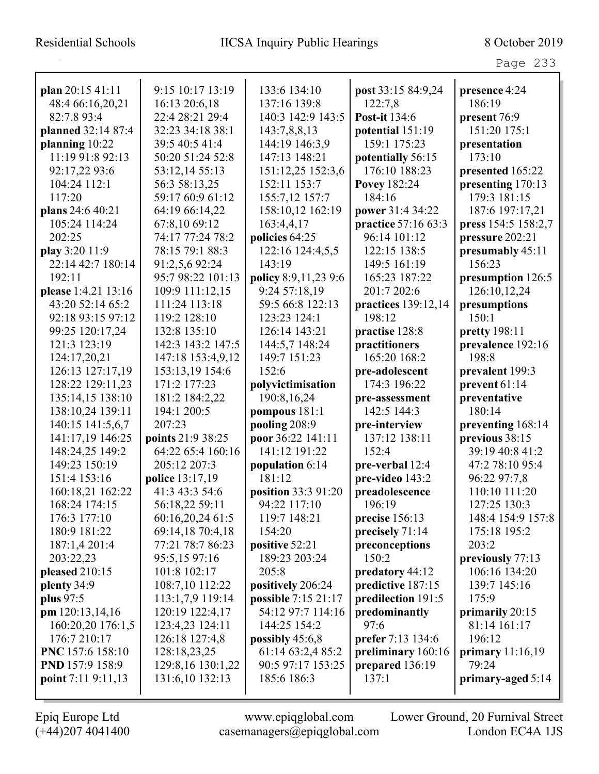Page 233

| plan 20:15 41:11    | 9:15 10:17 13:19    | 133:6 134:10         | post 33:15 84:9,24   | presence 4:24       |
|---------------------|---------------------|----------------------|----------------------|---------------------|
| 48:4 66:16,20,21    | 16:13 20:6,18       | 137:16 139:8         | 122:7,8              | 186:19              |
| 82:7,8 93:4         | 22:4 28:21 29:4     | 140:3 142:9 143:5    | <b>Post-it 134:6</b> | present 76:9        |
| planned 32:14 87:4  | 32:23 34:18 38:1    | 143:7,8,8,13         | potential 151:19     | 151:20 175:1        |
| planning 10:22      | 39:5 40:5 41:4      | 144:19 146:3,9       | 159:1 175:23         | presentation        |
| 11:19 91:8 92:13    | 50:20 51:24 52:8    | 147:13 148:21        | potentially 56:15    | 173:10              |
| 92:17,22 93:6       | 53:12,14 55:13      | 151:12,25 152:3,6    | 176:10 188:23        | presented 165:22    |
| 104:24 112:1        | 56:3 58:13,25       | 152:11 153:7         | <b>Povey 182:24</b>  | presenting 170:13   |
| 117:20              | 59:17 60:9 61:12    | 155:7,12 157:7       | 184:16               | 179:3 181:15        |
| plans 24:6 40:21    | 64:19 66:14,22      | 158:10,12 162:19     | power 31:4 34:22     | 187:6 197:17,21     |
| 105:24 114:24       | 67:8,10 69:12       | 163:4,4,17           | practice 57:16 63:3  | press 154:5 158:2,7 |
| 202:25              | 74:17 77:24 78:2    | policies 64:25       | 96:14 101:12         | pressure 202:21     |
| play 3:20 11:9      | 78:15 79:1 88:3     | 122:16 124:4,5,5     | 122:15 138:5         | presumably 45:11    |
| 22:14 42:7 180:14   | 91:2,5,6 92:24      | 143:19               | 149:5 161:19         | 156:23              |
| 192:11              | 95:7 98:22 101:13   | policy 8:9,11,23 9:6 | 165:23 187:22        | presumption 126:5   |
| please 1:4,21 13:16 | 109:9 111:12,15     | 9:24 57:18,19        | 201:7 202:6          | 126:10,12,24        |
| 43:20 52:14 65:2    | 111:24 113:18       | 59:5 66:8 122:13     | practices 139:12,14  | presumptions        |
| 92:18 93:15 97:12   | 119:2 128:10        | 123:23 124:1         | 198:12               | 150:1               |
| 99:25 120:17,24     | 132:8 135:10        | 126:14 143:21        | practise 128:8       | pretty 198:11       |
| 121:3 123:19        | 142:3 143:2 147:5   | 144:5,7 148:24       | practitioners        | prevalence 192:16   |
| 124:17,20,21        | 147:18 153:4,9,12   | 149:7 151:23         | 165:20 168:2         | 198:8               |
| 126:13 127:17,19    | 153:13,19 154:6     | 152:6                | pre-adolescent       | prevalent 199:3     |
| 128:22 129:11,23    | 171:2 177:23        | polyvictimisation    | 174:3 196:22         | prevent 61:14       |
| 135:14,15 138:10    | 181:2 184:2,22      | 190:8,16,24          | pre-assessment       | preventative        |
| 138:10,24 139:11    | 194:1 200:5         | pompous 181:1        | 142:5 144:3          | 180:14              |
| 140:15 141:5,6,7    | 207:23              | pooling 208:9        | pre-interview        | preventing 168:14   |
| 141:17,19 146:25    | points 21:9 38:25   | poor 36:22 141:11    | 137:12 138:11        | previous 38:15      |
| 148:24,25 149:2     | 64:22 65:4 160:16   | 141:12 191:22        | 152:4                | 39:19 40:8 41:2     |
| 149:23 150:19       | 205:12 207:3        | population 6:14      | pre-verbal 12:4      | 47:2 78:10 95:4     |
| 151:4 153:16        | police 13:17,19     | 181:12               | pre-video 143:2      | 96:22 97:7,8        |
| 160:18,21 162:22    | 41:3 43:3 54:6      | position 33:3 91:20  | preadolescence       | 110:10 111:20       |
| 168:24 174:15       | 56:18,22 59:11      | 94:22 117:10         | 196:19               | 127:25 130:3        |
| 176:3 177:10        | 60:16,20,24 61:5    | 119:7 148:21         | precise 156:13       | 148:4 154:9 157:8   |
| 180:9 181:22        | 69:14,18 70:4,18    | 154:20               | precisely 71:14      | 175:18 195:2        |
| 187:1,4 201:4       | 77:21 78:7 86:23    | positive 52:21       | preconceptions       | 203:2               |
| 203:22,23           | 95:5,15 97:16       | 189:23 203:24        | 150:2                | previously 77:13    |
| pleased 210:15      | 101:8 102:17        | 205:8                | predatory 44:12      | 106:16 134:20       |
| plenty 34:9         | 108:7,10 112:22     | positively 206:24    | predictive 187:15    | 139:7 145:16        |
| plus 97:5           | 113:1,7,9 119:14    | possible 7:15 21:17  | predilection 191:5   | 175:9               |
| pm 120:13,14,16     | 120:19 122:4,17     | 54:12 97:7 114:16    | predominantly        | primarily 20:15     |
| 160:20,20 176:1,5   | 123:4,23 124:11     | 144:25 154:2         | 97:6                 | 81:14 161:17        |
| 176:7 210:17        | 126:18 127:4,8      | possibly $45:6,8$    | prefer 7:13 134:6    | 196:12              |
| PNC 157:6 158:10    | 128:18,23,25        | 61:14 63:2,4 85:2    | preliminary 160:16   | primary $11:16,19$  |
| PND 157:9 158:9     | 129:8, 16 130:1, 22 | 90:5 97:17 153:25    | prepared 136:19      | 79:24               |
| point 7:11 9:11,13  | 131:6,10 132:13     | 185:6 186:3          | 137:1                | primary-aged 5:14   |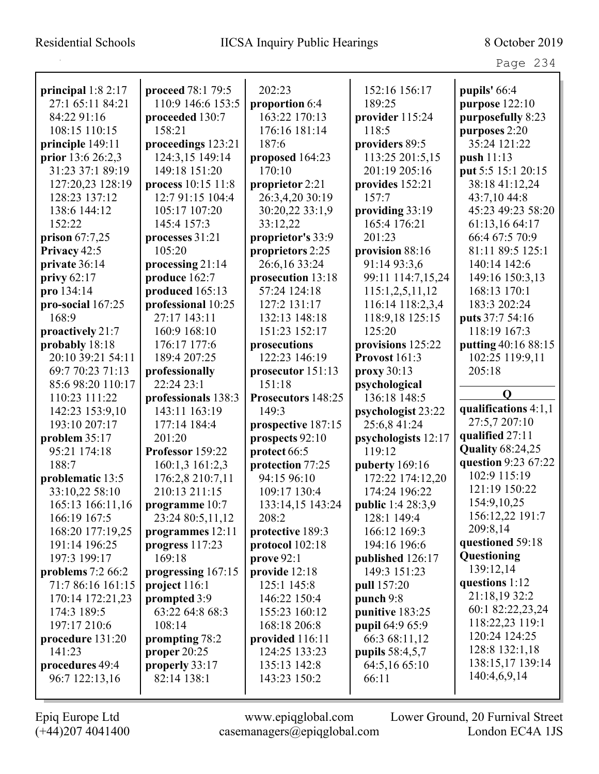|                                                                                                                                                                                                                         |                                                                                                                                                                                                                            |                                                                                                                                                                                            |                                                                                                                                                                                    | Page 234                                                                                                                                                                                                              |
|-------------------------------------------------------------------------------------------------------------------------------------------------------------------------------------------------------------------------|----------------------------------------------------------------------------------------------------------------------------------------------------------------------------------------------------------------------------|--------------------------------------------------------------------------------------------------------------------------------------------------------------------------------------------|------------------------------------------------------------------------------------------------------------------------------------------------------------------------------------|-----------------------------------------------------------------------------------------------------------------------------------------------------------------------------------------------------------------------|
| principal $1:82:17$<br>27:1 65:11 84:21<br>84:22 91:16<br>108:15 110:15<br>principle 149:11<br>prior 13:6 26:2,3<br>31:23 37:1 89:19<br>127:20,23 128:19<br>128:23 137:12<br>138:6 144:12<br>152:22<br>prison $67:7,25$ | proceed 78:1 79:5<br>110:9 146:6 153:5<br>proceeded 130:7<br>158:21<br>proceedings 123:21<br>124:3,15 149:14<br>149:18 151:20<br>process 10:15 11:8<br>12:7 91:15 104:4<br>105:17 107:20<br>145:4 157:3<br>processes 31:21 | 202:23<br>proportion 6:4<br>163:22 170:13<br>176:16 181:14<br>187:6<br>proposed 164:23<br>170:10<br>proprietor 2:21<br>26:3,4,20 30:19<br>30:20,22 33:1,9<br>33:12,22<br>proprietor's 33:9 | 152:16 156:17<br>189:25<br>provider 115:24<br>118:5<br>providers 89:5<br>113:25 201:5,15<br>201:19 205:16<br>provides 152:21<br>157:7<br>providing 33:19<br>165:4 176:21<br>201:23 | pupils' 66:4<br>purpose $122:10$<br>purposefully 8:23<br>purposes 2:20<br>35:24 121:22<br>push 11:13<br>put 5:5 15:1 20:15<br>38:18 41:12,24<br>43:7,10 44:8<br>45:23 49:23 58:20<br>61:13,16 64:17<br>66:4 67:5 70:9 |
| Privacy 42:5                                                                                                                                                                                                            | 105:20                                                                                                                                                                                                                     | proprietors 2:25                                                                                                                                                                           | provision 88:16                                                                                                                                                                    | 81:11 89:5 125:1                                                                                                                                                                                                      |
| private 36:14                                                                                                                                                                                                           | processing 21:14                                                                                                                                                                                                           | 26:6,16 33:24                                                                                                                                                                              | 91:14 93:3,6                                                                                                                                                                       | 140:14 142:6                                                                                                                                                                                                          |
| privy $62:17$                                                                                                                                                                                                           | produce 162:7                                                                                                                                                                                                              | prosecution 13:18                                                                                                                                                                          | 99:11 114:7,15,24                                                                                                                                                                  | 149:16 150:3,13                                                                                                                                                                                                       |
| pro 134:14                                                                                                                                                                                                              | produced 165:13                                                                                                                                                                                                            | 57:24 124:18                                                                                                                                                                               | 115:1,2,5,11,12                                                                                                                                                                    | 168:13 170:1<br>183:3 202:24                                                                                                                                                                                          |
| pro-social 167:25<br>168:9                                                                                                                                                                                              | professional 10:25<br>27:17 143:11                                                                                                                                                                                         | 127:2 131:17<br>132:13 148:18                                                                                                                                                              | 116:14 118:2,3,4<br>118:9,18 125:15                                                                                                                                                | puts 37:7 54:16                                                                                                                                                                                                       |
| proactively 21:7                                                                                                                                                                                                        | 160:9 168:10                                                                                                                                                                                                               | 151:23 152:17                                                                                                                                                                              | 125:20                                                                                                                                                                             | 118:19 167:3                                                                                                                                                                                                          |
| probably 18:18                                                                                                                                                                                                          | 176:17 177:6                                                                                                                                                                                                               | prosecutions                                                                                                                                                                               | provisions 125:22                                                                                                                                                                  | putting 40:16 88:15                                                                                                                                                                                                   |
| 20:10 39:21 54:11                                                                                                                                                                                                       | 189:4 207:25                                                                                                                                                                                                               | 122:23 146:19                                                                                                                                                                              | Provost 161:3                                                                                                                                                                      | 102:25 119:9,11                                                                                                                                                                                                       |
| 69:7 70:23 71:13                                                                                                                                                                                                        | professionally                                                                                                                                                                                                             | prosecutor 151:13                                                                                                                                                                          | proxy 30:13                                                                                                                                                                        | 205:18                                                                                                                                                                                                                |
| 85:6 98:20 110:17                                                                                                                                                                                                       | 22:24 23:1                                                                                                                                                                                                                 | 151:18                                                                                                                                                                                     | psychological                                                                                                                                                                      |                                                                                                                                                                                                                       |
| 110:23 111:22                                                                                                                                                                                                           | professionals 138:3                                                                                                                                                                                                        | Prosecutors 148:25                                                                                                                                                                         | 136:18 148:5                                                                                                                                                                       | $\mathbf 0$                                                                                                                                                                                                           |
| 142:23 153:9,10                                                                                                                                                                                                         | 143:11 163:19                                                                                                                                                                                                              | 149:3                                                                                                                                                                                      | psychologist 23:22                                                                                                                                                                 | qualifications 4:1,1                                                                                                                                                                                                  |
| 193:10 207:17                                                                                                                                                                                                           | 177:14 184:4                                                                                                                                                                                                               | prospective 187:15                                                                                                                                                                         | 25:6,8 41:24                                                                                                                                                                       | 27:5,7 207:10                                                                                                                                                                                                         |
| problem 35:17                                                                                                                                                                                                           | 201:20                                                                                                                                                                                                                     | prospects 92:10                                                                                                                                                                            | psychologists 12:17                                                                                                                                                                | qualified 27:11                                                                                                                                                                                                       |
| 95:21 174:18                                                                                                                                                                                                            | Professor 159:22                                                                                                                                                                                                           | protect 66:5                                                                                                                                                                               | 119:12                                                                                                                                                                             | <b>Quality 68:24,25</b>                                                                                                                                                                                               |
| 188:7                                                                                                                                                                                                                   | 160:1,3 161:2,3                                                                                                                                                                                                            | protection 77:25                                                                                                                                                                           | puberty 169:16                                                                                                                                                                     | question 9:23 67:22<br>102:9 115:19                                                                                                                                                                                   |
| problematic 13:5                                                                                                                                                                                                        | 176:2,8 210:7,11                                                                                                                                                                                                           | 94:15 96:10                                                                                                                                                                                | 172:22 174:12,20                                                                                                                                                                   | 121:19 150:22                                                                                                                                                                                                         |
| 33:10,22 58:10                                                                                                                                                                                                          | 210:13 211:15                                                                                                                                                                                                              | 109:17 130:4                                                                                                                                                                               | 174:24 196:22                                                                                                                                                                      | 154:9, 10, 25                                                                                                                                                                                                         |
| 165:13 166:11,16<br>166:19 167:5                                                                                                                                                                                        | programme 10:7<br>23:24 80:5,11,12                                                                                                                                                                                         | 133:14,15 143:24<br>208:2                                                                                                                                                                  | <b>public</b> 1:4 28:3,9<br>128:1 149:4                                                                                                                                            | 156:12,22 191:7                                                                                                                                                                                                       |
| 168:20 177:19,25                                                                                                                                                                                                        | programmes 12:11                                                                                                                                                                                                           | protective 189:3                                                                                                                                                                           | 166:12 169:3                                                                                                                                                                       | 209:8,14                                                                                                                                                                                                              |
| 191:14 196:25                                                                                                                                                                                                           | progress $117:23$                                                                                                                                                                                                          | protocol 102:18                                                                                                                                                                            | 194:16 196:6                                                                                                                                                                       | questioned 59:18                                                                                                                                                                                                      |
| 197:3 199:17                                                                                                                                                                                                            | 169:18                                                                                                                                                                                                                     | prove $92:1$                                                                                                                                                                               | published 126:17                                                                                                                                                                   | Questioning                                                                                                                                                                                                           |
| problems $7:266:2$                                                                                                                                                                                                      | progressing 167:15                                                                                                                                                                                                         | provide 12:18                                                                                                                                                                              | 149:3 151:23                                                                                                                                                                       | 139:12,14                                                                                                                                                                                                             |
| 71:7 86:16 161:15                                                                                                                                                                                                       | project $116:1$                                                                                                                                                                                                            | 125:1 145:8                                                                                                                                                                                | pull 157:20                                                                                                                                                                        | questions 1:12                                                                                                                                                                                                        |
| 170:14 172:21,23                                                                                                                                                                                                        | prompted 3:9                                                                                                                                                                                                               | 146:22 150:4                                                                                                                                                                               | punch 9:8                                                                                                                                                                          | 21:18,1932:2                                                                                                                                                                                                          |
| 174:3 189:5                                                                                                                                                                                                             | 63:22 64:8 68:3                                                                                                                                                                                                            | 155:23 160:12                                                                                                                                                                              | punitive 183:25                                                                                                                                                                    | 60:1 82:22,23,24                                                                                                                                                                                                      |
| 197:17 210:6                                                                                                                                                                                                            | 108:14                                                                                                                                                                                                                     | 168:18 206:8                                                                                                                                                                               | <b>pupil</b> 64:9 65:9                                                                                                                                                             | 118:22,23 119:1                                                                                                                                                                                                       |
| procedure 131:20                                                                                                                                                                                                        | prompting 78:2                                                                                                                                                                                                             | provided 116:11                                                                                                                                                                            | 66:3 68:11,12                                                                                                                                                                      | 120:24 124:25                                                                                                                                                                                                         |
| 141:23                                                                                                                                                                                                                  | proper $20:25$                                                                                                                                                                                                             | 124:25 133:23                                                                                                                                                                              | pupils 58:4,5,7                                                                                                                                                                    | 128:8 132:1,18                                                                                                                                                                                                        |
| procedures 49:4                                                                                                                                                                                                         | properly 33:17                                                                                                                                                                                                             | 135:13 142:8                                                                                                                                                                               | 64:5,16 65:10                                                                                                                                                                      | 138:15,17 139:14                                                                                                                                                                                                      |
| 96:7 122:13,16                                                                                                                                                                                                          | 82:14 138:1                                                                                                                                                                                                                | 143:23 150:2                                                                                                                                                                               | 66:11                                                                                                                                                                              | 140:4,6,9,14                                                                                                                                                                                                          |
|                                                                                                                                                                                                                         |                                                                                                                                                                                                                            |                                                                                                                                                                                            |                                                                                                                                                                                    |                                                                                                                                                                                                                       |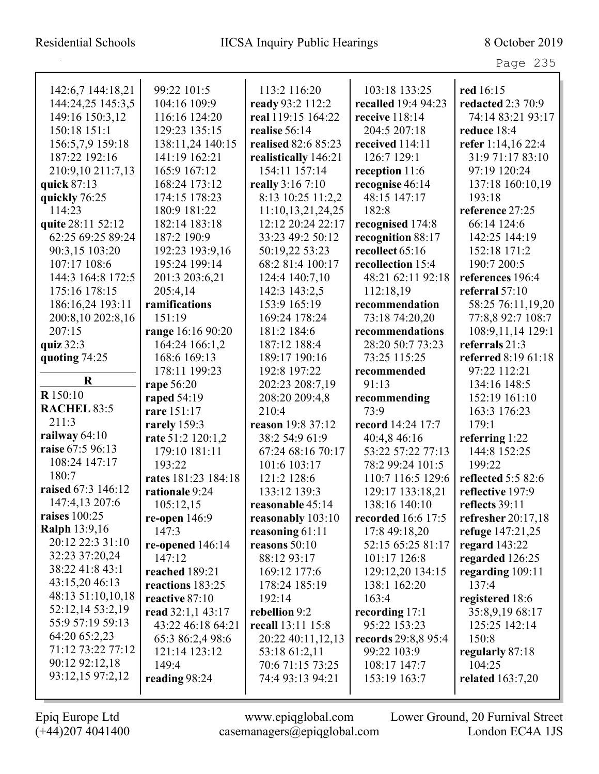| 142:6,7 144:18,21    | 99:22 101:5         | 113:2 116:20         | 103:18 133:25       | red 16:15               |
|----------------------|---------------------|----------------------|---------------------|-------------------------|
| 144:24,25 145:3,5    | 104:16 109:9        | ready 93:2 112:2     | recalled 19:4 94:23 | redacted 2:3 70:9       |
| 149:16 150:3,12      | 116:16 124:20       | real 119:15 164:22   | receive 118:14      | 74:14 83:21 93:17       |
| 150:18 151:1         | 129:23 135:15       | realise 56:14        | 204:5 207:18        | reduce 18:4             |
| 156:5,7,9 159:18     | 138:11,24 140:15    | realised 82:6 85:23  | received 114:11     | refer 1:14,16 22:4      |
| 187:22 192:16        | 141:19 162:21       | realistically 146:21 | 126:7 129:1         | 31:9 71:17 83:10        |
| 210:9,10 211:7,13    | 165:9 167:12        | 154:11 157:14        | reception 11:6      | 97:19 120:24            |
| quick 87:13          | 168:24 173:12       | really 3:16 7:10     | recognise 46:14     | 137:18 160:10,19        |
| quickly 76:25        | 174:15 178:23       | 8:13 10:25 11:2,2    | 48:15 147:17        | 193:18                  |
| 114:23               | 180:9 181:22        | 11:10,13,21,24,25    | 182:8               | reference 27:25         |
| quite 28:11 52:12    | 182:14 183:18       | 12:12 20:24 22:17    | recognised 174:8    | 66:14 124:6             |
| 62:25 69:25 89:24    | 187:2 190:9         | 33:23 49:2 50:12     | recognition 88:17   | 142:25 144:19           |
| 90:3,15 103:20       | 192:23 193:9,16     | 50:19,22 53:23       | recollect 65:16     | 152:18 171:2            |
| 107:17 108:6         | 195:24 199:14       | 68:2 81:4 100:17     | recollection 15:4   | 190:7 200:5             |
| 144:3 164:8 172:5    | 201:3 203:6,21      | 124:4 140:7,10       | 48:21 62:11 92:18   | references 196:4        |
| 175:16 178:15        | 205:4,14            | 142:3 143:2,5        | 112:18,19           | referral 57:10          |
| 186:16,24 193:11     | ramifications       | 153:9 165:19         | recommendation      | 58:25 76:11,19,20       |
| 200:8,10 202:8,16    | 151:19              | 169:24 178:24        | 73:18 74:20,20      | 77:8,8 92:7 108:7       |
| 207:15               | range 16:16 90:20   | 181:2 184:6          | recommendations     | 108:9,11,14 129:1       |
| quiz 32:3            | 164:24 166:1,2      | 187:12 188:4         | 28:20 50:7 73:23    | referrals 21:3          |
| quoting 74:25        | 168:6 169:13        | 189:17 190:16        | 73:25 115:25        | referred 8:19 61:18     |
|                      | 178:11 199:23       | 192:8 197:22         | recommended         | 97:22 112:21            |
| $\mathbf R$          | rape 56:20          | 202:23 208:7,19      | 91:13               | 134:16 148:5            |
| R 150:10             | raped 54:19         | 208:20 209:4,8       | recommending        | 152:19 161:10           |
| RACHEL 83:5          | rare 151:17         | 210:4                | 73:9                | 163:3 176:23            |
| 211:3                | rarely 159:3        | reason 19:8 37:12    | record 14:24 17:7   | 179:1                   |
| railway $64:10$      | rate 51:2 120:1,2   | 38:2 54:9 61:9       | 40:4,8 46:16        | referring 1:22          |
| raise 67:5 96:13     | 179:10 181:11       | 67:24 68:16 70:17    | 53:22 57:22 77:13   | 144:8 152:25            |
| 108:24 147:17        | 193:22              | 101:6 103:17         | 78:2 99:24 101:5    | 199:22                  |
| 180:7                | rates 181:23 184:18 | 121:2 128:6          | 110:7 116:5 129:6   | reflected 5:5 82:6      |
| raised 67:3 146:12   | rationale 9:24      | 133:12 139:3         | 129:17 133:18,21    | reflective 197:9        |
| 147:4,13 207:6       | 105:12,15           | reasonable 45:14     | 138:16 140:10       | reflects 39:11          |
| raises $100:25$      | re-open $146:9$     | reasonably 103:10    | recorded 16:6 17:5  | refresher 20:17,18      |
| <b>Ralph 13:9,16</b> | 147:3               | reasoning 61:11      | 17:8 49:18,20       | refuge 147:21,25        |
| 20:12 22:3 31:10     | re-opened $146:14$  | reasons $50:10$      | 52:15 65:25 81:17   | regard $143:22$         |
| 32:23 37:20,24       | 147:12              | 88:12 93:17          | 101:17 126:8        | regarded 126:25         |
| 38:22 41:8 43:1      | reached 189:21      | 169:12 177:6         | 129:12,20 134:15    | regarding 109:11        |
| 43:15,20 46:13       | reactions 183:25    | 178:24 185:19        | 138:1 162:20        | 137:4                   |
| 48:13 51:10,10,18    | reactive 87:10      | 192:14               | 163:4               | registered 18:6         |
| 52:12,14 53:2,19     | read 32:1,1 43:17   | rebellion 9:2        | recording $17:1$    | 35:8,9,19 68:17         |
| 55:9 57:19 59:13     | 43:22 46:18 64:21   | recall 13:11 15:8    | 95:22 153:23        | 125:25 142:14           |
| 64:20 65:2,23        | 65:3 86:2,4 98:6    | 20:22 40:11,12,13    | records 29:8,8 95:4 | 150:8                   |
| 71:12 73:22 77:12    | 121:14 123:12       | 53:18 61:2,11        | 99:22 103:9         | regularly 87:18         |
| 90:12 92:12,18       | 149:4               | 70:6 71:15 73:25     | 108:17 147:7        | 104:25                  |
| 93:12,15 97:2,12     | reading 98:24       | 74:4 93:13 94:21     | 153:19 163:7        | <b>related</b> 163:7,20 |
|                      |                     |                      |                     |                         |

 $\mathbf I$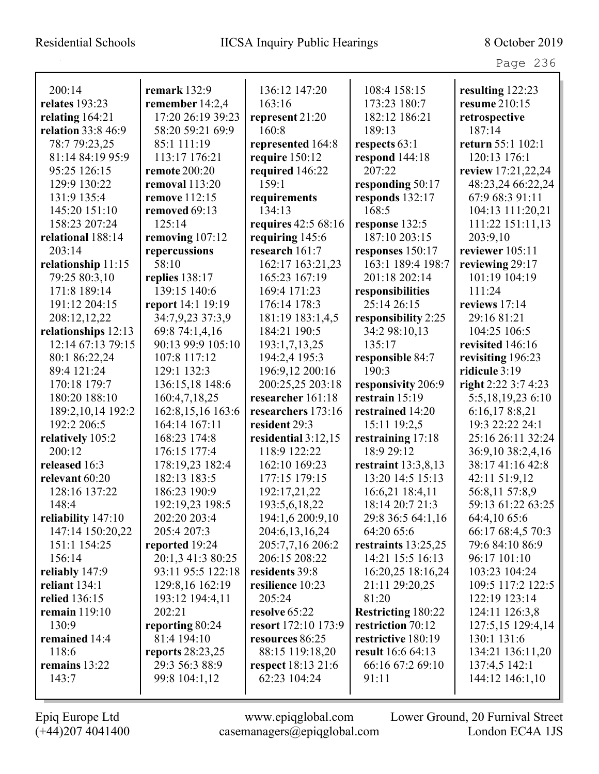| 200:14                    | remark $132:9$       | 136:12 147:20             | 108:4 158:15              | resulting 122:23    |
|---------------------------|----------------------|---------------------------|---------------------------|---------------------|
| relates 193:23            | remember 14:2,4      | 163:16                    | 173:23 180:7              | resume 210:15       |
| relating $164:21$         | 17:20 26:19 39:23    | represent 21:20           | 182:12 186:21             | retrospective       |
| <b>relation</b> 33:8 46:9 | 58:20 59:21 69:9     | 160:8                     | 189:13                    | 187:14              |
| 78:7 79:23,25             | 85:1 111:19          | represented 164:8         | respects 63:1             | return 55:1 102:1   |
| 81:14 84:19 95:9          | 113:17 176:21        | require 150:12            | respond $144:18$          | 120:13 176:1        |
| 95:25 126:15              | <b>remote</b> 200:20 | required 146:22           | 207:22                    | review 17:21,22,24  |
| 129:9 130:22              | removal 113:20       | 159:1                     | responding 50:17          | 48:23,24 66:22,24   |
| 131:9 135:4               | <b>remove</b> 112:15 | requirements              | responds 132:17           | 67:9 68:3 91:11     |
| 145:20 151:10             | removed 69:13        | 134:13                    | 168:5                     | 104:13 111:20,21    |
| 158:23 207:24             | 125:14               | requires 42:5 68:16       | response 132:5            | 111:22 151:11,13    |
| relational 188:14         | removing 107:12      | requiring 145:6           | 187:10 203:15             | 203:9,10            |
| 203:14                    | repercussions        | research 161:7            | responses 150:17          | reviewer 105:11     |
| relationship 11:15        | 58:10                | 162:17 163:21,23          | 163:1 189:4 198:7         | reviewing 29:17     |
| 79:25 80:3,10             | replies 138:17       | 165:23 167:19             | 201:18 202:14             | 101:19 104:19       |
| 171:8 189:14              | 139:15 140:6         | 169:4 171:23              | responsibilities          | 111:24              |
| 191:12 204:15             | report 14:1 19:19    | 176:14 178:3              | 25:14 26:15               | reviews 17:14       |
| 208:12,12,22              | 34:7,9,23 37:3,9     | 181:19 183:1,4,5          | responsibility 2:25       | 29:16 81:21         |
| relationships 12:13       | 69:8 74:1,4,16       | 184:21 190:5              | 34:2 98:10,13             | 104:25 106:5        |
| 12:14 67:13 79:15         | 90:13 99:9 105:10    | 193:1,7,13,25             | 135:17                    | revisited 146:16    |
| 80:1 86:22,24             | 107:8 117:12         | 194:2,4 195:3             | responsible 84:7          | revisiting 196:23   |
| 89:4 121:24               | 129:1 132:3          | 196:9,12 200:16           | 190:3                     | ridicule 3:19       |
| 170:18 179:7              | 136:15,18 148:6      | 200:25,25 203:18          | responsivity 206:9        | right 2:22 3:7 4:23 |
| 180:20 188:10             | 160:4,7,18,25        | researcher 161:18         | restrain $15:19$          | 5:5,18,19,23 6:10   |
| 189:2,10,14 192:2         | 162:8, 15, 16 163:6  | researchers 173:16        | restrained 14:20          | 6:16,178:8,21       |
| 192:2 206:5               | 164:14 167:11        | resident 29:3             | 15:11 19:2,5              | 19:3 22:22 24:1     |
| relatively 105:2          | 168:23 174:8         | residential $3:12,15$     | restraining 17:18         | 25:16 26:11 32:24   |
| 200:12                    | 176:15 177:4         | 118:9 122:22              | 18:9 29:12                | 36:9,10 38:2,4,16   |
| released 16:3             | 178:19,23 182:4      | 162:10 169:23             | restraint $13:3,8,13$     | 38:17 41:16 42:8    |
| relevant 60:20            | 182:13 183:5         | 177:15 179:15             | 13:20 14:5 15:13          | 42:11 51:9,12       |
| 128:16 137:22             | 186:23 190:9         | 192:17,21,22              | 16:6,21 18:4,11           | 56:8,11 57:8,9      |
| 148:4                     | 192:19,23 198:5      | 193:5,6,18,22             | 18:14 20:7 21:3           | 59:13 61:22 63:25   |
| reliability 147:10        | 202:20 203:4         | 194:1,6 200:9,10          | 29:8 36:5 64:1,16         | 64:4,10 65:6        |
| 147:14 150:20,22          | 205:4 207:3          | 204:6,13,16,24            | 64:20 65:6                | 66:17 68:4,5 70:3   |
| 151:1 154:25              | reported 19:24       | 205:7,7,16 206:2          | restraints 13:25,25       | 79:6 84:10 86:9     |
| 156:14                    | 20:1,3 41:3 80:25    | 206:15 208:22             | 14:21 15:5 16:13          | 96:17 101:10        |
| reliably 147:9            | 93:11 95:5 122:18    | residents 39:8            | 16:20,25 18:16,24         | 103:23 104:24       |
| reliant 134:1             | 129:8,16 162:19      | resilience 10:23          | 21:11 29:20,25            | 109:5 117:2 122:5   |
| relied 136:15             | 193:12 194:4,11      | 205:24                    | 81:20                     | 122:19 123:14       |
| <b>remain</b> 119:10      | 202:21               | resolve 65:22             | <b>Restricting 180:22</b> | 124:11 126:3,8      |
| 130:9                     | reporting 80:24      | resort 172:10 173:9       | restriction 70:12         | 127:5,15 129:4,14   |
| remained 14:4             | 81:4 194:10          | resources 86:25           | restrictive 180:19        | 130:1 131:6         |
| 118:6                     | reports $28:23,25$   | 88:15 119:18,20           | <b>result</b> 16:6 64:13  | 134:21 136:11,20    |
| remains 13:22             | 29:3 56:3 88:9       | <b>respect</b> 18:13 21:6 | 66:16 67:2 69:10          | 137:4,5 142:1       |
| 143:7                     | 99:8 104:1,12        | 62:23 104:24              | 91:11                     | 144:12 146:1,10     |
|                           |                      |                           |                           |                     |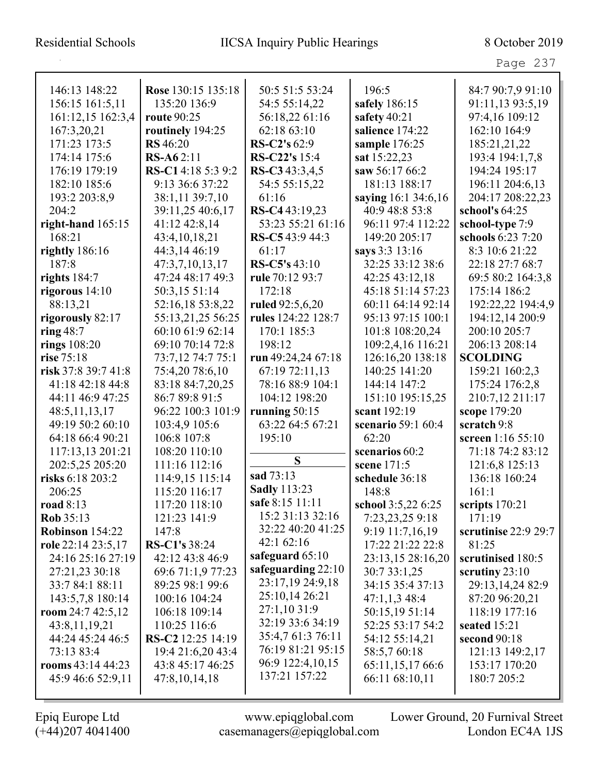| 146:13 148:22         | Rose 130:15 135:18   | 50:5 51:5 53:24      | 196:5               | 84:7 90:7,9 91:10     |
|-----------------------|----------------------|----------------------|---------------------|-----------------------|
| 156:15 161:5,11       | 135:20 136:9         | 54:5 55:14,22        | safely 186:15       | 91:11,13 93:5,19      |
| 161:12,15 162:3,4     | <b>route</b> 90:25   | 56:18,22 61:16       | safety 40:21        | 97:4,16 109:12        |
| 167:3,20,21           | routinely 194:25     | 62:18 63:10          | salience 174:22     | 162:10 164:9          |
| 171:23 173:5          | <b>RS</b> 46:20      | RS-C2's 62:9         | sample 176:25       | 185:21,21,22          |
| 174:14 175:6          | <b>RS-A62:11</b>     | RS-C22's 15:4        | sat 15:22,23        | 193:4 194:1,7,8       |
| 176:19 179:19         | RS-C14:18 5:3 9:2    | RS-C343:3,4,5        | saw 56:17 66:2      | 194:24 195:17         |
| 182:10 185:6          | 9:13 36:6 37:22      | 54:5 55:15,22        | 181:13 188:17       | 196:11 204:6,13       |
| 193:2 203:8,9         | 38:1,11 39:7,10      | 61:16                | saying 16:1 34:6,16 | 204:17 208:22,23      |
| 204:2                 | 39:11,25 40:6,17     | RS-C4 43:19,23       | 40:9 48:8 53:8      | school's $64:25$      |
| right-hand $165:15$   | 41:12 42:8,14        | 53:23 55:21 61:16    | 96:11 97:4 112:22   | school-type 7:9       |
| 168:21                | 43:4, 10, 18, 21     | RS-C543:944:3        | 149:20 205:17       | schools 6:23 7:20     |
| <b>rightly</b> 186:16 | 44:3,14 46:19        | 61:17                | says 3:3 13:16      | 8:3 10:6 21:22        |
| 187:8                 | 47:3,7,10,13,17      | RS-C5's $43:10$      | 32:25 33:12 38:6    | 22:18 27:7 68:7       |
| rights $184:7$        | 47:24 48:17 49:3     | rule 70:12 93:7      | 42:25 43:12,18      | 69:5 80:2 164:3,8     |
| rigorous $14:10$      | 50:3,15 51:14        | 172:18               | 45:18 51:14 57:23   | 175:14 186:2          |
| 88:13,21              | 52:16,18 53:8,22     | ruled 92:5,6,20      | 60:11 64:14 92:14   | 192:22,22 194:4,9     |
| rigorously 82:17      | 55:13,21,25 56:25    | rules 124:22 128:7   | 95:13 97:15 100:1   | 194:12,14 200:9       |
| ring $48:7$           | 60:10 61:9 62:14     | 170:1 185:3          | 101:8 108:20,24     | 200:10 205:7          |
| rings 108:20          | 69:10 70:14 72:8     | 198:12               | 109:2,4,16 116:21   | 206:13 208:14         |
| rise 75:18            | 73:7,12 74:7 75:1    | run 49:24,24 67:18   | 126:16,20 138:18    | <b>SCOLDING</b>       |
| risk 37:8 39:7 41:8   | 75:4,20 78:6,10      | 67:19 72:11,13       | 140:25 141:20       | 159:21 160:2,3        |
| 41:18 42:18 44:8      | 83:18 84:7,20,25     | 78:16 88:9 104:1     | 144:14 147:2        | 175:24 176:2,8        |
| 44:11 46:9 47:25      | 86:7 89:8 91:5       | 104:12 198:20        | 151:10 195:15,25    | 210:7,12 211:17       |
| 48:5, 11, 13, 17      | 96:22 100:3 101:9    | running $50:15$      | scant 192:19        | scope 179:20          |
| 49:19 50:2 60:10      | 103:4,9 105:6        | 63:22 64:5 67:21     | scenario 59:1 60:4  | scratch 9:8           |
| 64:18 66:4 90:21      | 106:8 107:8          | 195:10               | 62:20               | screen 1:16 55:10     |
| 117:13,13 201:21      | 108:20 110:10        |                      | scenarios 60:2      | 71:18 74:2 83:12      |
| 202:5,25 205:20       | 111:16 112:16        | S                    | scene 171:5         | 121:6,8 125:13        |
| risks 6:18 203:2      | 114:9,15 115:14      | sad 73:13            | schedule 36:18      | 136:18 160:24         |
| 206:25                | 115:20 116:17        | <b>Sadly 113:23</b>  | 148:8               | 161:1                 |
| <b>road</b> 8:13      | 117:20 118:10        | safe 8:15 11:11      | school 3:5,22 6:25  | scripts $170:21$      |
| $\text{Rob } 35:13$   | 121:23 141:9         | 15:2 31:13 32:16     | 7:23,23,25 9:18     | 171:19                |
| Robinson 154:22       | 147:8                | 32:22 40:20 41:25    | 9:19 11:7,16,19     | scrutinise $22:929:7$ |
| role 22:14 23:5,17    | <b>RS-C1's</b> 38:24 | 42:162:16            | 17:22 21:22 22:8    | 81:25                 |
| 24:16 25:16 27:19     | 42:12 43:8 46:9      | safeguard $65:10$    | 23:13,15 28:16,20   | scrutinised 180:5     |
| 27:21,23 30:18        | 69:6 71:1,9 77:23    | safeguarding $22:10$ | 30:7 33:1,25        | scrutiny $23:10$      |
| 33:7 84:1 88:11       | 89:25 98:1 99:6      | 23:17,19 24:9,18     | 34:15 35:4 37:13    | 29:13,14,24 82:9      |
| 143:5,7,8 180:14      | 100:16 104:24        | 25:10,14 26:21       | $47:1,1,3$ 48:4     | 87:20 96:20,21        |
| room $24:742:5,12$    | 106:18 109:14        | 27:1,10 31:9         | 50:15,19 51:14      | 118:19 177:16         |
| 43:8,11,19,21         | 110:25 116:6         | 32:19 33:6 34:19     | 52:25 53:17 54:2    | seated $15:21$        |
| 44:24 45:24 46:5      | RS-C2 12:25 14:19    | 35:4,7 61:3 76:11    | 54:12 55:14,21      | second 90:18          |
| 73:13 83:4            | 19:4 21:6,20 43:4    | 76:19 81:21 95:15    | 58:5,7 60:18        | 121:13 149:2,17       |
| rooms $43:14\,44:23$  | 43:8 45:17 46:25     | 96:9 122:4,10,15     | 65:11,15,1766:6     | 153:17 170:20         |
| 45:9 46:6 52:9,11     | 47:8,10,14,18        | 137:21 157:22        | 66:11 68:10,11      | 180:7 205:2           |
|                       |                      |                      |                     |                       |

 $\mathbf I$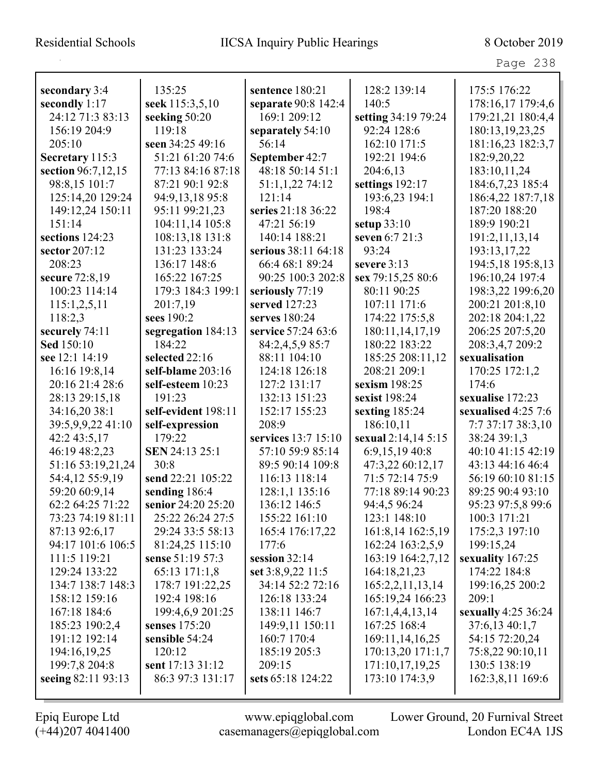| secondary 3:4      | 135:25              | sentence 180:21     | 128:2 139:14        | 175:5 176:22        |
|--------------------|---------------------|---------------------|---------------------|---------------------|
| secondly 1:17      | seek 115:3,5,10     | separate 90:8 142:4 | 140:5               | 178:16,17 179:4,6   |
| 24:12 71:3 83:13   | seeking 50:20       | 169:1 209:12        | setting 34:19 79:24 | 179:21,21 180:4,4   |
| 156:19 204:9       | 119:18              | separately 54:10    | 92:24 128:6         | 180:13,19,23,25     |
| 205:10             | seen 34:25 49:16    | 56:14               | 162:10 171:5        | 181:16,23 182:3,7   |
| Secretary 115:3    | 51:21 61:20 74:6    | September 42:7      | 192:21 194:6        | 182:9,20,22         |
| section 96:7,12,15 | 77:13 84:16 87:18   | 48:18 50:14 51:1    | 204:6,13            | 183:10,11,24        |
| 98:8,15 101:7      | 87:21 90:1 92:8     | 51:1,1,22 74:12     | settings 192:17     | 184:6,7,23 185:4    |
| 125:14,20 129:24   | 94:9,13,18 95:8     | 121:14              | 193:6,23 194:1      | 186:4,22 187:7,18   |
| 149:12,24 150:11   | 95:11 99:21,23      | series 21:18 36:22  | 198:4               | 187:20 188:20       |
| 151:14             | 104:11,14 105:8     | 47:21 56:19         | setup $33:10$       | 189:9 190:21        |
| sections 124:23    | 108:13,18 131:8     | 140:14 188:21       | seven 6:7 21:3      | 191:2,11,13,14      |
| sector 207:12      | 131:23 133:24       | serious 38:11 64:18 | 93:24               | 193:13,17,22        |
| 208:23             | 136:17 148:6        | 66:4 68:1 89:24     | severe $3:13$       | 194:5,18 195:8,13   |
| secure 72:8,19     | 165:22 167:25       | 90:25 100:3 202:8   | sex 79:15,25 80:6   | 196:10,24 197:4     |
| 100:23 114:14      | 179:3 184:3 199:1   | seriously 77:19     | 80:11 90:25         | 198:3,22 199:6,20   |
| 115:1,2,5,11       | 201:7,19            | served 127:23       | 107:11 171:6        | 200:21 201:8,10     |
| 118:2,3            | sees 190:2          | serves 180:24       | 174:22 175:5,8      | 202:18 204:1,22     |
| securely 74:11     | segregation 184:13  | service 57:24 63:6  | 180:11,14,17,19     | 206:25 207:5,20     |
| Sed 150:10         | 184:22              | 84:2,4,5,9 85:7     | 180:22 183:22       | 208:3,4,7 209:2     |
| see 12:1 14:19     | selected 22:16      | 88:11 104:10        | 185:25 208:11,12    | sexualisation       |
| 16:16 19:8,14      | self-blame 203:16   | 124:18 126:18       | 208:21 209:1        | 170:25 172:1,2      |
| 20:16 21:4 28:6    | self-esteem 10:23   | 127:2 131:17        | sexism 198:25       | 174:6               |
| 28:13 29:15,18     | 191:23              | 132:13 151:23       | sexist 198:24       | sexualise 172:23    |
| 34:16,20 38:1      | self-evident 198:11 | 152:17 155:23       | sexting 185:24      | sexualised 4:25 7:6 |
| 39:5,9,9,22 41:10  | self-expression     | 208:9               | 186:10,11           | 7:7 37:17 38:3,10   |
| 42:2 43:5,17       | 179:22              | services 13:7 15:10 | sexual 2:14,14 5:15 | 38:24 39:1,3        |
| 46:19 48:2,23      | SEN 24:13 25:1      | 57:10 59:9 85:14    | 6:9,15,19 40:8      | 40:10 41:15 42:19   |
| 51:16 53:19,21,24  | 30:8                | 89:5 90:14 109:8    | 47:3,22 60:12,17    | 43:13 44:16 46:4    |
| 54:4,12 55:9,19    | send 22:21 105:22   | 116:13 118:14       | 71:5 72:14 75:9     | 56:19 60:10 81:15   |
| 59:20 60:9,14      | sending 186:4       | 128:1,1 135:16      | 77:18 89:14 90:23   | 89:25 90:4 93:10    |
| 62:2 64:25 71:22   | senior 24:20 25:20  | 136:12 146:5        | 94:4,5 96:24        | 95:23 97:5,8 99:6   |
| 73:23 74:19 81:11  | 25:22 26:24 27:5    | 155:22 161:10       | 123:1 148:10        | 100:3 171:21        |
| 87:13 92:6,17      | 29:24 33:5 58:13    | 165:4 176:17,22     | 161:8,14 162:5,19   | 175:2,3 197:10      |
| 94:17 101:6 106:5  | 81:24,25 115:10     | 177:6               | 162:24 163:2,5,9    | 199:15,24           |
| 111:5 119:21       | sense 51:19 57:3    | session $32:14$     | 163:19 164:2,7,12   | sexuality 167:25    |
| 129:24 133:22      | 65:13 171:1,8       | set 3:8,9,22 11:5   | 164:18,21,23        | 174:22 184:8        |
| 134:7 138:7 148:3  | 178:7 191:22,25     | 34:14 52:2 72:16    | 165:2,2,11,13,14    | 199:16,25 200:2     |
| 158:12 159:16      | 192:4 198:16        | 126:18 133:24       | 165:19,24 166:23    | 209:1               |
| 167:18 184:6       | 199:4,6,9 201:25    | 138:11 146:7        | 167:1,4,4,13,14     | sexually 4:25 36:24 |
| 185:23 190:2,4     | senses $175:20$     | 149:9,11 150:11     | 167:25 168:4        | 37:6,13 40:1,7      |
| 191:12 192:14      | sensible 54:24      | 160:7 170:4         | 169:11,14,16,25     | 54:15 72:20,24      |
| 194:16,19,25       | 120:12              | 185:19 205:3        | 170:13,20 171:1,7   | 75:8,22 90:10,11    |
| 199:7,8 204:8      | sent 17:13 31:12    | 209:15              | 171:10,17,19,25     | 130:5 138:19        |
| seeing 82:11 93:13 | 86:3 97:3 131:17    | sets 65:18 124:22   | 173:10 174:3,9      | 162:3,8,11 169:6    |
|                    |                     |                     |                     |                     |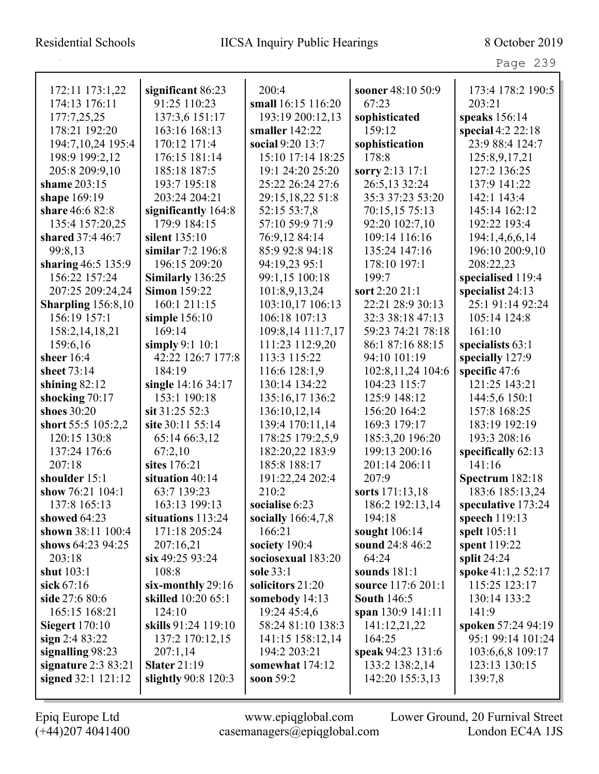| Page | ה כ׳ |
|------|------|
|------|------|

| 172:11 173:1,22           | significant 86:23    | 200:4                | sooner 48:10 50:9   | 173:4 178:2 190:5   |
|---------------------------|----------------------|----------------------|---------------------|---------------------|
| 174:13 176:11             | 91:25 110:23         | small 16:15 116:20   | 67:23               | 203:21              |
| 177:7,25,25               | 137:3,6 151:17       | 193:19 200:12,13     | sophisticated       | speaks 156:14       |
| 178:21 192:20             | 163:16 168:13        | smaller $142:22$     | 159:12              | special $4:2$ 22:18 |
| 194:7, 10, 24 195:4       | 170:12 171:4         | social 9:20 13:7     | sophistication      | 23:9 88:4 124:7     |
| 198:9 199:2,12            | 176:15 181:14        | 15:10 17:14 18:25    | 178:8               | 125:8,9,17,21       |
| 205:8 209:9,10            | 185:18 187:5         | 19:1 24:20 25:20     | sorry 2:13 17:1     | 127:2 136:25        |
| shame 203:15              | 193:7 195:18         | 25:22 26:24 27:6     | 26:5,13 32:24       | 137:9 141:22        |
| shape 169:19              | 203:24 204:21        | 29:15,18,22 51:8     | 35:3 37:23 53:20    | 142:1 143:4         |
| share 46:6 82:8           | significantly 164:8  | 52:15 53:7,8         | 70:15,15 75:13      | 145:14 162:12       |
| 135:4 157:20,25           | 179:9 184:15         | 57:10 59:9 71:9      | 92:20 102:7,10      | 192:22 193:4        |
| shared 37:4 46:7          | silent 135:10        | 76:9,12 84:14        | 109:14 116:16       | 194:1,4,6,6,14      |
| 99:8,13                   | similar 7:2 196:8    | 85:9 92:8 94:18      | 135:24 147:16       | 196:10 200:9,10     |
| sharing 46:5 135:9        | 196:15 209:20        | 94:19,23 95:1        | 178:10 197:1        | 208:22,23           |
| 156:22 157:24             | Similarly 136:25     | 99:1,15 100:18       | 199:7               | specialised 119:4   |
| 207:25 209:24,24          | <b>Simon 159:22</b>  | 101:8,9,13,24        | sort 2:20 21:1      | specialist 24:13    |
| <b>Sharpling</b> 156:8,10 | 160:1 211:15         | 103:10,17 106:13     | 22:21 28:9 30:13    | 25:1 91:14 92:24    |
| 156:19 157:1              | simple 156:10        | 106:18 107:13        | 32:3 38:18 47:13    | 105:14 124:8        |
| 158:2,14,18,21            | 169:14               | 109:8,14 111:7,17    | 59:23 74:21 78:18   | 161:10              |
| 159:6,16                  | simply $9:1$ 10:1    | 111:23 112:9,20      | 86:1 87:16 88:15    | specialists $63:1$  |
| sheer 16:4                | 42:22 126:7 177:8    | 113:3 115:22         | 94:10 101:19        | specially 127:9     |
| sheet 73:14               | 184:19               | 116:6 128:1,9        | 102:8, 11, 24 104:6 | specific 47:6       |
| shining $82:12$           | single 14:16 34:17   | 130:14 134:22        | 104:23 115:7        | 121:25 143:21       |
| shocking 70:17            | 153:1 190:18         | 135:16,17 136:2      | 125:9 148:12        | 144:5,6 150:1       |
| shoes 30:20               | sit 31:25 52:3       | 136:10,12,14         | 156:20 164:2        | 157:8 168:25        |
| short 55:5 105:2,2        | site 30:11 55:14     | 139:4 170:11,14      | 169:3 179:17        | 183:19 192:19       |
| 120:15 130:8              | 65:14 66:3,12        | 178:25 179:2,5,9     | 185:3,20 196:20     | 193:3 208:16        |
| 137:24 176:6              | 67:2,10              | 182:20,22 183:9      | 199:13 200:16       | specifically 62:13  |
| 207:18                    | sites 176:21         | 185:8 188:17         | 201:14 206:11       | 141:16              |
| shoulder 15:1             | situation 40:14      | 191:22,24 202:4      | 207:9               | Spectrum 182:18     |
| show 76:21 104:1          | 63:7 139:23          | 210:2                | sorts 171:13,18     | 183:6 185:13,24     |
| 137:8 165:13              | 163:13 199:13        | socialise 6:23       | 186:2 192:13,14     | speculative 173:24  |
| showed 64:23              | situations 113:24    | socially $166:4,7,8$ | 194:18              | speech $119:13$     |
| shown 38:11 100:4         | 171:18 205:24        | 166:21               | sought 106:14       | spelt 105:11        |
| shows 64:23 94:25         | 207:16,21            | society 190:4        | sound 24:8 46:2     | spent 119:22        |
| 203:18                    | $\sin 49:2593:24$    | sociosexual 183:20   | 64:24               | split $24:24$       |
| shut 103:1                | 108:8                | sole 33:1            | sounds $181:1$      | spoke 41:1,2 52:17  |
| sick $67:16$              | $s$ ix-monthly 29:16 | solicitors 21:20     | source 117:6 201:1  | 115:25 123:17       |
| side 27:6 80:6            | skilled 10:20 65:1   | somebody $14:13$     | <b>South 146:5</b>  | 130:14 133:2        |
| 165:15 168:21             | 124:10               | 19:24 45:4,6         | span 130:9 141:11   | 141:9               |
| <b>Siegert</b> 170:10     | skills 91:24 119:10  | 58:24 81:10 138:3    | 141:12,21,22        | spoken 57:24 94:19  |
| sign $2:483:22$           | 137:2 170:12,15      | 141:15 158:12,14     | 164:25              | 95:1 99:14 101:24   |
| signalling 98:23          | 207:1,14             | 194:2 203:21         | speak 94:23 131:6   | 103:6,6,8 109:17    |
| signature $2:383:21$      | <b>Slater 21:19</b>  | somewhat 174:12      | 133:2 138:2,14      | 123:13 130:15       |
| signed 32:1 121:12        | slightly 90:8 120:3  | soon 59:2            | 142:20 155:3,13     | 139:7,8             |
|                           |                      |                      |                     |                     |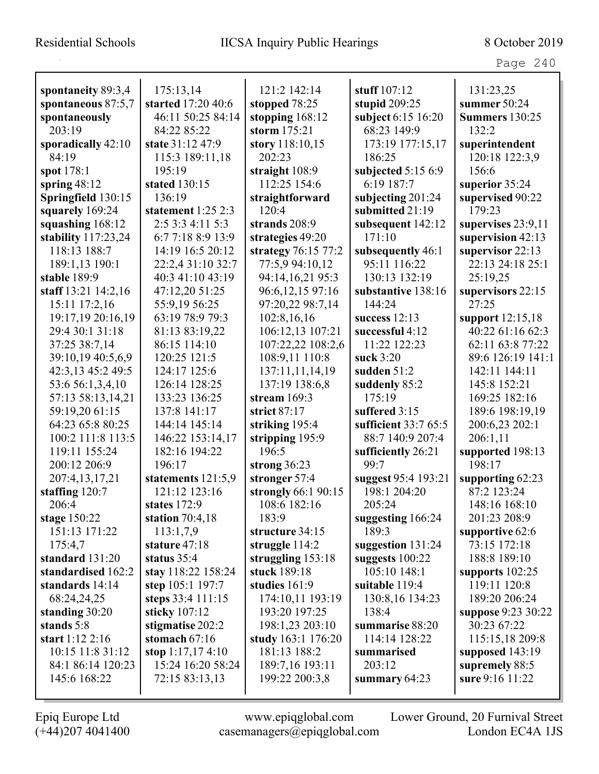Page 240

| spontaneity 89:3,4    | 175:13,14          | 121:2 142:14        | stuff 107:12         | 131:23,25             |
|-----------------------|--------------------|---------------------|----------------------|-----------------------|
| spontaneous 87:5,7    | started 17:20 40:6 | stopped 78:25       | stupid 209:25        | summer 50:24          |
| spontaneously         | 46:11 50:25 84:14  | stopping $168:12$   | subject 6:15 16:20   | <b>Summers</b> 130:25 |
| 203:19                | 84:22 85:22        | storm 175:21        | 68:23 149:9          | 132:2                 |
| sporadically 42:10    | state 31:12 47:9   | story 118:10,15     | 173:19 177:15,17     | superintendent        |
| 84:19                 | 115:3 189:11,18    | 202:23              | 186:25               | 120:18 122:3,9        |
| spot 178:1            | 195:19             | straight $108:9$    | subjected 5:15 6:9   | 156:6                 |
| spring $48:12$        | stated 130:15      | 112:25 154:6        | 6:19 187:7           | superior 35:24        |
| Springfield 130:15    | 136:19             | straightforward     | subjecting 201:24    | supervised 90:22      |
| squarely 169:24       | statement 1:25 2:3 | 120:4               | submitted 21:19      | 179:23                |
| squashing 168:12      | 2:5 3:3 4:11 5:3   | strands 208:9       | subsequent 142:12    | supervises $23:9,11$  |
| stability $117:23,24$ | 6:7 7:18 8:9 13:9  | strategies 49:20    | 171:10               | supervision 42:13     |
| 118:13 188:7          | 14:19 16:5 20:12   | strategy 76:15 77:2 | subsequently 46:1    | supervisor 22:13      |
| 189:1,13 190:1        | 22:2,4 31:10 32:7  | 77:5,9 94:10,12     | 95:11 116:22         | 22:13 24:18 25:1      |
| stable 189:9          | 40:3 41:10 43:19   | 94:14,16,21 95:3    | 130:13 132:19        | 25:19,25              |
| staff 13:21 14:2,16   | 47:12,20 51:25     | 96:6,12,15 97:16    | substantive 138:16   | supervisors 22:15     |
| 15:11 17:2,16         | 55:9,19 56:25      | 97:20,22 98:7,14    | 144:24               | 27:25                 |
| 19:17,19 20:16,19     | 63:19 78:9 79:3    | 102:8,16,16         | success $12:13$      | support 12:15,18      |
| 29:4 30:1 31:18       | 81:13 83:19,22     | 106:12,13 107:21    | successful 4:12      | 40:22 61:16 62:3      |
| 37:25 38:7,14         | 86:15 114:10       | 107:22,22 108:2,6   | 11:22 122:23         | 62:11 63:8 77:22      |
| 39:10,19 40:5,6,9     | 120:25 121:5       | 108:9,11 110:8      | suck 3:20            | 89:6 126:19 141:1     |
| 42:3,13 45:2 49:5     | 124:17 125:6       | 137:11,11,14,19     | sudden 51:2          | 142:11 144:11         |
| 53:6 56:1,3,4,10      | 126:14 128:25      | 137:19 138:6,8      | suddenly 85:2        | 145:8 152:21          |
| 57:13 58:13,14,21     | 133:23 136:25      | stream $169:3$      | 175:19               | 169:25 182:16         |
| 59:19,20 61:15        | 137:8 141:17       | strict 87:17        | suffered 3:15        | 189:6 198:19,19       |
| 64:23 65:8 80:25      | 144:14 145:14      | striking 195:4      | sufficient 33:7 65:5 | 200:6,23 202:1        |
| 100:2 111:8 113:5     | 146:22 153:14,17   | stripping 195:9     | 88:7 140:9 207:4     | 206:1,11              |
| 119:11 155:24         | 182:16 194:22      | 196:5               | sufficiently 26:21   | supported 198:13      |
| 200:12 206:9          | 196:17             | strong $36:23$      | 99:7                 | 198:17                |
| 207:4,13,17,21        | statements 121:5,9 | stronger 57:4       | suggest 95:4 193:21  | supporting $62:23$    |
| staffing 120:7        | 121:12 123:16      | strongly 66:1 90:15 | 198:1 204:20         | 87:2 123:24           |
| 206:4                 | states 172:9       | 108:6 182:16        | 205:24               | 148:16 168:10         |
| stage $150:22$        | station $70:4,18$  | 183:9               | suggesting 166:24    | 201:23 208:9          |
| 151:13 171:22         | 113:1,7,9          | structure 34:15     | 189:3                | supportive 62:6       |
| 175:4,7               | stature 47:18      | struggle 114:2      | suggestion 131:24    | 73:15 172:18          |
| standard 131:20       | status $35:4$      | struggling 153:18   | suggests $100:22$    | 188:8 189:10          |
| standardised 162:2    | stay 118:22 158:24 | stuck 189:18        | 105:10 148:1         | supports $102:25$     |
| standards 14:14       | step 105:1 197:7   | studies 161:9       | suitable 119:4       | 119:11 120:8          |
| 68:24,24,25           | steps 33:4 111:15  | 174:10,11 193:19    | 130:8,16 134:23      | 189:20 206:24         |
| standing 30:20        | sticky 107:12      | 193:20 197:25       | 138:4                | suppose 9:23 30:22    |
| stands 5:8            | stigmatise 202:2   | 198:1,23 203:10     | summarise 88:20      | 30:23 67:22           |
| start $1:12$ 2:16     | stomach $67:16$    | study 163:1 176:20  | 114:14 128:22        | 115:15,18 209:8       |
| 10:15 11:8 31:12      | stop $1:17,174:10$ | 181:13 188:2        | summarised           | supposed $143:19$     |
| 84:1 86:14 120:23     | 15:24 16:20 58:24  | 189:7,16 193:11     | 203:12               | supremely 88:5        |
| 145:6 168:22          | 72:15 83:13,13     | 199:22 200:3,8      | summary $64:23$      | sure 9:16 11:22       |
|                       |                    |                     |                      |                       |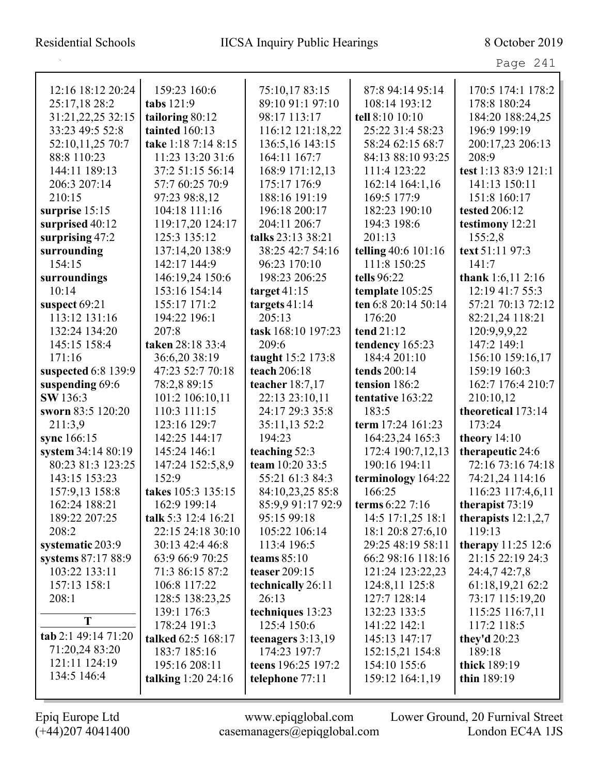Page 241

| 12:16 18:12 20:24   | 159:23 160:6          | 75:10,17 83:15      | 87:8 94:14 95:14    | 170:5 174:1 178:2     |
|---------------------|-----------------------|---------------------|---------------------|-----------------------|
| 25:17,18 28:2       | tabs 121:9            | 89:10 91:1 97:10    | 108:14 193:12       | 178:8 180:24          |
| 31:21,22,25 32:15   | tailoring 80:12       | 98:17 113:17        | tell 8:10 10:10     | 184:20 188:24,25      |
| 33:23 49:5 52:8     | tainted 160:13        | 116:12 121:18,22    | 25:22 31:4 58:23    | 196:9 199:19          |
| 52:10,11,25 70:7    | take 1:18 7:14 8:15   | 136:5,16 143:15     | 58:24 62:15 68:7    | 200:17,23 206:13      |
| 88:8 110:23         | 11:23 13:20 31:6      | 164:11 167:7        | 84:13 88:10 93:25   | 208:9                 |
| 144:11 189:13       | 37:2 51:15 56:14      | 168:9 171:12,13     | 111:4 123:22        | test 1:13 83:9 121:1  |
| 206:3 207:14        | 57:7 60:25 70:9       | 175:17 176:9        | 162:14 164:1,16     | 141:13 150:11         |
| 210:15              | 97:23 98:8,12         | 188:16 191:19       | 169:5 177:9         | 151:8 160:17          |
| surprise 15:15      | 104:18 111:16         | 196:18 200:17       | 182:23 190:10       | tested 206:12         |
| surprised 40:12     | 119:17,20 124:17      | 204:11 206:7        | 194:3 198:6         | testimony 12:21       |
| surprising 47:2     | 125:3 135:12          | talks 23:13 38:21   | 201:13              | 155:2,8               |
| surrounding         | 137:14,20 138:9       | 38:25 42:7 54:16    | telling 40:6 101:16 | text 51:11 97:3       |
| 154:15              | 142:17 144:9          | 96:23 170:10        | 111:8 150:25        | 141:7                 |
| surroundings        | 146:19,24 150:6       | 198:23 206:25       | tells 96:22         | thank $1:6,11$ 2:16   |
| 10:14               | 153:16 154:14         | target $41:15$      | template 105:25     | 12:19 41:7 55:3       |
| suspect 69:21       | 155:17 171:2          | targets $41:14$     | ten 6:8 20:14 50:14 | 57:21 70:13 72:12     |
| 113:12 131:16       | 194:22 196:1          | 205:13              | 176:20              | 82:21,24 118:21       |
| 132:24 134:20       | 207:8                 | task 168:10 197:23  | tend 21:12          | 120:9,9,9,22          |
| 145:15 158:4        | taken 28:18 33:4      | 209:6               | tendency 165:23     | 147:2 149:1           |
| 171:16              | 36:6,20 38:19         | taught 15:2 173:8   | 184:4 201:10        | 156:10 159:16,17      |
| suspected 6:8 139:9 | 47:23 52:7 70:18      | teach 206:18        | tends 200:14        | 159:19 160:3          |
| suspending 69:6     | 78:2,8 89:15          | teacher 18:7,17     | tension 186:2       | 162:7 176:4 210:7     |
| SW 136:3            | 101:2 106:10,11       | 22:13 23:10,11      | tentative 163:22    | 210:10,12             |
| sworn 83:5 120:20   | 110:3 111:15          | 24:17 29:3 35:8     | 183:5               | theoretical 173:14    |
| 211:3,9             | 123:16 129:7          | 35:11,13 52:2       | term 17:24 161:23   | 173:24                |
| sync 166:15         | 142:25 144:17         | 194:23              | 164:23,24 165:3     | theory $14:10$        |
| system 34:14 80:19  | 145:24 146:1          | teaching 52:3       | 172:4 190:7,12,13   | therapeutic 24:6      |
| 80:23 81:3 123:25   | 147:24 152:5,8,9      | team 10:20 33:5     | 190:16 194:11       | 72:16 73:16 74:18     |
| 143:15 153:23       | 152:9                 | 55:21 61:3 84:3     | terminology 164:22  | 74:21,24 114:16       |
| 157:9,13 158:8      | takes 105:3 135:15    | 84:10,23,25 85:8    | 166:25              | 116:23 117:4,6,11     |
| 162:24 188:21       | 162:9 199:14          | 85:9.9 91:17 92:9   | terms $6:227:16$    | therapist 73:19       |
| 189:22 207:25       | talk 5:3 12:4 16:21   | 95:15 99:18         | 14:5 17:1,25 18:1   | therapists $12:1,2,7$ |
| 208:2               | 22:15 24:18 30:10     | 105:22 106:14       | 18:1 20:8 27:6,10   | 119:13                |
| systematic 203:9    | 30:13 42:4 46:8       | 113:4 196:5         | 29:25 48:19 58:11   | therapy $11:25$ 12:6  |
| systems 87:17 88:9  | 63:9 66:9 70:25       | teams $85:10$       | 66:2 98:16 118:16   | 21:15 22:19 24:3      |
| 103:22 133:11       | 71:3 86:15 87:2       | teaser 209:15       | 121:24 123:22,23    | 24:4,7 42:7,8         |
| 157:13 158:1        | 106:8 117:22          | technically 26:11   | 124:8,11 125:8      | 61:18,19,21 62:2      |
| 208:1               | 128:5 138:23,25       | 26:13               | 127:7 128:14        | 73:17 115:19,20       |
|                     | 139:1 176:3           | techniques 13:23    | 132:23 133:5        | 115:25 116:7,11       |
| T                   | 178:24 191:3          | 125:4 150:6         | 141:22 142:1        | 117:2 118:5           |
| tab 2:1 49:14 71:20 | talked 62:5 168:17    | teenagers $3:13,19$ | 145:13 147:17       | they'd 20:23          |
| 71:20,24 83:20      | 183:7 185:16          | 174:23 197:7        | 152:15,21 154:8     | 189:18                |
| 121:11 124:19       | 195:16 208:11         | teens 196:25 197:2  | 154:10 155:6        | thick 189:19          |
| 134:5 146:4         | talking $1:20\,24:16$ | telephone 77:11     | 159:12 164:1,19     | thin 189:19           |
|                     |                       |                     |                     |                       |

L

(+44)207 4041400 casemanagers@epiqglobal.com London EC4A 1JS

Epiq Europe Ltd www.epiqglobal.com Lower Ground, 20 Furnival Street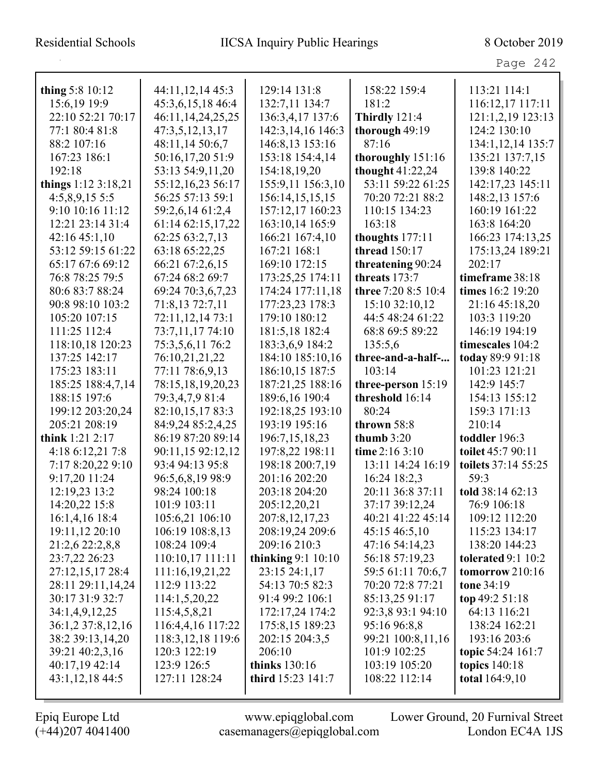| thing $5:810:12$    | 44:11,12,14 45:3      | 129:14 131:8             | 158:22 159:4         | 113:21 114:1          |
|---------------------|-----------------------|--------------------------|----------------------|-----------------------|
| 15:6,19 19:9        | 45:3,6,15,18 46:4     | 132:7,11 134:7           | 181:2                | 116:12,17 117:11      |
| 22:10 52:21 70:17   | 46:11, 14, 24, 25, 25 | 136:3,4,17 137:6         | <b>Thirdly</b> 121:4 | 121:1,2,19 123:13     |
| 77:1 80:4 81:8      | 47:3,5,12,13,17       | 142:3,14,16 146:3        | thorough 49:19       | 124:2 130:10          |
| 88:2 107:16         | 48:11,14 50:6,7       | 146:8,13 153:16          | 87:16                | 134:1,12,14 135:7     |
| 167:23 186:1        | 50:16,17,20 51:9      | 153:18 154:4,14          | thoroughly 151:16    | 135:21 137:7,15       |
| 192:18              | 53:13 54:9,11,20      | 154:18,19,20             | thought 41:22,24     | 139:8 140:22          |
| things 1:12 3:18,21 | 55:12,16,23 56:17     | 155:9,11 156:3,10        | 53:11 59:22 61:25    | 142:17,23 145:11      |
| $4:5,8,9,15\;5:5$   | 56:25 57:13 59:1      | 156:14,15,15,15          | 70:20 72:21 88:2     | 148:2,13 157:6        |
| 9:10 10:16 11:12    | 59:2,6,14 61:2,4      | 157:12,17 160:23         | 110:15 134:23        | 160:19 161:22         |
| 12:21 23:14 31:4    | 61:14 62:15,17,22     | 163:10,14 165:9          | 163:18               | 163:8 164:20          |
| 42:1645:1,10        | 62:25 63:2,7,13       | 166:21 167:4,10          | thoughts 177:11      | 166:23 174:13,25      |
| 53:12 59:15 61:22   | 63:18 65:22,25        | 167:21 168:1             | thread 150:17        | 175:13,24 189:21      |
| 65:17 67:6 69:12    | 66:21 67:2,6,15       | 169:10 172:15            | threatening 90:24    | 202:17                |
| 76:8 78:25 79:5     | 67:24 68:2 69:7       | 173:25,25 174:11         | threats 173:7        | timeframe 38:18       |
| 80:6 83:7 88:24     | 69:24 70:3,6,7,23     | 174:24 177:11,18         | three 7:20 8:5 10:4  | times 16:2 19:20      |
| 90:8 98:10 103:2    | 71:8,13 72:7,11       | 177:23,23 178:3          | 15:10 32:10,12       | 21:16 45:18,20        |
| 105:20 107:15       | 72:11,12,14 73:1      | 179:10 180:12            | 44:5 48:24 61:22     | 103:3 119:20          |
| 111:25 112:4        | 73:7,11,17 74:10      | 181:5,18 182:4           | 68:8 69:5 89:22      | 146:19 194:19         |
| 118:10,18 120:23    | 75:3,5,6,11 76:2      | 183:3,6,9 184:2          | 135:5,6              | timescales 104:2      |
| 137:25 142:17       | 76:10,21,21,22        | 184:10 185:10,16         | three-and-a-half-    | today 89:9 91:18      |
| 175:23 183:11       | 77:11 78:6,9,13       | 186:10,15 187:5          | 103:14               | 101:23 121:21         |
| 185:25 188:4,7,14   | 78:15,18,19,20,23     | 187:21,25 188:16         | three-person 15:19   | 142:9 145:7           |
| 188:15 197:6        | 79:3,4,7,9 81:4       | 189:6,16 190:4           | threshold 16:14      | 154:13 155:12         |
| 199:12 203:20,24    | 82:10,15,17 83:3      | 192:18,25 193:10         | 80:24                | 159:3 171:13          |
| 205:21 208:19       | 84:9,24 85:2,4,25     | 193:19 195:16            | thrown 58:8          | 210:14                |
| think $1:21$ $2:17$ | 86:19 87:20 89:14     | 196:7, 15, 18, 23        | thumb $3:20$         | toddler 196:3         |
| 4:18 6:12,21 7:8    | 90:11,15 92:12,12     | 197:8,22 198:11          | time 2:16 3:10       | toilet 45:7 90:11     |
| 7:17 8:20,22 9:10   | 93:4 94:13 95:8       | 198:18 200:7,19          | 13:11 14:24 16:19    | toilets 37:14 55:25   |
| 9:17,20 11:24       | 96:5,6,8,19 98:9      | 201:16 202:20            | 16:24 18:2,3         | 59:3                  |
| 12:19,23 13:2       | 98:24 100:18          | 203:18 204:20            | 20:11 36:8 37:11     | told 38:14 62:13      |
| 14:20,22 15:8       | 101:9 103:11          | 205:12,20,21             | 37:17 39:12,24       | 76:9 106:18           |
| 16:1,4,16 18:4      | 105:6,21 106:10       | 207:8, 12, 17, 23        | 40:21 41:22 45:14    | 109:12 112:20         |
| 19:11,12 20:10      | 106:19 108:8,13       | 208:19,24 209:6          | 45:15 46:5,10        | 115:23 134:17         |
| 21:2,6 22:2,8,8     | 108:24 109:4          | 209:16 210:3             | 47:16 54:14,23       | 138:20 144:23         |
| 23:7,22 26:23       | 110:10,17 111:11      | thinking $9:1 10:10$     | 56:18 57:19,23       | tolerated $9:1$ 10:2  |
| 27:12,15,17 28:4    | 111:16,19,21,22       | 23:15 24:1,17            | 59:5 61:11 70:6,7    | tomorrow $210:16$     |
| 28:11 29:11,14,24   | 112:9 113:22          | 54:13 70:5 82:3          | 70:20 72:8 77:21     | tone 34:19            |
| 30:17 31:9 32:7     | 114:1,5,20,22         | 91:4 99:2 106:1          | 85:13,25 91:17       | top 49:2 $51:18$      |
| 34:1,4,9,12,25      | 115:4,5,8,21          | 172:17,24 174:2          | 92:3,8 93:1 94:10    | 64:13 116:21          |
| 36:1,2 37:8,12,16   | 116:4,4,16 117:22     | 175:8,15 189:23          | 95:16 96:8,8         | 138:24 162:21         |
| 38:2 39:13,14,20    | 118:3, 12, 18 119:6   | 202:15 204:3,5           | 99:21 100:8,11,16    | 193:16 203:6          |
| 39:21 40:2,3,16     | 120:3 122:19          | 206:10                   | 101:9 102:25         | topic 54:24 161:7     |
| 40:17,19 42:14      | 123:9 126:5           | thinks 130:16            | 103:19 105:20        | <b>topics</b> 140:18  |
| 43:1,12,18 44:5     | 127:11 128:24         | <b>third</b> 15:23 141:7 | 108:22 112:14        | <b>total</b> 164:9,10 |
|                     |                       |                          |                      |                       |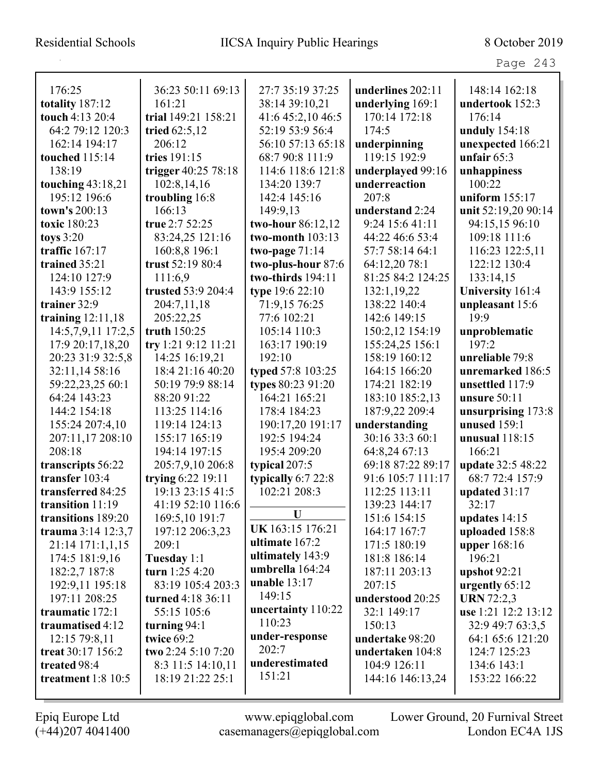Page 243

| 176:25               | 36:23 50:11 69:13   | 27:7 35:19 37:25   | underlines 202:11 | 148:14 162:18       |
|----------------------|---------------------|--------------------|-------------------|---------------------|
| totality 187:12      | 161:21              | 38:14 39:10,21     | underlying 169:1  | undertook 152:3     |
| touch 4:13 20:4      | trial 149:21 158:21 | 41:6 45:2,10 46:5  | 170:14 172:18     | 176:14              |
| 64:2 79:12 120:3     | tried 62:5,12       | 52:19 53:9 56:4    | 174:5             | unduly 154:18       |
| 162:14 194:17        | 206:12              | 56:10 57:13 65:18  | underpinning      | unexpected 166:21   |
| touched 115:14       | tries 191:15        | 68:7 90:8 111:9    | 119:15 192:9      | unfair $65:3$       |
| 138:19               | trigger 40:25 78:18 | 114:6 118:6 121:8  | underplayed 99:16 | unhappiness         |
| touching $43:18,21$  | 102:8,14,16         | 134:20 139:7       | underreaction     | 100:22              |
| 195:12 196:6         | troubling 16:8      | 142:4 145:16       | 207:8             | uniform $155:17$    |
| town's 200:13        | 166:13              | 149:9,13           | understand 2:24   | unit 52:19,20 90:14 |
| toxic 180:23         | true 2:7 52:25      | two-hour 86:12,12  | 9:24 15:6 41:11   | 94:15,15 96:10      |
| toys $3:20$          | 83:24,25 121:16     | two-month $103:13$ | 44:22 46:6 53:4   | 109:18 111:6        |
| traffic 167:17       | 160:8,8 196:1       | two-page $71:14$   | 57:7 58:14 64:1   | 116:23 122:5,11     |
| trained 35:21        | trust 52:19 80:4    | two-plus-hour 87:6 | 64:12,20 78:1     | 122:12 130:4        |
| 124:10 127:9         | 111:6,9             | two-thirds 194:11  | 81:25 84:2 124:25 | 133:14,15           |
| 143:9 155:12         | trusted 53:9 204:4  | type 19:6 22:10    | 132:1,19,22       | University 161:4    |
| trainer 32:9         | 204:7,11,18         | 71:9,15 76:25      | 138:22 140:4      | unpleasant 15:6     |
| training $12:11,18$  | 205:22,25           | 77:6 102:21        | 142:6 149:15      | 19:9                |
| 14:5,7,9,11 17:2,5   | truth 150:25        | 105:14 110:3       | 150:2,12 154:19   | unproblematic       |
| 17:9 20:17,18,20     | try 1:21 9:12 11:21 | 163:17 190:19      | 155:24,25 156:1   | 197:2               |
| 20:23 31:9 32:5,8    | 14:25 16:19,21      | 192:10             | 158:19 160:12     | unreliable 79:8     |
| 32:11,14 58:16       | 18:4 21:16 40:20    | typed 57:8 103:25  | 164:15 166:20     | unremarked 186:5    |
| 59:22,23,25 60:1     | 50:19 79:9 88:14    | types 80:23 91:20  | 174:21 182:19     | unsettled 117:9     |
| 64:24 143:23         | 88:20 91:22         | 164:21 165:21      | 183:10 185:2,13   | unsure $50:11$      |
| 144:2 154:18         | 113:25 114:16       | 178:4 184:23       | 187:9,22 209:4    | unsurprising 173:8  |
| 155:24 207:4,10      | 119:14 124:13       | 190:17,20 191:17   | understanding     | unused 159:1        |
| 207:11,17 208:10     | 155:17 165:19       | 192:5 194:24       | 30:16 33:3 60:1   | unusual 118:15      |
| 208:18               | 194:14 197:15       | 195:4 209:20       | 64:8,24 67:13     | 166:21              |
| transcripts 56:22    | 205:7,9,10 206:8    | typical 207:5      | 69:18 87:22 89:17 | update 32:5 48:22   |
| transfer 103:4       | trying 6:22 19:11   | typically 6:7 22:8 | 91:6 105:7 111:17 | 68:7 72:4 157:9     |
| transferred 84:25    | 19:13 23:15 41:5    | 102:21 208:3       | 112:25 113:11     | updated 31:17       |
| transition 11:19     | 41:19 52:10 116:6   |                    | 139:23 144:17     | 32:17               |
| transitions 189:20   | 169:5,10 191:7      | U                  | 151:6 154:15      | updates $14:15$     |
| trauma $3:14$ 12:3,7 | 197:12 206:3,23     | UK 163:15 176:21   | 164:17 167:7      | uploaded 158:8      |
| 21:14 171:1,1,15     | 209:1               | ultimate 167:2     | 171:5 180:19      | upper 168:16        |
| 174:5 181:9,16       | Tuesday 1:1         | ultimately 143:9   | 181:8 186:14      | 196:21              |
| 182:2,7 187:8        | turn 1:25 4:20      | umbrella 164:24    | 187:11 203:13     | upshot $92:21$      |
| 192:9,11 195:18      | 83:19 105:4 203:3   | unable $13:17$     | 207:15            | urgently 65:12      |
| 197:11 208:25        | turned 4:18 36:11   | 149:15             | understood 20:25  | <b>URN</b> 72:2,3   |
| traumatic 172:1      | 55:15 105:6         | uncertainty 110:22 | 32:1 149:17       | use 1:21 12:2 13:12 |
| traumatised 4:12     | turning $94:1$      | 110:23             | 150:13            | 32:9 49:7 63:3,5    |
| 12:15 79:8,11        | twice 69:2          | under-response     | undertake 98:20   | 64:1 65:6 121:20    |
| treat 30:17 156:2    | two 2:24 5:10 7:20  | 202:7              | undertaken 104:8  | 124:7 125:23        |
| treated 98:4         | 8:3 11:5 14:10,11   | underestimated     | 104:9 126:11      | 134:6 143:1         |
| treatment $1:8$ 10:5 | 18:19 21:22 25:1    | 151:21             | 144:16 146:13,24  | 153:22 166:22       |
|                      |                     |                    |                   |                     |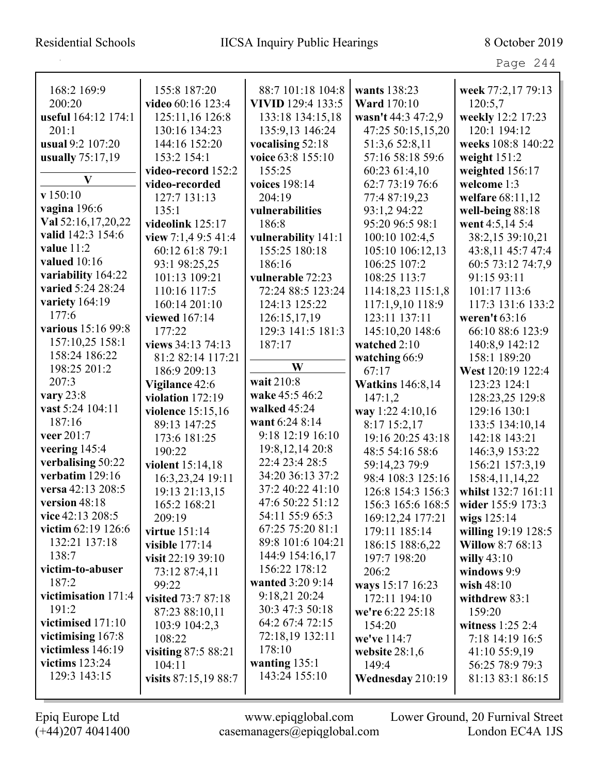Page 244

| 168:2 169:9         | 155:8 187:20         | 88:7 101:18 104:8        | wants 138:23            | week 77:2,17 79:13      |
|---------------------|----------------------|--------------------------|-------------------------|-------------------------|
| 200:20              | video 60:16 123:4    | <b>VIVID</b> 129:4 133:5 | <b>Ward</b> 170:10      | 120:5,7                 |
| useful 164:12 174:1 | 125:11,16 126:8      | 133:18 134:15,18         | wasn't 44:3 47:2,9      | weekly 12:2 17:23       |
| 201:1               | 130:16 134:23        | 135:9,13 146:24          | 47:25 50:15,15,20       | 120:1 194:12            |
| usual 9:2 107:20    | 144:16 152:20        | vocalising 52:18         | 51:3,6 52:8,11          | weeks 108:8 140:22      |
| usually 75:17,19    | 153:2 154:1          | voice 63:8 155:10        | 57:16 58:18 59:6        | weight 151:2            |
| V                   | video-record 152:2   | 155:25                   | 60:23 61:4,10           | weighted 156:17         |
| v 150:10            | video-recorded       | voices 198:14            | 62:7 73:19 76:6         | welcome 1:3             |
|                     | 127:7 131:13         | 204:19                   | 77:4 87:19,23           | welfare 68:11,12        |
| vagina 196:6        | 135:1                | vulnerabilities          | 93:1,2 94:22            | well-being 88:18        |
| Val 52:16,17,20,22  | videolink 125:17     | 186:8                    | 95:20 96:5 98:1         | went 4:5,14 5:4         |
| valid 142:3 154:6   | view $7:1,49:541:4$  | vulnerability 141:1      | 100:10 102:4,5          | 38:2,15 39:10,21        |
| value 11:2          | 60:12 61:8 79:1      | 155:25 180:18            | 105:10 106:12,13        | 43:8,11 45:7 47:4       |
| valued $10:16$      | 93:1 98:25,25        | 186:16                   | 106:25 107:2            | 60:5 73:12 74:7,9       |
| variability 164:22  | 101:13 109:21        | vulnerable 72:23         | 108:25 113:7            | 91:15 93:11             |
| varied 5:24 28:24   | 110:16 117:5         | 72:24 88:5 123:24        | 114:18,23 115:1,8       | 101:17 113:6            |
| variety 164:19      | 160:14 201:10        | 124:13 125:22            | 117:1,9,10 118:9        | 117:3 131:6 133:2       |
| 177:6               | viewed 167:14        | 126:15,17,19             | 123:11 137:11           | weren't $63:16$         |
| various 15:16 99:8  | 177:22               | 129:3 141:5 181:3        | 145:10,20 148:6         | 66:10 88:6 123:9        |
| 157:10,25 158:1     | views 34:13 74:13    | 187:17                   | watched 2:10            | 140:8,9 142:12          |
| 158:24 186:22       | 81:2 82:14 117:21    |                          | watching 66:9           | 158:1 189:20            |
| 198:25 201:2        | 186:9 209:13         | W                        | 67:17                   | West 120:19 122:4       |
| 207:3               | Vigilance 42:6       | wait 210:8               | <b>Watkins</b> 146:8,14 | 123:23 124:1            |
| vary $23:8$         | violation $172:19$   | wake 45:5 46:2           | 147:1,2                 | 128:23,25 129:8         |
| vast 5:24 104:11    | violence 15:15,16    | walked 45:24             | way 1:22 4:10,16        | 129:16 130:1            |
| 187:16              | 89:13 147:25         | want 6:24 8:14           | 8:17 15:2,17            | 133:5 134:10,14         |
| veer 201:7          | 173:6 181:25         | 9:18 12:19 16:10         | 19:16 20:25 43:18       | 142:18 143:21           |
| veering 145:4       | 190:22               | 19:8, 12, 14 20:8        | 48:5 54:16 58:6         | 146:3,9 153:22          |
| verbalising 50:22   | violent 15:14,18     | 22:4 23:4 28:5           | 59:14,23 79:9           | 156:21 157:3,19         |
| verbatim 129:16     | 16:3,23,24 19:11     | 34:20 36:13 37:2         | 98:4 108:3 125:16       | 158:4, 11, 14, 22       |
| versa 42:13 208:5   | 19:13 21:13,15       | 37:2 40:22 41:10         | 126:8 154:3 156:3       | whilst 132:7 161:11     |
| version 48:18       | 165:2 168:21         | 47:6 50:22 51:12         | 156:3 165:6 168:5       | wider 155:9 173:3       |
| vice 42:13 208:5    | 209:19               | 54:11 55:9 65:3          | 169:12,24 177:21        | wigs $125:14$           |
| victim 62:19 126:6  | virtue 151:14        | 67:25 75:20 81:1         | 179:11 185:14           | willing 19:19 128:5     |
| 132:21 137:18       | visible 177:14       | 89:8 101:6 104:21        | 186:15 188:6,22         | <b>Willow 8:7 68:13</b> |
| 138:7               | visit $22:19\,39:10$ | 144:9 154:16,17          | 197:7 198:20            | willy $43:10$           |
| victim-to-abuser    | 73:12 87:4,11        | 156:22 178:12            | 206:2                   | windows 9:9             |
| 187:2               | 99:22                | wanted 3:20 9:14         | ways 15:17 16:23        | wish 48:10              |
| victimisation 171:4 | visited 73:7 87:18   | 9:18,21 20:24            | 172:11 194:10           | withdrew 83:1           |
| 191:2               | 87:23 88:10,11       | 30:3 47:3 50:18          | we're 6:22 25:18        | 159:20                  |
| victimised 171:10   | 103:9 104:2,3        | 64:2 67:4 72:15          | 154:20                  | witness 1:25 2:4        |
| victimising $167:8$ | 108:22               | 72:18,19 132:11          | we've 114:7             | 7:18 14:19 16:5         |
| victimless 146:19   | visiting 87:5 88:21  | 178:10                   | website $28:1,6$        | 41:10 55:9,19           |
| victims $123:24$    | 104:11               | wanting $135:1$          | 149:4                   | 56:25 78:9 79:3         |
| 129:3 143:15        | visits 87:15,19 88:7 | 143:24 155:10            | Wednesday 210:19        | 81:13 83:1 86:15        |
|                     |                      |                          |                         |                         |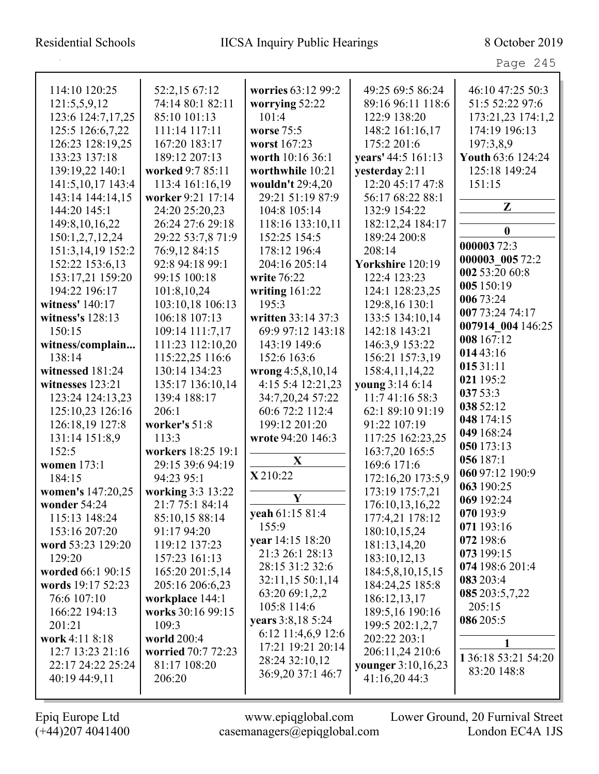Page 245

| 114:10 120:25     | 52:2,15 67:12      | worries 63:12 99:2 | 49:25 69:5 86:24   | 46:10 47:25 50:3    |
|-------------------|--------------------|--------------------|--------------------|---------------------|
| 121:5,5,9,12      | 74:14 80:1 82:11   | worrying 52:22     | 89:16 96:11 118:6  | 51:5 52:22 97:6     |
| 123:6 124:7,17,25 | 85:10 101:13       | 101:4              | 122:9 138:20       | 173:21,23 174:1,2   |
| 125:5 126:6,7,22  | 111:14 117:11      | worse 75:5         | 148:2 161:16,17    | 174:19 196:13       |
| 126:23 128:19,25  | 167:20 183:17      | worst 167:23       | 175:2 201:6        | 197:3,8,9           |
| 133:23 137:18     | 189:12 207:13      | worth 10:16 36:1   | years' 44:5 161:13 | Youth 63:6 124:24   |
| 139:19,22 140:1   | worked 9:7 85:11   | worthwhile 10:21   | yesterday 2:11     | 125:18 149:24       |
| 141:5,10,17 143:4 | 113:4 161:16,19    | wouldn't 29:4,20   | 12:20 45:17 47:8   | 151:15              |
| 143:14 144:14,15  | worker 9:21 17:14  | 29:21 51:19 87:9   | 56:17 68:22 88:1   |                     |
| 144:20 145:1      | 24:20 25:20,23     | 104:8 105:14       | 132:9 154:22       | Z                   |
| 149:8, 10, 16, 22 | 26:24 27:6 29:18   | 118:16 133:10,11   | 182:12,24 184:17   |                     |
| 150:1,2,7,12,24   | 29:22 53:7,8 71:9  | 152:25 154:5       | 189:24 200:8       | $\bf{0}$            |
| 151:3,14,19 152:2 | 76:9,12 84:15      | 178:12 196:4       | 208:14             | 00000372:3          |
| 152:22 153:6,13   | 92:8 94:18 99:1    | 204:16 205:14      | Yorkshire 120:19   | 000003 005 72:2     |
| 153:17,21 159:20  | 99:15 100:18       | write 76:22        | 122:4 123:23       | 002 53:20 60:8      |
| 194:22 196:17     | 101:8,10,24        | writing $161:22$   | 124:1 128:23,25    | 005 150:19          |
| witness' 140:17   | 103:10,18 106:13   | 195:3              | 129:8,16 130:1     | 006 73:24           |
| witness's 128:13  | 106:18 107:13      | written 33:14 37:3 | 133:5 134:10,14    | 007 73:24 74:17     |
| 150:15            | 109:14 111:7,17    | 69:9 97:12 143:18  | 142:18 143:21      | 007914 004 146:25   |
| witness/complain  | 111:23 112:10,20   | 143:19 149:6       | 146:3,9 153:22     | 008 167:12          |
| 138:14            | 115:22,25 116:6    | 152:6 163:6        | 156:21 157:3,19    | 014 43:16           |
| witnessed 181:24  | 130:14 134:23      | wrong 4:5,8,10,14  | 158:4,11,14,22     | 01531:11            |
| witnesses 123:21  | 135:17 136:10,14   | 4:15 5:4 12:21,23  | young 3:14 6:14    | 021 195:2           |
| 123:24 124:13,23  | 139:4 188:17       | 34:7,20,24 57:22   | 11:7 41:16 58:3    | 037 53:3            |
| 125:10,23 126:16  | 206:1              | 60:6 72:2 112:4    | 62:1 89:10 91:19   | 038 52:12           |
| 126:18,19 127:8   | worker's 51:8      | 199:12 201:20      | 91:22 107:19       | 048 174:15          |
| 131:14 151:8,9    | 113:3              | wrote 94:20 146:3  | 117:25 162:23,25   | 049 168:24          |
| 152:5             | workers 18:25 19:1 |                    | 163:7,20 165:5     | 050 173:13          |
| women 173:1       | 29:15 39:6 94:19   | X                  | 169:6 171:6        | 056 187:1           |
| 184:15            | 94:23 95:1         | X 210:22           | 172:16,20 173:5,9  | 060 97:12 190:9     |
| women's 147:20,25 | working 3:3 13:22  |                    | 173:19 175:7,21    | 063 190:25          |
| wonder 54:24      | 21:7 75:1 84:14    | $\mathbf Y$        | 176:10,13,16,22    | 069 192:24          |
| 115:13 148:24     | 85:10,15 88:14     | yeah 61:15 81:4    | 177:4,21 178:12    | 070193:9            |
| 153:16 207:20     | 91:17 94:20        | 155:9              | 180:10,15,24       | 071 193:16          |
| word 53:23 129:20 | 119:12 137:23      | year 14:15 18:20   | 181:13,14,20       | 072 198:6           |
| 129:20            | 157:23 161:13      | 21:3 26:1 28:13    | 183:10,12,13       | 073 199:15          |
| worded 66:1 90:15 | 165:20 201:5,14    | 28:15 31:2 32:6    | 184:5,8,10,15,15   | 074 198:6 201:4     |
| words 19:17 52:23 | 205:16 206:6,23    | 32:11,15 50:1,14   | 184:24,25 185:8    | 083 203:4           |
| 76:6 107:10       | workplace 144:1    | 63:20 69:1,2,2     | 186:12,13,17       | 085 203:5,7,22      |
| 166:22 194:13     | works 30:16 99:15  | 105:8 114:6        | 189:5,16 190:16    | 205:15              |
| 201:21            | 109:3              | years 3:8,18 5:24  | 199:5 202:1,2,7    | 086 205:5           |
| work 4:11 8:18    | world 200:4        | 6:12 11:4,6,9 12:6 | 202:22 203:1       |                     |
| 12:7 13:23 21:16  | worried 70:7 72:23 | 17:21 19:21 20:14  | 206:11,24 210:6    |                     |
| 22:17 24:22 25:24 | 81:17 108:20       | 28:24 32:10,12     | younger 3:10,16,23 | 1 36:18 53:21 54:20 |
| 40:19 44:9,11     | 206:20             | 36:9,20 37:1 46:7  | 41:16,20 44:3      | 83:20 148:8         |
|                   |                    |                    |                    |                     |
|                   |                    |                    |                    |                     |